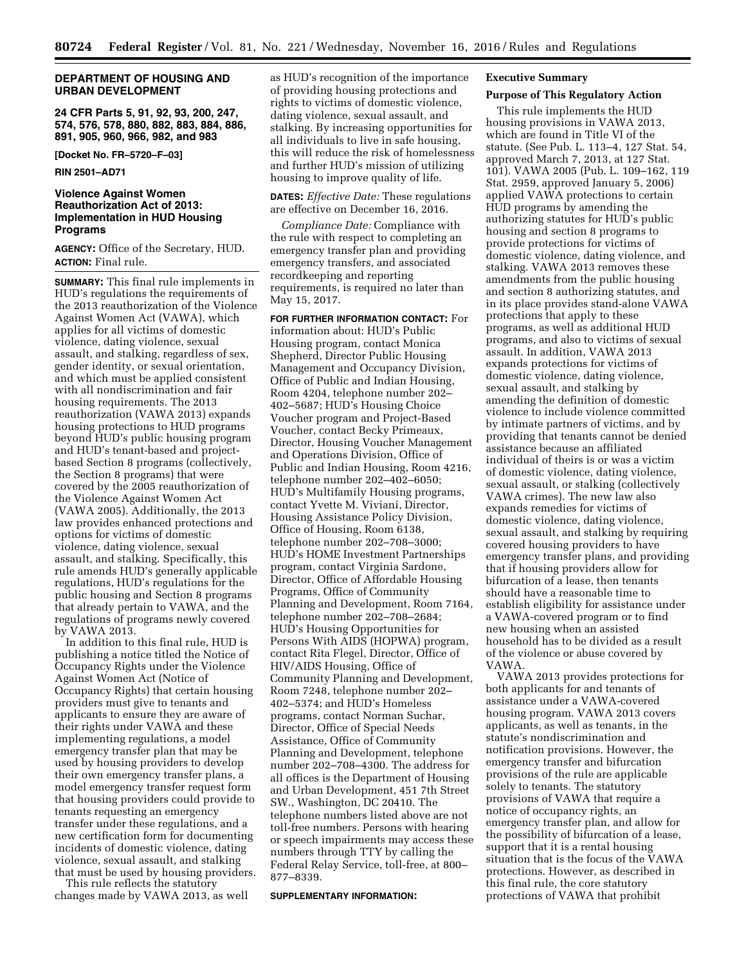## **DEPARTMENT OF HOUSING AND URBAN DEVELOPMENT**

**24 CFR Parts 5, 91, 92, 93, 200, 247, 574, 576, 578, 880, 882, 883, 884, 886, 891, 905, 960, 966, 982, and 983** 

**[Docket No. FR–5720–F–03]** 

**RIN 2501–AD71** 

# **Violence Against Women Reauthorization Act of 2013: Implementation in HUD Housing Programs**

**AGENCY:** Office of the Secretary, HUD. **ACTION:** Final rule.

**SUMMARY:** This final rule implements in HUD's regulations the requirements of the 2013 reauthorization of the Violence Against Women Act (VAWA), which applies for all victims of domestic violence, dating violence, sexual assault, and stalking, regardless of sex, gender identity, or sexual orientation, and which must be applied consistent with all nondiscrimination and fair housing requirements. The 2013 reauthorization (VAWA 2013) expands housing protections to HUD programs beyond HUD's public housing program and HUD's tenant-based and projectbased Section 8 programs (collectively, the Section 8 programs) that were covered by the 2005 reauthorization of the Violence Against Women Act (VAWA 2005). Additionally, the 2013 law provides enhanced protections and options for victims of domestic violence, dating violence, sexual assault, and stalking. Specifically, this rule amends HUD's generally applicable regulations, HUD's regulations for the public housing and Section 8 programs that already pertain to VAWA, and the regulations of programs newly covered by VAWA 2013.

In addition to this final rule, HUD is publishing a notice titled the Notice of Occupancy Rights under the Violence Against Women Act (Notice of Occupancy Rights) that certain housing providers must give to tenants and applicants to ensure they are aware of their rights under VAWA and these implementing regulations, a model emergency transfer plan that may be used by housing providers to develop their own emergency transfer plans, a model emergency transfer request form that housing providers could provide to tenants requesting an emergency transfer under these regulations, and a new certification form for documenting incidents of domestic violence, dating violence, sexual assault, and stalking that must be used by housing providers.

This rule reflects the statutory changes made by VAWA 2013, as well as HUD's recognition of the importance of providing housing protections and rights to victims of domestic violence, dating violence, sexual assault, and stalking. By increasing opportunities for all individuals to live in safe housing, this will reduce the risk of homelessness and further HUD's mission of utilizing housing to improve quality of life.

## **DATES:** *Effective Date:* These regulations are effective on December 16, 2016.

*Compliance Date:* Compliance with the rule with respect to completing an emergency transfer plan and providing emergency transfers, and associated recordkeeping and reporting requirements, is required no later than May 15, 2017.

**FOR FURTHER INFORMATION CONTACT:** For information about: HUD's Public Housing program, contact Monica Shepherd, Director Public Housing Management and Occupancy Division, Office of Public and Indian Housing, Room 4204, telephone number 202– 402–5687; HUD's Housing Choice Voucher program and Project-Based Voucher, contact Becky Primeaux, Director, Housing Voucher Management and Operations Division, Office of Public and Indian Housing, Room 4216, telephone number 202–402–6050; HUD's Multifamily Housing programs, contact Yvette M. Viviani, Director, Housing Assistance Policy Division, Office of Housing, Room 6138, telephone number 202–708–3000; HUD's HOME Investment Partnerships program, contact Virginia Sardone, Director, Office of Affordable Housing Programs, Office of Community Planning and Development, Room 7164, telephone number 202–708–2684; HUD's Housing Opportunities for Persons With AIDS (HOPWA) program, contact Rita Flegel, Director, Office of HIV/AIDS Housing, Office of Community Planning and Development, Room 7248, telephone number 202– 402–5374; and HUD's Homeless programs, contact Norman Suchar, Director, Office of Special Needs Assistance, Office of Community Planning and Development, telephone number 202–708–4300. The address for all offices is the Department of Housing and Urban Development, 451 7th Street SW., Washington, DC 20410. The telephone numbers listed above are not toll-free numbers. Persons with hearing or speech impairments may access these numbers through TTY by calling the Federal Relay Service, toll-free, at 800– 877–8339.

### **SUPPLEMENTARY INFORMATION:**

# **Executive Summary**

# **Purpose of This Regulatory Action**

This rule implements the HUD housing provisions in VAWA 2013, which are found in Title VI of the statute. (See Pub. L. 113–4, 127 Stat. 54, approved March 7, 2013, at 127 Stat. 101). VAWA 2005 (Pub. L. 109–162, 119 Stat. 2959, approved January 5, 2006) applied VAWA protections to certain HUD programs by amending the authorizing statutes for HUD's public housing and section 8 programs to provide protections for victims of domestic violence, dating violence, and stalking. VAWA 2013 removes these amendments from the public housing and section 8 authorizing statutes, and in its place provides stand-alone VAWA protections that apply to these programs, as well as additional HUD programs, and also to victims of sexual assault. In addition, VAWA 2013 expands protections for victims of domestic violence, dating violence, sexual assault, and stalking by amending the definition of domestic violence to include violence committed by intimate partners of victims, and by providing that tenants cannot be denied assistance because an affiliated individual of theirs is or was a victim of domestic violence, dating violence, sexual assault, or stalking (collectively VAWA crimes). The new law also expands remedies for victims of domestic violence, dating violence, sexual assault, and stalking by requiring covered housing providers to have emergency transfer plans, and providing that if housing providers allow for bifurcation of a lease, then tenants should have a reasonable time to establish eligibility for assistance under a VAWA-covered program or to find new housing when an assisted household has to be divided as a result of the violence or abuse covered by VAWA.

VAWA 2013 provides protections for both applicants for and tenants of assistance under a VAWA-covered housing program. VAWA 2013 covers applicants, as well as tenants, in the statute's nondiscrimination and notification provisions. However, the emergency transfer and bifurcation provisions of the rule are applicable solely to tenants. The statutory provisions of VAWA that require a notice of occupancy rights, an emergency transfer plan, and allow for the possibility of bifurcation of a lease, support that it is a rental housing situation that is the focus of the VAWA protections. However, as described in this final rule, the core statutory protections of VAWA that prohibit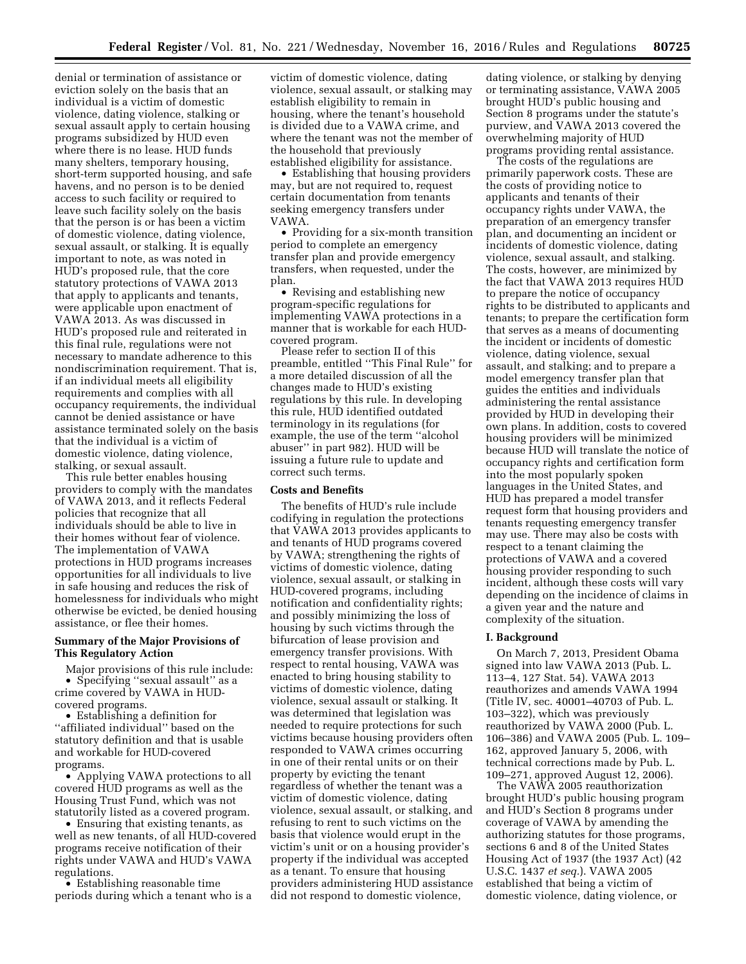denial or termination of assistance or eviction solely on the basis that an individual is a victim of domestic violence, dating violence, stalking or sexual assault apply to certain housing programs subsidized by HUD even where there is no lease. HUD funds many shelters, temporary housing, short-term supported housing, and safe havens, and no person is to be denied access to such facility or required to leave such facility solely on the basis that the person is or has been a victim of domestic violence, dating violence, sexual assault, or stalking. It is equally important to note, as was noted in HUD's proposed rule, that the core statutory protections of VAWA 2013 that apply to applicants and tenants, were applicable upon enactment of VAWA 2013. As was discussed in HUD's proposed rule and reiterated in this final rule, regulations were not necessary to mandate adherence to this nondiscrimination requirement. That is, if an individual meets all eligibility requirements and complies with all occupancy requirements, the individual cannot be denied assistance or have assistance terminated solely on the basis that the individual is a victim of domestic violence, dating violence, stalking, or sexual assault.

This rule better enables housing providers to comply with the mandates of VAWA 2013, and it reflects Federal policies that recognize that all individuals should be able to live in their homes without fear of violence. The implementation of VAWA protections in HUD programs increases opportunities for all individuals to live in safe housing and reduces the risk of homelessness for individuals who might otherwise be evicted, be denied housing assistance, or flee their homes.

# **Summary of the Major Provisions of This Regulatory Action**

Major provisions of this rule include: • Specifying ''sexual assault'' as a crime covered by VAWA in HUDcovered programs.

• Establishing a definition for ''affiliated individual'' based on the statutory definition and that is usable and workable for HUD-covered programs.

• Applying VAWA protections to all covered HUD programs as well as the Housing Trust Fund, which was not statutorily listed as a covered program.

• Ensuring that existing tenants, as well as new tenants, of all HUD-covered programs receive notification of their rights under VAWA and HUD's VAWA regulations.

• Establishing reasonable time periods during which a tenant who is a victim of domestic violence, dating violence, sexual assault, or stalking may establish eligibility to remain in housing, where the tenant's household is divided due to a VAWA crime, and where the tenant was not the member of the household that previously established eligibility for assistance.

• Establishing that housing providers may, but are not required to, request certain documentation from tenants seeking emergency transfers under VAWA.

• Providing for a six-month transition period to complete an emergency transfer plan and provide emergency transfers, when requested, under the plan.

• Revising and establishing new program-specific regulations for implementing VAWA protections in a manner that is workable for each HUDcovered program.

Please refer to section II of this preamble, entitled ''This Final Rule'' for a more detailed discussion of all the changes made to HUD's existing regulations by this rule. In developing this rule, HUD identified outdated terminology in its regulations (for example, the use of the term ''alcohol abuser'' in part 982). HUD will be issuing a future rule to update and correct such terms.

### **Costs and Benefits**

The benefits of HUD's rule include codifying in regulation the protections that VAWA 2013 provides applicants to and tenants of HUD programs covered by VAWA; strengthening the rights of victims of domestic violence, dating violence, sexual assault, or stalking in HUD-covered programs, including notification and confidentiality rights; and possibly minimizing the loss of housing by such victims through the bifurcation of lease provision and emergency transfer provisions. With respect to rental housing, VAWA was enacted to bring housing stability to victims of domestic violence, dating violence, sexual assault or stalking. It was determined that legislation was needed to require protections for such victims because housing providers often responded to VAWA crimes occurring in one of their rental units or on their property by evicting the tenant regardless of whether the tenant was a victim of domestic violence, dating violence, sexual assault, or stalking, and refusing to rent to such victims on the basis that violence would erupt in the victim's unit or on a housing provider's property if the individual was accepted as a tenant. To ensure that housing providers administering HUD assistance did not respond to domestic violence,

dating violence, or stalking by denying or terminating assistance, VAWA 2005 brought HUD's public housing and Section 8 programs under the statute's purview, and VAWA 2013 covered the overwhelming majority of HUD programs providing rental assistance.

The costs of the regulations are primarily paperwork costs. These are the costs of providing notice to applicants and tenants of their occupancy rights under VAWA, the preparation of an emergency transfer plan, and documenting an incident or incidents of domestic violence, dating violence, sexual assault, and stalking. The costs, however, are minimized by the fact that VAWA 2013 requires HUD to prepare the notice of occupancy rights to be distributed to applicants and tenants; to prepare the certification form that serves as a means of documenting the incident or incidents of domestic violence, dating violence, sexual assault, and stalking; and to prepare a model emergency transfer plan that guides the entities and individuals administering the rental assistance provided by HUD in developing their own plans. In addition, costs to covered housing providers will be minimized because HUD will translate the notice of occupancy rights and certification form into the most popularly spoken languages in the United States, and HUD has prepared a model transfer request form that housing providers and tenants requesting emergency transfer may use. There may also be costs with respect to a tenant claiming the protections of VAWA and a covered housing provider responding to such incident, although these costs will vary depending on the incidence of claims in a given year and the nature and complexity of the situation.

# **I. Background**

On March 7, 2013, President Obama signed into law VAWA 2013 (Pub. L. 113–4, 127 Stat. 54). VAWA 2013 reauthorizes and amends VAWA 1994 (Title IV, sec. 40001–40703 of Pub. L. 103–322), which was previously reauthorized by VAWA 2000 (Pub. L. 106–386) and VAWA 2005 (Pub. L. 109– 162, approved January 5, 2006, with technical corrections made by Pub. L. 109–271, approved August 12, 2006).

The VAWA 2005 reauthorization brought HUD's public housing program and HUD's Section 8 programs under coverage of VAWA by amending the authorizing statutes for those programs, sections 6 and 8 of the United States Housing Act of 1937 (the 1937 Act) (42 U.S.C. 1437 *et seq.*). VAWA 2005 established that being a victim of domestic violence, dating violence, or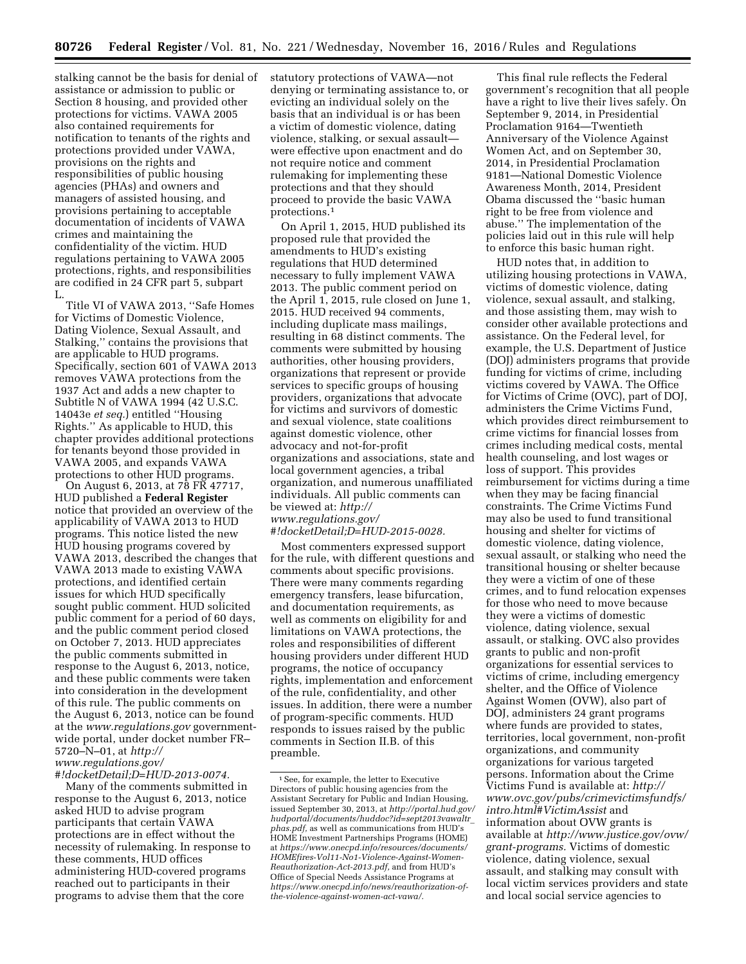stalking cannot be the basis for denial of assistance or admission to public or Section 8 housing, and provided other protections for victims. VAWA 2005 also contained requirements for notification to tenants of the rights and protections provided under VAWA, provisions on the rights and responsibilities of public housing agencies (PHAs) and owners and managers of assisted housing, and provisions pertaining to acceptable documentation of incidents of VAWA crimes and maintaining the confidentiality of the victim. HUD regulations pertaining to VAWA 2005 protections, rights, and responsibilities are codified in 24 CFR part 5, subpart L.

Title VI of VAWA 2013, ''Safe Homes for Victims of Domestic Violence, Dating Violence, Sexual Assault, and Stalking,'' contains the provisions that are applicable to HUD programs. Specifically, section 601 of VAWA 2013 removes VAWA protections from the 1937 Act and adds a new chapter to Subtitle N of VAWA 1994 (42 U.S.C. 14043e *et seq.*) entitled ''Housing Rights.'' As applicable to HUD, this chapter provides additional protections for tenants beyond those provided in VAWA 2005, and expands VAWA protections to other HUD programs.

On August 6, 2013, at 78 FR 47717, HUD published a **Federal Register**  notice that provided an overview of the applicability of VAWA 2013 to HUD programs. This notice listed the new HUD housing programs covered by VAWA 2013, described the changes that VAWA 2013 made to existing VAWA protections, and identified certain issues for which HUD specifically sought public comment. HUD solicited public comment for a period of 60 days, and the public comment period closed on October 7, 2013. HUD appreciates the public comments submitted in response to the August 6, 2013, notice, and these public comments were taken into consideration in the development of this rule. The public comments on the August 6, 2013, notice can be found at the *[www.regulations.gov](http://www.regulations.gov)* governmentwide portal, under docket number FR– 5720–N–01, at *[http://](http://www.regulations.gov/#!docketDetail;D=HUD-2013-0074) [www.regulations.gov/](http://www.regulations.gov/#!docketDetail;D=HUD-2013-0074)*

*[#!docketDetail;D=HUD-2013-0074.](http://www.regulations.gov/#!docketDetail;D=HUD-2013-0074)* 

Many of the comments submitted in response to the August 6, 2013, notice asked HUD to advise program participants that certain VAWA protections are in effect without the necessity of rulemaking. In response to these comments, HUD offices administering HUD-covered programs reached out to participants in their programs to advise them that the core

statutory protections of VAWA—not denying or terminating assistance to, or evicting an individual solely on the basis that an individual is or has been a victim of domestic violence, dating violence, stalking, or sexual assault were effective upon enactment and do not require notice and comment rulemaking for implementing these protections and that they should proceed to provide the basic VAWA protections.1

On April 1, 2015, HUD published its proposed rule that provided the amendments to HUD's existing regulations that HUD determined necessary to fully implement VAWA 2013. The public comment period on the April 1, 2015, rule closed on June 1, 2015. HUD received 94 comments, including duplicate mass mailings, resulting in 68 distinct comments. The comments were submitted by housing authorities, other housing providers, organizations that represent or provide services to specific groups of housing providers, organizations that advocate for victims and survivors of domestic and sexual violence, state coalitions against domestic violence, other advocacy and not-for-profit organizations and associations, state and local government agencies, a tribal organization, and numerous unaffiliated individuals. All public comments can be viewed at: *[http://](http://www.regulations.gov/#!docketDetail;D=HUD-2015-0028) [www.regulations.gov/](http://www.regulations.gov/#!docketDetail;D=HUD-2015-0028) [#!docketDetail;D=HUD-2015-0028.](http://www.regulations.gov/#!docketDetail;D=HUD-2015-0028)* 

Most commenters expressed support for the rule, with different questions and comments about specific provisions. There were many comments regarding emergency transfers, lease bifurcation, and documentation requirements, as well as comments on eligibility for and limitations on VAWA protections, the roles and responsibilities of different housing providers under different HUD programs, the notice of occupancy rights, implementation and enforcement of the rule, confidentiality, and other issues. In addition, there were a number of program-specific comments. HUD responds to issues raised by the public comments in Section II.B. of this preamble.

This final rule reflects the Federal government's recognition that all people have a right to live their lives safely. On September 9, 2014, in Presidential Proclamation 9164—Twentieth Anniversary of the Violence Against Women Act, and on September 30, 2014, in Presidential Proclamation 9181—National Domestic Violence Awareness Month, 2014, President Obama discussed the ''basic human right to be free from violence and abuse.'' The implementation of the policies laid out in this rule will help to enforce this basic human right.

HUD notes that, in addition to utilizing housing protections in VAWA, victims of domestic violence, dating violence, sexual assault, and stalking, and those assisting them, may wish to consider other available protections and assistance. On the Federal level, for example, the U.S. Department of Justice (DOJ) administers programs that provide funding for victims of crime, including victims covered by VAWA. The Office for Victims of Crime (OVC), part of DOJ, administers the Crime Victims Fund, which provides direct reimbursement to crime victims for financial losses from crimes including medical costs, mental health counseling, and lost wages or loss of support. This provides reimbursement for victims during a time when they may be facing financial constraints. The Crime Victims Fund may also be used to fund transitional housing and shelter for victims of domestic violence, dating violence, sexual assault, or stalking who need the transitional housing or shelter because they were a victim of one of these crimes, and to fund relocation expenses for those who need to move because they were a victims of domestic violence, dating violence, sexual assault, or stalking. OVC also provides grants to public and non-profit organizations for essential services to victims of crime, including emergency shelter, and the Office of Violence Against Women (OVW), also part of DOJ, administers 24 grant programs where funds are provided to states, territories, local government, non-profit organizations, and community organizations for various targeted persons. Information about the Crime Victims Fund is available at: *[http://](http://www.ovc.gov/pubs/crimevictimsfundfs/intro.html#VictimAssist) [www.ovc.gov/pubs/crimevictimsfundfs/](http://www.ovc.gov/pubs/crimevictimsfundfs/intro.html#VictimAssist) [intro.html#VictimAssist](http://www.ovc.gov/pubs/crimevictimsfundfs/intro.html#VictimAssist)* and information about OVW grants is available at *[http://www.justice.gov/ovw/](http://www.justice.gov/ovw/grant-programs)  [grant-programs.](http://www.justice.gov/ovw/grant-programs)* Victims of domestic violence, dating violence, sexual assault, and stalking may consult with local victim services providers and state and local social service agencies to

<sup>1</sup>See, for example, the letter to Executive Directors of public housing agencies from the Assistant Secretary for Public and Indian Housing, issued September 30, 2013, at *[http://portal.hud.gov/](http://portal.hud.gov/hudportal/documents/huddoc?id=sept2013vawaltr_phas.pdf)  [hudportal/documents/huddoc?id=sept2013vawaltr](http://portal.hud.gov/hudportal/documents/huddoc?id=sept2013vawaltr_phas.pdf)*\_ *[phas.pdf,](http://portal.hud.gov/hudportal/documents/huddoc?id=sept2013vawaltr_phas.pdf)* as well as communications from HUD's HOME Investment Partnerships Programs (HOME) at *[https://www.onecpd.info/resources/documents/](https://www.onecpd.info/resources/documents/HOMEfires-Vol11-No1-Violence-Against-Women-Reauthorization-Act-2013.pdf) [HOMEfires-Vol11-No1-Violence-Against-Women-](https://www.onecpd.info/resources/documents/HOMEfires-Vol11-No1-Violence-Against-Women-Reauthorization-Act-2013.pdf)[Reauthorization-Act-2013.pdf,](https://www.onecpd.info/resources/documents/HOMEfires-Vol11-No1-Violence-Against-Women-Reauthorization-Act-2013.pdf)* and from HUD's Office of Special Needs Assistance Programs at *[https://www.onecpd.info/news/reauthorization-of](https://www.onecpd.info/news/reauthorization-of-the-violence-against-women-act-vawa/)[the-violence-against-women-act-vawa/.](https://www.onecpd.info/news/reauthorization-of-the-violence-against-women-act-vawa/)*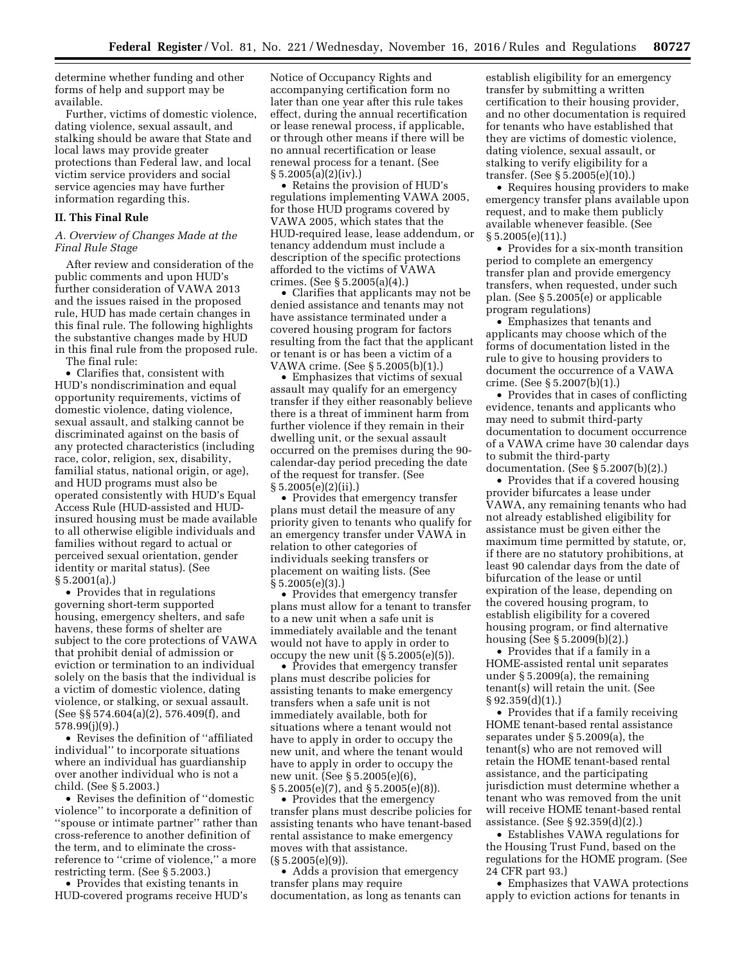determine whether funding and other forms of help and support may be available.

Further, victims of domestic violence, dating violence, sexual assault, and stalking should be aware that State and local laws may provide greater protections than Federal law, and local victim service providers and social service agencies may have further information regarding this.

### **II. This Final Rule**

## *A. Overview of Changes Made at the Final Rule Stage*

After review and consideration of the public comments and upon HUD's further consideration of VAWA 2013 and the issues raised in the proposed rule, HUD has made certain changes in this final rule. The following highlights the substantive changes made by HUD in this final rule from the proposed rule.

The final rule:

• Clarifies that, consistent with HUD's nondiscrimination and equal opportunity requirements, victims of domestic violence, dating violence, sexual assault, and stalking cannot be discriminated against on the basis of any protected characteristics (including race, color, religion, sex, disability, familial status, national origin, or age), and HUD programs must also be operated consistently with HUD's Equal Access Rule (HUD-assisted and HUDinsured housing must be made available to all otherwise eligible individuals and families without regard to actual or perceived sexual orientation, gender identity or marital status). (See § 5.2001(a).)

• Provides that in regulations governing short-term supported housing, emergency shelters, and safe havens, these forms of shelter are subject to the core protections of VAWA that prohibit denial of admission or eviction or termination to an individual solely on the basis that the individual is a victim of domestic violence, dating violence, or stalking, or sexual assault. (See §§ 574.604(a)(2), 576.409(f), and 578.99(j)(9).)

• Revises the definition of ''affiliated individual'' to incorporate situations where an individual has guardianship over another individual who is not a child. (See § 5.2003.)

• Revises the definition of ''domestic violence'' to incorporate a definition of ''spouse or intimate partner'' rather than cross-reference to another definition of the term, and to eliminate the crossreference to ''crime of violence,'' a more restricting term. (See § 5.2003.)

• Provides that existing tenants in HUD-covered programs receive HUD's Notice of Occupancy Rights and accompanying certification form no later than one year after this rule takes effect, during the annual recertification or lease renewal process, if applicable, or through other means if there will be no annual recertification or lease renewal process for a tenant. (See  $§ 5.2005(a)(2)(iv).]$ 

• Retains the provision of HUD's regulations implementing VAWA 2005, for those HUD programs covered by VAWA 2005, which states that the HUD-required lease, lease addendum, or tenancy addendum must include a description of the specific protections afforded to the victims of VAWA crimes. (See § 5.2005(a)(4).)

• Clarifies that applicants may not be denied assistance and tenants may not have assistance terminated under a covered housing program for factors resulting from the fact that the applicant or tenant is or has been a victim of a VAWA crime. (See § 5.2005(b)(1).)

• Emphasizes that victims of sexual assault may qualify for an emergency transfer if they either reasonably believe there is a threat of imminent harm from further violence if they remain in their dwelling unit, or the sexual assault occurred on the premises during the 90 calendar-day period preceding the date of the request for transfer. (See  $\S 5.2005(e)(2)(ii)$ .

• Provides that emergency transfer plans must detail the measure of any priority given to tenants who qualify for an emergency transfer under VAWA in relation to other categories of individuals seeking transfers or placement on waiting lists. (See § 5.2005(e)(3).)

• Provides that emergency transfer plans must allow for a tenant to transfer to a new unit when a safe unit is immediately available and the tenant would not have to apply in order to occupy the new unit  $(S\overline{5.2005(e)(5)})$ .

• Provides that emergency transfer plans must describe policies for assisting tenants to make emergency transfers when a safe unit is not immediately available, both for situations where a tenant would not have to apply in order to occupy the new unit, and where the tenant would have to apply in order to occupy the new unit. (See § 5.2005(e)(6), § 5.2005(e)(7), and § 5.2005(e)(8)).

• Provides that the emergency transfer plans must describe policies for assisting tenants who have tenant-based rental assistance to make emergency moves with that assistance.  $(S 5.2005(e)(9))$ .

• Adds a provision that emergency transfer plans may require documentation, as long as tenants can

establish eligibility for an emergency transfer by submitting a written certification to their housing provider, and no other documentation is required for tenants who have established that they are victims of domestic violence, dating violence, sexual assault, or stalking to verify eligibility for a transfer. (See § 5.2005(e)(10).)

• Requires housing providers to make emergency transfer plans available upon request, and to make them publicly available whenever feasible. (See  $§ 5.2005(e)(11).]$ 

• Provides for a six-month transition period to complete an emergency transfer plan and provide emergency transfers, when requested, under such plan. (See § 5.2005(e) or applicable program regulations)

• Emphasizes that tenants and applicants may choose which of the forms of documentation listed in the rule to give to housing providers to document the occurrence of a VAWA crime. (See § 5.2007(b)(1).)

• Provides that in cases of conflicting evidence, tenants and applicants who may need to submit third-party documentation to document occurrence of a VAWA crime have 30 calendar days to submit the third-party documentation. (See § 5.2007(b)(2).)

• Provides that if a covered housing provider bifurcates a lease under VAWA, any remaining tenants who had not already established eligibility for assistance must be given either the maximum time permitted by statute, or, if there are no statutory prohibitions, at least 90 calendar days from the date of bifurcation of the lease or until expiration of the lease, depending on the covered housing program, to establish eligibility for a covered housing program, or find alternative housing (See § 5.2009(b)(2).)

• Provides that if a family in a HOME-assisted rental unit separates under § 5.2009(a), the remaining tenant(s) will retain the unit. (See § 92.359(d)(1).)

• Provides that if a family receiving HOME tenant-based rental assistance separates under § 5.2009(a), the tenant(s) who are not removed will retain the HOME tenant-based rental assistance, and the participating jurisdiction must determine whether a tenant who was removed from the unit will receive HOME tenant-based rental assistance. (See § 92.359(d)(2).)

• Establishes VAWA regulations for the Housing Trust Fund, based on the regulations for the HOME program. (See 24 CFR part 93.)

• Emphasizes that VAWA protections apply to eviction actions for tenants in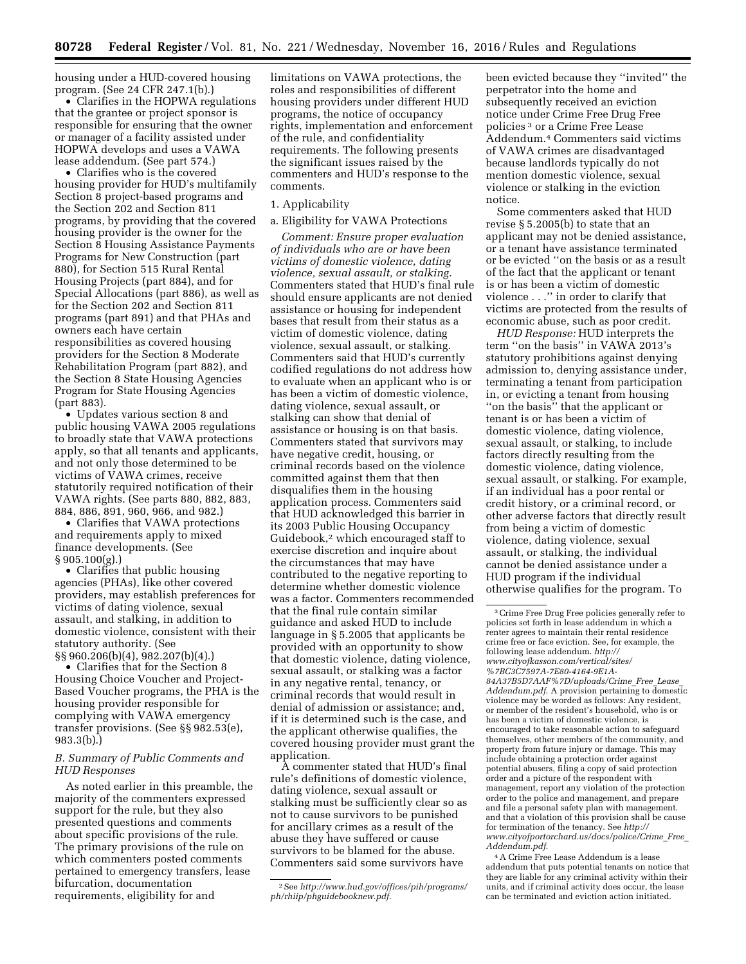housing under a HUD-covered housing program. (See 24 CFR 247.1(b).)

• Clarifies in the HOPWA regulations that the grantee or project sponsor is responsible for ensuring that the owner or manager of a facility assisted under HOPWA develops and uses a VAWA lease addendum. (See part 574.)

• Clarifies who is the covered housing provider for HUD's multifamily Section 8 project-based programs and the Section 202 and Section 811 programs, by providing that the covered housing provider is the owner for the Section 8 Housing Assistance Payments Programs for New Construction (part 880), for Section 515 Rural Rental Housing Projects (part 884), and for Special Allocations (part 886), as well as for the Section 202 and Section 811 programs (part 891) and that PHAs and owners each have certain responsibilities as covered housing providers for the Section 8 Moderate Rehabilitation Program (part 882), and the Section 8 State Housing Agencies Program for State Housing Agencies (part 883).

• Updates various section 8 and public housing VAWA 2005 regulations to broadly state that VAWA protections apply, so that all tenants and applicants, and not only those determined to be victims of VAWA crimes, receive statutorily required notification of their VAWA rights. (See parts 880, 882, 883, 884, 886, 891, 960, 966, and 982.)

• Clarifies that VAWA protections and requirements apply to mixed finance developments. (See § 905.100(g).)

• Clarifies that public housing agencies (PHAs), like other covered providers, may establish preferences for victims of dating violence, sexual assault, and stalking, in addition to domestic violence, consistent with their statutory authority. (See §§ 960.206(b)(4), 982.207(b)(4).)

• Clarifies that for the Section 8 Housing Choice Voucher and Project-Based Voucher programs, the PHA is the housing provider responsible for complying with VAWA emergency transfer provisions. (See §§ 982.53(e), 983.3(b).)

## *B. Summary of Public Comments and HUD Responses*

As noted earlier in this preamble, the majority of the commenters expressed support for the rule, but they also presented questions and comments about specific provisions of the rule. The primary provisions of the rule on which commenters posted comments pertained to emergency transfers, lease bifurcation, documentation requirements, eligibility for and

limitations on VAWA protections, the roles and responsibilities of different housing providers under different HUD programs, the notice of occupancy rights, implementation and enforcement of the rule, and confidentiality requirements. The following presents the significant issues raised by the commenters and HUD's response to the comments.

## 1. Applicability

## a. Eligibility for VAWA Protections

*Comment: Ensure proper evaluation of individuals who are or have been victims of domestic violence, dating violence, sexual assault, or stalking.*  Commenters stated that HUD's final rule should ensure applicants are not denied assistance or housing for independent bases that result from their status as a victim of domestic violence, dating violence, sexual assault, or stalking. Commenters said that HUD's currently codified regulations do not address how to evaluate when an applicant who is or has been a victim of domestic violence, dating violence, sexual assault, or stalking can show that denial of assistance or housing is on that basis. Commenters stated that survivors may have negative credit, housing, or criminal records based on the violence committed against them that then disqualifies them in the housing application process. Commenters said that HUD acknowledged this barrier in its 2003 Public Housing Occupancy Guidebook,2 which encouraged staff to exercise discretion and inquire about the circumstances that may have contributed to the negative reporting to determine whether domestic violence was a factor. Commenters recommended that the final rule contain similar guidance and asked HUD to include language in § 5.2005 that applicants be provided with an opportunity to show that domestic violence, dating violence, sexual assault, or stalking was a factor in any negative rental, tenancy, or criminal records that would result in denial of admission or assistance; and, if it is determined such is the case, and the applicant otherwise qualifies, the covered housing provider must grant the application.

A commenter stated that HUD's final rule's definitions of domestic violence, dating violence, sexual assault or stalking must be sufficiently clear so as not to cause survivors to be punished for ancillary crimes as a result of the abuse they have suffered or cause survivors to be blamed for the abuse. Commenters said some survivors have

been evicted because they ''invited'' the perpetrator into the home and subsequently received an eviction notice under Crime Free Drug Free policies 3 or a Crime Free Lease Addendum.4 Commenters said victims of VAWA crimes are disadvantaged because landlords typically do not mention domestic violence, sexual violence or stalking in the eviction notice.

Some commenters asked that HUD revise § 5.2005(b) to state that an applicant may not be denied assistance, or a tenant have assistance terminated or be evicted ''on the basis or as a result of the fact that the applicant or tenant is or has been a victim of domestic violence . . .'' in order to clarify that victims are protected from the results of economic abuse, such as poor credit.

*HUD Response:* HUD interprets the term ''on the basis'' in VAWA 2013's statutory prohibitions against denying admission to, denying assistance under, terminating a tenant from participation in, or evicting a tenant from housing ''on the basis'' that the applicant or tenant is or has been a victim of domestic violence, dating violence, sexual assault, or stalking, to include factors directly resulting from the domestic violence, dating violence, sexual assault, or stalking. For example, if an individual has a poor rental or credit history, or a criminal record, or other adverse factors that directly result from being a victim of domestic violence, dating violence, sexual assault, or stalking, the individual cannot be denied assistance under a HUD program if the individual otherwise qualifies for the program. To

4A Crime Free Lease Addendum is a lease addendum that puts potential tenants on notice that they are liable for any criminal activity within their units, and if criminal activity does occur, the lease can be terminated and eviction action initiated.

<sup>2</sup>See *[http://www.hud.gov/offices/pih/programs/](http://www.hud.gov/offices/pih/programs/ph/rhiip/phguidebooknew.pdf) [ph/rhiip/phguidebooknew.pdf](http://www.hud.gov/offices/pih/programs/ph/rhiip/phguidebooknew.pdf)*.

<sup>3</sup>Crime Free Drug Free policies generally refer to policies set forth in lease addendum in which a renter agrees to maintain their rental residence crime free or face eviction. See, for example, the following lease addendum. *[http://](http://www.cityofkasson.com/vertical/sites/%7BC3C7597A-7E80-4164-9E1A-84A37B5D7AAF%7D/uploads/Crime_Free_Lease_Addendum.pdf) [www.cityofkasson.com/vertical/sites/](http://www.cityofkasson.com/vertical/sites/%7BC3C7597A-7E80-4164-9E1A-84A37B5D7AAF%7D/uploads/Crime_Free_Lease_Addendum.pdf) [%7BC3C7597A-7E80-4164-9E1A-](http://www.cityofkasson.com/vertical/sites/%7BC3C7597A-7E80-4164-9E1A-84A37B5D7AAF%7D/uploads/Crime_Free_Lease_Addendum.pdf)[84A37B5D7AAF%7D/uploads/Crime](http://www.cityofkasson.com/vertical/sites/%7BC3C7597A-7E80-4164-9E1A-84A37B5D7AAF%7D/uploads/Crime_Free_Lease_Addendum.pdf)*\_*Free*\_*Lease*\_ *[Addendum.pdf](http://www.cityofkasson.com/vertical/sites/%7BC3C7597A-7E80-4164-9E1A-84A37B5D7AAF%7D/uploads/Crime_Free_Lease_Addendum.pdf)*. A provision pertaining to domestic violence may be worded as follows: Any resident, or member of the resident's household, who is or has been a victim of domestic violence, is encouraged to take reasonable action to safeguard themselves, other members of the community, and property from future injury or damage. This may include obtaining a protection order against potential abusers, filing a copy of said protection order and a picture of the respondent with management, report any violation of the protection order to the police and management, and prepare and file a personal safety plan with management. and that a violation of this provision shall be cause for termination of the tenancy. See *[http://](http://www.cityofportorchard.us/docs/police/Crime_Free_Addendum.pdf) [www.cityofportorchard.us/docs/police/Crime](http://www.cityofportorchard.us/docs/police/Crime_Free_Addendum.pdf)*\_*Free*\_ *[Addendum.pdf](http://www.cityofportorchard.us/docs/police/Crime_Free_Addendum.pdf)*.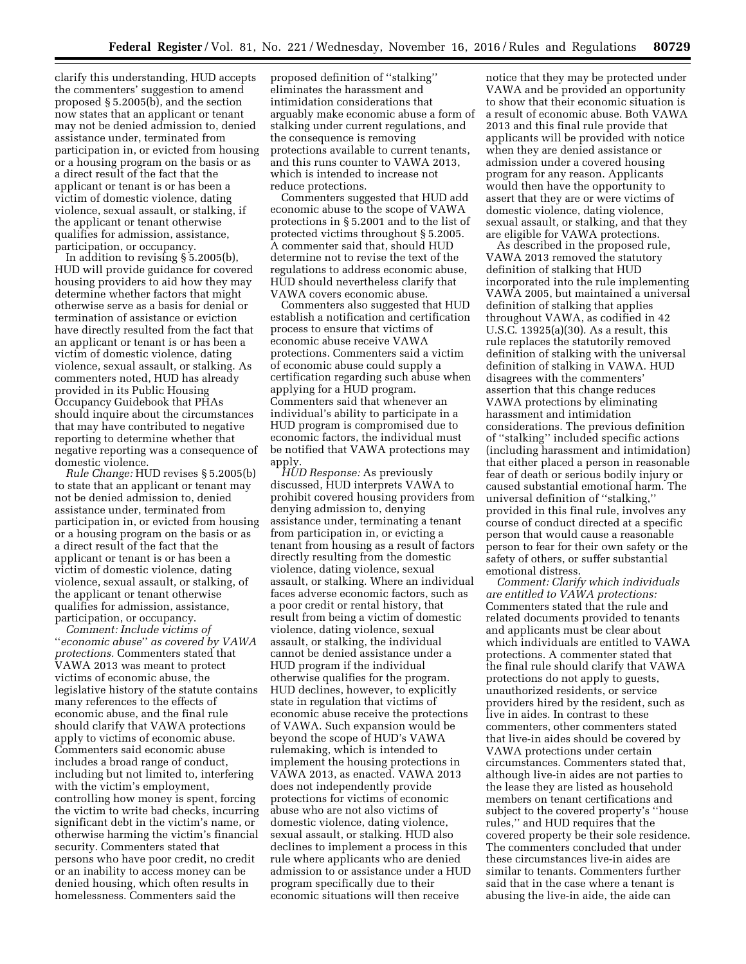clarify this understanding, HUD accepts the commenters' suggestion to amend proposed § 5.2005(b), and the section now states that an applicant or tenant may not be denied admission to, denied assistance under, terminated from participation in, or evicted from housing or a housing program on the basis or as a direct result of the fact that the applicant or tenant is or has been a victim of domestic violence, dating violence, sexual assault, or stalking, if the applicant or tenant otherwise qualifies for admission, assistance, participation, or occupancy.

In addition to revising § 5.2005(b), HUD will provide guidance for covered housing providers to aid how they may determine whether factors that might otherwise serve as a basis for denial or termination of assistance or eviction have directly resulted from the fact that an applicant or tenant is or has been a victim of domestic violence, dating violence, sexual assault, or stalking. As commenters noted, HUD has already provided in its Public Housing Occupancy Guidebook that PHAs should inquire about the circumstances that may have contributed to negative reporting to determine whether that negative reporting was a consequence of domestic violence.

*Rule Change:* HUD revises § 5.2005(b) to state that an applicant or tenant may not be denied admission to, denied assistance under, terminated from participation in, or evicted from housing or a housing program on the basis or as a direct result of the fact that the applicant or tenant is or has been a victim of domestic violence, dating violence, sexual assault, or stalking, of the applicant or tenant otherwise qualifies for admission, assistance, participation, or occupancy.

*Comment: Include victims of*  ''*economic abuse*'' *as covered by VAWA protections.* Commenters stated that VAWA 2013 was meant to protect victims of economic abuse, the legislative history of the statute contains many references to the effects of economic abuse, and the final rule should clarify that VAWA protections apply to victims of economic abuse. Commenters said economic abuse includes a broad range of conduct, including but not limited to, interfering with the victim's employment, controlling how money is spent, forcing the victim to write bad checks, incurring significant debt in the victim's name, or otherwise harming the victim's financial security. Commenters stated that persons who have poor credit, no credit or an inability to access money can be denied housing, which often results in homelessness. Commenters said the

proposed definition of ''stalking'' eliminates the harassment and intimidation considerations that arguably make economic abuse a form of stalking under current regulations, and the consequence is removing protections available to current tenants, and this runs counter to VAWA 2013, which is intended to increase not reduce protections.

Commenters suggested that HUD add economic abuse to the scope of VAWA protections in § 5.2001 and to the list of protected victims throughout § 5.2005. A commenter said that, should HUD determine not to revise the text of the regulations to address economic abuse, HUD should nevertheless clarify that VAWA covers economic abuse.

Commenters also suggested that HUD establish a notification and certification process to ensure that victims of economic abuse receive VAWA protections. Commenters said a victim of economic abuse could supply a certification regarding such abuse when applying for a HUD program. Commenters said that whenever an individual's ability to participate in a HUD program is compromised due to economic factors, the individual must be notified that VAWA protections may apply.

*HUD Response:* As previously discussed, HUD interprets VAWA to prohibit covered housing providers from denying admission to, denying assistance under, terminating a tenant from participation in, or evicting a tenant from housing as a result of factors directly resulting from the domestic violence, dating violence, sexual assault, or stalking. Where an individual faces adverse economic factors, such as a poor credit or rental history, that result from being a victim of domestic violence, dating violence, sexual assault, or stalking, the individual cannot be denied assistance under a HUD program if the individual otherwise qualifies for the program. HUD declines, however, to explicitly state in regulation that victims of economic abuse receive the protections of VAWA. Such expansion would be beyond the scope of HUD's VAWA rulemaking, which is intended to implement the housing protections in VAWA 2013, as enacted. VAWA 2013 does not independently provide protections for victims of economic abuse who are not also victims of domestic violence, dating violence, sexual assault, or stalking. HUD also declines to implement a process in this rule where applicants who are denied admission to or assistance under a HUD program specifically due to their economic situations will then receive

notice that they may be protected under VAWA and be provided an opportunity to show that their economic situation is a result of economic abuse. Both VAWA 2013 and this final rule provide that applicants will be provided with notice when they are denied assistance or admission under a covered housing program for any reason. Applicants would then have the opportunity to assert that they are or were victims of domestic violence, dating violence, sexual assault, or stalking, and that they are eligible for VAWA protections.

As described in the proposed rule, VAWA 2013 removed the statutory definition of stalking that HUD incorporated into the rule implementing VAWA 2005, but maintained a universal definition of stalking that applies throughout VAWA, as codified in 42 U.S.C. 13925(a)(30). As a result, this rule replaces the statutorily removed definition of stalking with the universal definition of stalking in VAWA. HUD disagrees with the commenters' assertion that this change reduces VAWA protections by eliminating harassment and intimidation considerations. The previous definition of ''stalking'' included specific actions (including harassment and intimidation) that either placed a person in reasonable fear of death or serious bodily injury or caused substantial emotional harm. The universal definition of ''stalking,'' provided in this final rule, involves any course of conduct directed at a specific person that would cause a reasonable person to fear for their own safety or the safety of others, or suffer substantial emotional distress.

*Comment: Clarify which individuals are entitled to VAWA protections:*  Commenters stated that the rule and related documents provided to tenants and applicants must be clear about which individuals are entitled to VAWA protections. A commenter stated that the final rule should clarify that VAWA protections do not apply to guests, unauthorized residents, or service providers hired by the resident, such as live in aides. In contrast to these commenters, other commenters stated that live-in aides should be covered by VAWA protections under certain circumstances. Commenters stated that, although live-in aides are not parties to the lease they are listed as household members on tenant certifications and subject to the covered property's ''house rules,'' and HUD requires that the covered property be their sole residence. The commenters concluded that under these circumstances live-in aides are similar to tenants. Commenters further said that in the case where a tenant is abusing the live-in aide, the aide can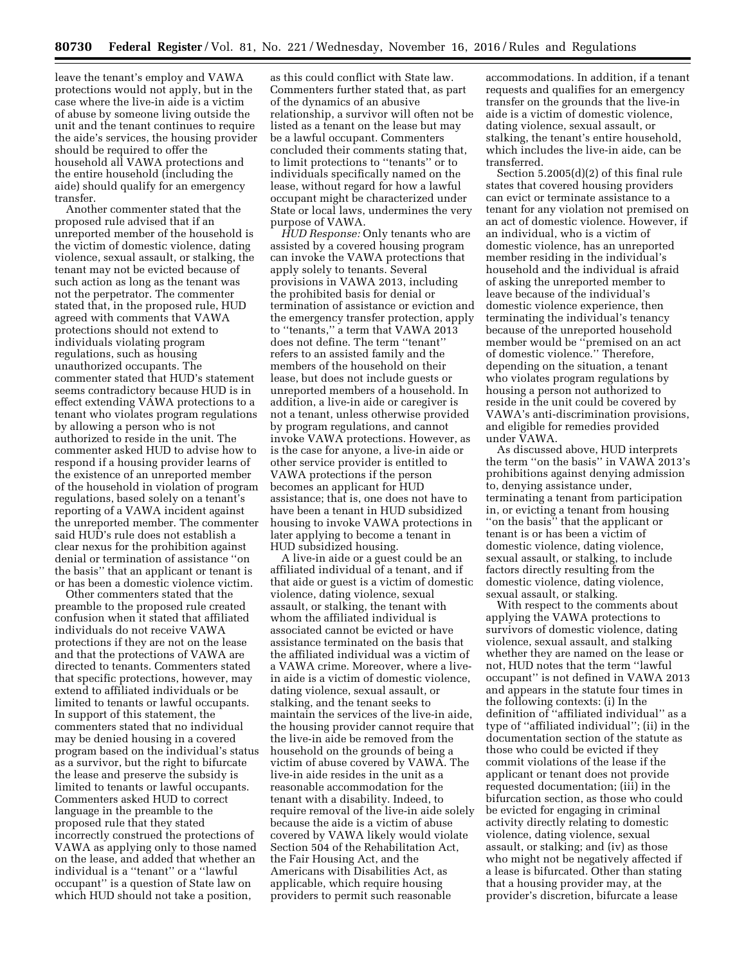leave the tenant's employ and VAWA protections would not apply, but in the case where the live-in aide is a victim of abuse by someone living outside the unit and the tenant continues to require the aide's services, the housing provider should be required to offer the household all VAWA protections and the entire household (including the aide) should qualify for an emergency transfer.

Another commenter stated that the proposed rule advised that if an unreported member of the household is the victim of domestic violence, dating violence, sexual assault, or stalking, the tenant may not be evicted because of such action as long as the tenant was not the perpetrator. The commenter stated that, in the proposed rule, HUD agreed with comments that VAWA protections should not extend to individuals violating program regulations, such as housing unauthorized occupants. The commenter stated that HUD's statement seems contradictory because HUD is in effect extending VAWA protections to a tenant who violates program regulations by allowing a person who is not authorized to reside in the unit. The commenter asked HUD to advise how to respond if a housing provider learns of the existence of an unreported member of the household in violation of program regulations, based solely on a tenant's reporting of a VAWA incident against the unreported member. The commenter said HUD's rule does not establish a clear nexus for the prohibition against denial or termination of assistance ''on the basis'' that an applicant or tenant is or has been a domestic violence victim.

Other commenters stated that the preamble to the proposed rule created confusion when it stated that affiliated individuals do not receive VAWA protections if they are not on the lease and that the protections of VAWA are directed to tenants. Commenters stated that specific protections, however, may extend to affiliated individuals or be limited to tenants or lawful occupants. In support of this statement, the commenters stated that no individual may be denied housing in a covered program based on the individual's status as a survivor, but the right to bifurcate the lease and preserve the subsidy is limited to tenants or lawful occupants. Commenters asked HUD to correct language in the preamble to the proposed rule that they stated incorrectly construed the protections of VAWA as applying only to those named on the lease, and added that whether an individual is a ''tenant'' or a ''lawful occupant'' is a question of State law on which HUD should not take a position,

as this could conflict with State law. Commenters further stated that, as part of the dynamics of an abusive relationship, a survivor will often not be listed as a tenant on the lease but may be a lawful occupant. Commenters concluded their comments stating that, to limit protections to ''tenants'' or to individuals specifically named on the lease, without regard for how a lawful occupant might be characterized under State or local laws, undermines the very purpose of VAWA.

*HUD Response:* Only tenants who are assisted by a covered housing program can invoke the VAWA protections that apply solely to tenants. Several provisions in VAWA 2013, including the prohibited basis for denial or termination of assistance or eviction and the emergency transfer protection, apply to ''tenants,'' a term that VAWA 2013 does not define. The term ''tenant'' refers to an assisted family and the members of the household on their lease, but does not include guests or unreported members of a household. In addition, a live-in aide or caregiver is not a tenant, unless otherwise provided by program regulations, and cannot invoke VAWA protections. However, as is the case for anyone, a live-in aide or other service provider is entitled to VAWA protections if the person becomes an applicant for HUD assistance; that is, one does not have to have been a tenant in HUD subsidized housing to invoke VAWA protections in later applying to become a tenant in HUD subsidized housing.

A live-in aide or a guest could be an affiliated individual of a tenant, and if that aide or guest is a victim of domestic violence, dating violence, sexual assault, or stalking, the tenant with whom the affiliated individual is associated cannot be evicted or have assistance terminated on the basis that the affiliated individual was a victim of a VAWA crime. Moreover, where a livein aide is a victim of domestic violence, dating violence, sexual assault, or stalking, and the tenant seeks to maintain the services of the live-in aide, the housing provider cannot require that the live-in aide be removed from the household on the grounds of being a victim of abuse covered by VAWA. The live-in aide resides in the unit as a reasonable accommodation for the tenant with a disability. Indeed, to require removal of the live-in aide solely because the aide is a victim of abuse covered by VAWA likely would violate Section 504 of the Rehabilitation Act, the Fair Housing Act, and the Americans with Disabilities Act, as applicable, which require housing providers to permit such reasonable

accommodations. In addition, if a tenant requests and qualifies for an emergency transfer on the grounds that the live-in aide is a victim of domestic violence, dating violence, sexual assault, or stalking, the tenant's entire household, which includes the live-in aide, can be transferred.

Section 5.2005(d)(2) of this final rule states that covered housing providers can evict or terminate assistance to a tenant for any violation not premised on an act of domestic violence. However, if an individual, who is a victim of domestic violence, has an unreported member residing in the individual's household and the individual is afraid of asking the unreported member to leave because of the individual's domestic violence experience, then terminating the individual's tenancy because of the unreported household member would be ''premised on an act of domestic violence.'' Therefore, depending on the situation, a tenant who violates program regulations by housing a person not authorized to reside in the unit could be covered by VAWA's anti-discrimination provisions, and eligible for remedies provided under VAWA.

As discussed above, HUD interprets the term ''on the basis'' in VAWA 2013's prohibitions against denying admission to, denying assistance under, terminating a tenant from participation in, or evicting a tenant from housing ''on the basis'' that the applicant or tenant is or has been a victim of domestic violence, dating violence, sexual assault, or stalking, to include factors directly resulting from the domestic violence, dating violence, sexual assault, or stalking.

With respect to the comments about applying the VAWA protections to survivors of domestic violence, dating violence, sexual assault, and stalking whether they are named on the lease or not, HUD notes that the term ''lawful occupant'' is not defined in VAWA 2013 and appears in the statute four times in the following contexts: (i) In the definition of ''affiliated individual'' as a type of ''affiliated individual''; (ii) in the documentation section of the statute as those who could be evicted if they commit violations of the lease if the applicant or tenant does not provide requested documentation; (iii) in the bifurcation section, as those who could be evicted for engaging in criminal activity directly relating to domestic violence, dating violence, sexual assault, or stalking; and (iv) as those who might not be negatively affected if a lease is bifurcated. Other than stating that a housing provider may, at the provider's discretion, bifurcate a lease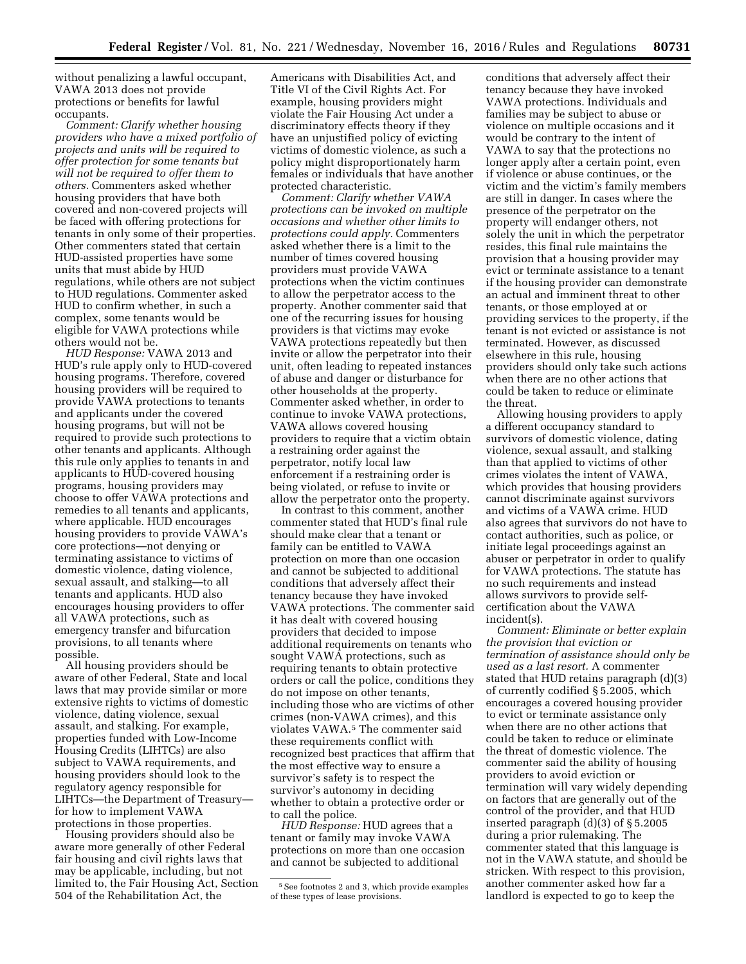without penalizing a lawful occupant, VAWA 2013 does not provide protections or benefits for lawful occupants.

*Comment: Clarify whether housing providers who have a mixed portfolio of projects and units will be required to offer protection for some tenants but will not be required to offer them to others.* Commenters asked whether housing providers that have both covered and non-covered projects will be faced with offering protections for tenants in only some of their properties. Other commenters stated that certain HUD-assisted properties have some units that must abide by HUD regulations, while others are not subject to HUD regulations. Commenter asked HUD to confirm whether, in such a complex, some tenants would be eligible for VAWA protections while others would not be.

*HUD Response:* VAWA 2013 and HUD's rule apply only to HUD-covered housing programs. Therefore, covered housing providers will be required to provide VAWA protections to tenants and applicants under the covered housing programs, but will not be required to provide such protections to other tenants and applicants. Although this rule only applies to tenants in and applicants to HUD-covered housing programs, housing providers may choose to offer VAWA protections and remedies to all tenants and applicants, where applicable. HUD encourages housing providers to provide VAWA's core protections—not denying or terminating assistance to victims of domestic violence, dating violence, sexual assault, and stalking—to all tenants and applicants. HUD also encourages housing providers to offer all VAWA protections, such as emergency transfer and bifurcation provisions, to all tenants where possible.

All housing providers should be aware of other Federal, State and local laws that may provide similar or more extensive rights to victims of domestic violence, dating violence, sexual assault, and stalking. For example, properties funded with Low-Income Housing Credits (LIHTCs) are also subject to VAWA requirements, and housing providers should look to the regulatory agency responsible for LIHTCs—the Department of Treasury for how to implement VAWA protections in those properties.

Housing providers should also be aware more generally of other Federal fair housing and civil rights laws that may be applicable, including, but not limited to, the Fair Housing Act, Section 504 of the Rehabilitation Act, the

Americans with Disabilities Act, and Title VI of the Civil Rights Act. For example, housing providers might violate the Fair Housing Act under a discriminatory effects theory if they have an unjustified policy of evicting victims of domestic violence, as such a policy might disproportionately harm females or individuals that have another protected characteristic.

*Comment: Clarify whether VAWA protections can be invoked on multiple occasions and whether other limits to protections could apply.* Commenters asked whether there is a limit to the number of times covered housing providers must provide VAWA protections when the victim continues to allow the perpetrator access to the property. Another commenter said that one of the recurring issues for housing providers is that victims may evoke VAWA protections repeatedly but then invite or allow the perpetrator into their unit, often leading to repeated instances of abuse and danger or disturbance for other households at the property. Commenter asked whether, in order to continue to invoke VAWA protections, VAWA allows covered housing providers to require that a victim obtain a restraining order against the perpetrator, notify local law enforcement if a restraining order is being violated, or refuse to invite or allow the perpetrator onto the property.

In contrast to this comment, another commenter stated that HUD's final rule should make clear that a tenant or family can be entitled to VAWA protection on more than one occasion and cannot be subjected to additional conditions that adversely affect their tenancy because they have invoked VAWA protections. The commenter said it has dealt with covered housing providers that decided to impose additional requirements on tenants who sought VAWA protections, such as requiring tenants to obtain protective orders or call the police, conditions they do not impose on other tenants, including those who are victims of other crimes (non-VAWA crimes), and this violates VAWA.5 The commenter said these requirements conflict with recognized best practices that affirm that the most effective way to ensure a survivor's safety is to respect the survivor's autonomy in deciding whether to obtain a protective order or to call the police.

*HUD Response:* HUD agrees that a tenant or family may invoke VAWA protections on more than one occasion and cannot be subjected to additional

conditions that adversely affect their tenancy because they have invoked VAWA protections. Individuals and families may be subject to abuse or violence on multiple occasions and it would be contrary to the intent of VAWA to say that the protections no longer apply after a certain point, even if violence or abuse continues, or the victim and the victim's family members are still in danger. In cases where the presence of the perpetrator on the property will endanger others, not solely the unit in which the perpetrator resides, this final rule maintains the provision that a housing provider may evict or terminate assistance to a tenant if the housing provider can demonstrate an actual and imminent threat to other tenants, or those employed at or providing services to the property, if the tenant is not evicted or assistance is not terminated. However, as discussed elsewhere in this rule, housing providers should only take such actions when there are no other actions that could be taken to reduce or eliminate the threat.

Allowing housing providers to apply a different occupancy standard to survivors of domestic violence, dating violence, sexual assault, and stalking than that applied to victims of other crimes violates the intent of VAWA, which provides that housing providers cannot discriminate against survivors and victims of a VAWA crime. HUD also agrees that survivors do not have to contact authorities, such as police, or initiate legal proceedings against an abuser or perpetrator in order to qualify for VAWA protections. The statute has no such requirements and instead allows survivors to provide selfcertification about the VAWA incident(s).

*Comment: Eliminate or better explain the provision that eviction or termination of assistance should only be used as a last resort.* A commenter stated that HUD retains paragraph (d)(3) of currently codified § 5.2005, which encourages a covered housing provider to evict or terminate assistance only when there are no other actions that could be taken to reduce or eliminate the threat of domestic violence. The commenter said the ability of housing providers to avoid eviction or termination will vary widely depending on factors that are generally out of the control of the provider, and that HUD inserted paragraph (d)(3) of § 5.2005 during a prior rulemaking. The commenter stated that this language is not in the VAWA statute, and should be stricken. With respect to this provision, another commenter asked how far a landlord is expected to go to keep the

<sup>5</sup>See footnotes 2 and 3, which provide examples of these types of lease provisions.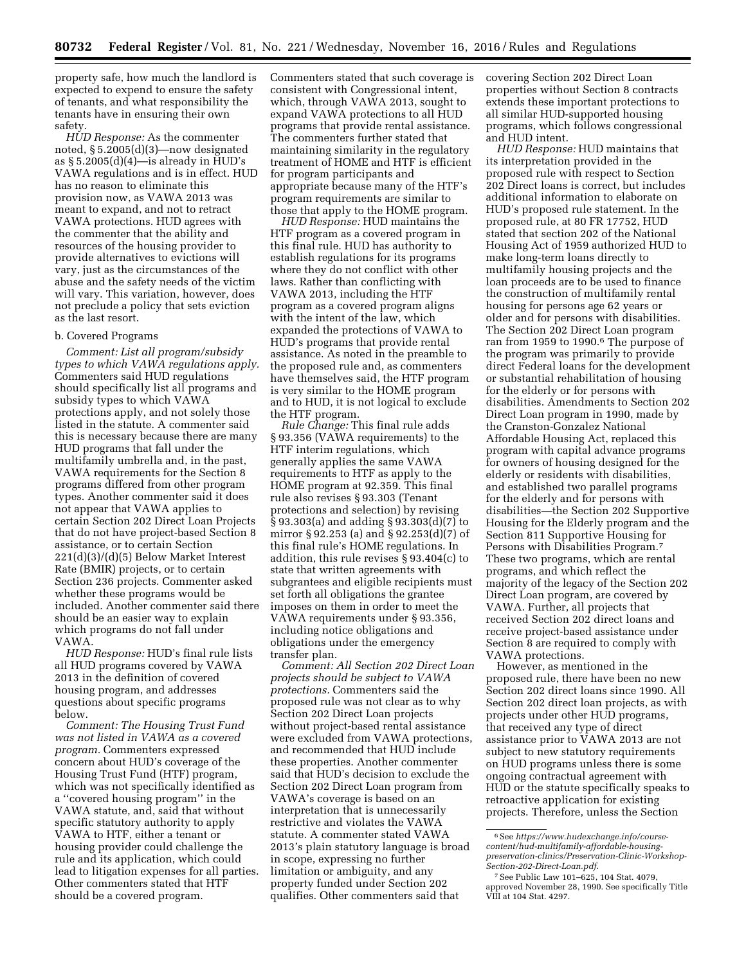property safe, how much the landlord is expected to expend to ensure the safety of tenants, and what responsibility the tenants have in ensuring their own safety.

*HUD Response:* As the commenter noted, § 5.2005(d)(3)—now designated as  $\S 5.2005(d)(4)$ —is already in HUD's VAWA regulations and is in effect. HUD has no reason to eliminate this provision now, as VAWA 2013 was meant to expand, and not to retract VAWA protections. HUD agrees with the commenter that the ability and resources of the housing provider to provide alternatives to evictions will vary, just as the circumstances of the abuse and the safety needs of the victim will vary. This variation, however, does not preclude a policy that sets eviction as the last resort.

### b. Covered Programs

*Comment: List all program/subsidy types to which VAWA regulations apply.*  Commenters said HUD regulations should specifically list all programs and subsidy types to which VAWA protections apply, and not solely those listed in the statute. A commenter said this is necessary because there are many HUD programs that fall under the multifamily umbrella and, in the past, VAWA requirements for the Section 8 programs differed from other program types. Another commenter said it does not appear that VAWA applies to certain Section 202 Direct Loan Projects that do not have project-based Section 8 assistance, or to certain Section 221(d)(3)/(d)(5) Below Market Interest Rate (BMIR) projects, or to certain Section 236 projects. Commenter asked whether these programs would be included. Another commenter said there should be an easier way to explain which programs do not fall under VAWA.

*HUD Response:* HUD's final rule lists all HUD programs covered by VAWA 2013 in the definition of covered housing program, and addresses questions about specific programs below.

*Comment: The Housing Trust Fund was not listed in VAWA as a covered program.* Commenters expressed concern about HUD's coverage of the Housing Trust Fund (HTF) program, which was not specifically identified as a ''covered housing program'' in the VAWA statute, and, said that without specific statutory authority to apply VAWA to HTF, either a tenant or housing provider could challenge the rule and its application, which could lead to litigation expenses for all parties. Other commenters stated that HTF should be a covered program.

Commenters stated that such coverage is consistent with Congressional intent, which, through VAWA 2013, sought to expand VAWA protections to all HUD programs that provide rental assistance. The commenters further stated that maintaining similarity in the regulatory treatment of HOME and HTF is efficient for program participants and appropriate because many of the HTF's program requirements are similar to those that apply to the HOME program.

*HUD Response:* HUD maintains the HTF program as a covered program in this final rule. HUD has authority to establish regulations for its programs where they do not conflict with other laws. Rather than conflicting with VAWA 2013, including the HTF program as a covered program aligns with the intent of the law, which expanded the protections of VAWA to HUD's programs that provide rental assistance. As noted in the preamble to the proposed rule and, as commenters have themselves said, the HTF program is very similar to the HOME program and to HUD, it is not logical to exclude the HTF program.

*Rule Change:* This final rule adds § 93.356 (VAWA requirements) to the HTF interim regulations, which generally applies the same VAWA requirements to HTF as apply to the HOME program at 92.359. This final rule also revises § 93.303 (Tenant protections and selection) by revising § 93.303(a) and adding § 93.303(d)(7) to mirror § 92.253 (a) and § 92.253(d)(7) of this final rule's HOME regulations. In addition, this rule revises § 93.404(c) to state that written agreements with subgrantees and eligible recipients must set forth all obligations the grantee imposes on them in order to meet the VAWA requirements under § 93.356, including notice obligations and obligations under the emergency transfer plan.

*Comment: All Section 202 Direct Loan projects should be subject to VAWA protections.* Commenters said the proposed rule was not clear as to why Section 202 Direct Loan projects without project-based rental assistance were excluded from VAWA protections, and recommended that HUD include these properties. Another commenter said that HUD's decision to exclude the Section 202 Direct Loan program from VAWA's coverage is based on an interpretation that is unnecessarily restrictive and violates the VAWA statute. A commenter stated VAWA 2013's plain statutory language is broad in scope, expressing no further limitation or ambiguity, and any property funded under Section 202 qualifies. Other commenters said that

covering Section 202 Direct Loan properties without Section 8 contracts extends these important protections to all similar HUD-supported housing programs, which follows congressional and HUD intent.

*HUD Response:* HUD maintains that its interpretation provided in the proposed rule with respect to Section 202 Direct loans is correct, but includes additional information to elaborate on HUD's proposed rule statement. In the proposed rule, at 80 FR 17752, HUD stated that section 202 of the National Housing Act of 1959 authorized HUD to make long-term loans directly to multifamily housing projects and the loan proceeds are to be used to finance the construction of multifamily rental housing for persons age 62 years or older and for persons with disabilities. The Section 202 Direct Loan program ran from 1959 to 1990.6 The purpose of the program was primarily to provide direct Federal loans for the development or substantial rehabilitation of housing for the elderly or for persons with disabilities. Amendments to Section 202 Direct Loan program in 1990, made by the Cranston-Gonzalez National Affordable Housing Act, replaced this program with capital advance programs for owners of housing designed for the elderly or residents with disabilities, and established two parallel programs for the elderly and for persons with disabilities—the Section 202 Supportive Housing for the Elderly program and the Section 811 Supportive Housing for Persons with Disabilities Program.7 These two programs, which are rental programs, and which reflect the majority of the legacy of the Section 202 Direct Loan program, are covered by VAWA. Further, all projects that received Section 202 direct loans and receive project-based assistance under Section 8 are required to comply with VAWA protections.

However, as mentioned in the proposed rule, there have been no new Section 202 direct loans since 1990. All Section 202 direct loan projects, as with projects under other HUD programs, that received any type of direct assistance prior to VAWA 2013 are not subject to new statutory requirements on HUD programs unless there is some ongoing contractual agreement with HUD or the statute specifically speaks to retroactive application for existing projects. Therefore, unless the Section

<sup>6</sup>See *[https://www.hudexchange.info/course](https://www.hudexchange.info/course-content/hud-multifamily-affordable-housing-preservation-clinics/Preservation-Clinic-Workshop-Section-202-Direct-Loan.pdf)[content/hud-multifamily-affordable-housing](https://www.hudexchange.info/course-content/hud-multifamily-affordable-housing-preservation-clinics/Preservation-Clinic-Workshop-Section-202-Direct-Loan.pdf)[preservation-clinics/Preservation-Clinic-Workshop-](https://www.hudexchange.info/course-content/hud-multifamily-affordable-housing-preservation-clinics/Preservation-Clinic-Workshop-Section-202-Direct-Loan.pdf)[Section-202-Direct-Loan.pdf](https://www.hudexchange.info/course-content/hud-multifamily-affordable-housing-preservation-clinics/Preservation-Clinic-Workshop-Section-202-Direct-Loan.pdf)*.

<sup>7</sup>See Public Law 101–625, 104 Stat. 4079, approved November 28, 1990. See specifically Title VIII at 104 Stat. 4297.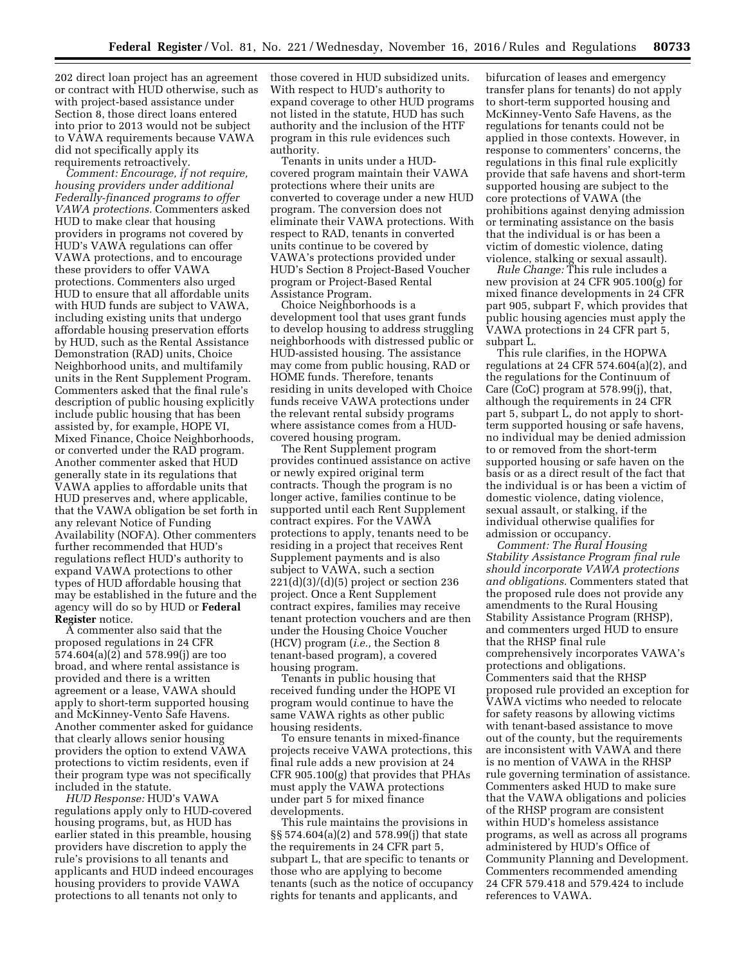202 direct loan project has an agreement or contract with HUD otherwise, such as with project-based assistance under Section 8, those direct loans entered into prior to 2013 would not be subject to VAWA requirements because VAWA did not specifically apply its requirements retroactively.

*Comment: Encourage, if not require, housing providers under additional Federally-financed programs to offer VAWA protections.* Commenters asked HUD to make clear that housing providers in programs not covered by HUD's VAWA regulations can offer VAWA protections, and to encourage these providers to offer VAWA protections. Commenters also urged HUD to ensure that all affordable units with HUD funds are subject to VAWA, including existing units that undergo affordable housing preservation efforts by HUD, such as the Rental Assistance Demonstration (RAD) units, Choice Neighborhood units, and multifamily units in the Rent Supplement Program. Commenters asked that the final rule's description of public housing explicitly include public housing that has been assisted by, for example, HOPE VI, Mixed Finance, Choice Neighborhoods, or converted under the RAD program. Another commenter asked that HUD generally state in its regulations that VAWA applies to affordable units that HUD preserves and, where applicable, that the VAWA obligation be set forth in any relevant Notice of Funding Availability (NOFA). Other commenters further recommended that HUD's regulations reflect HUD's authority to expand VAWA protections to other types of HUD affordable housing that may be established in the future and the agency will do so by HUD or **Federal Register** notice.

A commenter also said that the proposed regulations in 24 CFR 574.604(a)(2) and 578.99(j) are too broad, and where rental assistance is provided and there is a written agreement or a lease, VAWA should apply to short-term supported housing and McKinney-Vento Safe Havens. Another commenter asked for guidance that clearly allows senior housing providers the option to extend VAWA protections to victim residents, even if their program type was not specifically included in the statute.

*HUD Response:* HUD's VAWA regulations apply only to HUD-covered housing programs, but, as HUD has earlier stated in this preamble, housing providers have discretion to apply the rule's provisions to all tenants and applicants and HUD indeed encourages housing providers to provide VAWA protections to all tenants not only to

those covered in HUD subsidized units. With respect to HUD's authority to expand coverage to other HUD programs not listed in the statute, HUD has such authority and the inclusion of the HTF program in this rule evidences such authority.

Tenants in units under a HUDcovered program maintain their VAWA protections where their units are converted to coverage under a new HUD program. The conversion does not eliminate their VAWA protections. With respect to RAD, tenants in converted units continue to be covered by VAWA's protections provided under HUD's Section 8 Project-Based Voucher program or Project-Based Rental Assistance Program.

Choice Neighborhoods is a development tool that uses grant funds to develop housing to address struggling neighborhoods with distressed public or HUD-assisted housing. The assistance may come from public housing, RAD or HOME funds. Therefore, tenants residing in units developed with Choice funds receive VAWA protections under the relevant rental subsidy programs where assistance comes from a HUDcovered housing program.

The Rent Supplement program provides continued assistance on active or newly expired original term contracts. Though the program is no longer active, families continue to be supported until each Rent Supplement contract expires. For the VAWA protections to apply, tenants need to be residing in a project that receives Rent Supplement payments and is also subject to VAWA, such a section  $221(d)(3)/(d)(5)$  project or section 236 project. Once a Rent Supplement contract expires, families may receive tenant protection vouchers and are then under the Housing Choice Voucher (HCV) program (*i.e.,* the Section 8 tenant-based program), a covered housing program.

Tenants in public housing that received funding under the HOPE VI program would continue to have the same VAWA rights as other public housing residents.

To ensure tenants in mixed-finance projects receive VAWA protections, this final rule adds a new provision at 24 CFR 905.100(g) that provides that PHAs must apply the VAWA protections under part 5 for mixed finance developments.

This rule maintains the provisions in §§ 574.604(a)(2) and 578.99(j) that state the requirements in 24 CFR part 5, subpart L, that are specific to tenants or those who are applying to become tenants (such as the notice of occupancy rights for tenants and applicants, and

bifurcation of leases and emergency transfer plans for tenants) do not apply to short-term supported housing and McKinney-Vento Safe Havens, as the regulations for tenants could not be applied in those contexts. However, in response to commenters' concerns, the regulations in this final rule explicitly provide that safe havens and short-term supported housing are subject to the core protections of VAWA (the prohibitions against denying admission or terminating assistance on the basis that the individual is or has been a victim of domestic violence, dating violence, stalking or sexual assault).

*Rule Change:* This rule includes a new provision at 24 CFR 905.100(g) for mixed finance developments in 24 CFR part 905, subpart F, which provides that public housing agencies must apply the VAWA protections in 24 CFR part 5, subpart L.

This rule clarifies, in the HOPWA regulations at 24 CFR 574.604(a)(2), and the regulations for the Continuum of Care (CoC) program at 578.99(j), that, although the requirements in 24 CFR part 5, subpart L, do not apply to shortterm supported housing or safe havens, no individual may be denied admission to or removed from the short-term supported housing or safe haven on the basis or as a direct result of the fact that the individual is or has been a victim of domestic violence, dating violence, sexual assault, or stalking, if the individual otherwise qualifies for admission or occupancy.

*Comment: The Rural Housing Stability Assistance Program final rule should incorporate VAWA protections and obligations.* Commenters stated that the proposed rule does not provide any amendments to the Rural Housing Stability Assistance Program (RHSP), and commenters urged HUD to ensure that the RHSP final rule comprehensively incorporates VAWA's protections and obligations. Commenters said that the RHSP proposed rule provided an exception for VAWA victims who needed to relocate for safety reasons by allowing victims with tenant-based assistance to move out of the county, but the requirements are inconsistent with VAWA and there is no mention of VAWA in the RHSP rule governing termination of assistance. Commenters asked HUD to make sure that the VAWA obligations and policies of the RHSP program are consistent within HUD's homeless assistance programs, as well as across all programs administered by HUD's Office of Community Planning and Development. Commenters recommended amending 24 CFR 579.418 and 579.424 to include references to VAWA.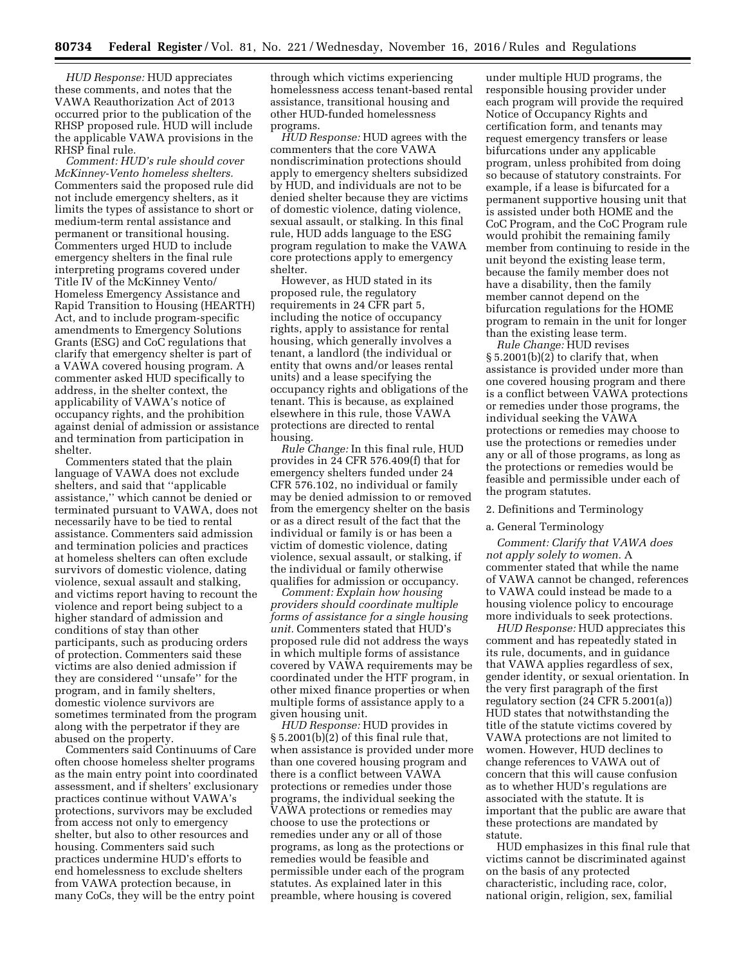*HUD Response:* HUD appreciates these comments, and notes that the VAWA Reauthorization Act of 2013 occurred prior to the publication of the RHSP proposed rule. HUD will include the applicable VAWA provisions in the RHSP final rule.

*Comment: HUD's rule should cover McKinney-Vento homeless shelters.*  Commenters said the proposed rule did not include emergency shelters, as it limits the types of assistance to short or medium-term rental assistance and permanent or transitional housing. Commenters urged HUD to include emergency shelters in the final rule interpreting programs covered under Title IV of the McKinney Vento/ Homeless Emergency Assistance and Rapid Transition to Housing (HEARTH) Act, and to include program-specific amendments to Emergency Solutions Grants (ESG) and CoC regulations that clarify that emergency shelter is part of a VAWA covered housing program. A commenter asked HUD specifically to address, in the shelter context, the applicability of VAWA's notice of occupancy rights, and the prohibition against denial of admission or assistance and termination from participation in shelter.

Commenters stated that the plain language of VAWA does not exclude shelters, and said that ''applicable assistance,'' which cannot be denied or terminated pursuant to VAWA, does not necessarily have to be tied to rental assistance. Commenters said admission and termination policies and practices at homeless shelters can often exclude survivors of domestic violence, dating violence, sexual assault and stalking, and victims report having to recount the violence and report being subject to a higher standard of admission and conditions of stay than other participants, such as producing orders of protection. Commenters said these victims are also denied admission if they are considered ''unsafe'' for the program, and in family shelters, domestic violence survivors are sometimes terminated from the program along with the perpetrator if they are abused on the property.

Commenters said Continuums of Care often choose homeless shelter programs as the main entry point into coordinated assessment, and if shelters' exclusionary practices continue without VAWA's protections, survivors may be excluded from access not only to emergency shelter, but also to other resources and housing. Commenters said such practices undermine HUD's efforts to end homelessness to exclude shelters from VAWA protection because, in many CoCs, they will be the entry point

through which victims experiencing homelessness access tenant-based rental assistance, transitional housing and other HUD-funded homelessness programs.

*HUD Response:* HUD agrees with the commenters that the core VAWA nondiscrimination protections should apply to emergency shelters subsidized by HUD, and individuals are not to be denied shelter because they are victims of domestic violence, dating violence, sexual assault, or stalking. In this final rule, HUD adds language to the ESG program regulation to make the VAWA core protections apply to emergency shelter.

However, as HUD stated in its proposed rule, the regulatory requirements in 24 CFR part 5, including the notice of occupancy rights, apply to assistance for rental housing, which generally involves a tenant, a landlord (the individual or entity that owns and/or leases rental units) and a lease specifying the occupancy rights and obligations of the tenant. This is because, as explained elsewhere in this rule, those VAWA protections are directed to rental housing.

*Rule Change:* In this final rule, HUD provides in 24 CFR 576.409(f) that for emergency shelters funded under 24 CFR 576.102, no individual or family may be denied admission to or removed from the emergency shelter on the basis or as a direct result of the fact that the individual or family is or has been a victim of domestic violence, dating violence, sexual assault, or stalking, if the individual or family otherwise qualifies for admission or occupancy.

*Comment: Explain how housing providers should coordinate multiple forms of assistance for a single housing unit.* Commenters stated that HUD's proposed rule did not address the ways in which multiple forms of assistance covered by VAWA requirements may be coordinated under the HTF program, in other mixed finance properties or when multiple forms of assistance apply to a given housing unit.

*HUD Response:* HUD provides in § 5.2001(b)(2) of this final rule that, when assistance is provided under more than one covered housing program and there is a conflict between VAWA protections or remedies under those programs, the individual seeking the VAWA protections or remedies may choose to use the protections or remedies under any or all of those programs, as long as the protections or remedies would be feasible and permissible under each of the program statutes. As explained later in this preamble, where housing is covered

under multiple HUD programs, the responsible housing provider under each program will provide the required Notice of Occupancy Rights and certification form, and tenants may request emergency transfers or lease bifurcations under any applicable program, unless prohibited from doing so because of statutory constraints. For example, if a lease is bifurcated for a permanent supportive housing unit that is assisted under both HOME and the CoC Program, and the CoC Program rule would prohibit the remaining family member from continuing to reside in the unit beyond the existing lease term, because the family member does not have a disability, then the family member cannot depend on the bifurcation regulations for the HOME program to remain in the unit for longer than the existing lease term.

*Rule Change:* HUD revises § 5.2001(b)(2) to clarify that, when assistance is provided under more than one covered housing program and there is a conflict between VAWA protections or remedies under those programs, the individual seeking the VAWA protections or remedies may choose to use the protections or remedies under any or all of those programs, as long as the protections or remedies would be feasible and permissible under each of the program statutes.

## 2. Definitions and Terminology

## a. General Terminology

*Comment: Clarify that VAWA does not apply solely to women.* A commenter stated that while the name of VAWA cannot be changed, references to VAWA could instead be made to a housing violence policy to encourage more individuals to seek protections.

*HUD Response:* HUD appreciates this comment and has repeatedly stated in its rule, documents, and in guidance that VAWA applies regardless of sex, gender identity, or sexual orientation. In the very first paragraph of the first regulatory section (24 CFR 5.2001(a)) HUD states that notwithstanding the title of the statute victims covered by VAWA protections are not limited to women. However, HUD declines to change references to VAWA out of concern that this will cause confusion as to whether HUD's regulations are associated with the statute. It is important that the public are aware that these protections are mandated by statute.

HUD emphasizes in this final rule that victims cannot be discriminated against on the basis of any protected characteristic, including race, color, national origin, religion, sex, familial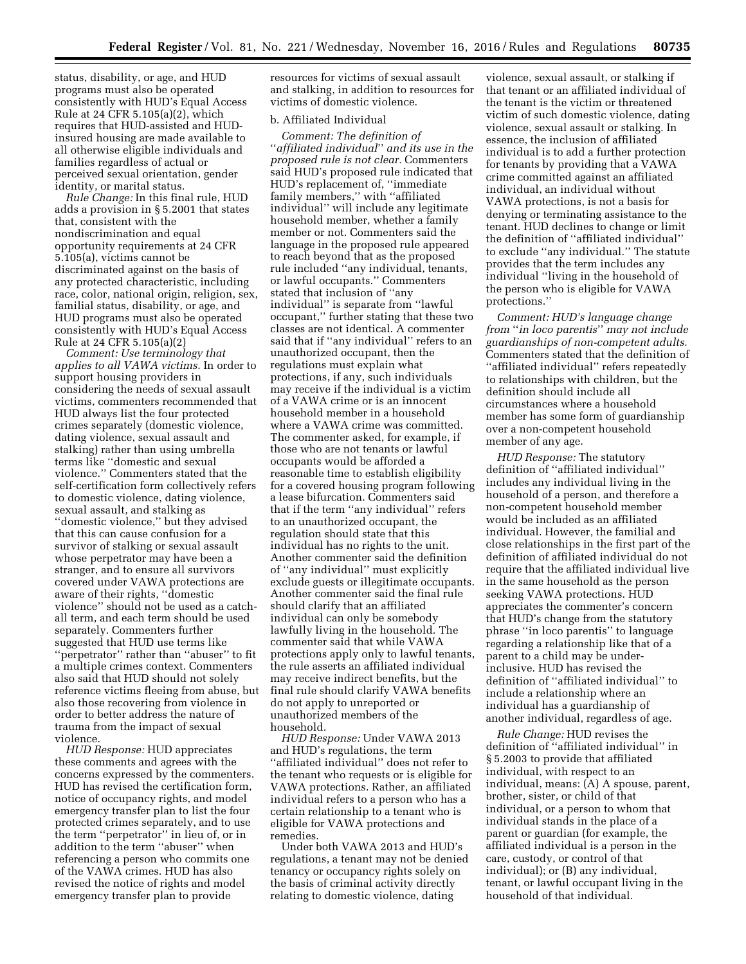status, disability, or age, and HUD programs must also be operated consistently with HUD's Equal Access Rule at 24 CFR 5.105(a)(2), which requires that HUD-assisted and HUDinsured housing are made available to all otherwise eligible individuals and families regardless of actual or perceived sexual orientation, gender identity, or marital status.

*Rule Change:* In this final rule, HUD adds a provision in § 5.2001 that states that, consistent with the nondiscrimination and equal opportunity requirements at 24 CFR 5.105(a), victims cannot be discriminated against on the basis of any protected characteristic, including race, color, national origin, religion, sex, familial status, disability, or age, and HUD programs must also be operated consistently with HUD's Equal Access Rule at 24 CFR 5.105(a)(2)

*Comment: Use terminology that applies to all VAWA victims.* In order to support housing providers in considering the needs of sexual assault victims, commenters recommended that HUD always list the four protected crimes separately (domestic violence, dating violence, sexual assault and stalking) rather than using umbrella terms like ''domestic and sexual violence.'' Commenters stated that the self-certification form collectively refers to domestic violence, dating violence, sexual assault, and stalking as ''domestic violence,'' but they advised that this can cause confusion for a survivor of stalking or sexual assault whose perpetrator may have been a stranger, and to ensure all survivors covered under VAWA protections are aware of their rights, ''domestic violence'' should not be used as a catchall term, and each term should be used separately. Commenters further suggested that HUD use terms like ''perpetrator'' rather than ''abuser'' to fit a multiple crimes context. Commenters also said that HUD should not solely reference victims fleeing from abuse, but also those recovering from violence in order to better address the nature of trauma from the impact of sexual violence.

*HUD Response:* HUD appreciates these comments and agrees with the concerns expressed by the commenters. HUD has revised the certification form, notice of occupancy rights, and model emergency transfer plan to list the four protected crimes separately, and to use the term ''perpetrator'' in lieu of, or in addition to the term ''abuser'' when referencing a person who commits one of the VAWA crimes. HUD has also revised the notice of rights and model emergency transfer plan to provide

resources for victims of sexual assault and stalking, in addition to resources for victims of domestic violence.

# b. Affiliated Individual

*Comment: The definition of*  ''*affiliated individual*'' *and its use in the proposed rule is not clear.* Commenters said HUD's proposed rule indicated that HUD's replacement of, ''immediate family members,'' with ''affiliated individual'' will include any legitimate household member, whether a family member or not. Commenters said the language in the proposed rule appeared to reach beyond that as the proposed rule included ''any individual, tenants, or lawful occupants.'' Commenters stated that inclusion of ''any individual'' is separate from ''lawful occupant,'' further stating that these two classes are not identical. A commenter said that if ''any individual'' refers to an unauthorized occupant, then the regulations must explain what protections, if any, such individuals may receive if the individual is a victim of a VAWA crime or is an innocent household member in a household where a VAWA crime was committed. The commenter asked, for example, if those who are not tenants or lawful occupants would be afforded a reasonable time to establish eligibility for a covered housing program following a lease bifurcation. Commenters said that if the term ''any individual'' refers to an unauthorized occupant, the regulation should state that this individual has no rights to the unit. Another commenter said the definition of ''any individual'' must explicitly exclude guests or illegitimate occupants. Another commenter said the final rule should clarify that an affiliated individual can only be somebody lawfully living in the household. The commenter said that while VAWA protections apply only to lawful tenants, the rule asserts an affiliated individual may receive indirect benefits, but the final rule should clarify VAWA benefits do not apply to unreported or unauthorized members of the household.

*HUD Response:* Under VAWA 2013 and HUD's regulations, the term ''affiliated individual'' does not refer to the tenant who requests or is eligible for VAWA protections. Rather, an affiliated individual refers to a person who has a certain relationship to a tenant who is eligible for VAWA protections and remedies.

Under both VAWA 2013 and HUD's regulations, a tenant may not be denied tenancy or occupancy rights solely on the basis of criminal activity directly relating to domestic violence, dating

violence, sexual assault, or stalking if that tenant or an affiliated individual of the tenant is the victim or threatened victim of such domestic violence, dating violence, sexual assault or stalking. In essence, the inclusion of affiliated individual is to add a further protection for tenants by providing that a VAWA crime committed against an affiliated individual, an individual without VAWA protections, is not a basis for denying or terminating assistance to the tenant. HUD declines to change or limit the definition of ''affiliated individual'' to exclude ''any individual.'' The statute provides that the term includes any individual ''living in the household of the person who is eligible for VAWA protections.''

*Comment: HUD's language change from* ''*in loco parentis*'' *may not include guardianships of non-competent adults.*  Commenters stated that the definition of ''affiliated individual'' refers repeatedly to relationships with children, but the definition should include all circumstances where a household member has some form of guardianship over a non-competent household member of any age.

*HUD Response:* The statutory definition of ''affiliated individual'' includes any individual living in the household of a person, and therefore a non-competent household member would be included as an affiliated individual. However, the familial and close relationships in the first part of the definition of affiliated individual do not require that the affiliated individual live in the same household as the person seeking VAWA protections. HUD appreciates the commenter's concern that HUD's change from the statutory phrase ''in loco parentis'' to language regarding a relationship like that of a parent to a child may be underinclusive. HUD has revised the definition of ''affiliated individual'' to include a relationship where an individual has a guardianship of another individual, regardless of age.

*Rule Change:* HUD revises the definition of ''affiliated individual'' in § 5.2003 to provide that affiliated individual, with respect to an individual, means: (A) A spouse, parent, brother, sister, or child of that individual, or a person to whom that individual stands in the place of a parent or guardian (for example, the affiliated individual is a person in the care, custody, or control of that individual); or (B) any individual, tenant, or lawful occupant living in the household of that individual.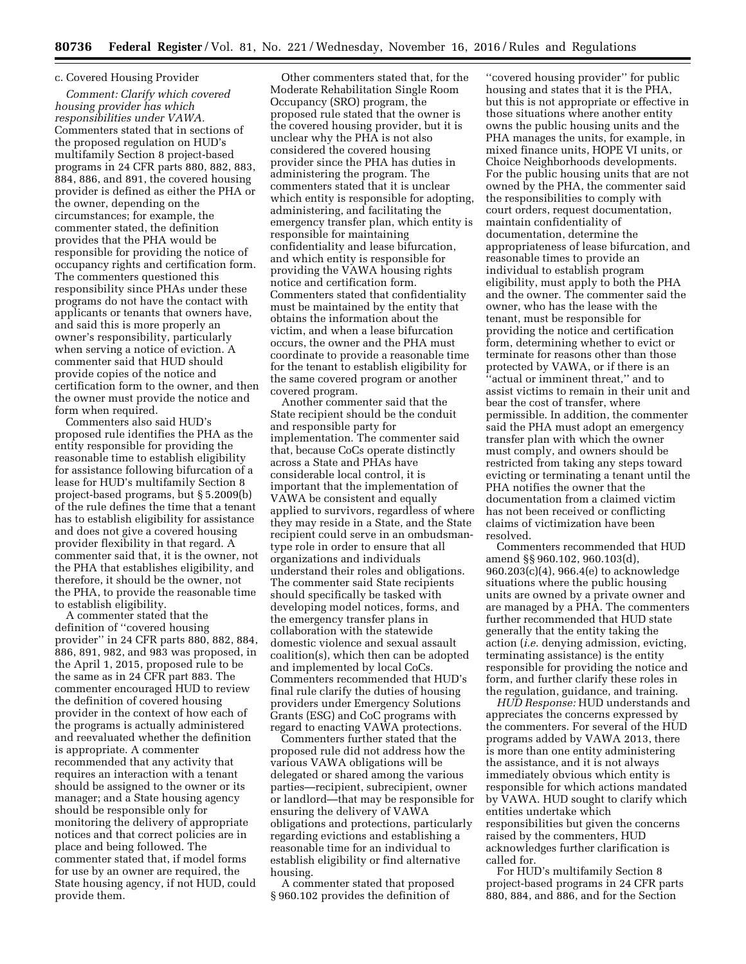## c. Covered Housing Provider

*Comment: Clarify which covered housing provider has which responsibilities under VAWA.*  Commenters stated that in sections of the proposed regulation on HUD's multifamily Section 8 project-based programs in 24 CFR parts 880, 882, 883, 884, 886, and 891, the covered housing provider is defined as either the PHA or the owner, depending on the circumstances; for example, the commenter stated, the definition provides that the PHA would be responsible for providing the notice of occupancy rights and certification form. The commenters questioned this responsibility since PHAs under these programs do not have the contact with applicants or tenants that owners have, and said this is more properly an owner's responsibility, particularly when serving a notice of eviction. A commenter said that HUD should provide copies of the notice and certification form to the owner, and then the owner must provide the notice and form when required.

Commenters also said HUD's proposed rule identifies the PHA as the entity responsible for providing the reasonable time to establish eligibility for assistance following bifurcation of a lease for HUD's multifamily Section 8 project-based programs, but § 5.2009(b) of the rule defines the time that a tenant has to establish eligibility for assistance and does not give a covered housing provider flexibility in that regard. A commenter said that, it is the owner, not the PHA that establishes eligibility, and therefore, it should be the owner, not the PHA, to provide the reasonable time to establish eligibility.

A commenter stated that the definition of ''covered housing provider'' in 24 CFR parts 880, 882, 884, 886, 891, 982, and 983 was proposed, in the April 1, 2015, proposed rule to be the same as in 24 CFR part 883. The commenter encouraged HUD to review the definition of covered housing provider in the context of how each of the programs is actually administered and reevaluated whether the definition is appropriate. A commenter recommended that any activity that requires an interaction with a tenant should be assigned to the owner or its manager; and a State housing agency should be responsible only for monitoring the delivery of appropriate notices and that correct policies are in place and being followed. The commenter stated that, if model forms for use by an owner are required, the State housing agency, if not HUD, could provide them.

Other commenters stated that, for the Moderate Rehabilitation Single Room Occupancy (SRO) program, the proposed rule stated that the owner is the covered housing provider, but it is unclear why the PHA is not also considered the covered housing provider since the PHA has duties in administering the program. The commenters stated that it is unclear which entity is responsible for adopting, administering, and facilitating the emergency transfer plan, which entity is responsible for maintaining confidentiality and lease bifurcation, and which entity is responsible for providing the VAWA housing rights notice and certification form. Commenters stated that confidentiality must be maintained by the entity that obtains the information about the victim, and when a lease bifurcation occurs, the owner and the PHA must coordinate to provide a reasonable time for the tenant to establish eligibility for the same covered program or another covered program.

Another commenter said that the State recipient should be the conduit and responsible party for implementation. The commenter said that, because CoCs operate distinctly across a State and PHAs have considerable local control, it is important that the implementation of VAWA be consistent and equally applied to survivors, regardless of where they may reside in a State, and the State recipient could serve in an ombudsmantype role in order to ensure that all organizations and individuals understand their roles and obligations. The commenter said State recipients should specifically be tasked with developing model notices, forms, and the emergency transfer plans in collaboration with the statewide domestic violence and sexual assault coalition(s), which then can be adopted and implemented by local CoCs. Commenters recommended that HUD's final rule clarify the duties of housing providers under Emergency Solutions Grants (ESG) and CoC programs with regard to enacting VAWA protections.

Commenters further stated that the proposed rule did not address how the various VAWA obligations will be delegated or shared among the various parties—recipient, subrecipient, owner or landlord—that may be responsible for ensuring the delivery of VAWA obligations and protections, particularly regarding evictions and establishing a reasonable time for an individual to establish eligibility or find alternative housing.

A commenter stated that proposed § 960.102 provides the definition of

''covered housing provider'' for public housing and states that it is the PHA, but this is not appropriate or effective in those situations where another entity owns the public housing units and the PHA manages the units, for example, in mixed finance units, HOPE VI units, or Choice Neighborhoods developments. For the public housing units that are not owned by the PHA, the commenter said the responsibilities to comply with court orders, request documentation, maintain confidentiality of documentation, determine the appropriateness of lease bifurcation, and reasonable times to provide an individual to establish program eligibility, must apply to both the PHA and the owner. The commenter said the owner, who has the lease with the tenant, must be responsible for providing the notice and certification form, determining whether to evict or terminate for reasons other than those protected by VAWA, or if there is an ''actual or imminent threat,'' and to assist victims to remain in their unit and bear the cost of transfer, where permissible. In addition, the commenter said the PHA must adopt an emergency transfer plan with which the owner must comply, and owners should be restricted from taking any steps toward evicting or terminating a tenant until the PHA notifies the owner that the documentation from a claimed victim has not been received or conflicting claims of victimization have been resolved.

Commenters recommended that HUD amend §§ 960.102, 960.103(d), 960.203(c)(4), 966.4(e) to acknowledge situations where the public housing units are owned by a private owner and are managed by a PHA. The commenters further recommended that HUD state generally that the entity taking the action (*i.e.* denying admission, evicting, terminating assistance) is the entity responsible for providing the notice and form, and further clarify these roles in the regulation, guidance, and training.

*HUD Response:* HUD understands and appreciates the concerns expressed by the commenters. For several of the HUD programs added by VAWA 2013, there is more than one entity administering the assistance, and it is not always immediately obvious which entity is responsible for which actions mandated by VAWA. HUD sought to clarify which entities undertake which responsibilities but given the concerns raised by the commenters, HUD acknowledges further clarification is called for.

For HUD's multifamily Section 8 project-based programs in 24 CFR parts 880, 884, and 886, and for the Section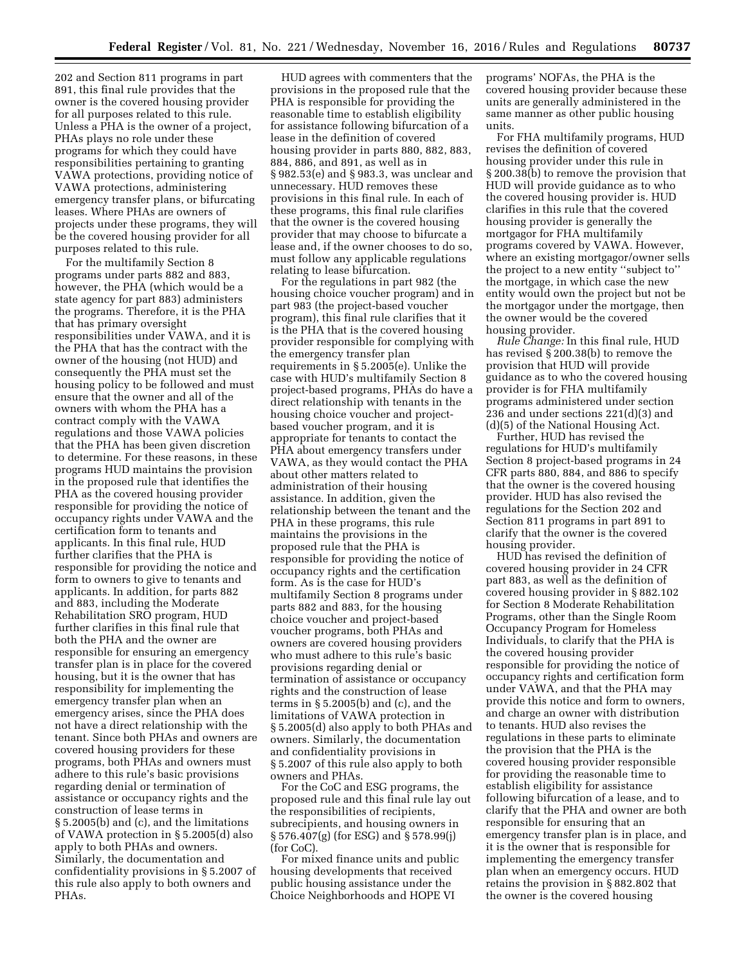202 and Section 811 programs in part 891, this final rule provides that the owner is the covered housing provider for all purposes related to this rule. Unless a PHA is the owner of a project, PHAs plays no role under these programs for which they could have responsibilities pertaining to granting VAWA protections, providing notice of VAWA protections, administering emergency transfer plans, or bifurcating leases. Where PHAs are owners of projects under these programs, they will be the covered housing provider for all purposes related to this rule.

For the multifamily Section 8 programs under parts 882 and 883, however, the PHA (which would be a state agency for part 883) administers the programs. Therefore, it is the PHA that has primary oversight responsibilities under VAWA, and it is the PHA that has the contract with the owner of the housing (not HUD) and consequently the PHA must set the housing policy to be followed and must ensure that the owner and all of the owners with whom the PHA has a contract comply with the VAWA regulations and those VAWA policies that the PHA has been given discretion to determine. For these reasons, in these programs HUD maintains the provision in the proposed rule that identifies the PHA as the covered housing provider responsible for providing the notice of occupancy rights under VAWA and the certification form to tenants and applicants. In this final rule, HUD further clarifies that the PHA is responsible for providing the notice and form to owners to give to tenants and applicants. In addition, for parts 882 and 883, including the Moderate Rehabilitation SRO program, HUD further clarifies in this final rule that both the PHA and the owner are responsible for ensuring an emergency transfer plan is in place for the covered housing, but it is the owner that has responsibility for implementing the emergency transfer plan when an emergency arises, since the PHA does not have a direct relationship with the tenant. Since both PHAs and owners are covered housing providers for these programs, both PHAs and owners must adhere to this rule's basic provisions regarding denial or termination of assistance or occupancy rights and the construction of lease terms in § 5.2005(b) and (c), and the limitations of VAWA protection in § 5.2005(d) also apply to both PHAs and owners. Similarly, the documentation and confidentiality provisions in § 5.2007 of this rule also apply to both owners and PHAs.

HUD agrees with commenters that the provisions in the proposed rule that the PHA is responsible for providing the reasonable time to establish eligibility for assistance following bifurcation of a lease in the definition of covered housing provider in parts 880, 882, 883, 884, 886, and 891, as well as in § 982.53(e) and § 983.3, was unclear and unnecessary. HUD removes these provisions in this final rule. In each of these programs, this final rule clarifies that the owner is the covered housing provider that may choose to bifurcate a lease and, if the owner chooses to do so, must follow any applicable regulations relating to lease bifurcation.

For the regulations in part 982 (the housing choice voucher program) and in part 983 (the project-based voucher program), this final rule clarifies that it is the PHA that is the covered housing provider responsible for complying with the emergency transfer plan requirements in § 5.2005(e). Unlike the case with HUD's multifamily Section 8 project-based programs, PHAs do have a direct relationship with tenants in the housing choice voucher and projectbased voucher program, and it is appropriate for tenants to contact the PHA about emergency transfers under VAWA, as they would contact the PHA about other matters related to administration of their housing assistance. In addition, given the relationship between the tenant and the PHA in these programs, this rule maintains the provisions in the proposed rule that the PHA is responsible for providing the notice of occupancy rights and the certification form. As is the case for HUD's multifamily Section 8 programs under parts 882 and 883, for the housing choice voucher and project-based voucher programs, both PHAs and owners are covered housing providers who must adhere to this rule's basic provisions regarding denial or termination of assistance or occupancy rights and the construction of lease terms in § 5.2005(b) and (c), and the limitations of VAWA protection in § 5.2005(d) also apply to both PHAs and owners. Similarly, the documentation and confidentiality provisions in § 5.2007 of this rule also apply to both owners and PHAs.

For the CoC and ESG programs, the proposed rule and this final rule lay out the responsibilities of recipients, subrecipients, and housing owners in § 576.407(g) (for ESG) and § 578.99(j) (for CoC).

For mixed finance units and public housing developments that received public housing assistance under the Choice Neighborhoods and HOPE VI

programs' NOFAs, the PHA is the covered housing provider because these units are generally administered in the same manner as other public housing units.

For FHA multifamily programs, HUD revises the definition of covered housing provider under this rule in § 200.38(b) to remove the provision that HUD will provide guidance as to who the covered housing provider is. HUD clarifies in this rule that the covered housing provider is generally the mortgagor for FHA multifamily programs covered by VAWA. However, where an existing mortgagor/owner sells the project to a new entity ''subject to'' the mortgage, in which case the new entity would own the project but not be the mortgagor under the mortgage, then the owner would be the covered housing provider.

*Rule Change:* In this final rule, HUD has revised § 200.38(b) to remove the provision that HUD will provide guidance as to who the covered housing provider is for FHA multifamily programs administered under section 236 and under sections 221(d)(3) and (d)(5) of the National Housing Act.

Further, HUD has revised the regulations for HUD's multifamily Section 8 project-based programs in 24 CFR parts 880, 884, and 886 to specify that the owner is the covered housing provider. HUD has also revised the regulations for the Section 202 and Section 811 programs in part 891 to clarify that the owner is the covered housing provider.

HUD has revised the definition of covered housing provider in 24 CFR part 883, as well as the definition of covered housing provider in § 882.102 for Section 8 Moderate Rehabilitation Programs, other than the Single Room Occupancy Program for Homeless Individuals, to clarify that the PHA is the covered housing provider responsible for providing the notice of occupancy rights and certification form under VAWA, and that the PHA may provide this notice and form to owners, and charge an owner with distribution to tenants. HUD also revises the regulations in these parts to eliminate the provision that the PHA is the covered housing provider responsible for providing the reasonable time to establish eligibility for assistance following bifurcation of a lease, and to clarify that the PHA and owner are both responsible for ensuring that an emergency transfer plan is in place, and it is the owner that is responsible for implementing the emergency transfer plan when an emergency occurs. HUD retains the provision in § 882.802 that the owner is the covered housing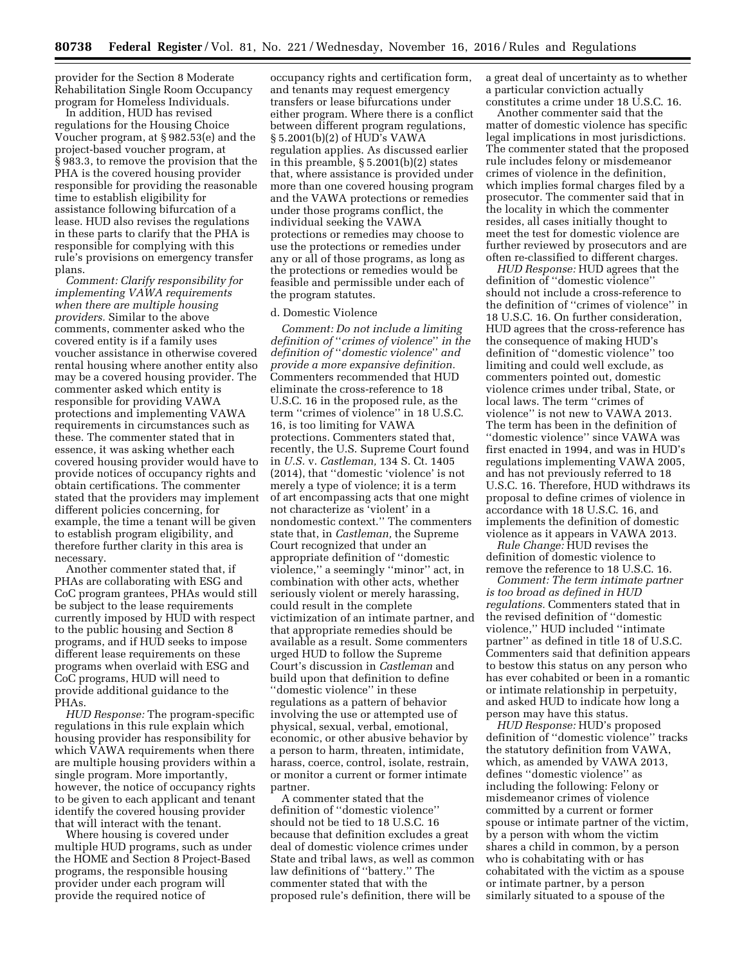provider for the Section 8 Moderate Rehabilitation Single Room Occupancy program for Homeless Individuals.

In addition, HUD has revised regulations for the Housing Choice Voucher program, at § 982.53(e) and the project-based voucher program, at § 983.3, to remove the provision that the PHA is the covered housing provider responsible for providing the reasonable time to establish eligibility for assistance following bifurcation of a lease. HUD also revises the regulations in these parts to clarify that the PHA is responsible for complying with this rule's provisions on emergency transfer plans.

*Comment: Clarify responsibility for implementing VAWA requirements when there are multiple housing providers.* Similar to the above comments, commenter asked who the covered entity is if a family uses voucher assistance in otherwise covered rental housing where another entity also may be a covered housing provider. The commenter asked which entity is responsible for providing VAWA protections and implementing VAWA requirements in circumstances such as these. The commenter stated that in essence, it was asking whether each covered housing provider would have to provide notices of occupancy rights and obtain certifications. The commenter stated that the providers may implement different policies concerning, for example, the time a tenant will be given to establish program eligibility, and therefore further clarity in this area is necessary.

Another commenter stated that, if PHAs are collaborating with ESG and CoC program grantees, PHAs would still be subject to the lease requirements currently imposed by HUD with respect to the public housing and Section 8 programs, and if HUD seeks to impose different lease requirements on these programs when overlaid with ESG and CoC programs, HUD will need to provide additional guidance to the PHAs.

*HUD Response:* The program-specific regulations in this rule explain which housing provider has responsibility for which VAWA requirements when there are multiple housing providers within a single program. More importantly, however, the notice of occupancy rights to be given to each applicant and tenant identify the covered housing provider that will interact with the tenant.

Where housing is covered under multiple HUD programs, such as under the HOME and Section 8 Project-Based programs, the responsible housing provider under each program will provide the required notice of

occupancy rights and certification form, and tenants may request emergency transfers or lease bifurcations under either program. Where there is a conflict between different program regulations, § 5.2001(b)(2) of HUD's VAWA regulation applies. As discussed earlier in this preamble, § 5.2001(b)(2) states that, where assistance is provided under more than one covered housing program and the VAWA protections or remedies under those programs conflict, the individual seeking the VAWA protections or remedies may choose to use the protections or remedies under any or all of those programs, as long as the protections or remedies would be feasible and permissible under each of the program statutes.

### d. Domestic Violence

*Comment: Do not include a limiting definition of* ''*crimes of violence*'' *in the definition of* ''*domestic violence*'' *and provide a more expansive definition.*  Commenters recommended that HUD eliminate the cross-reference to 18 U.S.C. 16 in the proposed rule, as the term ''crimes of violence'' in 18 U.S.C. 16, is too limiting for VAWA protections. Commenters stated that, recently, the U.S. Supreme Court found in *U.S.* v. *Castleman,* 134 S. Ct. 1405 (2014), that ''domestic 'violence' is not merely a type of violence; it is a term of art encompassing acts that one might not characterize as 'violent' in a nondomestic context.'' The commenters state that, in *Castleman,* the Supreme Court recognized that under an appropriate definition of ''domestic violence,'' a seemingly ''minor'' act, in combination with other acts, whether seriously violent or merely harassing, could result in the complete victimization of an intimate partner, and that appropriate remedies should be available as a result. Some commenters urged HUD to follow the Supreme Court's discussion in *Castleman* and build upon that definition to define ''domestic violence'' in these regulations as a pattern of behavior involving the use or attempted use of physical, sexual, verbal, emotional, economic, or other abusive behavior by a person to harm, threaten, intimidate, harass, coerce, control, isolate, restrain, or monitor a current or former intimate partner.

A commenter stated that the definition of ''domestic violence'' should not be tied to 18 U.S.C. 16 because that definition excludes a great deal of domestic violence crimes under State and tribal laws, as well as common law definitions of ''battery.'' The commenter stated that with the proposed rule's definition, there will be

a great deal of uncertainty as to whether a particular conviction actually constitutes a crime under 18 U.S.C. 16.

Another commenter said that the matter of domestic violence has specific legal implications in most jurisdictions. The commenter stated that the proposed rule includes felony or misdemeanor crimes of violence in the definition, which implies formal charges filed by a prosecutor. The commenter said that in the locality in which the commenter resides, all cases initially thought to meet the test for domestic violence are further reviewed by prosecutors and are often re-classified to different charges.

*HUD Response:* HUD agrees that the definition of ''domestic violence'' should not include a cross-reference to the definition of ''crimes of violence'' in 18 U.S.C. 16. On further consideration, HUD agrees that the cross-reference has the consequence of making HUD's definition of ''domestic violence'' too limiting and could well exclude, as commenters pointed out, domestic violence crimes under tribal, State, or local laws. The term ''crimes of violence'' is not new to VAWA 2013. The term has been in the definition of ''domestic violence'' since VAWA was first enacted in 1994, and was in HUD's regulations implementing VAWA 2005, and has not previously referred to 18 U.S.C. 16. Therefore, HUD withdraws its proposal to define crimes of violence in accordance with 18 U.S.C. 16, and implements the definition of domestic violence as it appears in VAWA 2013.

*Rule Change:* HUD revises the definition of domestic violence to remove the reference to 18 U.S.C. 16.

*Comment: The term intimate partner is too broad as defined in HUD regulations.* Commenters stated that in the revised definition of ''domestic violence,'' HUD included ''intimate partner'' as defined in title 18 of U.S.C. Commenters said that definition appears to bestow this status on any person who has ever cohabited or been in a romantic or intimate relationship in perpetuity, and asked HUD to indicate how long a person may have this status.

*HUD Response:* HUD's proposed definition of ''domestic violence'' tracks the statutory definition from VAWA, which, as amended by VAWA 2013, defines ''domestic violence'' as including the following: Felony or misdemeanor crimes of violence committed by a current or former spouse or intimate partner of the victim, by a person with whom the victim shares a child in common, by a person who is cohabitating with or has cohabitated with the victim as a spouse or intimate partner, by a person similarly situated to a spouse of the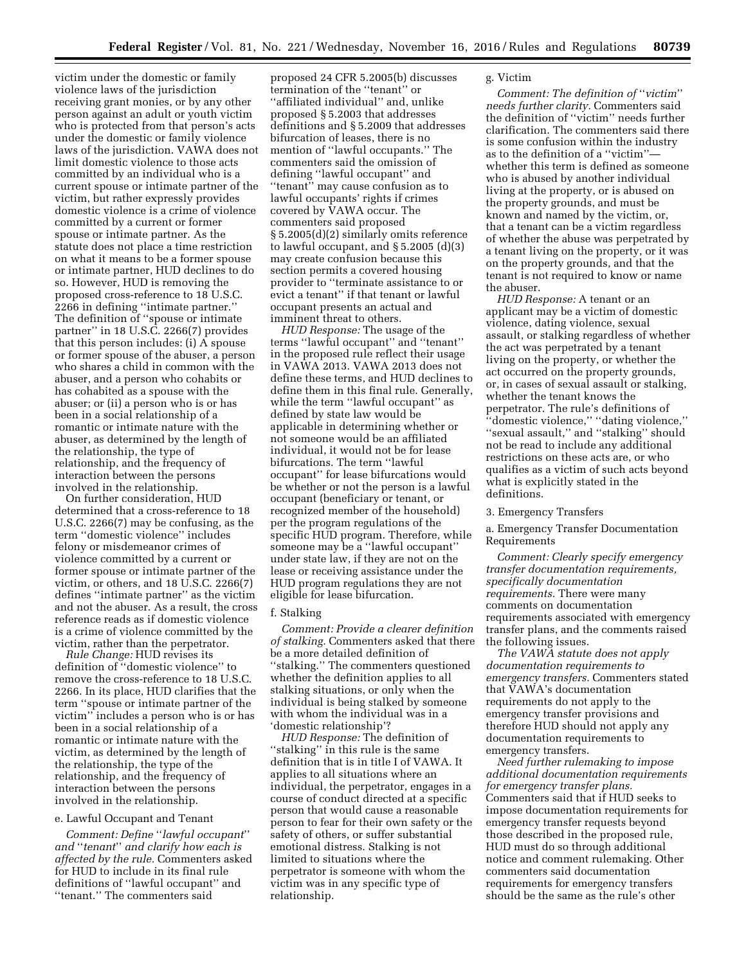victim under the domestic or family violence laws of the jurisdiction receiving grant monies, or by any other person against an adult or youth victim who is protected from that person's acts under the domestic or family violence laws of the jurisdiction. VAWA does not limit domestic violence to those acts committed by an individual who is a current spouse or intimate partner of the victim, but rather expressly provides domestic violence is a crime of violence committed by a current or former spouse or intimate partner. As the statute does not place a time restriction on what it means to be a former spouse or intimate partner, HUD declines to do so. However, HUD is removing the proposed cross-reference to 18 U.S.C. 2266 in defining ''intimate partner.'' The definition of ''spouse or intimate partner'' in 18 U.S.C. 2266(7) provides that this person includes: (i) A spouse or former spouse of the abuser, a person who shares a child in common with the abuser, and a person who cohabits or has cohabited as a spouse with the abuser; or (ii) a person who is or has been in a social relationship of a romantic or intimate nature with the abuser, as determined by the length of the relationship, the type of relationship, and the frequency of interaction between the persons involved in the relationship.

On further consideration, HUD determined that a cross-reference to 18 U.S.C. 2266(7) may be confusing, as the term ''domestic violence'' includes felony or misdemeanor crimes of violence committed by a current or former spouse or intimate partner of the victim, or others, and 18 U.S.C. 2266(7) defines ''intimate partner'' as the victim and not the abuser. As a result, the cross reference reads as if domestic violence is a crime of violence committed by the victim, rather than the perpetrator.

*Rule Change:* HUD revises its definition of ''domestic violence'' to remove the cross-reference to 18 U.S.C. 2266. In its place, HUD clarifies that the term ''spouse or intimate partner of the victim'' includes a person who is or has been in a social relationship of a romantic or intimate nature with the victim, as determined by the length of the relationship, the type of the relationship, and the frequency of interaction between the persons involved in the relationship.

### e. Lawful Occupant and Tenant

*Comment: Define* ''*lawful occupant*'' *and* ''*tenant*'' *and clarify how each is affected by the rule.* Commenters asked for HUD to include in its final rule definitions of ''lawful occupant'' and ''tenant.'' The commenters said

proposed 24 CFR 5.2005(b) discusses termination of the ''tenant'' or ''affiliated individual'' and, unlike proposed § 5.2003 that addresses definitions and § 5.2009 that addresses bifurcation of leases, there is no mention of ''lawful occupants.'' The commenters said the omission of defining ''lawful occupant'' and ''tenant'' may cause confusion as to lawful occupants' rights if crimes covered by VAWA occur. The commenters said proposed § 5.2005(d)(2) similarly omits reference to lawful occupant, and  $\S 5.2005$  (d)(3) may create confusion because this section permits a covered housing provider to ''terminate assistance to or evict a tenant'' if that tenant or lawful occupant presents an actual and imminent threat to others.

*HUD Response:* The usage of the terms ''lawful occupant'' and ''tenant'' in the proposed rule reflect their usage in VAWA 2013. VAWA 2013 does not define these terms, and HUD declines to define them in this final rule. Generally, while the term ''lawful occupant'' as defined by state law would be applicable in determining whether or not someone would be an affiliated individual, it would not be for lease bifurcations. The term ''lawful occupant'' for lease bifurcations would be whether or not the person is a lawful occupant (beneficiary or tenant, or recognized member of the household) per the program regulations of the specific HUD program. Therefore, while someone may be a ''lawful occupant'' under state law, if they are not on the lease or receiving assistance under the HUD program regulations they are not eligible for lease bifurcation.

## f. Stalking

*Comment: Provide a clearer definition of stalking.* Commenters asked that there be a more detailed definition of ''stalking.'' The commenters questioned whether the definition applies to all stalking situations, or only when the individual is being stalked by someone with whom the individual was in a 'domestic relationship'?

*HUD Response:* The definition of "stalking" in this rule is the same definition that is in title I of VAWA. It applies to all situations where an individual, the perpetrator, engages in a course of conduct directed at a specific person that would cause a reasonable person to fear for their own safety or the safety of others, or suffer substantial emotional distress. Stalking is not limited to situations where the perpetrator is someone with whom the victim was in any specific type of relationship.

### g. Victim

*Comment: The definition of* ''*victim*'' *needs further clarity.* Commenters said the definition of ''victim'' needs further clarification. The commenters said there is some confusion within the industry as to the definition of a ''victim'' whether this term is defined as someone who is abused by another individual living at the property, or is abused on the property grounds, and must be known and named by the victim, or, that a tenant can be a victim regardless of whether the abuse was perpetrated by a tenant living on the property, or it was on the property grounds, and that the tenant is not required to know or name the abuser.

*HUD Response:* A tenant or an applicant may be a victim of domestic violence, dating violence, sexual assault, or stalking regardless of whether the act was perpetrated by a tenant living on the property, or whether the act occurred on the property grounds, or, in cases of sexual assault or stalking, whether the tenant knows the perpetrator. The rule's definitions of ''domestic violence,'' ''dating violence,'' ''sexual assault,'' and ''stalking'' should not be read to include any additional restrictions on these acts are, or who qualifies as a victim of such acts beyond what is explicitly stated in the definitions.

#### 3. Emergency Transfers

a. Emergency Transfer Documentation Requirements

*Comment: Clearly specify emergency transfer documentation requirements, specifically documentation requirements.* There were many comments on documentation requirements associated with emergency transfer plans, and the comments raised the following issues.

*The VAWA statute does not apply documentation requirements to emergency transfers.* Commenters stated that VAWA's documentation requirements do not apply to the emergency transfer provisions and therefore HUD should not apply any documentation requirements to emergency transfers.

*Need further rulemaking to impose additional documentation requirements for emergency transfer plans.*  Commenters said that if HUD seeks to impose documentation requirements for emergency transfer requests beyond those described in the proposed rule, HUD must do so through additional notice and comment rulemaking. Other commenters said documentation requirements for emergency transfers should be the same as the rule's other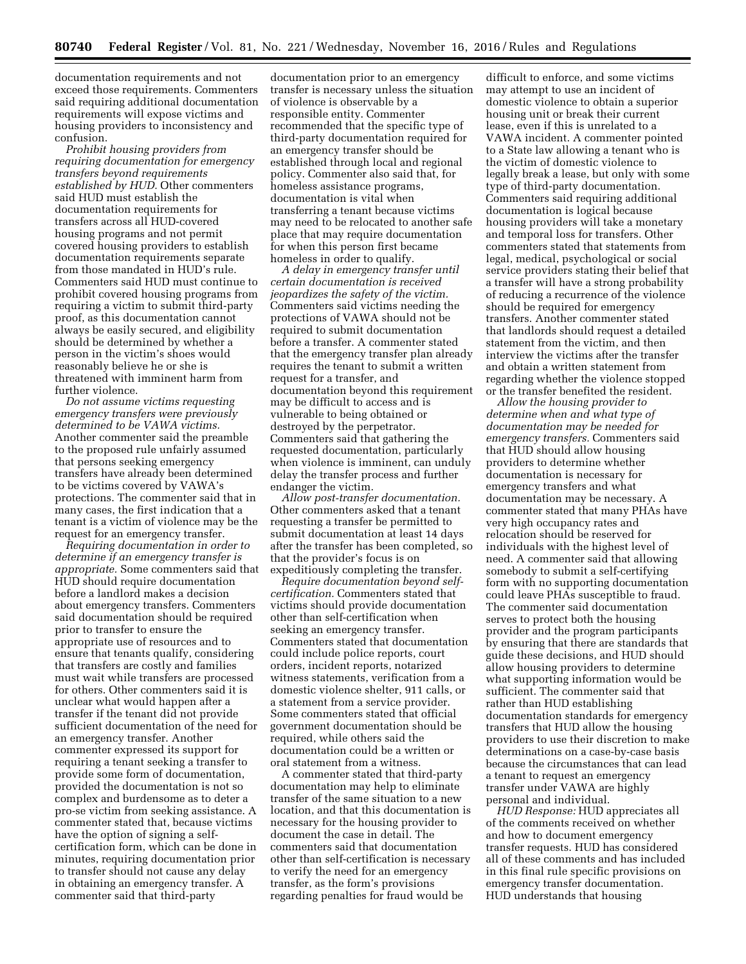documentation requirements and not exceed those requirements. Commenters said requiring additional documentation requirements will expose victims and housing providers to inconsistency and confusion.

*Prohibit housing providers from requiring documentation for emergency transfers beyond requirements established by HUD.* Other commenters said HUD must establish the documentation requirements for transfers across all HUD-covered housing programs and not permit covered housing providers to establish documentation requirements separate from those mandated in HUD's rule. Commenters said HUD must continue to prohibit covered housing programs from requiring a victim to submit third-party proof, as this documentation cannot always be easily secured, and eligibility should be determined by whether a person in the victim's shoes would reasonably believe he or she is threatened with imminent harm from further violence.

*Do not assume victims requesting emergency transfers were previously determined to be VAWA victims.*  Another commenter said the preamble to the proposed rule unfairly assumed that persons seeking emergency transfers have already been determined to be victims covered by VAWA's protections. The commenter said that in many cases, the first indication that a tenant is a victim of violence may be the request for an emergency transfer.

*Requiring documentation in order to determine if an emergency transfer is appropriate.* Some commenters said that HUD should require documentation before a landlord makes a decision about emergency transfers. Commenters said documentation should be required prior to transfer to ensure the appropriate use of resources and to ensure that tenants qualify, considering that transfers are costly and families must wait while transfers are processed for others. Other commenters said it is unclear what would happen after a transfer if the tenant did not provide sufficient documentation of the need for an emergency transfer. Another commenter expressed its support for requiring a tenant seeking a transfer to provide some form of documentation, provided the documentation is not so complex and burdensome as to deter a pro-se victim from seeking assistance. A commenter stated that, because victims have the option of signing a selfcertification form, which can be done in minutes, requiring documentation prior to transfer should not cause any delay in obtaining an emergency transfer. A commenter said that third-party

documentation prior to an emergency transfer is necessary unless the situation of violence is observable by a responsible entity. Commenter recommended that the specific type of third-party documentation required for an emergency transfer should be established through local and regional policy. Commenter also said that, for homeless assistance programs, documentation is vital when transferring a tenant because victims may need to be relocated to another safe place that may require documentation for when this person first became homeless in order to qualify.

*A delay in emergency transfer until certain documentation is received jeopardizes the safety of the victim.*  Commenters said victims needing the protections of VAWA should not be required to submit documentation before a transfer. A commenter stated that the emergency transfer plan already requires the tenant to submit a written request for a transfer, and documentation beyond this requirement may be difficult to access and is vulnerable to being obtained or destroyed by the perpetrator. Commenters said that gathering the requested documentation, particularly when violence is imminent, can unduly delay the transfer process and further endanger the victim.

*Allow post-transfer documentation.*  Other commenters asked that a tenant requesting a transfer be permitted to submit documentation at least 14 days after the transfer has been completed, so that the provider's focus is on expeditiously completing the transfer.

*Require documentation beyond selfcertification.* Commenters stated that victims should provide documentation other than self-certification when seeking an emergency transfer. Commenters stated that documentation could include police reports, court orders, incident reports, notarized witness statements, verification from a domestic violence shelter, 911 calls, or a statement from a service provider. Some commenters stated that official government documentation should be required, while others said the documentation could be a written or oral statement from a witness.

A commenter stated that third-party documentation may help to eliminate transfer of the same situation to a new location, and that this documentation is necessary for the housing provider to document the case in detail. The commenters said that documentation other than self-certification is necessary to verify the need for an emergency transfer, as the form's provisions regarding penalties for fraud would be

difficult to enforce, and some victims may attempt to use an incident of domestic violence to obtain a superior housing unit or break their current lease, even if this is unrelated to a VAWA incident. A commenter pointed to a State law allowing a tenant who is the victim of domestic violence to legally break a lease, but only with some type of third-party documentation. Commenters said requiring additional documentation is logical because housing providers will take a monetary and temporal loss for transfers. Other commenters stated that statements from legal, medical, psychological or social service providers stating their belief that a transfer will have a strong probability of reducing a recurrence of the violence should be required for emergency transfers. Another commenter stated that landlords should request a detailed statement from the victim, and then interview the victims after the transfer and obtain a written statement from regarding whether the violence stopped or the transfer benefited the resident.

*Allow the housing provider to determine when and what type of documentation may be needed for emergency transfers.* Commenters said that HUD should allow housing providers to determine whether documentation is necessary for emergency transfers and what documentation may be necessary. A commenter stated that many PHAs have very high occupancy rates and relocation should be reserved for individuals with the highest level of need. A commenter said that allowing somebody to submit a self-certifying form with no supporting documentation could leave PHAs susceptible to fraud. The commenter said documentation serves to protect both the housing provider and the program participants by ensuring that there are standards that guide these decisions, and HUD should allow housing providers to determine what supporting information would be sufficient. The commenter said that rather than HUD establishing documentation standards for emergency transfers that HUD allow the housing providers to use their discretion to make determinations on a case-by-case basis because the circumstances that can lead a tenant to request an emergency transfer under VAWA are highly personal and individual.

*HUD Response:* HUD appreciates all of the comments received on whether and how to document emergency transfer requests. HUD has considered all of these comments and has included in this final rule specific provisions on emergency transfer documentation. HUD understands that housing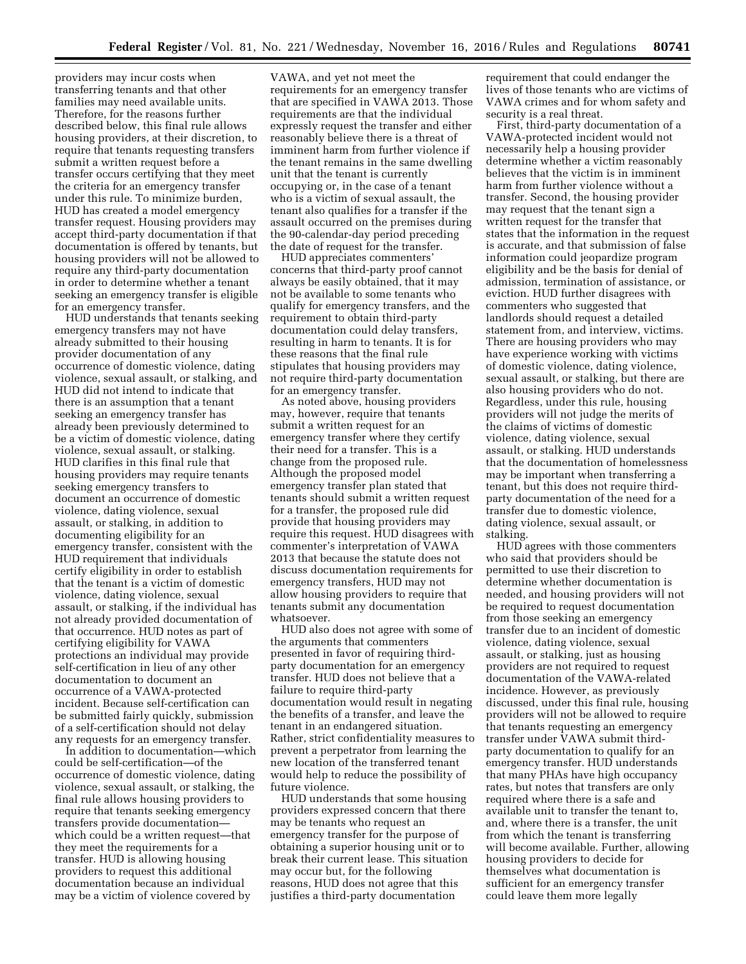providers may incur costs when transferring tenants and that other families may need available units. Therefore, for the reasons further described below, this final rule allows housing providers, at their discretion, to require that tenants requesting transfers submit a written request before a transfer occurs certifying that they meet the criteria for an emergency transfer under this rule. To minimize burden, HUD has created a model emergency transfer request. Housing providers may accept third-party documentation if that documentation is offered by tenants, but housing providers will not be allowed to require any third-party documentation in order to determine whether a tenant seeking an emergency transfer is eligible for an emergency transfer.

HUD understands that tenants seeking emergency transfers may not have already submitted to their housing provider documentation of any occurrence of domestic violence, dating violence, sexual assault, or stalking, and HUD did not intend to indicate that there is an assumption that a tenant seeking an emergency transfer has already been previously determined to be a victim of domestic violence, dating violence, sexual assault, or stalking. HUD clarifies in this final rule that housing providers may require tenants seeking emergency transfers to document an occurrence of domestic violence, dating violence, sexual assault, or stalking, in addition to documenting eligibility for an emergency transfer, consistent with the HUD requirement that individuals certify eligibility in order to establish that the tenant is a victim of domestic violence, dating violence, sexual assault, or stalking, if the individual has not already provided documentation of that occurrence. HUD notes as part of certifying eligibility for VAWA protections an individual may provide self-certification in lieu of any other documentation to document an occurrence of a VAWA-protected incident. Because self-certification can be submitted fairly quickly, submission of a self-certification should not delay any requests for an emergency transfer.

In addition to documentation—which could be self-certification—of the occurrence of domestic violence, dating violence, sexual assault, or stalking, the final rule allows housing providers to require that tenants seeking emergency transfers provide documentation which could be a written request—that they meet the requirements for a transfer. HUD is allowing housing providers to request this additional documentation because an individual may be a victim of violence covered by

VAWA, and yet not meet the requirements for an emergency transfer that are specified in VAWA 2013. Those requirements are that the individual expressly request the transfer and either reasonably believe there is a threat of imminent harm from further violence if the tenant remains in the same dwelling unit that the tenant is currently occupying or, in the case of a tenant who is a victim of sexual assault, the tenant also qualifies for a transfer if the assault occurred on the premises during the 90-calendar-day period preceding the date of request for the transfer.

HUD appreciates commenters' concerns that third-party proof cannot always be easily obtained, that it may not be available to some tenants who qualify for emergency transfers, and the requirement to obtain third-party documentation could delay transfers, resulting in harm to tenants. It is for these reasons that the final rule stipulates that housing providers may not require third-party documentation for an emergency transfer.

As noted above, housing providers may, however, require that tenants submit a written request for an emergency transfer where they certify their need for a transfer. This is a change from the proposed rule. Although the proposed model emergency transfer plan stated that tenants should submit a written request for a transfer, the proposed rule did provide that housing providers may require this request. HUD disagrees with commenter's interpretation of VAWA 2013 that because the statute does not discuss documentation requirements for emergency transfers, HUD may not allow housing providers to require that tenants submit any documentation whatsoever.

HUD also does not agree with some of the arguments that commenters presented in favor of requiring thirdparty documentation for an emergency transfer. HUD does not believe that a failure to require third-party documentation would result in negating the benefits of a transfer, and leave the tenant in an endangered situation. Rather, strict confidentiality measures to prevent a perpetrator from learning the new location of the transferred tenant would help to reduce the possibility of future violence.

HUD understands that some housing providers expressed concern that there may be tenants who request an emergency transfer for the purpose of obtaining a superior housing unit or to break their current lease. This situation may occur but, for the following reasons, HUD does not agree that this justifies a third-party documentation

requirement that could endanger the lives of those tenants who are victims of VAWA crimes and for whom safety and security is a real threat.

First, third-party documentation of a VAWA-protected incident would not necessarily help a housing provider determine whether a victim reasonably believes that the victim is in imminent harm from further violence without a transfer. Second, the housing provider may request that the tenant sign a written request for the transfer that states that the information in the request is accurate, and that submission of false information could jeopardize program eligibility and be the basis for denial of admission, termination of assistance, or eviction. HUD further disagrees with commenters who suggested that landlords should request a detailed statement from, and interview, victims. There are housing providers who may have experience working with victims of domestic violence, dating violence, sexual assault, or stalking, but there are also housing providers who do not. Regardless, under this rule, housing providers will not judge the merits of the claims of victims of domestic violence, dating violence, sexual assault, or stalking. HUD understands that the documentation of homelessness may be important when transferring a tenant, but this does not require thirdparty documentation of the need for a transfer due to domestic violence, dating violence, sexual assault, or stalking.

HUD agrees with those commenters who said that providers should be permitted to use their discretion to determine whether documentation is needed, and housing providers will not be required to request documentation from those seeking an emergency transfer due to an incident of domestic violence, dating violence, sexual assault, or stalking, just as housing providers are not required to request documentation of the VAWA-related incidence. However, as previously discussed, under this final rule, housing providers will not be allowed to require that tenants requesting an emergency transfer under VAWA submit thirdparty documentation to qualify for an emergency transfer. HUD understands that many PHAs have high occupancy rates, but notes that transfers are only required where there is a safe and available unit to transfer the tenant to, and, where there is a transfer, the unit from which the tenant is transferring will become available. Further, allowing housing providers to decide for themselves what documentation is sufficient for an emergency transfer could leave them more legally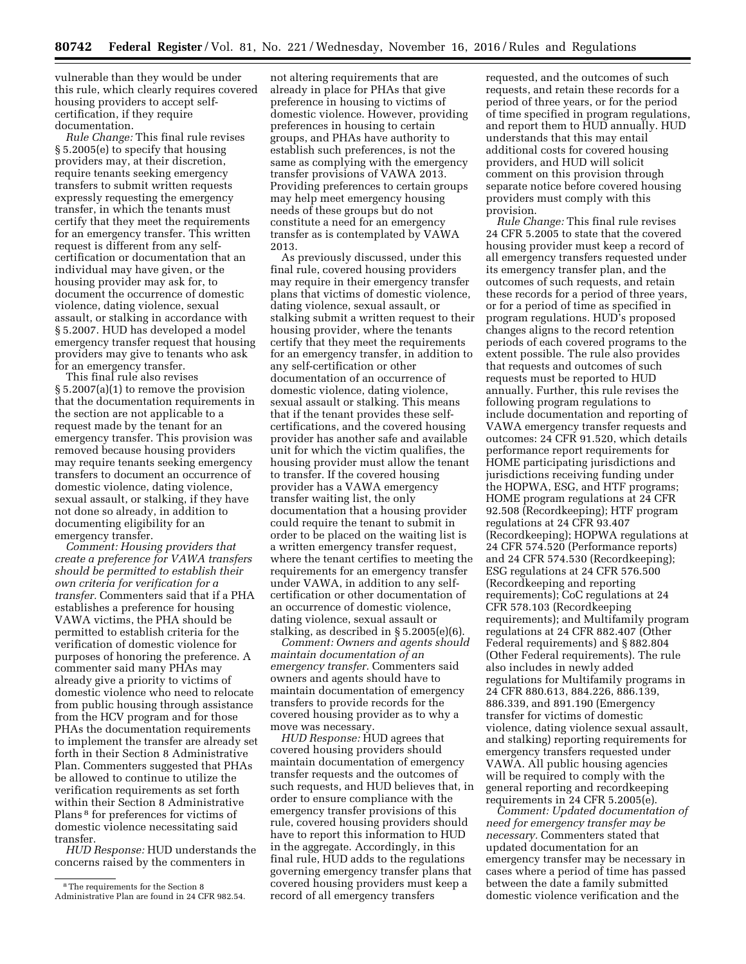vulnerable than they would be under this rule, which clearly requires covered housing providers to accept selfcertification, if they require documentation.

*Rule Change:* This final rule revises § 5.2005(e) to specify that housing providers may, at their discretion, require tenants seeking emergency transfers to submit written requests expressly requesting the emergency transfer, in which the tenants must certify that they meet the requirements for an emergency transfer. This written request is different from any selfcertification or documentation that an individual may have given, or the housing provider may ask for, to document the occurrence of domestic violence, dating violence, sexual assault, or stalking in accordance with § 5.2007. HUD has developed a model emergency transfer request that housing providers may give to tenants who ask for an emergency transfer.

This final rule also revises § 5.2007(a)(1) to remove the provision that the documentation requirements in the section are not applicable to a request made by the tenant for an emergency transfer. This provision was removed because housing providers may require tenants seeking emergency transfers to document an occurrence of domestic violence, dating violence, sexual assault, or stalking, if they have not done so already, in addition to documenting eligibility for an emergency transfer.

*Comment: Housing providers that create a preference for VAWA transfers should be permitted to establish their own criteria for verification for a transfer.* Commenters said that if a PHA establishes a preference for housing VAWA victims, the PHA should be permitted to establish criteria for the verification of domestic violence for purposes of honoring the preference. A commenter said many PHAs may already give a priority to victims of domestic violence who need to relocate from public housing through assistance from the HCV program and for those PHAs the documentation requirements to implement the transfer are already set forth in their Section 8 Administrative Plan. Commenters suggested that PHAs be allowed to continue to utilize the verification requirements as set forth within their Section 8 Administrative Plans 8 for preferences for victims of domestic violence necessitating said transfer.

*HUD Response:* HUD understands the concerns raised by the commenters in

not altering requirements that are already in place for PHAs that give preference in housing to victims of domestic violence. However, providing preferences in housing to certain groups, and PHAs have authority to establish such preferences, is not the same as complying with the emergency transfer provisions of VAWA 2013. Providing preferences to certain groups may help meet emergency housing needs of these groups but do not constitute a need for an emergency transfer as is contemplated by VAWA 2013.

As previously discussed, under this final rule, covered housing providers may require in their emergency transfer plans that victims of domestic violence, dating violence, sexual assault, or stalking submit a written request to their housing provider, where the tenants certify that they meet the requirements for an emergency transfer, in addition to any self-certification or other documentation of an occurrence of domestic violence, dating violence, sexual assault or stalking. This means that if the tenant provides these selfcertifications, and the covered housing provider has another safe and available unit for which the victim qualifies, the housing provider must allow the tenant to transfer. If the covered housing provider has a VAWA emergency transfer waiting list, the only documentation that a housing provider could require the tenant to submit in order to be placed on the waiting list is a written emergency transfer request, where the tenant certifies to meeting the requirements for an emergency transfer under VAWA, in addition to any selfcertification or other documentation of an occurrence of domestic violence, dating violence, sexual assault or stalking, as described in § 5.2005(e)(6).

*Comment: Owners and agents should maintain documentation of an emergency transfer.* Commenters said owners and agents should have to maintain documentation of emergency transfers to provide records for the covered housing provider as to why a move was necessary.

*HUD Response:* HUD agrees that covered housing providers should maintain documentation of emergency transfer requests and the outcomes of such requests, and HUD believes that, in order to ensure compliance with the emergency transfer provisions of this rule, covered housing providers should have to report this information to HUD in the aggregate. Accordingly, in this final rule, HUD adds to the regulations governing emergency transfer plans that covered housing providers must keep a record of all emergency transfers

requested, and the outcomes of such requests, and retain these records for a period of three years, or for the period of time specified in program regulations, and report them to HUD annually. HUD understands that this may entail additional costs for covered housing providers, and HUD will solicit comment on this provision through separate notice before covered housing providers must comply with this provision.

*Rule Change:* This final rule revises 24 CFR 5.2005 to state that the covered housing provider must keep a record of all emergency transfers requested under its emergency transfer plan, and the outcomes of such requests, and retain these records for a period of three years, or for a period of time as specified in program regulations. HUD's proposed changes aligns to the record retention periods of each covered programs to the extent possible. The rule also provides that requests and outcomes of such requests must be reported to HUD annually. Further, this rule revises the following program regulations to include documentation and reporting of VAWA emergency transfer requests and outcomes: 24 CFR 91.520, which details performance report requirements for HOME participating jurisdictions and jurisdictions receiving funding under the HOPWA, ESG, and HTF programs; HOME program regulations at 24 CFR 92.508 (Recordkeeping); HTF program regulations at 24 CFR 93.407 (Recordkeeping); HOPWA regulations at 24 CFR 574.520 (Performance reports) and 24 CFR 574.530 (Recordkeeping); ESG regulations at 24 CFR 576.500 (Recordkeeping and reporting requirements); CoC regulations at 24 CFR 578.103 (Recordkeeping requirements); and Multifamily program regulations at 24 CFR 882.407 (Other Federal requirements) and § 882.804 (Other Federal requirements). The rule also includes in newly added regulations for Multifamily programs in 24 CFR 880.613, 884.226, 886.139, 886.339, and 891.190 (Emergency transfer for victims of domestic violence, dating violence sexual assault, and stalking) reporting requirements for emergency transfers requested under VAWA. All public housing agencies will be required to comply with the general reporting and recordkeeping requirements in 24 CFR 5.2005(e).

*Comment: Updated documentation of need for emergency transfer may be necessary.* Commenters stated that updated documentation for an emergency transfer may be necessary in cases where a period of time has passed between the date a family submitted domestic violence verification and the

<sup>8</sup>The requirements for the Section 8 Administrative Plan are found in 24 CFR 982.54.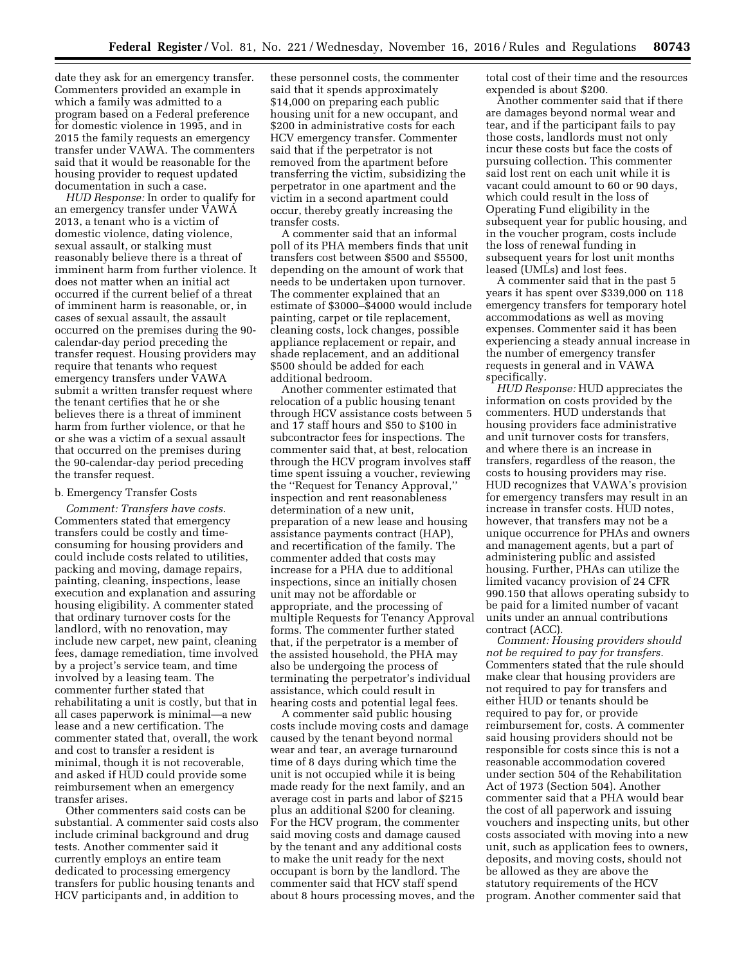date they ask for an emergency transfer. Commenters provided an example in which a family was admitted to a program based on a Federal preference for domestic violence in 1995, and in 2015 the family requests an emergency transfer under VAWA. The commenters said that it would be reasonable for the housing provider to request updated documentation in such a case.

*HUD Response:* In order to qualify for an emergency transfer under VAWA 2013, a tenant who is a victim of domestic violence, dating violence, sexual assault, or stalking must reasonably believe there is a threat of imminent harm from further violence. It does not matter when an initial act occurred if the current belief of a threat of imminent harm is reasonable, or, in cases of sexual assault, the assault occurred on the premises during the 90 calendar-day period preceding the transfer request. Housing providers may require that tenants who request emergency transfers under VAWA submit a written transfer request where the tenant certifies that he or she believes there is a threat of imminent harm from further violence, or that he or she was a victim of a sexual assault that occurred on the premises during the 90-calendar-day period preceding the transfer request.

## b. Emergency Transfer Costs

*Comment: Transfers have costs.*  Commenters stated that emergency transfers could be costly and timeconsuming for housing providers and could include costs related to utilities, packing and moving, damage repairs, painting, cleaning, inspections, lease execution and explanation and assuring housing eligibility. A commenter stated that ordinary turnover costs for the landlord, with no renovation, may include new carpet, new paint, cleaning fees, damage remediation, time involved by a project's service team, and time involved by a leasing team. The commenter further stated that rehabilitating a unit is costly, but that in all cases paperwork is minimal—a new lease and a new certification. The commenter stated that, overall, the work and cost to transfer a resident is minimal, though it is not recoverable, and asked if HUD could provide some reimbursement when an emergency transfer arises.

Other commenters said costs can be substantial. A commenter said costs also include criminal background and drug tests. Another commenter said it currently employs an entire team dedicated to processing emergency transfers for public housing tenants and HCV participants and, in addition to

these personnel costs, the commenter said that it spends approximately \$14,000 on preparing each public housing unit for a new occupant, and \$200 in administrative costs for each HCV emergency transfer. Commenter said that if the perpetrator is not removed from the apartment before transferring the victim, subsidizing the perpetrator in one apartment and the victim in a second apartment could occur, thereby greatly increasing the transfer costs.

A commenter said that an informal poll of its PHA members finds that unit transfers cost between \$500 and \$5500, depending on the amount of work that needs to be undertaken upon turnover. The commenter explained that an estimate of \$3000–\$4000 would include painting, carpet or tile replacement, cleaning costs, lock changes, possible appliance replacement or repair, and shade replacement, and an additional \$500 should be added for each additional bedroom.

Another commenter estimated that relocation of a public housing tenant through HCV assistance costs between 5 and 17 staff hours and \$50 to \$100 in subcontractor fees for inspections. The commenter said that, at best, relocation through the HCV program involves staff time spent issuing a voucher, reviewing the ''Request for Tenancy Approval,'' inspection and rent reasonableness determination of a new unit, preparation of a new lease and housing assistance payments contract (HAP), and recertification of the family. The commenter added that costs may increase for a PHA due to additional inspections, since an initially chosen unit may not be affordable or appropriate, and the processing of multiple Requests for Tenancy Approval forms. The commenter further stated that, if the perpetrator is a member of the assisted household, the PHA may also be undergoing the process of terminating the perpetrator's individual assistance, which could result in hearing costs and potential legal fees.

A commenter said public housing costs include moving costs and damage caused by the tenant beyond normal wear and tear, an average turnaround time of 8 days during which time the unit is not occupied while it is being made ready for the next family, and an average cost in parts and labor of \$215 plus an additional \$200 for cleaning. For the HCV program, the commenter said moving costs and damage caused by the tenant and any additional costs to make the unit ready for the next occupant is born by the landlord. The commenter said that HCV staff spend about 8 hours processing moves, and the total cost of their time and the resources expended is about \$200.

Another commenter said that if there are damages beyond normal wear and tear, and if the participant fails to pay those costs, landlords must not only incur these costs but face the costs of pursuing collection. This commenter said lost rent on each unit while it is vacant could amount to 60 or 90 days, which could result in the loss of Operating Fund eligibility in the subsequent year for public housing, and in the voucher program, costs include the loss of renewal funding in subsequent years for lost unit months leased (UMLs) and lost fees.

A commenter said that in the past 5 years it has spent over \$339,000 on 118 emergency transfers for temporary hotel accommodations as well as moving expenses. Commenter said it has been experiencing a steady annual increase in the number of emergency transfer requests in general and in VAWA specifically.

*HUD Response:* HUD appreciates the information on costs provided by the commenters. HUD understands that housing providers face administrative and unit turnover costs for transfers, and where there is an increase in transfers, regardless of the reason, the costs to housing providers may rise. HUD recognizes that VAWA's provision for emergency transfers may result in an increase in transfer costs. HUD notes, however, that transfers may not be a unique occurrence for PHAs and owners and management agents, but a part of administering public and assisted housing. Further, PHAs can utilize the limited vacancy provision of 24 CFR 990.150 that allows operating subsidy to be paid for a limited number of vacant units under an annual contributions contract (ACC).

*Comment: Housing providers should not be required to pay for transfers.*  Commenters stated that the rule should make clear that housing providers are not required to pay for transfers and either HUD or tenants should be required to pay for, or provide reimbursement for, costs. A commenter said housing providers should not be responsible for costs since this is not a reasonable accommodation covered under section 504 of the Rehabilitation Act of 1973 (Section 504). Another commenter said that a PHA would bear the cost of all paperwork and issuing vouchers and inspecting units, but other costs associated with moving into a new unit, such as application fees to owners, deposits, and moving costs, should not be allowed as they are above the statutory requirements of the HCV program. Another commenter said that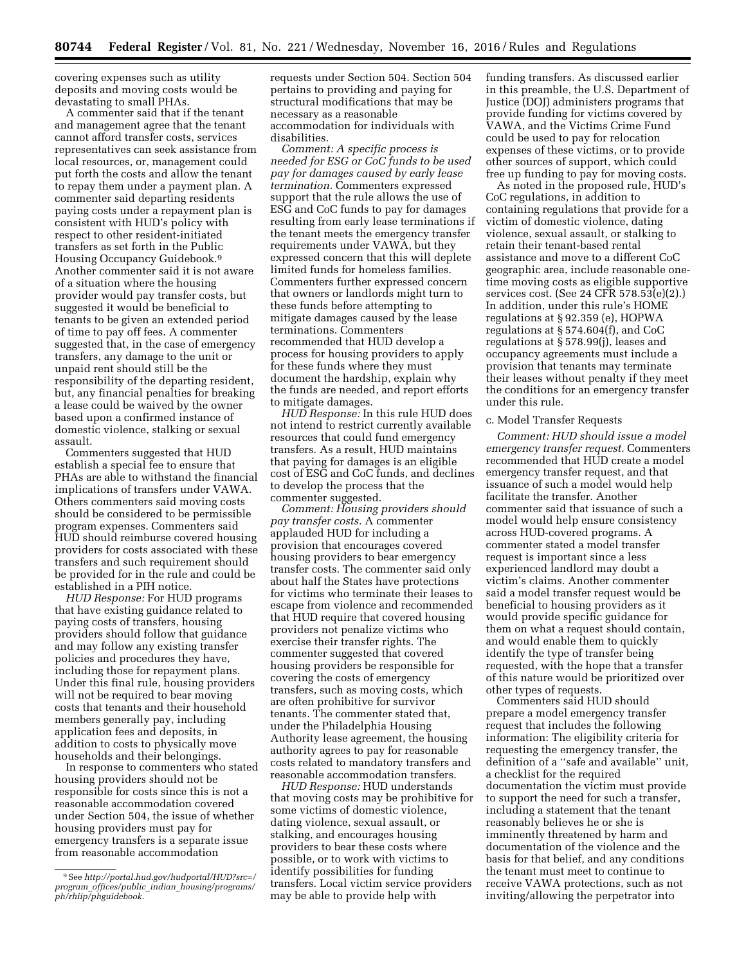covering expenses such as utility deposits and moving costs would be devastating to small PHAs.

A commenter said that if the tenant and management agree that the tenant cannot afford transfer costs, services representatives can seek assistance from local resources, or, management could put forth the costs and allow the tenant to repay them under a payment plan. A commenter said departing residents paying costs under a repayment plan is consistent with HUD's policy with respect to other resident-initiated transfers as set forth in the Public Housing Occupancy Guidebook.9 Another commenter said it is not aware of a situation where the housing provider would pay transfer costs, but suggested it would be beneficial to tenants to be given an extended period of time to pay off fees. A commenter suggested that, in the case of emergency transfers, any damage to the unit or unpaid rent should still be the responsibility of the departing resident, but, any financial penalties for breaking a lease could be waived by the owner based upon a confirmed instance of domestic violence, stalking or sexual assault.

Commenters suggested that HUD establish a special fee to ensure that PHAs are able to withstand the financial implications of transfers under VAWA. Others commenters said moving costs should be considered to be permissible program expenses. Commenters said HUD should reimburse covered housing providers for costs associated with these transfers and such requirement should be provided for in the rule and could be established in a PIH notice.

*HUD Response:* For HUD programs that have existing guidance related to paying costs of transfers, housing providers should follow that guidance and may follow any existing transfer policies and procedures they have, including those for repayment plans. Under this final rule, housing providers will not be required to bear moving costs that tenants and their household members generally pay, including application fees and deposits, in addition to costs to physically move households and their belongings.

In response to commenters who stated housing providers should not be responsible for costs since this is not a reasonable accommodation covered under Section 504, the issue of whether housing providers must pay for emergency transfers is a separate issue from reasonable accommodation

requests under Section 504. Section 504 pertains to providing and paying for structural modifications that may be necessary as a reasonable accommodation for individuals with disabilities.

*Comment: A specific process is needed for ESG or CoC funds to be used pay for damages caused by early lease termination.* Commenters expressed support that the rule allows the use of ESG and CoC funds to pay for damages resulting from early lease terminations if the tenant meets the emergency transfer requirements under VAWA, but they expressed concern that this will deplete limited funds for homeless families. Commenters further expressed concern that owners or landlords might turn to these funds before attempting to mitigate damages caused by the lease terminations. Commenters recommended that HUD develop a process for housing providers to apply for these funds where they must document the hardship, explain why the funds are needed, and report efforts to mitigate damages.

*HUD Response:* In this rule HUD does not intend to restrict currently available resources that could fund emergency transfers. As a result, HUD maintains that paying for damages is an eligible cost of ESG and CoC funds, and declines to develop the process that the commenter suggested.

*Comment: Housing providers should pay transfer costs.* A commenter applauded HUD for including a provision that encourages covered housing providers to bear emergency transfer costs. The commenter said only about half the States have protections for victims who terminate their leases to escape from violence and recommended that HUD require that covered housing providers not penalize victims who exercise their transfer rights. The commenter suggested that covered housing providers be responsible for covering the costs of emergency transfers, such as moving costs, which are often prohibitive for survivor tenants. The commenter stated that, under the Philadelphia Housing Authority lease agreement, the housing authority agrees to pay for reasonable costs related to mandatory transfers and reasonable accommodation transfers.

*HUD Response:* HUD understands that moving costs may be prohibitive for some victims of domestic violence, dating violence, sexual assault, or stalking, and encourages housing providers to bear these costs where possible, or to work with victims to identify possibilities for funding transfers. Local victim service providers may be able to provide help with

funding transfers. As discussed earlier in this preamble, the U.S. Department of Justice (DOJ) administers programs that provide funding for victims covered by VAWA, and the Victims Crime Fund could be used to pay for relocation expenses of these victims, or to provide other sources of support, which could free up funding to pay for moving costs.

As noted in the proposed rule, HUD's CoC regulations, in addition to containing regulations that provide for a victim of domestic violence, dating violence, sexual assault, or stalking to retain their tenant-based rental assistance and move to a different CoC geographic area, include reasonable onetime moving costs as eligible supportive services cost. (See 24 CFR 578.53(e)(2).) In addition, under this rule's HOME regulations at § 92.359 (e), HOPWA regulations at § 574.604(f), and CoC regulations at § 578.99(j), leases and occupancy agreements must include a provision that tenants may terminate their leases without penalty if they meet the conditions for an emergency transfer under this rule.

## c. Model Transfer Requests

*Comment: HUD should issue a model emergency transfer request.* Commenters recommended that HUD create a model emergency transfer request, and that issuance of such a model would help facilitate the transfer. Another commenter said that issuance of such a model would help ensure consistency across HUD-covered programs. A commenter stated a model transfer request is important since a less experienced landlord may doubt a victim's claims. Another commenter said a model transfer request would be beneficial to housing providers as it would provide specific guidance for them on what a request should contain, and would enable them to quickly identify the type of transfer being requested, with the hope that a transfer of this nature would be prioritized over other types of requests.

Commenters said HUD should prepare a model emergency transfer request that includes the following information: The eligibility criteria for requesting the emergency transfer, the definition of a ''safe and available'' unit, a checklist for the required documentation the victim must provide to support the need for such a transfer, including a statement that the tenant reasonably believes he or she is imminently threatened by harm and documentation of the violence and the basis for that belief, and any conditions the tenant must meet to continue to receive VAWA protections, such as not inviting/allowing the perpetrator into

<sup>9</sup>See *[http://portal.hud.gov/hudportal/HUD?src=/](http://portal.hud.gov/hudportal/HUD?src=/program_offices/public_indian_housing/programs/ph/rhiip/phguidebook) program*\_*offices/public*\_*indian*\_*[housing/programs/](http://portal.hud.gov/hudportal/HUD?src=/program_offices/public_indian_housing/programs/ph/rhiip/phguidebook) [ph/rhiip/phguidebook.](http://portal.hud.gov/hudportal/HUD?src=/program_offices/public_indian_housing/programs/ph/rhiip/phguidebook)*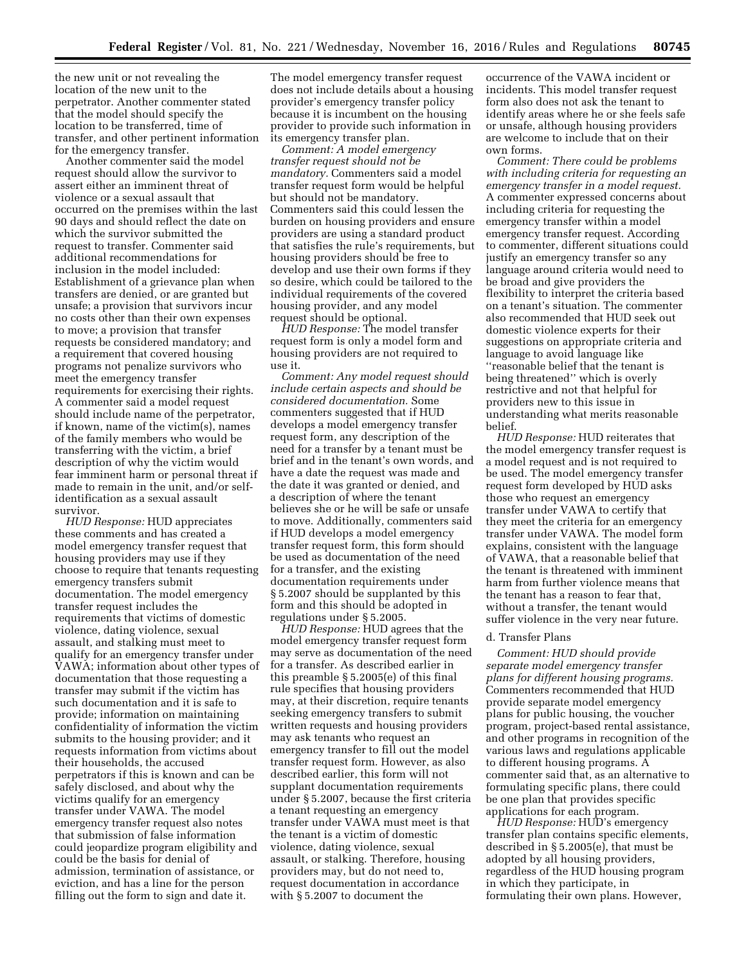the new unit or not revealing the location of the new unit to the perpetrator. Another commenter stated that the model should specify the location to be transferred, time of transfer, and other pertinent information for the emergency transfer.

Another commenter said the model request should allow the survivor to assert either an imminent threat of violence or a sexual assault that occurred on the premises within the last 90 days and should reflect the date on which the survivor submitted the request to transfer. Commenter said additional recommendations for inclusion in the model included: Establishment of a grievance plan when transfers are denied, or are granted but unsafe; a provision that survivors incur no costs other than their own expenses to move; a provision that transfer requests be considered mandatory; and a requirement that covered housing programs not penalize survivors who meet the emergency transfer requirements for exercising their rights. A commenter said a model request should include name of the perpetrator, if known, name of the victim(s), names of the family members who would be transferring with the victim, a brief description of why the victim would fear imminent harm or personal threat if made to remain in the unit, and/or selfidentification as a sexual assault survivor.

*HUD Response:* HUD appreciates these comments and has created a model emergency transfer request that housing providers may use if they choose to require that tenants requesting emergency transfers submit documentation. The model emergency transfer request includes the requirements that victims of domestic violence, dating violence, sexual assault, and stalking must meet to qualify for an emergency transfer under VAWA; information about other types of documentation that those requesting a transfer may submit if the victim has such documentation and it is safe to provide; information on maintaining confidentiality of information the victim submits to the housing provider; and it requests information from victims about their households, the accused perpetrators if this is known and can be safely disclosed, and about why the victims qualify for an emergency transfer under VAWA. The model emergency transfer request also notes that submission of false information could jeopardize program eligibility and could be the basis for denial of admission, termination of assistance, or eviction, and has a line for the person filling out the form to sign and date it.

The model emergency transfer request does not include details about a housing provider's emergency transfer policy because it is incumbent on the housing provider to provide such information in its emergency transfer plan.

*Comment: A model emergency transfer request should not be mandatory.* Commenters said a model transfer request form would be helpful but should not be mandatory. Commenters said this could lessen the burden on housing providers and ensure providers are using a standard product that satisfies the rule's requirements, but housing providers should be free to develop and use their own forms if they so desire, which could be tailored to the individual requirements of the covered housing provider, and any model request should be optional.

*HUD Response:* The model transfer request form is only a model form and housing providers are not required to use it.

*Comment: Any model request should include certain aspects and should be considered documentation.* Some commenters suggested that if HUD develops a model emergency transfer request form, any description of the need for a transfer by a tenant must be brief and in the tenant's own words, and have a date the request was made and the date it was granted or denied, and a description of where the tenant believes she or he will be safe or unsafe to move. Additionally, commenters said if HUD develops a model emergency transfer request form, this form should be used as documentation of the need for a transfer, and the existing documentation requirements under § 5.2007 should be supplanted by this form and this should be adopted in regulations under § 5.2005.

*HUD Response:* HUD agrees that the model emergency transfer request form may serve as documentation of the need for a transfer. As described earlier in this preamble § 5.2005(e) of this final rule specifies that housing providers may, at their discretion, require tenants seeking emergency transfers to submit written requests and housing providers may ask tenants who request an emergency transfer to fill out the model transfer request form. However, as also described earlier, this form will not supplant documentation requirements under § 5.2007, because the first criteria a tenant requesting an emergency transfer under VAWA must meet is that the tenant is a victim of domestic violence, dating violence, sexual assault, or stalking. Therefore, housing providers may, but do not need to, request documentation in accordance with § 5.2007 to document the

occurrence of the VAWA incident or incidents. This model transfer request form also does not ask the tenant to identify areas where he or she feels safe or unsafe, although housing providers are welcome to include that on their own forms.

*Comment: There could be problems with including criteria for requesting an emergency transfer in a model request.*  A commenter expressed concerns about including criteria for requesting the emergency transfer within a model emergency transfer request. According to commenter, different situations could justify an emergency transfer so any language around criteria would need to be broad and give providers the flexibility to interpret the criteria based on a tenant's situation. The commenter also recommended that HUD seek out domestic violence experts for their suggestions on appropriate criteria and language to avoid language like ''reasonable belief that the tenant is being threatened'' which is overly restrictive and not that helpful for providers new to this issue in understanding what merits reasonable belief.

*HUD Response:* HUD reiterates that the model emergency transfer request is a model request and is not required to be used. The model emergency transfer request form developed by HUD asks those who request an emergency transfer under VAWA to certify that they meet the criteria for an emergency transfer under VAWA. The model form explains, consistent with the language of VAWA, that a reasonable belief that the tenant is threatened with imminent harm from further violence means that the tenant has a reason to fear that, without a transfer, the tenant would suffer violence in the very near future.

### d. Transfer Plans

*Comment: HUD should provide separate model emergency transfer plans for different housing programs.*  Commenters recommended that HUD provide separate model emergency plans for public housing, the voucher program, project-based rental assistance, and other programs in recognition of the various laws and regulations applicable to different housing programs. A commenter said that, as an alternative to formulating specific plans, there could be one plan that provides specific applications for each program.

*HUD Response:* HUD's emergency transfer plan contains specific elements, described in § 5.2005(e), that must be adopted by all housing providers, regardless of the HUD housing program in which they participate, in formulating their own plans. However,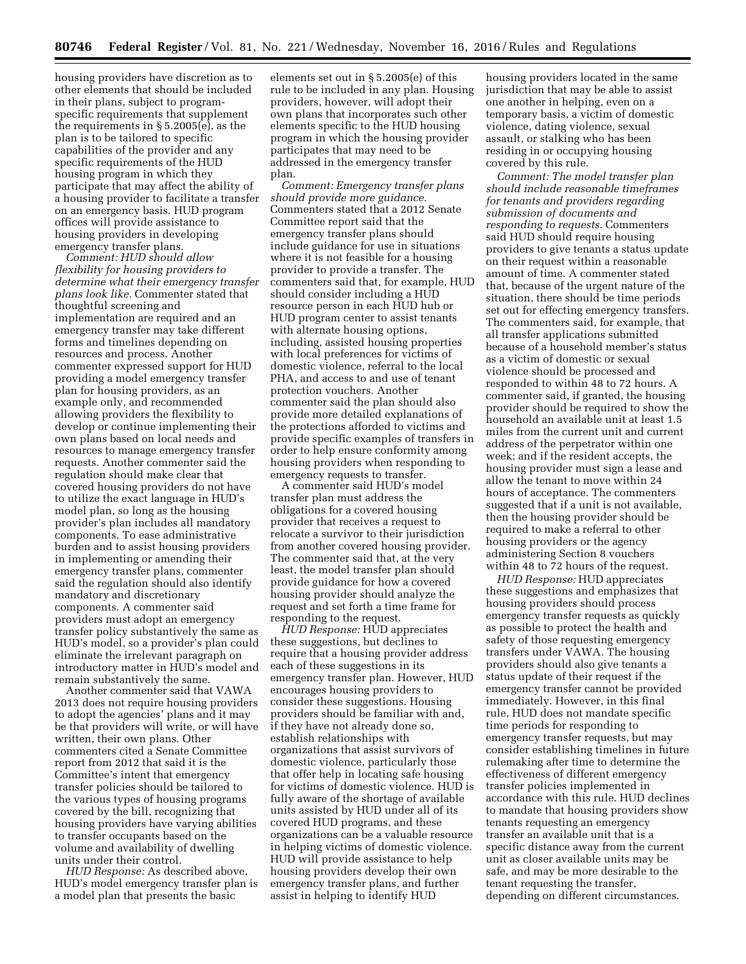housing providers have discretion as to other elements that should be included in their plans, subject to programspecific requirements that supplement the requirements in § 5.2005(e), as the plan is to be tailored to specific capabilities of the provider and any specific requirements of the HUD housing program in which they participate that may affect the ability of a housing provider to facilitate a transfer on an emergency basis. HUD program offices will provide assistance to housing providers in developing emergency transfer plans.

*Comment: HUD should allow flexibility for housing providers to determine what their emergency transfer plans look like.* Commenter stated that thoughtful screening and implementation are required and an emergency transfer may take different forms and timelines depending on resources and process. Another commenter expressed support for HUD providing a model emergency transfer plan for housing providers, as an example only, and recommended allowing providers the flexibility to develop or continue implementing their own plans based on local needs and resources to manage emergency transfer requests. Another commenter said the regulation should make clear that covered housing providers do not have to utilize the exact language in HUD's model plan, so long as the housing provider's plan includes all mandatory components. To ease administrative burden and to assist housing providers in implementing or amending their emergency transfer plans, commenter said the regulation should also identify mandatory and discretionary components. A commenter said providers must adopt an emergency transfer policy substantively the same as HUD's model, so a provider's plan could eliminate the irrelevant paragraph on introductory matter in HUD's model and remain substantively the same.

Another commenter said that VAWA 2013 does not require housing providers to adopt the agencies' plans and it may be that providers will write, or will have written, their own plans. Other commenters cited a Senate Committee report from 2012 that said it is the Committee's intent that emergency transfer policies should be tailored to the various types of housing programs covered by the bill, recognizing that housing providers have varying abilities to transfer occupants based on the volume and availability of dwelling units under their control.

*HUD Response:* As described above, HUD's model emergency transfer plan is a model plan that presents the basic

elements set out in § 5.2005(e) of this rule to be included in any plan. Housing providers, however, will adopt their own plans that incorporates such other elements specific to the HUD housing program in which the housing provider participates that may need to be addressed in the emergency transfer plan.

*Comment: Emergency transfer plans should provide more guidance.*  Commenters stated that a 2012 Senate Committee report said that the emergency transfer plans should include guidance for use in situations where it is not feasible for a housing provider to provide a transfer. The commenters said that, for example, HUD should consider including a HUD resource person in each HUD hub or HUD program center to assist tenants with alternate housing options, including, assisted housing properties with local preferences for victims of domestic violence, referral to the local PHA, and access to and use of tenant protection vouchers. Another commenter said the plan should also provide more detailed explanations of the protections afforded to victims and provide specific examples of transfers in order to help ensure conformity among housing providers when responding to emergency requests to transfer.

A commenter said HUD's model transfer plan must address the obligations for a covered housing provider that receives a request to relocate a survivor to their jurisdiction from another covered housing provider. The commenter said that, at the very least, the model transfer plan should provide guidance for how a covered housing provider should analyze the request and set forth a time frame for responding to the request.

*HUD Response:* HUD appreciates these suggestions, but declines to require that a housing provider address each of these suggestions in its emergency transfer plan. However, HUD encourages housing providers to consider these suggestions. Housing providers should be familiar with and, if they have not already done so, establish relationships with organizations that assist survivors of domestic violence, particularly those that offer help in locating safe housing for victims of domestic violence. HUD is fully aware of the shortage of available units assisted by HUD under all of its covered HUD programs, and these organizations can be a valuable resource in helping victims of domestic violence. HUD will provide assistance to help housing providers develop their own emergency transfer plans, and further assist in helping to identify HUD

housing providers located in the same jurisdiction that may be able to assist one another in helping, even on a temporary basis, a victim of domestic violence, dating violence, sexual assault, or stalking who has been residing in or occupying housing covered by this rule.

*Comment: The model transfer plan should include reasonable timeframes for tenants and providers regarding submission of documents and responding to requests.* Commenters said HUD should require housing providers to give tenants a status update on their request within a reasonable amount of time. A commenter stated that, because of the urgent nature of the situation, there should be time periods set out for effecting emergency transfers. The commenters said, for example, that all transfer applications submitted because of a household member's status as a victim of domestic or sexual violence should be processed and responded to within 48 to 72 hours. A commenter said, if granted, the housing provider should be required to show the household an available unit at least 1.5 miles from the current unit and current address of the perpetrator within one week; and if the resident accepts, the housing provider must sign a lease and allow the tenant to move within 24 hours of acceptance. The commenters suggested that if a unit is not available, then the housing provider should be required to make a referral to other housing providers or the agency administering Section 8 vouchers within 48 to 72 hours of the request.

*HUD Response:* HUD appreciates these suggestions and emphasizes that housing providers should process emergency transfer requests as quickly as possible to protect the health and safety of those requesting emergency transfers under VAWA. The housing providers should also give tenants a status update of their request if the emergency transfer cannot be provided immediately. However, in this final rule, HUD does not mandate specific time periods for responding to emergency transfer requests, but may consider establishing timelines in future rulemaking after time to determine the effectiveness of different emergency transfer policies implemented in accordance with this rule. HUD declines to mandate that housing providers show tenants requesting an emergency transfer an available unit that is a specific distance away from the current unit as closer available units may be safe, and may be more desirable to the tenant requesting the transfer, depending on different circumstances.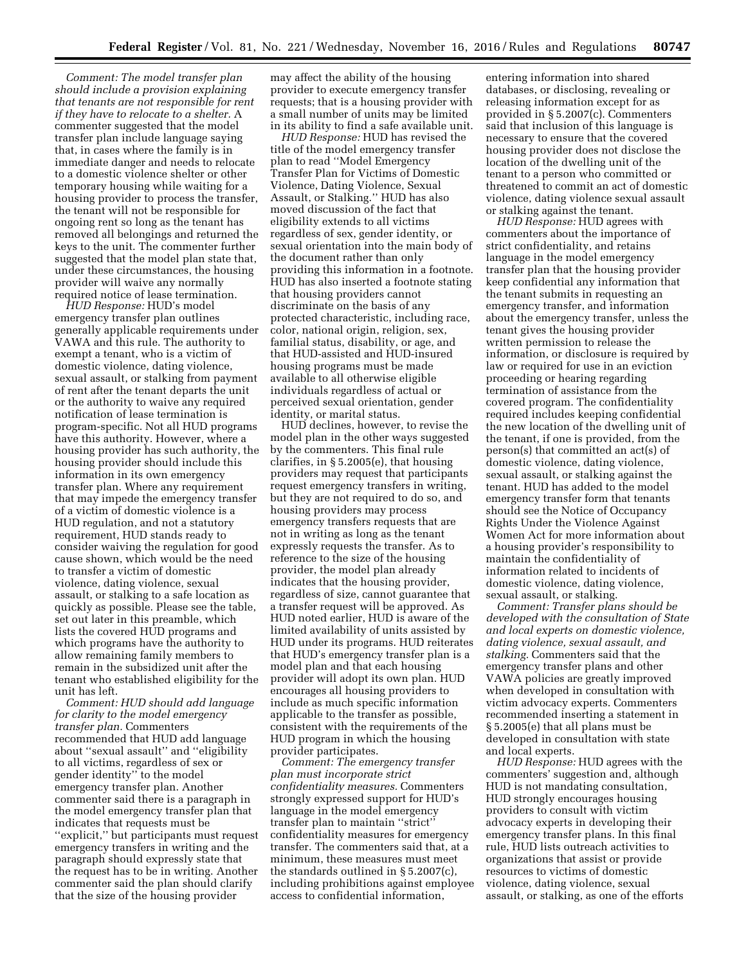*Comment: The model transfer plan should include a provision explaining that tenants are not responsible for rent if they have to relocate to a shelter.* A commenter suggested that the model transfer plan include language saying that, in cases where the family is in immediate danger and needs to relocate to a domestic violence shelter or other temporary housing while waiting for a housing provider to process the transfer, the tenant will not be responsible for ongoing rent so long as the tenant has removed all belongings and returned the keys to the unit. The commenter further suggested that the model plan state that, under these circumstances, the housing provider will waive any normally required notice of lease termination.

*HUD Response:* HUD's model emergency transfer plan outlines generally applicable requirements under VAWA and this rule. The authority to exempt a tenant, who is a victim of domestic violence, dating violence, sexual assault, or stalking from payment of rent after the tenant departs the unit or the authority to waive any required notification of lease termination is program-specific. Not all HUD programs have this authority. However, where a housing provider has such authority, the housing provider should include this information in its own emergency transfer plan. Where any requirement that may impede the emergency transfer of a victim of domestic violence is a HUD regulation, and not a statutory requirement, HUD stands ready to consider waiving the regulation for good cause shown, which would be the need to transfer a victim of domestic violence, dating violence, sexual assault, or stalking to a safe location as quickly as possible. Please see the table, set out later in this preamble, which lists the covered HUD programs and which programs have the authority to allow remaining family members to remain in the subsidized unit after the tenant who established eligibility for the unit has left.

*Comment: HUD should add language for clarity to the model emergency transfer plan.* Commenters recommended that HUD add language about ''sexual assault'' and ''eligibility to all victims, regardless of sex or gender identity'' to the model emergency transfer plan. Another commenter said there is a paragraph in the model emergency transfer plan that indicates that requests must be ''explicit,'' but participants must request emergency transfers in writing and the paragraph should expressly state that the request has to be in writing. Another commenter said the plan should clarify that the size of the housing provider

may affect the ability of the housing provider to execute emergency transfer requests; that is a housing provider with a small number of units may be limited in its ability to find a safe available unit.

*HUD Response:* HUD has revised the title of the model emergency transfer plan to read ''Model Emergency Transfer Plan for Victims of Domestic Violence, Dating Violence, Sexual Assault, or Stalking.'' HUD has also moved discussion of the fact that eligibility extends to all victims regardless of sex, gender identity, or sexual orientation into the main body of the document rather than only providing this information in a footnote. HUD has also inserted a footnote stating that housing providers cannot discriminate on the basis of any protected characteristic, including race, color, national origin, religion, sex, familial status, disability, or age, and that HUD-assisted and HUD-insured housing programs must be made available to all otherwise eligible individuals regardless of actual or perceived sexual orientation, gender identity, or marital status.

HUD declines, however, to revise the model plan in the other ways suggested by the commenters. This final rule clarifies, in § 5.2005(e), that housing providers may request that participants request emergency transfers in writing, but they are not required to do so, and housing providers may process emergency transfers requests that are not in writing as long as the tenant expressly requests the transfer. As to reference to the size of the housing provider, the model plan already indicates that the housing provider, regardless of size, cannot guarantee that a transfer request will be approved. As HUD noted earlier, HUD is aware of the limited availability of units assisted by HUD under its programs. HUD reiterates that HUD's emergency transfer plan is a model plan and that each housing provider will adopt its own plan. HUD encourages all housing providers to include as much specific information applicable to the transfer as possible, consistent with the requirements of the HUD program in which the housing provider participates.

*Comment: The emergency transfer plan must incorporate strict confidentiality measures.* Commenters strongly expressed support for HUD's language in the model emergency transfer plan to maintain ''strict'' confidentiality measures for emergency transfer. The commenters said that, at a minimum, these measures must meet the standards outlined in § 5.2007(c), including prohibitions against employee access to confidential information,

entering information into shared databases, or disclosing, revealing or releasing information except for as provided in § 5.2007(c). Commenters said that inclusion of this language is necessary to ensure that the covered housing provider does not disclose the location of the dwelling unit of the tenant to a person who committed or threatened to commit an act of domestic violence, dating violence sexual assault or stalking against the tenant.

*HUD Response:* HUD agrees with commenters about the importance of strict confidentiality, and retains language in the model emergency transfer plan that the housing provider keep confidential any information that the tenant submits in requesting an emergency transfer, and information about the emergency transfer, unless the tenant gives the housing provider written permission to release the information, or disclosure is required by law or required for use in an eviction proceeding or hearing regarding termination of assistance from the covered program. The confidentiality required includes keeping confidential the new location of the dwelling unit of the tenant, if one is provided, from the person(s) that committed an act(s) of domestic violence, dating violence, sexual assault, or stalking against the tenant. HUD has added to the model emergency transfer form that tenants should see the Notice of Occupancy Rights Under the Violence Against Women Act for more information about a housing provider's responsibility to maintain the confidentiality of information related to incidents of domestic violence, dating violence, sexual assault, or stalking.

*Comment: Transfer plans should be developed with the consultation of State and local experts on domestic violence, dating violence, sexual assault, and stalking.* Commenters said that the emergency transfer plans and other VAWA policies are greatly improved when developed in consultation with victim advocacy experts. Commenters recommended inserting a statement in § 5.2005(e) that all plans must be developed in consultation with state and local experts.

*HUD Response:* HUD agrees with the commenters' suggestion and, although HUD is not mandating consultation, HUD strongly encourages housing providers to consult with victim advocacy experts in developing their emergency transfer plans. In this final rule, HUD lists outreach activities to organizations that assist or provide resources to victims of domestic violence, dating violence, sexual assault, or stalking, as one of the efforts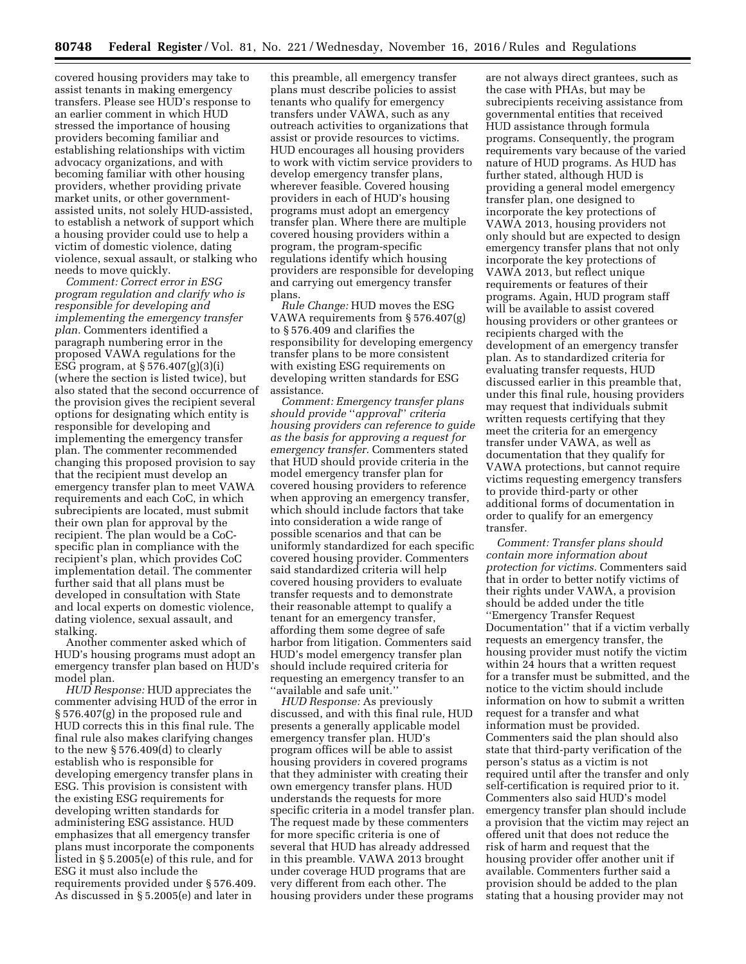covered housing providers may take to assist tenants in making emergency transfers. Please see HUD's response to an earlier comment in which HUD stressed the importance of housing providers becoming familiar and establishing relationships with victim advocacy organizations, and with becoming familiar with other housing providers, whether providing private market units, or other governmentassisted units, not solely HUD-assisted, to establish a network of support which a housing provider could use to help a victim of domestic violence, dating violence, sexual assault, or stalking who needs to move quickly.

*Comment: Correct error in ESG program regulation and clarify who is responsible for developing and implementing the emergency transfer plan.* Commenters identified a paragraph numbering error in the proposed VAWA regulations for the ESG program, at  $\S 576.407(g)(3)(i)$ (where the section is listed twice), but also stated that the second occurrence of the provision gives the recipient several options for designating which entity is responsible for developing and implementing the emergency transfer plan. The commenter recommended changing this proposed provision to say that the recipient must develop an emergency transfer plan to meet VAWA requirements and each CoC, in which subrecipients are located, must submit their own plan for approval by the recipient. The plan would be a CoCspecific plan in compliance with the recipient's plan, which provides CoC implementation detail. The commenter further said that all plans must be developed in consultation with State and local experts on domestic violence, dating violence, sexual assault, and stalking.

Another commenter asked which of HUD's housing programs must adopt an emergency transfer plan based on HUD's model plan.

*HUD Response:* HUD appreciates the commenter advising HUD of the error in § 576.407(g) in the proposed rule and HUD corrects this in this final rule. The final rule also makes clarifying changes to the new § 576.409(d) to clearly establish who is responsible for developing emergency transfer plans in ESG. This provision is consistent with the existing ESG requirements for developing written standards for administering ESG assistance. HUD emphasizes that all emergency transfer plans must incorporate the components listed in § 5.2005(e) of this rule, and for ESG it must also include the requirements provided under § 576.409. As discussed in § 5.2005(e) and later in

this preamble, all emergency transfer plans must describe policies to assist tenants who qualify for emergency transfers under VAWA, such as any outreach activities to organizations that assist or provide resources to victims. HUD encourages all housing providers to work with victim service providers to develop emergency transfer plans, wherever feasible. Covered housing providers in each of HUD's housing programs must adopt an emergency transfer plan. Where there are multiple covered housing providers within a program, the program-specific regulations identify which housing providers are responsible for developing and carrying out emergency transfer plans.

*Rule Change:* HUD moves the ESG VAWA requirements from § 576.407(g) to § 576.409 and clarifies the responsibility for developing emergency transfer plans to be more consistent with existing ESG requirements on developing written standards for ESG assistance.

*Comment: Emergency transfer plans should provide* ''*approval*'' *criteria housing providers can reference to guide as the basis for approving a request for emergency transfer.* Commenters stated that HUD should provide criteria in the model emergency transfer plan for covered housing providers to reference when approving an emergency transfer, which should include factors that take into consideration a wide range of possible scenarios and that can be uniformly standardized for each specific covered housing provider. Commenters said standardized criteria will help covered housing providers to evaluate transfer requests and to demonstrate their reasonable attempt to qualify a tenant for an emergency transfer, affording them some degree of safe harbor from litigation. Commenters said HUD's model emergency transfer plan should include required criteria for requesting an emergency transfer to an ''available and safe unit.''

*HUD Response:* As previously discussed, and with this final rule, HUD presents a generally applicable model emergency transfer plan. HUD's program offices will be able to assist housing providers in covered programs that they administer with creating their own emergency transfer plans. HUD understands the requests for more specific criteria in a model transfer plan. The request made by these commenters for more specific criteria is one of several that HUD has already addressed in this preamble. VAWA 2013 brought under coverage HUD programs that are very different from each other. The housing providers under these programs are not always direct grantees, such as the case with PHAs, but may be subrecipients receiving assistance from governmental entities that received HUD assistance through formula programs. Consequently, the program requirements vary because of the varied nature of HUD programs. As HUD has further stated, although HUD is providing a general model emergency transfer plan, one designed to incorporate the key protections of VAWA 2013, housing providers not only should but are expected to design emergency transfer plans that not only incorporate the key protections of VAWA 2013, but reflect unique requirements or features of their programs. Again, HUD program staff will be available to assist covered housing providers or other grantees or recipients charged with the development of an emergency transfer plan. As to standardized criteria for evaluating transfer requests, HUD discussed earlier in this preamble that, under this final rule, housing providers may request that individuals submit written requests certifying that they meet the criteria for an emergency transfer under VAWA, as well as documentation that they qualify for VAWA protections, but cannot require victims requesting emergency transfers to provide third-party or other additional forms of documentation in order to qualify for an emergency transfer.

*Comment: Transfer plans should contain more information about protection for victims.* Commenters said that in order to better notify victims of their rights under VAWA, a provision should be added under the title ''Emergency Transfer Request Documentation'' that if a victim verbally requests an emergency transfer, the housing provider must notify the victim within 24 hours that a written request for a transfer must be submitted, and the notice to the victim should include information on how to submit a written request for a transfer and what information must be provided. Commenters said the plan should also state that third-party verification of the person's status as a victim is not required until after the transfer and only self-certification is required prior to it. Commenters also said HUD's model emergency transfer plan should include a provision that the victim may reject an offered unit that does not reduce the risk of harm and request that the housing provider offer another unit if available. Commenters further said a provision should be added to the plan stating that a housing provider may not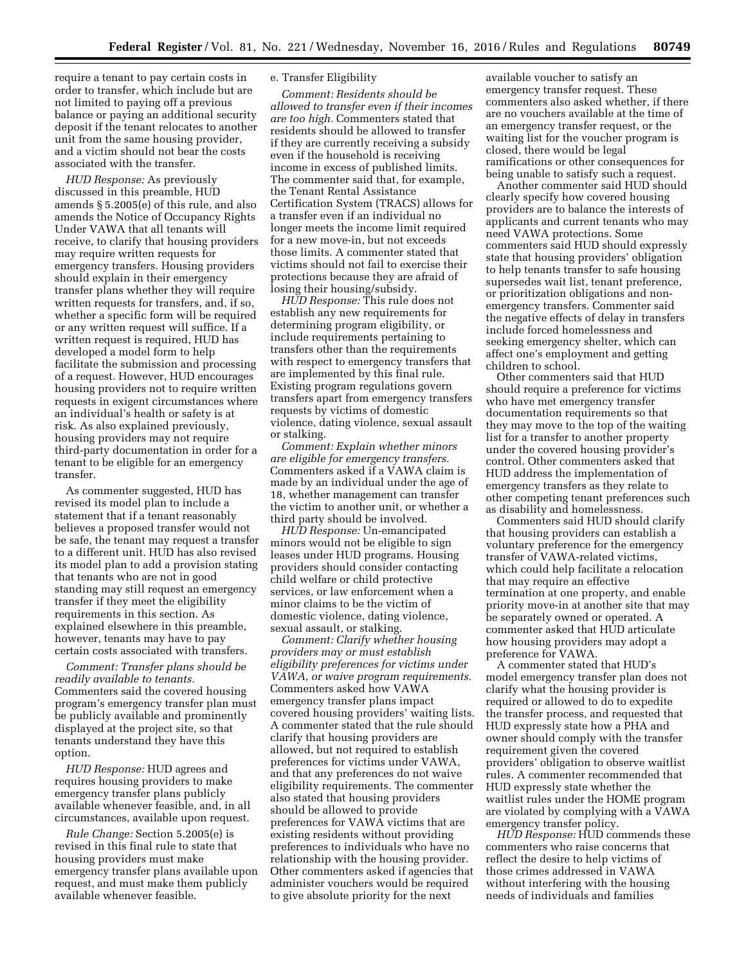require a tenant to pay certain costs in order to transfer, which include but are not limited to paying off a previous balance or paying an additional security deposit if the tenant relocates to another unit from the same housing provider, and a victim should not bear the costs associated with the transfer.

*HUD Response:* As previously discussed in this preamble, HUD amends § 5.2005(e) of this rule, and also amends the Notice of Occupancy Rights Under VAWA that all tenants will receive, to clarify that housing providers may require written requests for emergency transfers. Housing providers should explain in their emergency transfer plans whether they will require written requests for transfers, and, if so, whether a specific form will be required or any written request will suffice. If a written request is required, HUD has developed a model form to help facilitate the submission and processing of a request. However, HUD encourages housing providers not to require written requests in exigent circumstances where an individual's health or safety is at risk. As also explained previously, housing providers may not require third-party documentation in order for a tenant to be eligible for an emergency transfer.

As commenter suggested, HUD has revised its model plan to include a statement that if a tenant reasonably believes a proposed transfer would not be safe, the tenant may request a transfer to a different unit. HUD has also revised its model plan to add a provision stating that tenants who are not in good standing may still request an emergency transfer if they meet the eligibility requirements in this section. As explained elsewhere in this preamble, however, tenants may have to pay certain costs associated with transfers.

*Comment: Transfer plans should be readily available to tenants.*  Commenters said the covered housing program's emergency transfer plan must be publicly available and prominently displayed at the project site, so that tenants understand they have this option.

*HUD Response:* HUD agrees and requires housing providers to make emergency transfer plans publicly available whenever feasible, and, in all circumstances, available upon request.

*Rule Change:* Section 5.2005(e) is revised in this final rule to state that housing providers must make emergency transfer plans available upon request, and must make them publicly available whenever feasible.

# e. Transfer Eligibility

*Comment: Residents should be allowed to transfer even if their incomes are too high.* Commenters stated that residents should be allowed to transfer if they are currently receiving a subsidy even if the household is receiving income in excess of published limits. The commenter said that, for example, the Tenant Rental Assistance Certification System (TRACS) allows for a transfer even if an individual no longer meets the income limit required for a new move-in, but not exceeds those limits. A commenter stated that victims should not fail to exercise their protections because they are afraid of losing their housing/subsidy.

*HUD Response:* This rule does not establish any new requirements for determining program eligibility, or include requirements pertaining to transfers other than the requirements with respect to emergency transfers that are implemented by this final rule. Existing program regulations govern transfers apart from emergency transfers requests by victims of domestic violence, dating violence, sexual assault or stalking.

*Comment: Explain whether minors are eligible for emergency transfers.*  Commenters asked if a VAWA claim is made by an individual under the age of 18, whether management can transfer the victim to another unit, or whether a third party should be involved.

*HUD Response:* Un-emancipated minors would not be eligible to sign leases under HUD programs. Housing providers should consider contacting child welfare or child protective services, or law enforcement when a minor claims to be the victim of domestic violence, dating violence, sexual assault, or stalking.

*Comment: Clarify whether housing providers may or must establish eligibility preferences for victims under VAWA, or waive program requirements.*  Commenters asked how VAWA emergency transfer plans impact covered housing providers' waiting lists. A commenter stated that the rule should clarify that housing providers are allowed, but not required to establish preferences for victims under VAWA, and that any preferences do not waive eligibility requirements. The commenter also stated that housing providers should be allowed to provide preferences for VAWA victims that are existing residents without providing preferences to individuals who have no relationship with the housing provider. Other commenters asked if agencies that administer vouchers would be required to give absolute priority for the next

available voucher to satisfy an emergency transfer request. These commenters also asked whether, if there are no vouchers available at the time of an emergency transfer request, or the waiting list for the voucher program is closed, there would be legal ramifications or other consequences for being unable to satisfy such a request.

Another commenter said HUD should clearly specify how covered housing providers are to balance the interests of applicants and current tenants who may need VAWA protections. Some commenters said HUD should expressly state that housing providers' obligation to help tenants transfer to safe housing supersedes wait list, tenant preference, or prioritization obligations and nonemergency transfers. Commenter said the negative effects of delay in transfers include forced homelessness and seeking emergency shelter, which can affect one's employment and getting children to school.

Other commenters said that HUD should require a preference for victims who have met emergency transfer documentation requirements so that they may move to the top of the waiting list for a transfer to another property under the covered housing provider's control. Other commenters asked that HUD address the implementation of emergency transfers as they relate to other competing tenant preferences such as disability and homelessness.

Commenters said HUD should clarify that housing providers can establish a voluntary preference for the emergency transfer of VAWA-related victims, which could help facilitate a relocation that may require an effective termination at one property, and enable priority move-in at another site that may be separately owned or operated. A commenter asked that HUD articulate how housing providers may adopt a preference for VAWA.

A commenter stated that HUD's model emergency transfer plan does not clarify what the housing provider is required or allowed to do to expedite the transfer process, and requested that HUD expressly state how a PHA and owner should comply with the transfer requirement given the covered providers' obligation to observe waitlist rules. A commenter recommended that HUD expressly state whether the waitlist rules under the HOME program are violated by complying with a VAWA emergency transfer policy.

*HUD Response:* HUD commends these commenters who raise concerns that reflect the desire to help victims of those crimes addressed in VAWA without interfering with the housing needs of individuals and families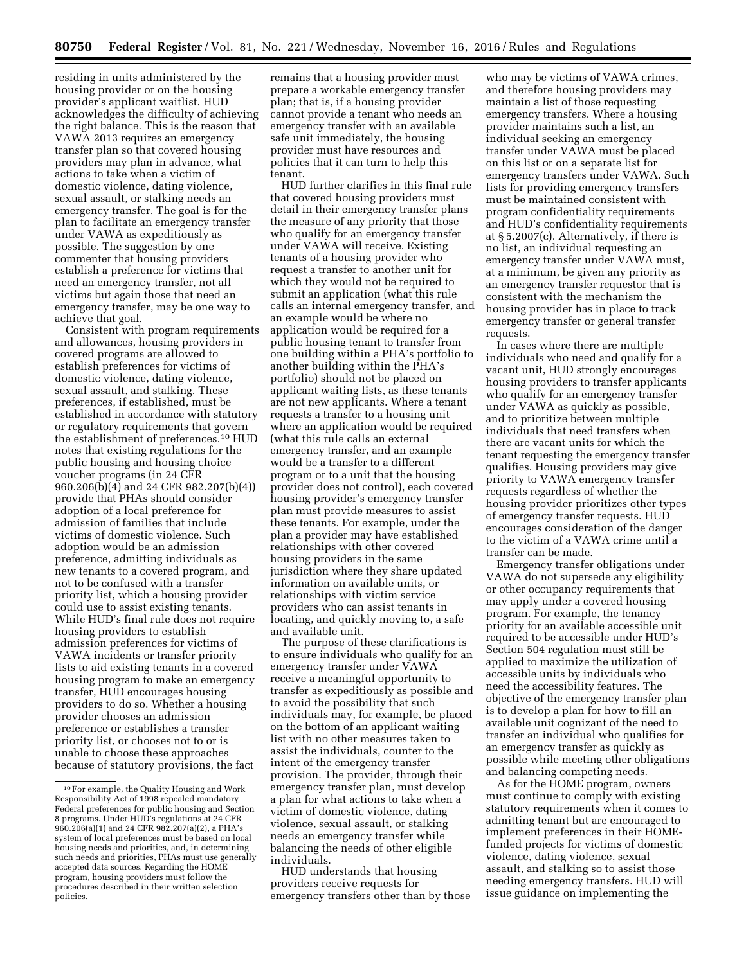residing in units administered by the housing provider or on the housing provider's applicant waitlist. HUD acknowledges the difficulty of achieving the right balance. This is the reason that VAWA 2013 requires an emergency transfer plan so that covered housing providers may plan in advance, what actions to take when a victim of domestic violence, dating violence, sexual assault, or stalking needs an emergency transfer. The goal is for the plan to facilitate an emergency transfer under VAWA as expeditiously as possible. The suggestion by one commenter that housing providers establish a preference for victims that need an emergency transfer, not all victims but again those that need an emergency transfer, may be one way to achieve that goal.

Consistent with program requirements and allowances, housing providers in covered programs are allowed to establish preferences for victims of domestic violence, dating violence, sexual assault, and stalking. These preferences, if established, must be established in accordance with statutory or regulatory requirements that govern the establishment of preferences.10 HUD notes that existing regulations for the public housing and housing choice voucher programs (in 24 CFR 960.206(b)(4) and 24 CFR 982.207(b)(4)) provide that PHAs should consider adoption of a local preference for admission of families that include victims of domestic violence. Such adoption would be an admission preference, admitting individuals as new tenants to a covered program, and not to be confused with a transfer priority list, which a housing provider could use to assist existing tenants. While HUD's final rule does not require housing providers to establish admission preferences for victims of VAWA incidents or transfer priority lists to aid existing tenants in a covered housing program to make an emergency transfer, HUD encourages housing providers to do so. Whether a housing provider chooses an admission preference or establishes a transfer priority list, or chooses not to or is unable to choose these approaches because of statutory provisions, the fact

remains that a housing provider must prepare a workable emergency transfer plan; that is, if a housing provider cannot provide a tenant who needs an emergency transfer with an available safe unit immediately, the housing provider must have resources and policies that it can turn to help this tenant.

HUD further clarifies in this final rule that covered housing providers must detail in their emergency transfer plans the measure of any priority that those who qualify for an emergency transfer under VAWA will receive. Existing tenants of a housing provider who request a transfer to another unit for which they would not be required to submit an application (what this rule calls an internal emergency transfer, and an example would be where no application would be required for a public housing tenant to transfer from one building within a PHA's portfolio to another building within the PHA's portfolio) should not be placed on applicant waiting lists, as these tenants are not new applicants. Where a tenant requests a transfer to a housing unit where an application would be required (what this rule calls an external emergency transfer, and an example would be a transfer to a different program or to a unit that the housing provider does not control), each covered housing provider's emergency transfer plan must provide measures to assist these tenants. For example, under the plan a provider may have established relationships with other covered housing providers in the same jurisdiction where they share updated information on available units, or relationships with victim service providers who can assist tenants in locating, and quickly moving to, a safe and available unit.

The purpose of these clarifications is to ensure individuals who qualify for an emergency transfer under VAWA receive a meaningful opportunity to transfer as expeditiously as possible and to avoid the possibility that such individuals may, for example, be placed on the bottom of an applicant waiting list with no other measures taken to assist the individuals, counter to the intent of the emergency transfer provision. The provider, through their emergency transfer plan, must develop a plan for what actions to take when a victim of domestic violence, dating violence, sexual assault, or stalking needs an emergency transfer while balancing the needs of other eligible individuals.

HUD understands that housing providers receive requests for emergency transfers other than by those

who may be victims of VAWA crimes, and therefore housing providers may maintain a list of those requesting emergency transfers. Where a housing provider maintains such a list, an individual seeking an emergency transfer under VAWA must be placed on this list or on a separate list for emergency transfers under VAWA. Such lists for providing emergency transfers must be maintained consistent with program confidentiality requirements and HUD's confidentiality requirements at § 5.2007(c). Alternatively, if there is no list, an individual requesting an emergency transfer under VAWA must, at a minimum, be given any priority as an emergency transfer requestor that is consistent with the mechanism the housing provider has in place to track emergency transfer or general transfer requests.

In cases where there are multiple individuals who need and qualify for a vacant unit, HUD strongly encourages housing providers to transfer applicants who qualify for an emergency transfer under VAWA as quickly as possible, and to prioritize between multiple individuals that need transfers when there are vacant units for which the tenant requesting the emergency transfer qualifies. Housing providers may give priority to VAWA emergency transfer requests regardless of whether the housing provider prioritizes other types of emergency transfer requests. HUD encourages consideration of the danger to the victim of a VAWA crime until a transfer can be made.

Emergency transfer obligations under VAWA do not supersede any eligibility or other occupancy requirements that may apply under a covered housing program. For example, the tenancy priority for an available accessible unit required to be accessible under HUD's Section 504 regulation must still be applied to maximize the utilization of accessible units by individuals who need the accessibility features. The objective of the emergency transfer plan is to develop a plan for how to fill an available unit cognizant of the need to transfer an individual who qualifies for an emergency transfer as quickly as possible while meeting other obligations and balancing competing needs.

As for the HOME program, owners must continue to comply with existing statutory requirements when it comes to admitting tenant but are encouraged to implement preferences in their HOMEfunded projects for victims of domestic violence, dating violence, sexual assault, and stalking so to assist those needing emergency transfers. HUD will issue guidance on implementing the

<sup>10</sup>For example, the Quality Housing and Work Responsibility Act of 1998 repealed mandatory Federal preferences for public housing and Section 8 programs. Under HUD's regulations at 24 CFR 960.206(a)(1) and 24 CFR 982.207(a)(2), a PHA's system of local preferences must be based on local housing needs and priorities, and, in determining such needs and priorities, PHAs must use generally accepted data sources. Regarding the HOME program, housing providers must follow the procedures described in their written selection policies.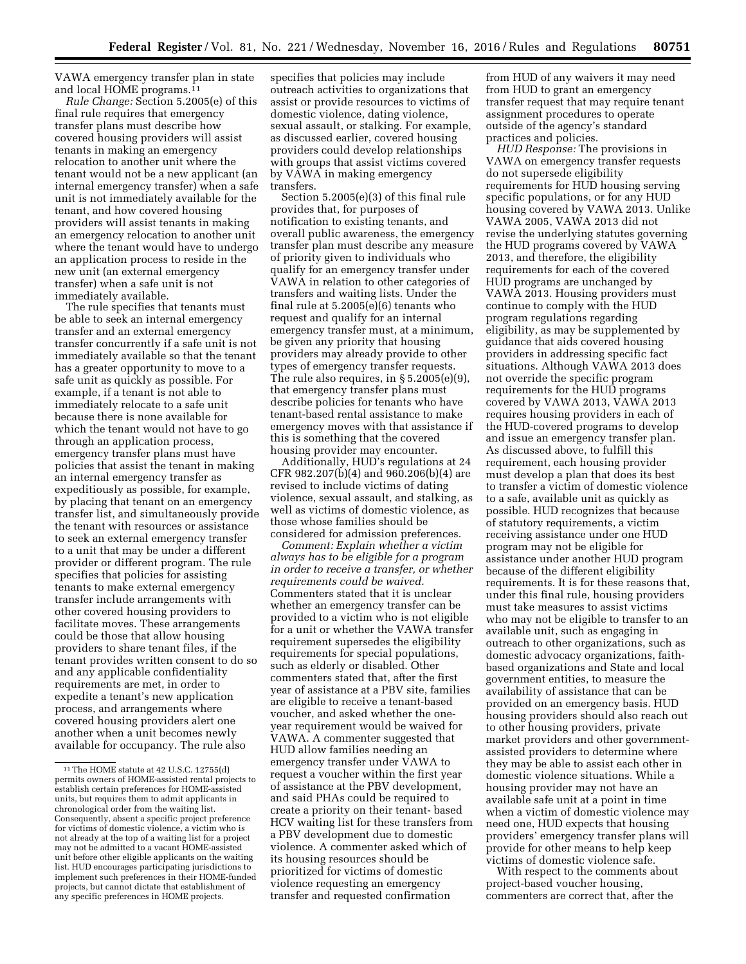VAWA emergency transfer plan in state and local HOME programs.11

*Rule Change:* Section 5.2005(e) of this final rule requires that emergency transfer plans must describe how covered housing providers will assist tenants in making an emergency relocation to another unit where the tenant would not be a new applicant (an internal emergency transfer) when a safe unit is not immediately available for the tenant, and how covered housing providers will assist tenants in making an emergency relocation to another unit where the tenant would have to undergo an application process to reside in the new unit (an external emergency transfer) when a safe unit is not immediately available.

The rule specifies that tenants must be able to seek an internal emergency transfer and an external emergency transfer concurrently if a safe unit is not immediately available so that the tenant has a greater opportunity to move to a safe unit as quickly as possible. For example, if a tenant is not able to immediately relocate to a safe unit because there is none available for which the tenant would not have to go through an application process, emergency transfer plans must have policies that assist the tenant in making an internal emergency transfer as expeditiously as possible, for example, by placing that tenant on an emergency transfer list, and simultaneously provide the tenant with resources or assistance to seek an external emergency transfer to a unit that may be under a different provider or different program. The rule specifies that policies for assisting tenants to make external emergency transfer include arrangements with other covered housing providers to facilitate moves. These arrangements could be those that allow housing providers to share tenant files, if the tenant provides written consent to do so and any applicable confidentiality requirements are met, in order to expedite a tenant's new application process, and arrangements where covered housing providers alert one another when a unit becomes newly available for occupancy. The rule also

specifies that policies may include outreach activities to organizations that assist or provide resources to victims of domestic violence, dating violence, sexual assault, or stalking. For example, as discussed earlier, covered housing providers could develop relationships with groups that assist victims covered by VAWA in making emergency transfers.

Section 5.2005(e)(3) of this final rule provides that, for purposes of notification to existing tenants, and overall public awareness, the emergency transfer plan must describe any measure of priority given to individuals who qualify for an emergency transfer under VAWA in relation to other categories of transfers and waiting lists. Under the final rule at 5.2005(e)(6) tenants who request and qualify for an internal emergency transfer must, at a minimum, be given any priority that housing providers may already provide to other types of emergency transfer requests. The rule also requires, in § 5.2005(e)(9), that emergency transfer plans must describe policies for tenants who have tenant-based rental assistance to make emergency moves with that assistance if this is something that the covered housing provider may encounter.

Additionally, HUD's regulations at 24 CFR 982.207(b)(4) and 960.206(b)(4) are revised to include victims of dating violence, sexual assault, and stalking, as well as victims of domestic violence, as those whose families should be considered for admission preferences.

*Comment: Explain whether a victim always has to be eligible for a program in order to receive a transfer, or whether requirements could be waived.*  Commenters stated that it is unclear whether an emergency transfer can be provided to a victim who is not eligible for a unit or whether the VAWA transfer requirement supersedes the eligibility requirements for special populations, such as elderly or disabled. Other commenters stated that, after the first year of assistance at a PBV site, families are eligible to receive a tenant-based voucher, and asked whether the oneyear requirement would be waived for VAWA. A commenter suggested that HUD allow families needing an emergency transfer under VAWA to request a voucher within the first year of assistance at the PBV development, and said PHAs could be required to create a priority on their tenant- based HCV waiting list for these transfers from a PBV development due to domestic violence. A commenter asked which of its housing resources should be prioritized for victims of domestic violence requesting an emergency transfer and requested confirmation

from HUD of any waivers it may need from HUD to grant an emergency transfer request that may require tenant assignment procedures to operate outside of the agency's standard practices and policies.

*HUD Response:* The provisions in VAWA on emergency transfer requests do not supersede eligibility requirements for HUD housing serving specific populations, or for any HUD housing covered by VAWA 2013. Unlike VAWA 2005, VAWA 2013 did not revise the underlying statutes governing the HUD programs covered by VAWA 2013, and therefore, the eligibility requirements for each of the covered HUD programs are unchanged by VAWA 2013. Housing providers must continue to comply with the HUD program regulations regarding eligibility, as may be supplemented by guidance that aids covered housing providers in addressing specific fact situations. Although VAWA 2013 does not override the specific program requirements for the HUD programs covered by VAWA 2013, VAWA 2013 requires housing providers in each of the HUD-covered programs to develop and issue an emergency transfer plan. As discussed above, to fulfill this requirement, each housing provider must develop a plan that does its best to transfer a victim of domestic violence to a safe, available unit as quickly as possible. HUD recognizes that because of statutory requirements, a victim receiving assistance under one HUD program may not be eligible for assistance under another HUD program because of the different eligibility requirements. It is for these reasons that, under this final rule, housing providers must take measures to assist victims who may not be eligible to transfer to an available unit, such as engaging in outreach to other organizations, such as domestic advocacy organizations, faithbased organizations and State and local government entities, to measure the availability of assistance that can be provided on an emergency basis. HUD housing providers should also reach out to other housing providers, private market providers and other governmentassisted providers to determine where they may be able to assist each other in domestic violence situations. While a housing provider may not have an available safe unit at a point in time when a victim of domestic violence may need one, HUD expects that housing providers' emergency transfer plans will provide for other means to help keep victims of domestic violence safe.

With respect to the comments about project-based voucher housing, commenters are correct that, after the

<sup>11</sup>The HOME statute at 42 U.S.C. 12755(d) permits owners of HOME-assisted rental projects to establish certain preferences for HOME-assisted units, but requires them to admit applicants in chronological order from the waiting list. Consequently, absent a specific project preference for victims of domestic violence, a victim who is not already at the top of a waiting list for a project may not be admitted to a vacant HOME-assisted unit before other eligible applicants on the waiting list. HUD encourages participating jurisdictions to implement such preferences in their HOME-funded projects, but cannot dictate that establishment of any specific preferences in HOME projects.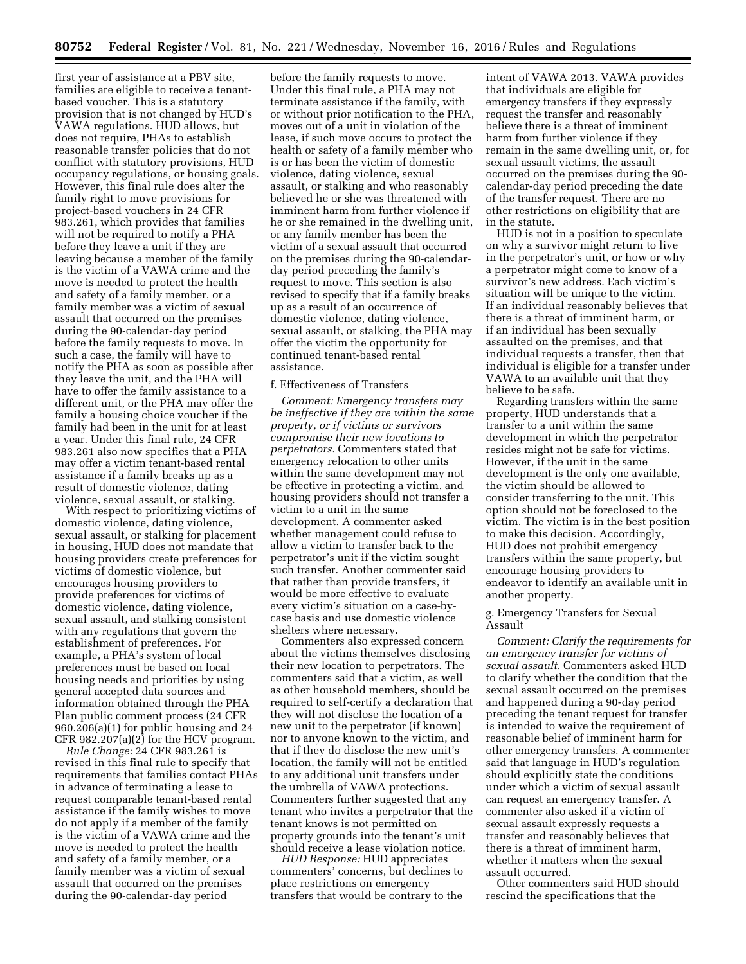first year of assistance at a PBV site, families are eligible to receive a tenantbased voucher. This is a statutory provision that is not changed by HUD's VAWA regulations. HUD allows, but does not require, PHAs to establish reasonable transfer policies that do not conflict with statutory provisions, HUD occupancy regulations, or housing goals. However, this final rule does alter the family right to move provisions for project-based vouchers in 24 CFR 983.261, which provides that families will not be required to notify a PHA before they leave a unit if they are leaving because a member of the family is the victim of a VAWA crime and the move is needed to protect the health and safety of a family member, or a family member was a victim of sexual assault that occurred on the premises during the 90-calendar-day period before the family requests to move. In such a case, the family will have to notify the PHA as soon as possible after they leave the unit, and the PHA will have to offer the family assistance to a different unit, or the PHA may offer the family a housing choice voucher if the family had been in the unit for at least a year. Under this final rule, 24 CFR 983.261 also now specifies that a PHA may offer a victim tenant-based rental assistance if a family breaks up as a result of domestic violence, dating violence, sexual assault, or stalking.

With respect to prioritizing victims of domestic violence, dating violence, sexual assault, or stalking for placement in housing, HUD does not mandate that housing providers create preferences for victims of domestic violence, but encourages housing providers to provide preferences for victims of domestic violence, dating violence, sexual assault, and stalking consistent with any regulations that govern the establishment of preferences. For example, a PHA's system of local preferences must be based on local housing needs and priorities by using general accepted data sources and information obtained through the PHA Plan public comment process (24 CFR 960.206(a)(1) for public housing and 24 CFR  $982.207(a)(2)$  for the HCV program.

*Rule Change:* 24 CFR 983.261 is revised in this final rule to specify that requirements that families contact PHAs in advance of terminating a lease to request comparable tenant-based rental assistance if the family wishes to move do not apply if a member of the family is the victim of a VAWA crime and the move is needed to protect the health and safety of a family member, or a family member was a victim of sexual assault that occurred on the premises during the 90-calendar-day period

before the family requests to move. Under this final rule, a PHA may not terminate assistance if the family, with or without prior notification to the PHA, moves out of a unit in violation of the lease, if such move occurs to protect the health or safety of a family member who is or has been the victim of domestic violence, dating violence, sexual assault, or stalking and who reasonably believed he or she was threatened with imminent harm from further violence if he or she remained in the dwelling unit, or any family member has been the victim of a sexual assault that occurred on the premises during the 90-calendarday period preceding the family's request to move. This section is also revised to specify that if a family breaks up as a result of an occurrence of domestic violence, dating violence, sexual assault, or stalking, the PHA may offer the victim the opportunity for continued tenant-based rental assistance.

## f. Effectiveness of Transfers

*Comment: Emergency transfers may be ineffective if they are within the same property, or if victims or survivors compromise their new locations to perpetrators.* Commenters stated that emergency relocation to other units within the same development may not be effective in protecting a victim, and housing providers should not transfer a victim to a unit in the same development. A commenter asked whether management could refuse to allow a victim to transfer back to the perpetrator's unit if the victim sought such transfer. Another commenter said that rather than provide transfers, it would be more effective to evaluate every victim's situation on a case-bycase basis and use domestic violence shelters where necessary.

Commenters also expressed concern about the victims themselves disclosing their new location to perpetrators. The commenters said that a victim, as well as other household members, should be required to self-certify a declaration that they will not disclose the location of a new unit to the perpetrator (if known) nor to anyone known to the victim, and that if they do disclose the new unit's location, the family will not be entitled to any additional unit transfers under the umbrella of VAWA protections. Commenters further suggested that any tenant who invites a perpetrator that the tenant knows is not permitted on property grounds into the tenant's unit should receive a lease violation notice.

*HUD Response:* HUD appreciates commenters' concerns, but declines to place restrictions on emergency transfers that would be contrary to the

intent of VAWA 2013. VAWA provides that individuals are eligible for emergency transfers if they expressly request the transfer and reasonably believe there is a threat of imminent harm from further violence if they remain in the same dwelling unit, or, for sexual assault victims, the assault occurred on the premises during the 90 calendar-day period preceding the date of the transfer request. There are no other restrictions on eligibility that are in the statute.

HUD is not in a position to speculate on why a survivor might return to live in the perpetrator's unit, or how or why a perpetrator might come to know of a survivor's new address. Each victim's situation will be unique to the victim. If an individual reasonably believes that there is a threat of imminent harm, or if an individual has been sexually assaulted on the premises, and that individual requests a transfer, then that individual is eligible for a transfer under VAWA to an available unit that they believe to be safe.

Regarding transfers within the same property, HUD understands that a transfer to a unit within the same development in which the perpetrator resides might not be safe for victims. However, if the unit in the same development is the only one available, the victim should be allowed to consider transferring to the unit. This option should not be foreclosed to the victim. The victim is in the best position to make this decision. Accordingly, HUD does not prohibit emergency transfers within the same property, but encourage housing providers to endeavor to identify an available unit in another property.

## g. Emergency Transfers for Sexual **Assault**

*Comment: Clarify the requirements for an emergency transfer for victims of sexual assault.* Commenters asked HUD to clarify whether the condition that the sexual assault occurred on the premises and happened during a 90-day period preceding the tenant request for transfer is intended to waive the requirement of reasonable belief of imminent harm for other emergency transfers. A commenter said that language in HUD's regulation should explicitly state the conditions under which a victim of sexual assault can request an emergency transfer. A commenter also asked if a victim of sexual assault expressly requests a transfer and reasonably believes that there is a threat of imminent harm, whether it matters when the sexual assault occurred.

Other commenters said HUD should rescind the specifications that the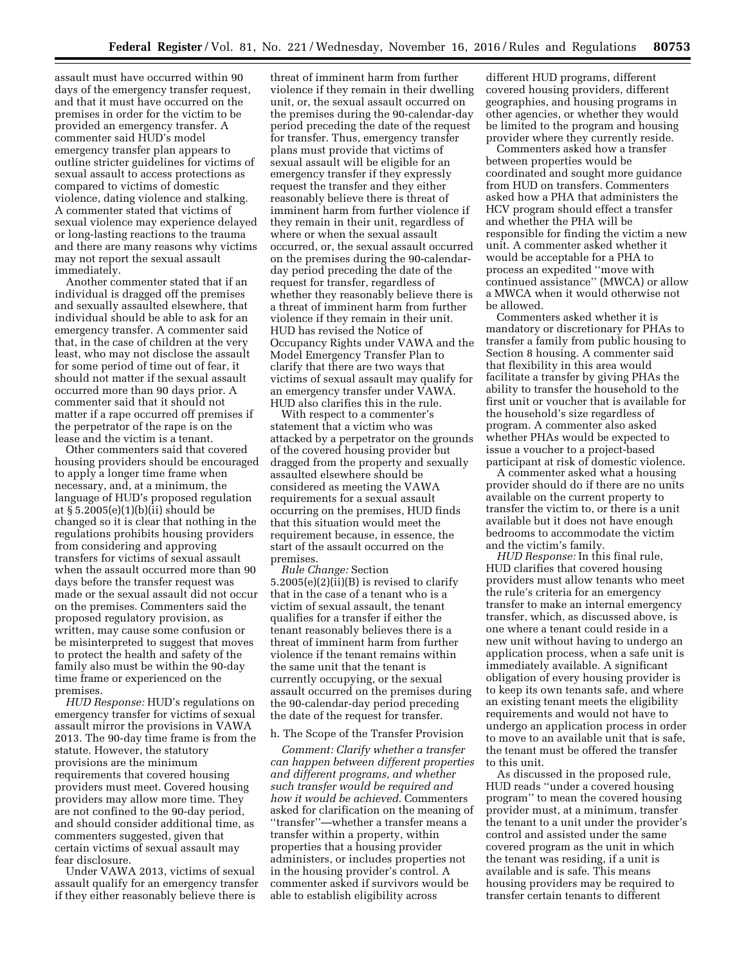assault must have occurred within 90 days of the emergency transfer request, and that it must have occurred on the premises in order for the victim to be provided an emergency transfer. A commenter said HUD's model emergency transfer plan appears to outline stricter guidelines for victims of sexual assault to access protections as compared to victims of domestic violence, dating violence and stalking. A commenter stated that victims of sexual violence may experience delayed or long-lasting reactions to the trauma and there are many reasons why victims may not report the sexual assault immediately.

Another commenter stated that if an individual is dragged off the premises and sexually assaulted elsewhere, that individual should be able to ask for an emergency transfer. A commenter said that, in the case of children at the very least, who may not disclose the assault for some period of time out of fear, it should not matter if the sexual assault occurred more than 90 days prior. A commenter said that it should not matter if a rape occurred off premises if the perpetrator of the rape is on the lease and the victim is a tenant.

Other commenters said that covered housing providers should be encouraged to apply a longer time frame when necessary, and, at a minimum, the language of HUD's proposed regulation at § 5.2005(e)(1)(b)(ii) should be changed so it is clear that nothing in the regulations prohibits housing providers from considering and approving transfers for victims of sexual assault when the assault occurred more than 90 days before the transfer request was made or the sexual assault did not occur on the premises. Commenters said the proposed regulatory provision, as written, may cause some confusion or be misinterpreted to suggest that moves to protect the health and safety of the family also must be within the 90-day time frame or experienced on the premises.

*HUD Response:* HUD's regulations on emergency transfer for victims of sexual assault mirror the provisions in VAWA 2013. The 90-day time frame is from the statute. However, the statutory provisions are the minimum requirements that covered housing providers must meet. Covered housing providers may allow more time. They are not confined to the 90-day period, and should consider additional time, as commenters suggested, given that certain victims of sexual assault may fear disclosure.

Under VAWA 2013, victims of sexual assault qualify for an emergency transfer if they either reasonably believe there is

threat of imminent harm from further violence if they remain in their dwelling unit, or, the sexual assault occurred on the premises during the 90-calendar-day period preceding the date of the request for transfer. Thus, emergency transfer plans must provide that victims of sexual assault will be eligible for an emergency transfer if they expressly request the transfer and they either reasonably believe there is threat of imminent harm from further violence if they remain in their unit, regardless of where or when the sexual assault occurred, or, the sexual assault occurred on the premises during the 90-calendarday period preceding the date of the request for transfer, regardless of whether they reasonably believe there is a threat of imminent harm from further violence if they remain in their unit. HUD has revised the Notice of Occupancy Rights under VAWA and the Model Emergency Transfer Plan to clarify that there are two ways that victims of sexual assault may qualify for an emergency transfer under VAWA. HUD also clarifies this in the rule.

With respect to a commenter's statement that a victim who was attacked by a perpetrator on the grounds of the covered housing provider but dragged from the property and sexually assaulted elsewhere should be considered as meeting the VAWA requirements for a sexual assault occurring on the premises, HUD finds that this situation would meet the requirement because, in essence, the start of the assault occurred on the premises.

*Rule Change:* Section 5.2005(e)(2)(ii)(B) is revised to clarify that in the case of a tenant who is a victim of sexual assault, the tenant qualifies for a transfer if either the tenant reasonably believes there is a threat of imminent harm from further violence if the tenant remains within the same unit that the tenant is currently occupying, or the sexual assault occurred on the premises during the 90-calendar-day period preceding the date of the request for transfer.

## h. The Scope of the Transfer Provision

*Comment: Clarify whether a transfer can happen between different properties and different programs, and whether such transfer would be required and how it would be achieved.* Commenters asked for clarification on the meaning of ''transfer''—whether a transfer means a transfer within a property, within properties that a housing provider administers, or includes properties not in the housing provider's control. A commenter asked if survivors would be able to establish eligibility across

different HUD programs, different covered housing providers, different geographies, and housing programs in other agencies, or whether they would be limited to the program and housing provider where they currently reside.

Commenters asked how a transfer between properties would be coordinated and sought more guidance from HUD on transfers. Commenters asked how a PHA that administers the HCV program should effect a transfer and whether the PHA will be responsible for finding the victim a new unit. A commenter asked whether it would be acceptable for a PHA to process an expedited ''move with continued assistance'' (MWCA) or allow a MWCA when it would otherwise not be allowed.

Commenters asked whether it is mandatory or discretionary for PHAs to transfer a family from public housing to Section 8 housing. A commenter said that flexibility in this area would facilitate a transfer by giving PHAs the ability to transfer the household to the first unit or voucher that is available for the household's size regardless of program. A commenter also asked whether PHAs would be expected to issue a voucher to a project-based participant at risk of domestic violence.

A commenter asked what a housing provider should do if there are no units available on the current property to transfer the victim to, or there is a unit available but it does not have enough bedrooms to accommodate the victim and the victim's family.

*HUD Response:* In this final rule, HUD clarifies that covered housing providers must allow tenants who meet the rule's criteria for an emergency transfer to make an internal emergency transfer, which, as discussed above, is one where a tenant could reside in a new unit without having to undergo an application process, when a safe unit is immediately available. A significant obligation of every housing provider is to keep its own tenants safe, and where an existing tenant meets the eligibility requirements and would not have to undergo an application process in order to move to an available unit that is safe, the tenant must be offered the transfer to this unit.

As discussed in the proposed rule, HUD reads ''under a covered housing program'' to mean the covered housing provider must, at a minimum, transfer the tenant to a unit under the provider's control and assisted under the same covered program as the unit in which the tenant was residing, if a unit is available and is safe. This means housing providers may be required to transfer certain tenants to different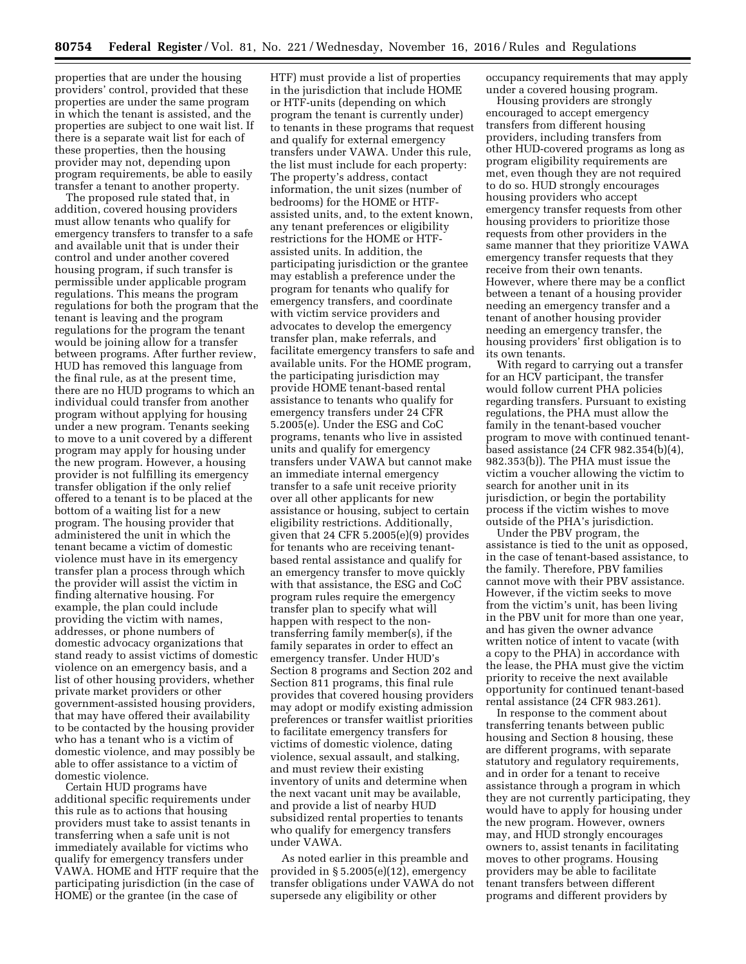properties that are under the housing providers' control, provided that these properties are under the same program in which the tenant is assisted, and the properties are subject to one wait list. If there is a separate wait list for each of these properties, then the housing provider may not, depending upon program requirements, be able to easily transfer a tenant to another property.

The proposed rule stated that, in addition, covered housing providers must allow tenants who qualify for emergency transfers to transfer to a safe and available unit that is under their control and under another covered housing program, if such transfer is permissible under applicable program regulations. This means the program regulations for both the program that the tenant is leaving and the program regulations for the program the tenant would be joining allow for a transfer between programs. After further review, HUD has removed this language from the final rule, as at the present time, there are no HUD programs to which an individual could transfer from another program without applying for housing under a new program. Tenants seeking to move to a unit covered by a different program may apply for housing under the new program. However, a housing provider is not fulfilling its emergency transfer obligation if the only relief offered to a tenant is to be placed at the bottom of a waiting list for a new program. The housing provider that administered the unit in which the tenant became a victim of domestic violence must have in its emergency transfer plan a process through which the provider will assist the victim in finding alternative housing. For example, the plan could include providing the victim with names, addresses, or phone numbers of domestic advocacy organizations that stand ready to assist victims of domestic violence on an emergency basis, and a list of other housing providers, whether private market providers or other government-assisted housing providers, that may have offered their availability to be contacted by the housing provider who has a tenant who is a victim of domestic violence, and may possibly be able to offer assistance to a victim of domestic violence.

Certain HUD programs have additional specific requirements under this rule as to actions that housing providers must take to assist tenants in transferring when a safe unit is not immediately available for victims who qualify for emergency transfers under VAWA. HOME and HTF require that the participating jurisdiction (in the case of HOME) or the grantee (in the case of

HTF) must provide a list of properties in the jurisdiction that include HOME or HTF-units (depending on which program the tenant is currently under) to tenants in these programs that request and qualify for external emergency transfers under VAWA. Under this rule, the list must include for each property: The property's address, contact information, the unit sizes (number of bedrooms) for the HOME or HTFassisted units, and, to the extent known, any tenant preferences or eligibility restrictions for the HOME or HTFassisted units. In addition, the participating jurisdiction or the grantee may establish a preference under the program for tenants who qualify for emergency transfers, and coordinate with victim service providers and advocates to develop the emergency transfer plan, make referrals, and facilitate emergency transfers to safe and available units. For the HOME program, the participating jurisdiction may provide HOME tenant-based rental assistance to tenants who qualify for emergency transfers under 24 CFR 5.2005(e). Under the ESG and CoC programs, tenants who live in assisted units and qualify for emergency transfers under VAWA but cannot make an immediate internal emergency transfer to a safe unit receive priority over all other applicants for new assistance or housing, subject to certain eligibility restrictions. Additionally, given that 24 CFR 5.2005(e)(9) provides for tenants who are receiving tenantbased rental assistance and qualify for an emergency transfer to move quickly with that assistance, the ESG and CoC program rules require the emergency transfer plan to specify what will happen with respect to the nontransferring family member(s), if the family separates in order to effect an emergency transfer. Under HUD's Section 8 programs and Section 202 and Section 811 programs, this final rule provides that covered housing providers may adopt or modify existing admission preferences or transfer waitlist priorities to facilitate emergency transfers for victims of domestic violence, dating violence, sexual assault, and stalking, and must review their existing inventory of units and determine when the next vacant unit may be available, and provide a list of nearby HUD subsidized rental properties to tenants who qualify for emergency transfers under VAWA.

As noted earlier in this preamble and provided in § 5.2005(e)(12), emergency transfer obligations under VAWA do not supersede any eligibility or other

occupancy requirements that may apply under a covered housing program.

Housing providers are strongly encouraged to accept emergency transfers from different housing providers, including transfers from other HUD-covered programs as long as program eligibility requirements are met, even though they are not required to do so. HUD strongly encourages housing providers who accept emergency transfer requests from other housing providers to prioritize those requests from other providers in the same manner that they prioritize VAWA emergency transfer requests that they receive from their own tenants. However, where there may be a conflict between a tenant of a housing provider needing an emergency transfer and a tenant of another housing provider needing an emergency transfer, the housing providers' first obligation is to its own tenants.

With regard to carrying out a transfer for an HCV participant, the transfer would follow current PHA policies regarding transfers. Pursuant to existing regulations, the PHA must allow the family in the tenant-based voucher program to move with continued tenantbased assistance (24 CFR 982.354(b)(4), 982.353(b)). The PHA must issue the victim a voucher allowing the victim to search for another unit in its jurisdiction, or begin the portability process if the victim wishes to move outside of the PHA's jurisdiction.

Under the PBV program, the assistance is tied to the unit as opposed, in the case of tenant-based assistance, to the family. Therefore, PBV families cannot move with their PBV assistance. However, if the victim seeks to move from the victim's unit, has been living in the PBV unit for more than one year, and has given the owner advance written notice of intent to vacate (with a copy to the PHA) in accordance with the lease, the PHA must give the victim priority to receive the next available opportunity for continued tenant-based rental assistance (24 CFR 983.261).

In response to the comment about transferring tenants between public housing and Section 8 housing, these are different programs, with separate statutory and regulatory requirements, and in order for a tenant to receive assistance through a program in which they are not currently participating, they would have to apply for housing under the new program. However, owners may, and HUD strongly encourages owners to, assist tenants in facilitating moves to other programs. Housing providers may be able to facilitate tenant transfers between different programs and different providers by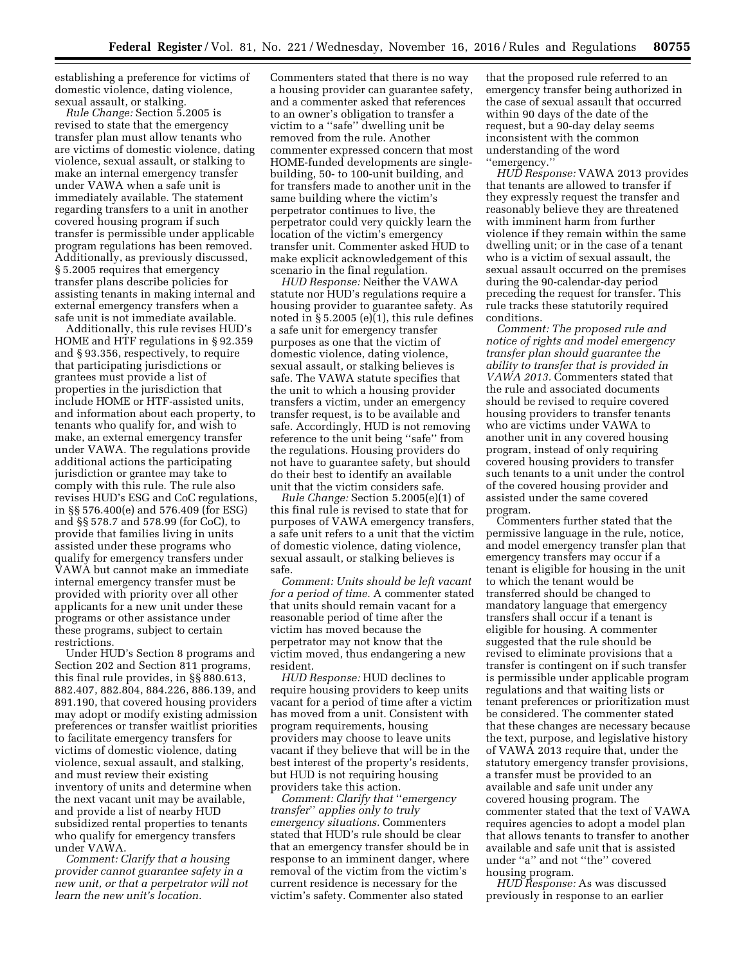establishing a preference for victims of domestic violence, dating violence, sexual assault, or stalking.

*Rule Change:* Section 5.2005 is revised to state that the emergency transfer plan must allow tenants who are victims of domestic violence, dating violence, sexual assault, or stalking to make an internal emergency transfer under VAWA when a safe unit is immediately available. The statement regarding transfers to a unit in another covered housing program if such transfer is permissible under applicable program regulations has been removed. Additionally, as previously discussed, § 5.2005 requires that emergency transfer plans describe policies for assisting tenants in making internal and external emergency transfers when a safe unit is not immediate available.

Additionally, this rule revises HUD's HOME and HTF regulations in § 92.359 and § 93.356, respectively, to require that participating jurisdictions or grantees must provide a list of properties in the jurisdiction that include HOME or HTF-assisted units, and information about each property, to tenants who qualify for, and wish to make, an external emergency transfer under VAWA. The regulations provide additional actions the participating jurisdiction or grantee may take to comply with this rule. The rule also revises HUD's ESG and CoC regulations, in §§ 576.400(e) and 576.409 (for ESG) and §§ 578.7 and 578.99 (for CoC), to provide that families living in units assisted under these programs who qualify for emergency transfers under VAWA but cannot make an immediate internal emergency transfer must be provided with priority over all other applicants for a new unit under these programs or other assistance under these programs, subject to certain restrictions.

Under HUD's Section 8 programs and Section 202 and Section 811 programs, this final rule provides, in §§ 880.613, 882.407, 882.804, 884.226, 886.139, and 891.190, that covered housing providers may adopt or modify existing admission preferences or transfer waitlist priorities to facilitate emergency transfers for victims of domestic violence, dating violence, sexual assault, and stalking, and must review their existing inventory of units and determine when the next vacant unit may be available, and provide a list of nearby HUD subsidized rental properties to tenants who qualify for emergency transfers under VAWA.

*Comment: Clarify that a housing provider cannot guarantee safety in a new unit, or that a perpetrator will not learn the new unit's location.* 

Commenters stated that there is no way a housing provider can guarantee safety, and a commenter asked that references to an owner's obligation to transfer a victim to a ''safe'' dwelling unit be removed from the rule. Another commenter expressed concern that most HOME-funded developments are singlebuilding, 50- to 100-unit building, and for transfers made to another unit in the same building where the victim's perpetrator continues to live, the perpetrator could very quickly learn the location of the victim's emergency transfer unit. Commenter asked HUD to make explicit acknowledgement of this scenario in the final regulation.

*HUD Response:* Neither the VAWA statute nor HUD's regulations require a housing provider to guarantee safety. As noted in § 5.2005 (e)(1), this rule defines a safe unit for emergency transfer purposes as one that the victim of domestic violence, dating violence, sexual assault, or stalking believes is safe. The VAWA statute specifies that the unit to which a housing provider transfers a victim, under an emergency transfer request, is to be available and safe. Accordingly, HUD is not removing reference to the unit being ''safe'' from the regulations. Housing providers do not have to guarantee safety, but should do their best to identify an available unit that the victim considers safe.

*Rule Change:* Section 5.2005(e)(1) of this final rule is revised to state that for purposes of VAWA emergency transfers, a safe unit refers to a unit that the victim of domestic violence, dating violence, sexual assault, or stalking believes is safe.

*Comment: Units should be left vacant for a period of time.* A commenter stated that units should remain vacant for a reasonable period of time after the victim has moved because the perpetrator may not know that the victim moved, thus endangering a new resident.

*HUD Response:* HUD declines to require housing providers to keep units vacant for a period of time after a victim has moved from a unit. Consistent with program requirements, housing providers may choose to leave units vacant if they believe that will be in the best interest of the property's residents, but HUD is not requiring housing providers take this action.

*Comment: Clarify that* ''*emergency transfer*'' *applies only to truly emergency situations.* Commenters stated that HUD's rule should be clear that an emergency transfer should be in response to an imminent danger, where removal of the victim from the victim's current residence is necessary for the victim's safety. Commenter also stated

that the proposed rule referred to an emergency transfer being authorized in the case of sexual assault that occurred within 90 days of the date of the request, but a 90-day delay seems inconsistent with the common understanding of the word ''emergency.''

*HUD Response:* VAWA 2013 provides that tenants are allowed to transfer if they expressly request the transfer and reasonably believe they are threatened with imminent harm from further violence if they remain within the same dwelling unit; or in the case of a tenant who is a victim of sexual assault, the sexual assault occurred on the premises during the 90-calendar-day period preceding the request for transfer. This rule tracks these statutorily required conditions.

*Comment: The proposed rule and notice of rights and model emergency transfer plan should guarantee the ability to transfer that is provided in VAWA 2013.* Commenters stated that the rule and associated documents should be revised to require covered housing providers to transfer tenants who are victims under VAWA to another unit in any covered housing program, instead of only requiring covered housing providers to transfer such tenants to a unit under the control of the covered housing provider and assisted under the same covered program.

Commenters further stated that the permissive language in the rule, notice, and model emergency transfer plan that emergency transfers may occur if a tenant is eligible for housing in the unit to which the tenant would be transferred should be changed to mandatory language that emergency transfers shall occur if a tenant is eligible for housing. A commenter suggested that the rule should be revised to eliminate provisions that a transfer is contingent on if such transfer is permissible under applicable program regulations and that waiting lists or tenant preferences or prioritization must be considered. The commenter stated that these changes are necessary because the text, purpose, and legislative history of VAWA 2013 require that, under the statutory emergency transfer provisions, a transfer must be provided to an available and safe unit under any covered housing program. The commenter stated that the text of VAWA requires agencies to adopt a model plan that allows tenants to transfer to another available and safe unit that is assisted under ''a'' and not ''the'' covered housing program.

*HUD Response:* As was discussed previously in response to an earlier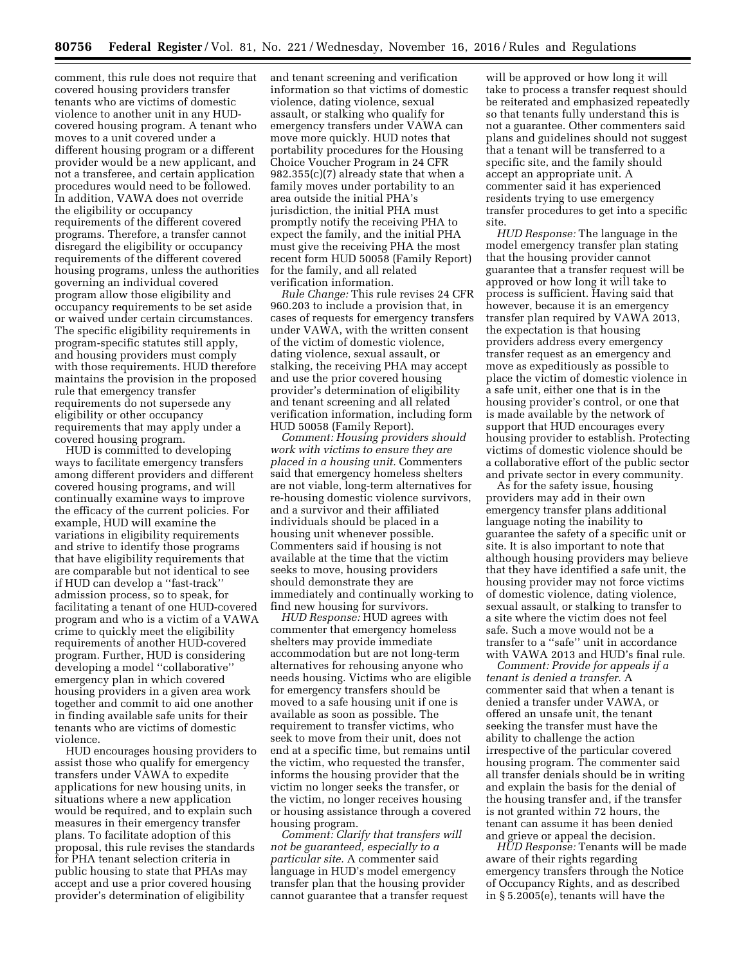comment, this rule does not require that covered housing providers transfer tenants who are victims of domestic violence to another unit in any HUDcovered housing program. A tenant who moves to a unit covered under a different housing program or a different provider would be a new applicant, and not a transferee, and certain application procedures would need to be followed. In addition, VAWA does not override the eligibility or occupancy requirements of the different covered programs. Therefore, a transfer cannot disregard the eligibility or occupancy requirements of the different covered housing programs, unless the authorities governing an individual covered program allow those eligibility and occupancy requirements to be set aside or waived under certain circumstances. The specific eligibility requirements in program-specific statutes still apply, and housing providers must comply with those requirements. HUD therefore maintains the provision in the proposed rule that emergency transfer requirements do not supersede any eligibility or other occupancy requirements that may apply under a covered housing program.

HUD is committed to developing ways to facilitate emergency transfers among different providers and different covered housing programs, and will continually examine ways to improve the efficacy of the current policies. For example, HUD will examine the variations in eligibility requirements and strive to identify those programs that have eligibility requirements that are comparable but not identical to see if HUD can develop a ''fast-track'' admission process, so to speak, for facilitating a tenant of one HUD-covered program and who is a victim of a VAWA crime to quickly meet the eligibility requirements of another HUD-covered program. Further, HUD is considering developing a model ''collaborative'' emergency plan in which covered housing providers in a given area work together and commit to aid one another in finding available safe units for their tenants who are victims of domestic violence.

HUD encourages housing providers to assist those who qualify for emergency transfers under VAWA to expedite applications for new housing units, in situations where a new application would be required, and to explain such measures in their emergency transfer plans. To facilitate adoption of this proposal, this rule revises the standards for PHA tenant selection criteria in public housing to state that PHAs may accept and use a prior covered housing provider's determination of eligibility

and tenant screening and verification information so that victims of domestic violence, dating violence, sexual assault, or stalking who qualify for emergency transfers under VAWA can move more quickly. HUD notes that portability procedures for the Housing Choice Voucher Program in 24 CFR 982.355(c)(7) already state that when a family moves under portability to an area outside the initial PHA's jurisdiction, the initial PHA must promptly notify the receiving PHA to expect the family, and the initial PHA must give the receiving PHA the most recent form HUD 50058 (Family Report) for the family, and all related verification information.

*Rule Change:* This rule revises 24 CFR 960.203 to include a provision that, in cases of requests for emergency transfers under VAWA, with the written consent of the victim of domestic violence, dating violence, sexual assault, or stalking, the receiving PHA may accept and use the prior covered housing provider's determination of eligibility and tenant screening and all related verification information, including form HUD 50058 (Family Report).

*Comment: Housing providers should work with victims to ensure they are placed in a housing unit.* Commenters said that emergency homeless shelters are not viable, long-term alternatives for re-housing domestic violence survivors, and a survivor and their affiliated individuals should be placed in a housing unit whenever possible. Commenters said if housing is not available at the time that the victim seeks to move, housing providers should demonstrate they are immediately and continually working to find new housing for survivors.

*HUD Response:* HUD agrees with commenter that emergency homeless shelters may provide immediate accommodation but are not long-term alternatives for rehousing anyone who needs housing. Victims who are eligible for emergency transfers should be moved to a safe housing unit if one is available as soon as possible. The requirement to transfer victims, who seek to move from their unit, does not end at a specific time, but remains until the victim, who requested the transfer, informs the housing provider that the victim no longer seeks the transfer, or the victim, no longer receives housing or housing assistance through a covered housing program.

*Comment: Clarify that transfers will not be guaranteed, especially to a particular site.* A commenter said language in HUD's model emergency transfer plan that the housing provider cannot guarantee that a transfer request

will be approved or how long it will take to process a transfer request should be reiterated and emphasized repeatedly so that tenants fully understand this is not a guarantee. Other commenters said plans and guidelines should not suggest that a tenant will be transferred to a specific site, and the family should accept an appropriate unit. A commenter said it has experienced residents trying to use emergency transfer procedures to get into a specific site

*HUD Response:* The language in the model emergency transfer plan stating that the housing provider cannot guarantee that a transfer request will be approved or how long it will take to process is sufficient. Having said that however, because it is an emergency transfer plan required by VAWA 2013, the expectation is that housing providers address every emergency transfer request as an emergency and move as expeditiously as possible to place the victim of domestic violence in a safe unit, either one that is in the housing provider's control, or one that is made available by the network of support that HUD encourages every housing provider to establish. Protecting victims of domestic violence should be a collaborative effort of the public sector and private sector in every community.

As for the safety issue, housing providers may add in their own emergency transfer plans additional language noting the inability to guarantee the safety of a specific unit or site. It is also important to note that although housing providers may believe that they have identified a safe unit, the housing provider may not force victims of domestic violence, dating violence, sexual assault, or stalking to transfer to a site where the victim does not feel safe. Such a move would not be a transfer to a ''safe'' unit in accordance with VAWA 2013 and HUD's final rule.

*Comment: Provide for appeals if a tenant is denied a transfer.* A commenter said that when a tenant is denied a transfer under VAWA, or offered an unsafe unit, the tenant seeking the transfer must have the ability to challenge the action irrespective of the particular covered housing program. The commenter said all transfer denials should be in writing and explain the basis for the denial of the housing transfer and, if the transfer is not granted within 72 hours, the tenant can assume it has been denied and grieve or appeal the decision.

*HUD Response:* Tenants will be made aware of their rights regarding emergency transfers through the Notice of Occupancy Rights, and as described in § 5.2005(e), tenants will have the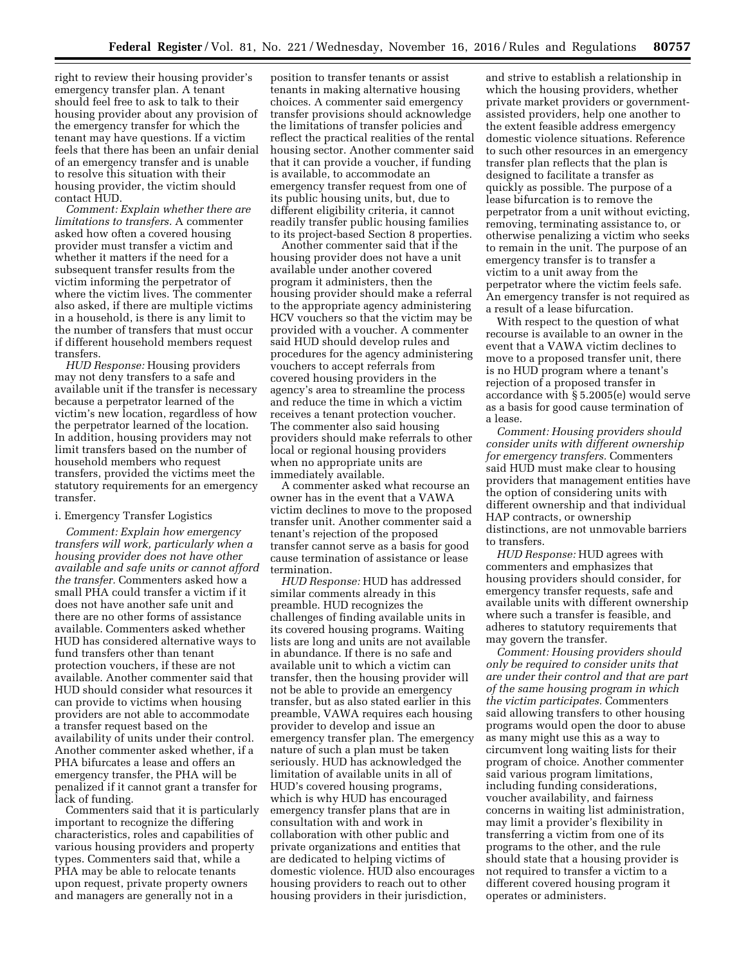right to review their housing provider's emergency transfer plan. A tenant should feel free to ask to talk to their housing provider about any provision of the emergency transfer for which the tenant may have questions. If a victim feels that there has been an unfair denial of an emergency transfer and is unable to resolve this situation with their housing provider, the victim should contact HUD.

*Comment: Explain whether there are limitations to transfers.* A commenter asked how often a covered housing provider must transfer a victim and whether it matters if the need for a subsequent transfer results from the victim informing the perpetrator of where the victim lives. The commenter also asked, if there are multiple victims in a household, is there is any limit to the number of transfers that must occur if different household members request transfers.

*HUD Response:* Housing providers may not deny transfers to a safe and available unit if the transfer is necessary because a perpetrator learned of the victim's new location, regardless of how the perpetrator learned of the location. In addition, housing providers may not limit transfers based on the number of household members who request transfers, provided the victims meet the statutory requirements for an emergency transfer.

### i. Emergency Transfer Logistics

*Comment: Explain how emergency transfers will work, particularly when a housing provider does not have other available and safe units or cannot afford the transfer.* Commenters asked how a small PHA could transfer a victim if it does not have another safe unit and there are no other forms of assistance available. Commenters asked whether HUD has considered alternative ways to fund transfers other than tenant protection vouchers, if these are not available. Another commenter said that HUD should consider what resources it can provide to victims when housing providers are not able to accommodate a transfer request based on the availability of units under their control. Another commenter asked whether, if a PHA bifurcates a lease and offers an emergency transfer, the PHA will be penalized if it cannot grant a transfer for lack of funding.

Commenters said that it is particularly important to recognize the differing characteristics, roles and capabilities of various housing providers and property types. Commenters said that, while a PHA may be able to relocate tenants upon request, private property owners and managers are generally not in a

position to transfer tenants or assist tenants in making alternative housing choices. A commenter said emergency transfer provisions should acknowledge the limitations of transfer policies and reflect the practical realities of the rental housing sector. Another commenter said that it can provide a voucher, if funding is available, to accommodate an emergency transfer request from one of its public housing units, but, due to different eligibility criteria, it cannot readily transfer public housing families to its project-based Section 8 properties.

Another commenter said that if the housing provider does not have a unit available under another covered program it administers, then the housing provider should make a referral to the appropriate agency administering HCV vouchers so that the victim may be provided with a voucher. A commenter said HUD should develop rules and procedures for the agency administering vouchers to accept referrals from covered housing providers in the agency's area to streamline the process and reduce the time in which a victim receives a tenant protection voucher. The commenter also said housing providers should make referrals to other local or regional housing providers when no appropriate units are immediately available.

A commenter asked what recourse an owner has in the event that a VAWA victim declines to move to the proposed transfer unit. Another commenter said a tenant's rejection of the proposed transfer cannot serve as a basis for good cause termination of assistance or lease termination.

*HUD Response:* HUD has addressed similar comments already in this preamble. HUD recognizes the challenges of finding available units in its covered housing programs. Waiting lists are long and units are not available in abundance. If there is no safe and available unit to which a victim can transfer, then the housing provider will not be able to provide an emergency transfer, but as also stated earlier in this preamble, VAWA requires each housing provider to develop and issue an emergency transfer plan. The emergency nature of such a plan must be taken seriously. HUD has acknowledged the limitation of available units in all of HUD's covered housing programs, which is why HUD has encouraged emergency transfer plans that are in consultation with and work in collaboration with other public and private organizations and entities that are dedicated to helping victims of domestic violence. HUD also encourages housing providers to reach out to other housing providers in their jurisdiction,

and strive to establish a relationship in which the housing providers, whether private market providers or governmentassisted providers, help one another to the extent feasible address emergency domestic violence situations. Reference to such other resources in an emergency transfer plan reflects that the plan is designed to facilitate a transfer as quickly as possible. The purpose of a lease bifurcation is to remove the perpetrator from a unit without evicting, removing, terminating assistance to, or otherwise penalizing a victim who seeks to remain in the unit. The purpose of an emergency transfer is to transfer a victim to a unit away from the perpetrator where the victim feels safe. An emergency transfer is not required as a result of a lease bifurcation.

With respect to the question of what recourse is available to an owner in the event that a VAWA victim declines to move to a proposed transfer unit, there is no HUD program where a tenant's rejection of a proposed transfer in accordance with § 5.2005(e) would serve as a basis for good cause termination of a lease.

*Comment: Housing providers should consider units with different ownership for emergency transfers.* Commenters said HUD must make clear to housing providers that management entities have the option of considering units with different ownership and that individual HAP contracts, or ownership distinctions, are not unmovable barriers to transfers.

*HUD Response:* HUD agrees with commenters and emphasizes that housing providers should consider, for emergency transfer requests, safe and available units with different ownership where such a transfer is feasible, and adheres to statutory requirements that may govern the transfer.

*Comment: Housing providers should only be required to consider units that are under their control and that are part of the same housing program in which the victim participates.* Commenters said allowing transfers to other housing programs would open the door to abuse as many might use this as a way to circumvent long waiting lists for their program of choice. Another commenter said various program limitations, including funding considerations, voucher availability, and fairness concerns in waiting list administration, may limit a provider's flexibility in transferring a victim from one of its programs to the other, and the rule should state that a housing provider is not required to transfer a victim to a different covered housing program it operates or administers.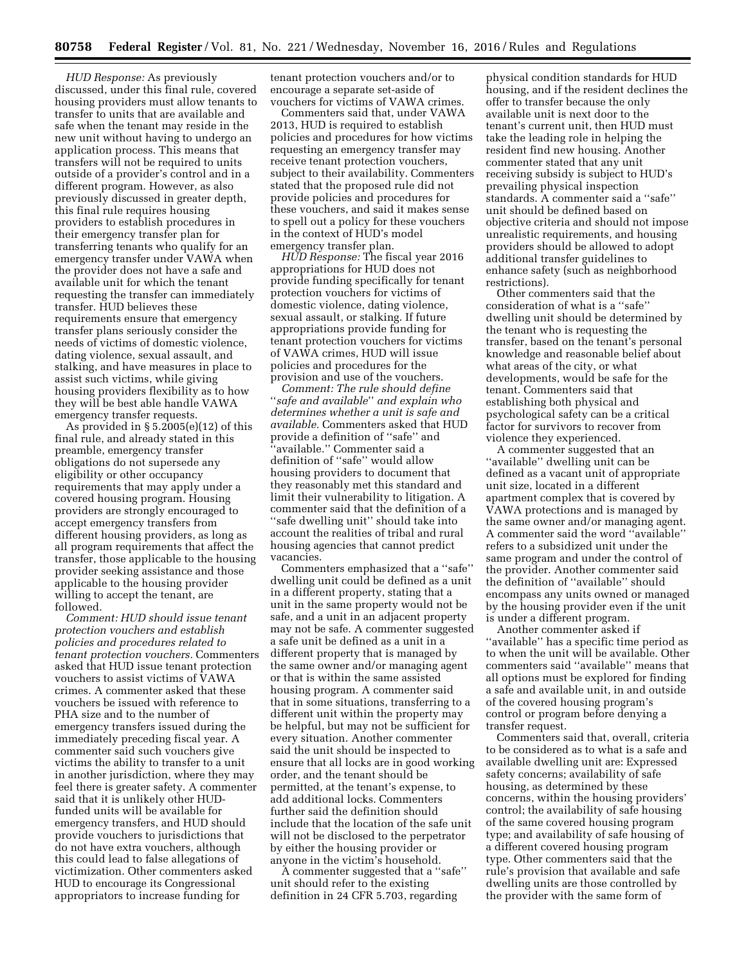*HUD Response:* As previously discussed, under this final rule, covered housing providers must allow tenants to transfer to units that are available and safe when the tenant may reside in the new unit without having to undergo an application process. This means that transfers will not be required to units outside of a provider's control and in a different program. However, as also previously discussed in greater depth, this final rule requires housing providers to establish procedures in their emergency transfer plan for transferring tenants who qualify for an emergency transfer under VAWA when the provider does not have a safe and available unit for which the tenant requesting the transfer can immediately transfer. HUD believes these requirements ensure that emergency transfer plans seriously consider the needs of victims of domestic violence, dating violence, sexual assault, and stalking, and have measures in place to assist such victims, while giving housing providers flexibility as to how they will be best able handle VAWA emergency transfer requests.

As provided in  $\S 5.2005(e)(12)$  of this final rule, and already stated in this preamble, emergency transfer obligations do not supersede any eligibility or other occupancy requirements that may apply under a covered housing program. Housing providers are strongly encouraged to accept emergency transfers from different housing providers, as long as all program requirements that affect the transfer, those applicable to the housing provider seeking assistance and those applicable to the housing provider willing to accept the tenant, are followed.

*Comment: HUD should issue tenant protection vouchers and establish policies and procedures related to tenant protection vouchers.* Commenters asked that HUD issue tenant protection vouchers to assist victims of VAWA crimes. A commenter asked that these vouchers be issued with reference to PHA size and to the number of emergency transfers issued during the immediately preceding fiscal year. A commenter said such vouchers give victims the ability to transfer to a unit in another jurisdiction, where they may feel there is greater safety. A commenter said that it is unlikely other HUDfunded units will be available for emergency transfers, and HUD should provide vouchers to jurisdictions that do not have extra vouchers, although this could lead to false allegations of victimization. Other commenters asked HUD to encourage its Congressional appropriators to increase funding for

tenant protection vouchers and/or to encourage a separate set-aside of vouchers for victims of VAWA crimes.

Commenters said that, under VAWA 2013, HUD is required to establish policies and procedures for how victims requesting an emergency transfer may receive tenant protection vouchers, subject to their availability. Commenters stated that the proposed rule did not provide policies and procedures for these vouchers, and said it makes sense to spell out a policy for these vouchers in the context of HUD's model emergency transfer plan.

*HUD Response:* The fiscal year 2016 appropriations for HUD does not provide funding specifically for tenant protection vouchers for victims of domestic violence, dating violence, sexual assault, or stalking. If future appropriations provide funding for tenant protection vouchers for victims of VAWA crimes, HUD will issue policies and procedures for the provision and use of the vouchers.

*Comment: The rule should define*  ''*safe and available*'' *and explain who determines whether a unit is safe and available.* Commenters asked that HUD provide a definition of ''safe'' and ʻavailable.'' Commenter said a definition of ''safe'' would allow housing providers to document that they reasonably met this standard and limit their vulnerability to litigation. A commenter said that the definition of a ''safe dwelling unit'' should take into account the realities of tribal and rural housing agencies that cannot predict vacancies.

Commenters emphasized that a ''safe'' dwelling unit could be defined as a unit in a different property, stating that a unit in the same property would not be safe, and a unit in an adjacent property may not be safe. A commenter suggested a safe unit be defined as a unit in a different property that is managed by the same owner and/or managing agent or that is within the same assisted housing program. A commenter said that in some situations, transferring to a different unit within the property may be helpful, but may not be sufficient for every situation. Another commenter said the unit should be inspected to ensure that all locks are in good working order, and the tenant should be permitted, at the tenant's expense, to add additional locks. Commenters further said the definition should include that the location of the safe unit will not be disclosed to the perpetrator by either the housing provider or anyone in the victim's household.

A commenter suggested that a ''safe'' unit should refer to the existing definition in 24 CFR 5.703, regarding

physical condition standards for HUD housing, and if the resident declines the offer to transfer because the only available unit is next door to the tenant's current unit, then HUD must take the leading role in helping the resident find new housing. Another commenter stated that any unit receiving subsidy is subject to HUD's prevailing physical inspection standards. A commenter said a ''safe'' unit should be defined based on objective criteria and should not impose unrealistic requirements, and housing providers should be allowed to adopt additional transfer guidelines to enhance safety (such as neighborhood restrictions).

Other commenters said that the consideration of what is a ''safe'' dwelling unit should be determined by the tenant who is requesting the transfer, based on the tenant's personal knowledge and reasonable belief about what areas of the city, or what developments, would be safe for the tenant. Commenters said that establishing both physical and psychological safety can be a critical factor for survivors to recover from violence they experienced.

A commenter suggested that an ''available'' dwelling unit can be defined as a vacant unit of appropriate unit size, located in a different apartment complex that is covered by VAWA protections and is managed by the same owner and/or managing agent. A commenter said the word ''available'' refers to a subsidized unit under the same program and under the control of the provider. Another commenter said the definition of ''available'' should encompass any units owned or managed by the housing provider even if the unit is under a different program.

Another commenter asked if ''available'' has a specific time period as to when the unit will be available. Other commenters said ''available'' means that all options must be explored for finding a safe and available unit, in and outside of the covered housing program's control or program before denying a transfer request.

Commenters said that, overall, criteria to be considered as to what is a safe and available dwelling unit are: Expressed safety concerns; availability of safe housing, as determined by these concerns, within the housing providers' control; the availability of safe housing of the same covered housing program type; and availability of safe housing of a different covered housing program type. Other commenters said that the rule's provision that available and safe dwelling units are those controlled by the provider with the same form of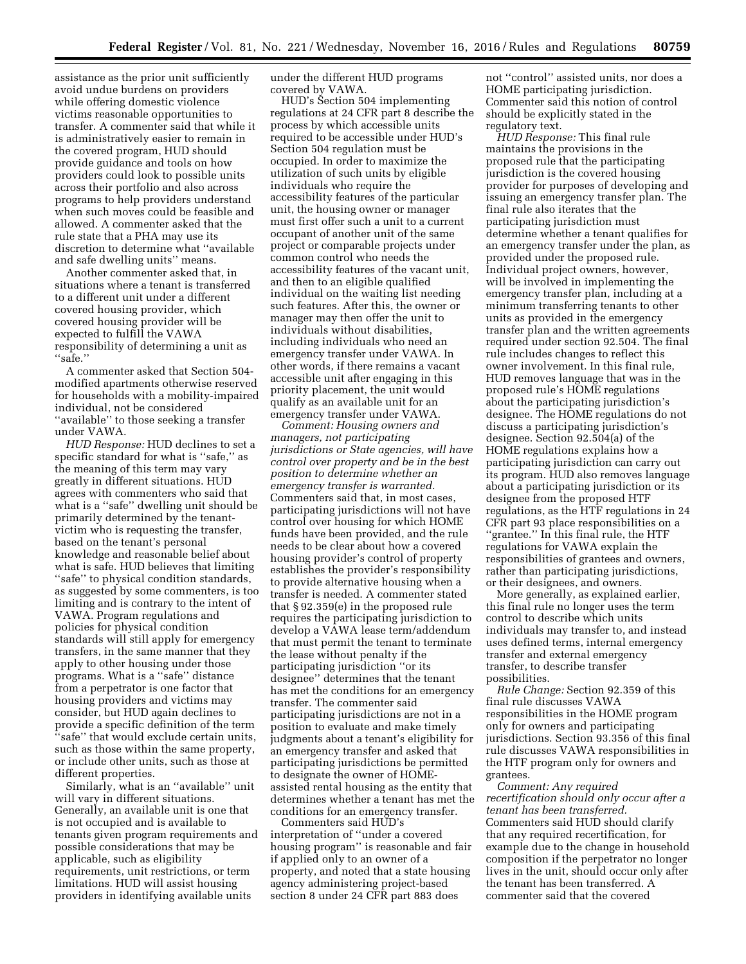assistance as the prior unit sufficiently avoid undue burdens on providers while offering domestic violence victims reasonable opportunities to transfer. A commenter said that while it is administratively easier to remain in the covered program, HUD should provide guidance and tools on how providers could look to possible units across their portfolio and also across programs to help providers understand when such moves could be feasible and allowed. A commenter asked that the rule state that a PHA may use its discretion to determine what ''available and safe dwelling units'' means.

Another commenter asked that, in situations where a tenant is transferred to a different unit under a different covered housing provider, which covered housing provider will be expected to fulfill the VAWA responsibility of determining a unit as ''safe.''

A commenter asked that Section 504 modified apartments otherwise reserved for households with a mobility-impaired individual, not be considered ''available'' to those seeking a transfer under VAWA.

*HUD Response:* HUD declines to set a specific standard for what is ''safe,'' as the meaning of this term may vary greatly in different situations. HUD agrees with commenters who said that what is a ''safe'' dwelling unit should be primarily determined by the tenantvictim who is requesting the transfer, based on the tenant's personal knowledge and reasonable belief about what is safe. HUD believes that limiting ''safe'' to physical condition standards, as suggested by some commenters, is too limiting and is contrary to the intent of VAWA. Program regulations and policies for physical condition standards will still apply for emergency transfers, in the same manner that they apply to other housing under those programs. What is a ''safe'' distance from a perpetrator is one factor that housing providers and victims may consider, but HUD again declines to provide a specific definition of the term ''safe'' that would exclude certain units, such as those within the same property, or include other units, such as those at different properties.

Similarly, what is an ''available'' unit will vary in different situations. Generally, an available unit is one that is not occupied and is available to tenants given program requirements and possible considerations that may be applicable, such as eligibility requirements, unit restrictions, or term limitations. HUD will assist housing providers in identifying available units

under the different HUD programs covered by VAWA.

HUD's Section 504 implementing regulations at 24 CFR part 8 describe the process by which accessible units required to be accessible under HUD's Section 504 regulation must be occupied. In order to maximize the utilization of such units by eligible individuals who require the accessibility features of the particular unit, the housing owner or manager must first offer such a unit to a current occupant of another unit of the same project or comparable projects under common control who needs the accessibility features of the vacant unit, and then to an eligible qualified individual on the waiting list needing such features. After this, the owner or manager may then offer the unit to individuals without disabilities, including individuals who need an emergency transfer under VAWA. In other words, if there remains a vacant accessible unit after engaging in this priority placement, the unit would qualify as an available unit for an emergency transfer under VAWA.

*Comment: Housing owners and managers, not participating jurisdictions or State agencies, will have control over property and be in the best position to determine whether an emergency transfer is warranted.*  Commenters said that, in most cases, participating jurisdictions will not have control over housing for which HOME funds have been provided, and the rule needs to be clear about how a covered housing provider's control of property establishes the provider's responsibility to provide alternative housing when a transfer is needed. A commenter stated that § 92.359(e) in the proposed rule requires the participating jurisdiction to develop a VAWA lease term/addendum that must permit the tenant to terminate the lease without penalty if the participating jurisdiction ''or its designee'' determines that the tenant has met the conditions for an emergency transfer. The commenter said participating jurisdictions are not in a position to evaluate and make timely judgments about a tenant's eligibility for an emergency transfer and asked that participating jurisdictions be permitted to designate the owner of HOMEassisted rental housing as the entity that determines whether a tenant has met the conditions for an emergency transfer.

Commenters said HUD's interpretation of ''under a covered housing program'' is reasonable and fair if applied only to an owner of a property, and noted that a state housing agency administering project-based section 8 under 24 CFR part 883 does

not ''control'' assisted units, nor does a HOME participating jurisdiction. Commenter said this notion of control should be explicitly stated in the regulatory text.

*HUD Response:* This final rule maintains the provisions in the proposed rule that the participating jurisdiction is the covered housing provider for purposes of developing and issuing an emergency transfer plan. The final rule also iterates that the participating jurisdiction must determine whether a tenant qualifies for an emergency transfer under the plan, as provided under the proposed rule. Individual project owners, however, will be involved in implementing the emergency transfer plan, including at a minimum transferring tenants to other units as provided in the emergency transfer plan and the written agreements required under section 92.504. The final rule includes changes to reflect this owner involvement. In this final rule, HUD removes language that was in the proposed rule's HOME regulations about the participating jurisdiction's designee. The HOME regulations do not discuss a participating jurisdiction's designee. Section 92.504(a) of the HOME regulations explains how a participating jurisdiction can carry out its program. HUD also removes language about a participating jurisdiction or its designee from the proposed HTF regulations, as the HTF regulations in 24 CFR part 93 place responsibilities on a ''grantee.'' In this final rule, the HTF regulations for VAWA explain the responsibilities of grantees and owners, rather than participating jurisdictions, or their designees, and owners.

More generally, as explained earlier, this final rule no longer uses the term control to describe which units individuals may transfer to, and instead uses defined terms, internal emergency transfer and external emergency transfer, to describe transfer possibilities.

*Rule Change:* Section 92.359 of this final rule discusses VAWA responsibilities in the HOME program only for owners and participating jurisdictions. Section 93.356 of this final rule discusses VAWA responsibilities in the HTF program only for owners and grantees.

*Comment: Any required recertification should only occur after a tenant has been transferred.*  Commenters said HUD should clarify that any required recertification, for example due to the change in household composition if the perpetrator no longer lives in the unit, should occur only after the tenant has been transferred. A commenter said that the covered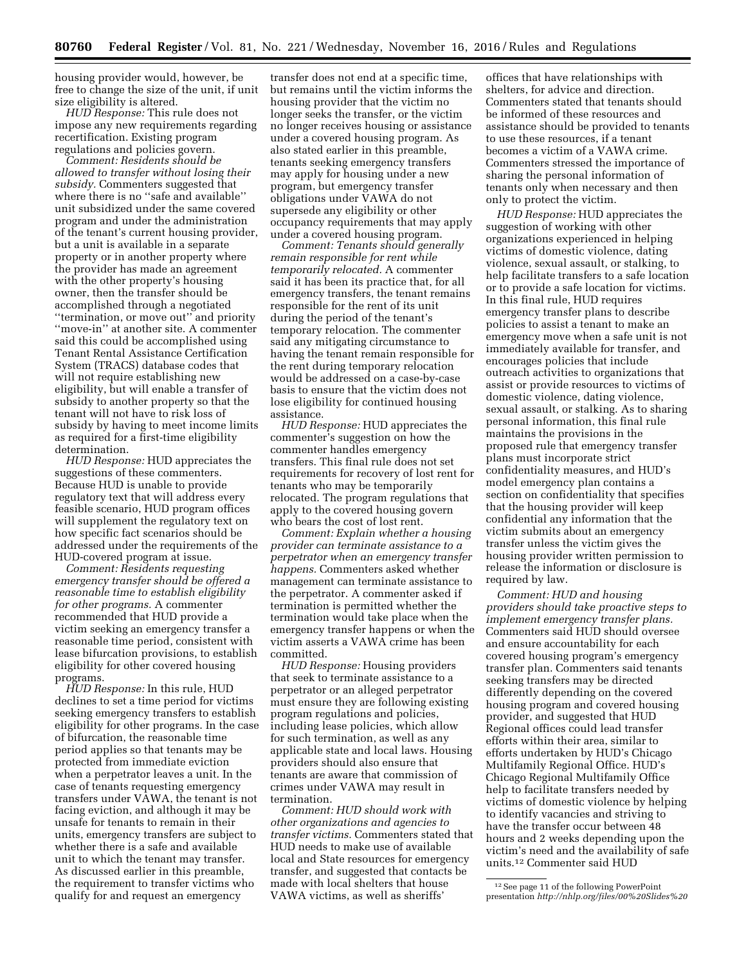housing provider would, however, be free to change the size of the unit, if unit size eligibility is altered.

*HUD Response:* This rule does not impose any new requirements regarding recertification. Existing program regulations and policies govern.

*Comment: Residents should be allowed to transfer without losing their subsidy.* Commenters suggested that where there is no "safe and available" unit subsidized under the same covered program and under the administration of the tenant's current housing provider, but a unit is available in a separate property or in another property where the provider has made an agreement with the other property's housing owner, then the transfer should be accomplished through a negotiated ''termination, or move out'' and priority ''move-in'' at another site. A commenter said this could be accomplished using Tenant Rental Assistance Certification System (TRACS) database codes that will not require establishing new eligibility, but will enable a transfer of subsidy to another property so that the tenant will not have to risk loss of subsidy by having to meet income limits as required for a first-time eligibility determination.

*HUD Response:* HUD appreciates the suggestions of these commenters. Because HUD is unable to provide regulatory text that will address every feasible scenario, HUD program offices will supplement the regulatory text on how specific fact scenarios should be addressed under the requirements of the HUD-covered program at issue.

*Comment: Residents requesting emergency transfer should be offered a reasonable time to establish eligibility for other programs.* A commenter recommended that HUD provide a victim seeking an emergency transfer a reasonable time period, consistent with lease bifurcation provisions, to establish eligibility for other covered housing programs.

*HUD Response:* In this rule, HUD declines to set a time period for victims seeking emergency transfers to establish eligibility for other programs. In the case of bifurcation, the reasonable time period applies so that tenants may be protected from immediate eviction when a perpetrator leaves a unit. In the case of tenants requesting emergency transfers under VAWA, the tenant is not facing eviction, and although it may be unsafe for tenants to remain in their units, emergency transfers are subject to whether there is a safe and available unit to which the tenant may transfer. As discussed earlier in this preamble, the requirement to transfer victims who qualify for and request an emergency

transfer does not end at a specific time, but remains until the victim informs the housing provider that the victim no longer seeks the transfer, or the victim no longer receives housing or assistance under a covered housing program. As also stated earlier in this preamble, tenants seeking emergency transfers may apply for housing under a new program, but emergency transfer obligations under VAWA do not supersede any eligibility or other occupancy requirements that may apply under a covered housing program.

*Comment: Tenants should generally remain responsible for rent while temporarily relocated.* A commenter said it has been its practice that, for all emergency transfers, the tenant remains responsible for the rent of its unit during the period of the tenant's temporary relocation. The commenter said any mitigating circumstance to having the tenant remain responsible for the rent during temporary relocation would be addressed on a case-by-case basis to ensure that the victim does not lose eligibility for continued housing assistance.

*HUD Response:* HUD appreciates the commenter's suggestion on how the commenter handles emergency transfers. This final rule does not set requirements for recovery of lost rent for tenants who may be temporarily relocated. The program regulations that apply to the covered housing govern who bears the cost of lost rent.

*Comment: Explain whether a housing provider can terminate assistance to a perpetrator when an emergency transfer happens.* Commenters asked whether management can terminate assistance to the perpetrator. A commenter asked if termination is permitted whether the termination would take place when the emergency transfer happens or when the victim asserts a VAWA crime has been committed.

*HUD Response:* Housing providers that seek to terminate assistance to a perpetrator or an alleged perpetrator must ensure they are following existing program regulations and policies, including lease policies, which allow for such termination, as well as any applicable state and local laws. Housing providers should also ensure that tenants are aware that commission of crimes under VAWA may result in termination.

*Comment: HUD should work with other organizations and agencies to transfer victims.* Commenters stated that HUD needs to make use of available local and State resources for emergency transfer, and suggested that contacts be made with local shelters that house VAWA victims, as well as sheriffs'

offices that have relationships with shelters, for advice and direction. Commenters stated that tenants should be informed of these resources and assistance should be provided to tenants to use these resources, if a tenant becomes a victim of a VAWA crime. Commenters stressed the importance of sharing the personal information of tenants only when necessary and then only to protect the victim.

*HUD Response:* HUD appreciates the suggestion of working with other organizations experienced in helping victims of domestic violence, dating violence, sexual assault, or stalking, to help facilitate transfers to a safe location or to provide a safe location for victims. In this final rule, HUD requires emergency transfer plans to describe policies to assist a tenant to make an emergency move when a safe unit is not immediately available for transfer, and encourages policies that include outreach activities to organizations that assist or provide resources to victims of domestic violence, dating violence, sexual assault, or stalking. As to sharing personal information, this final rule maintains the provisions in the proposed rule that emergency transfer plans must incorporate strict confidentiality measures, and HUD's model emergency plan contains a section on confidentiality that specifies that the housing provider will keep confidential any information that the victim submits about an emergency transfer unless the victim gives the housing provider written permission to release the information or disclosure is required by law.

*Comment: HUD and housing providers should take proactive steps to implement emergency transfer plans.*  Commenters said HUD should oversee and ensure accountability for each covered housing program's emergency transfer plan. Commenters said tenants seeking transfers may be directed differently depending on the covered housing program and covered housing provider, and suggested that HUD Regional offices could lead transfer efforts within their area, similar to efforts undertaken by HUD's Chicago Multifamily Regional Office. HUD's Chicago Regional Multifamily Office help to facilitate transfers needed by victims of domestic violence by helping to identify vacancies and striving to have the transfer occur between 48 hours and 2 weeks depending upon the victim's need and the availability of safe units.12 Commenter said HUD

<sup>12</sup>See page 11 of the following PowerPoint presentation *[http://nhlp.org/files/00%20Slides%20](http://nhlp.org/files/00%20Slides%20HUD%20Proposed%20VAWA%20Rule%20Webinar.pdf)*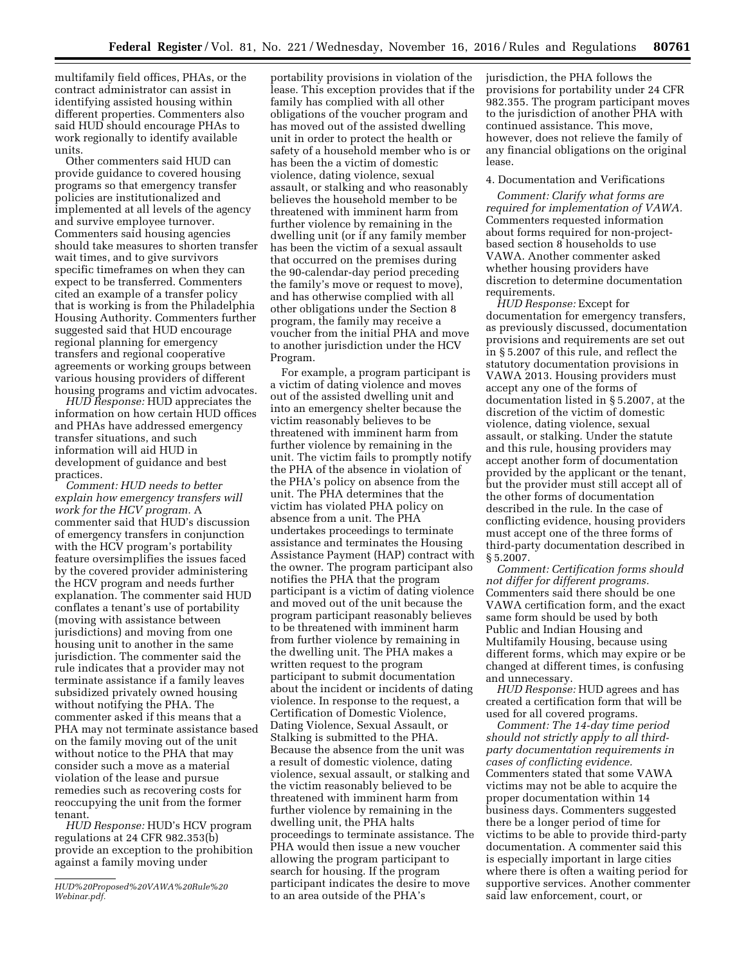multifamily field offices, PHAs, or the contract administrator can assist in identifying assisted housing within different properties. Commenters also said HUD should encourage PHAs to work regionally to identify available units.

Other commenters said HUD can provide guidance to covered housing programs so that emergency transfer policies are institutionalized and implemented at all levels of the agency and survive employee turnover. Commenters said housing agencies should take measures to shorten transfer wait times, and to give survivors specific timeframes on when they can expect to be transferred. Commenters cited an example of a transfer policy that is working is from the Philadelphia Housing Authority. Commenters further suggested said that HUD encourage regional planning for emergency transfers and regional cooperative agreements or working groups between various housing providers of different housing programs and victim advocates.

*HUD Response:* HUD appreciates the information on how certain HUD offices and PHAs have addressed emergency transfer situations, and such information will aid HUD in development of guidance and best practices.

*Comment: HUD needs to better explain how emergency transfers will work for the HCV program.* A commenter said that HUD's discussion of emergency transfers in conjunction with the HCV program's portability feature oversimplifies the issues faced by the covered provider administering the HCV program and needs further explanation. The commenter said HUD conflates a tenant's use of portability (moving with assistance between jurisdictions) and moving from one housing unit to another in the same jurisdiction. The commenter said the rule indicates that a provider may not terminate assistance if a family leaves subsidized privately owned housing without notifying the PHA. The commenter asked if this means that a PHA may not terminate assistance based on the family moving out of the unit without notice to the PHA that may consider such a move as a material violation of the lease and pursue remedies such as recovering costs for reoccupying the unit from the former tenant.

*HUD Response:* HUD's HCV program regulations at 24 CFR 982.353(b) provide an exception to the prohibition against a family moving under

portability provisions in violation of the lease. This exception provides that if the family has complied with all other obligations of the voucher program and has moved out of the assisted dwelling unit in order to protect the health or safety of a household member who is or has been the a victim of domestic violence, dating violence, sexual assault, or stalking and who reasonably believes the household member to be threatened with imminent harm from further violence by remaining in the dwelling unit (or if any family member has been the victim of a sexual assault that occurred on the premises during the 90-calendar-day period preceding the family's move or request to move), and has otherwise complied with all other obligations under the Section 8 program, the family may receive a voucher from the initial PHA and move to another jurisdiction under the HCV Program.

For example, a program participant is a victim of dating violence and moves out of the assisted dwelling unit and into an emergency shelter because the victim reasonably believes to be threatened with imminent harm from further violence by remaining in the unit. The victim fails to promptly notify the PHA of the absence in violation of the PHA's policy on absence from the unit. The PHA determines that the victim has violated PHA policy on absence from a unit. The PHA undertakes proceedings to terminate assistance and terminates the Housing Assistance Payment (HAP) contract with the owner. The program participant also notifies the PHA that the program participant is a victim of dating violence and moved out of the unit because the program participant reasonably believes to be threatened with imminent harm from further violence by remaining in the dwelling unit. The PHA makes a written request to the program participant to submit documentation about the incident or incidents of dating violence. In response to the request, a Certification of Domestic Violence, Dating Violence, Sexual Assault, or Stalking is submitted to the PHA. Because the absence from the unit was a result of domestic violence, dating violence, sexual assault, or stalking and the victim reasonably believed to be threatened with imminent harm from further violence by remaining in the dwelling unit, the PHA halts proceedings to terminate assistance. The PHA would then issue a new voucher allowing the program participant to search for housing. If the program participant indicates the desire to move to an area outside of the PHA's

jurisdiction, the PHA follows the provisions for portability under 24 CFR 982.355. The program participant moves to the jurisdiction of another PHA with continued assistance. This move, however, does not relieve the family of any financial obligations on the original lease.

# 4. Documentation and Verifications

*Comment: Clarify what forms are required for implementation of VAWA.*  Commenters requested information about forms required for non-projectbased section 8 households to use VAWA. Another commenter asked whether housing providers have discretion to determine documentation requirements.

*HUD Response:* Except for documentation for emergency transfers, as previously discussed, documentation provisions and requirements are set out in § 5.2007 of this rule, and reflect the statutory documentation provisions in VAWA 2013. Housing providers must accept any one of the forms of documentation listed in § 5.2007, at the discretion of the victim of domestic violence, dating violence, sexual assault, or stalking. Under the statute and this rule, housing providers may accept another form of documentation provided by the applicant or the tenant, but the provider must still accept all of the other forms of documentation described in the rule. In the case of conflicting evidence, housing providers must accept one of the three forms of third-party documentation described in § 5.2007.

*Comment: Certification forms should not differ for different programs.*  Commenters said there should be one VAWA certification form, and the exact same form should be used by both Public and Indian Housing and Multifamily Housing, because using different forms, which may expire or be changed at different times, is confusing and unnecessary.

*HUD Response:* HUD agrees and has created a certification form that will be used for all covered programs.

*Comment: The 14-day time period should not strictly apply to all thirdparty documentation requirements in cases of conflicting evidence.*  Commenters stated that some VAWA victims may not be able to acquire the proper documentation within 14 business days. Commenters suggested there be a longer period of time for victims to be able to provide third-party documentation. A commenter said this is especially important in large cities where there is often a waiting period for supportive services. Another commenter said law enforcement, court, or

*[HUD%20Proposed%20VAWA%20Rule%20](http://nhlp.org/files/00%20Slides%20HUD%20Proposed%20VAWA%20Rule%20Webinar.pdf) [Webinar.pdf.](http://nhlp.org/files/00%20Slides%20HUD%20Proposed%20VAWA%20Rule%20Webinar.pdf)*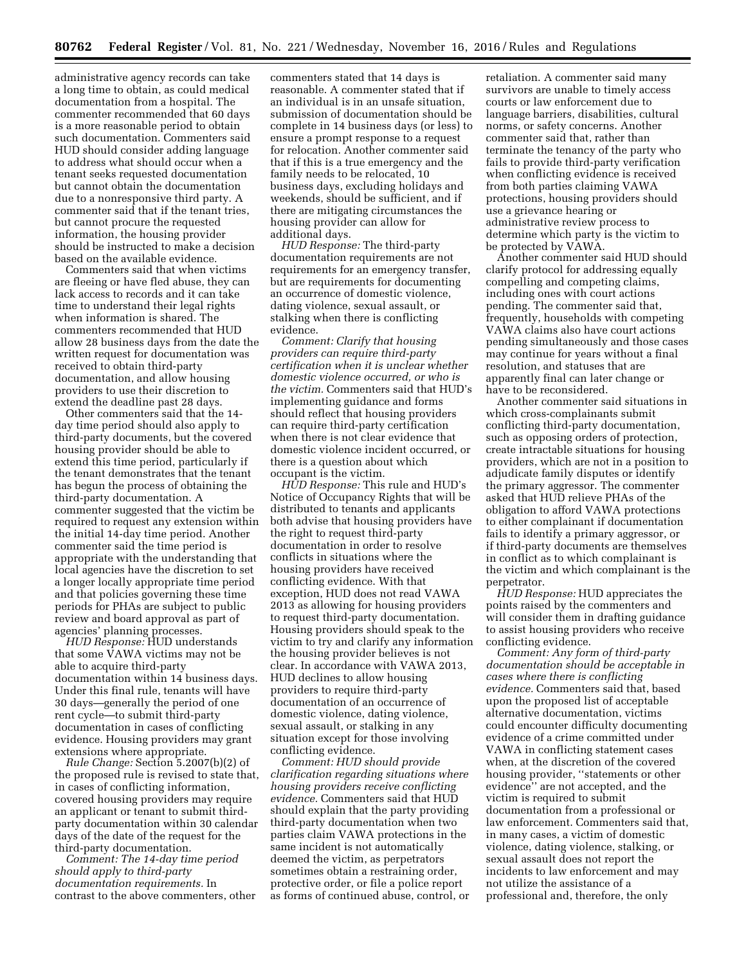administrative agency records can take a long time to obtain, as could medical documentation from a hospital. The commenter recommended that 60 days is a more reasonable period to obtain such documentation. Commenters said HUD should consider adding language to address what should occur when a tenant seeks requested documentation but cannot obtain the documentation due to a nonresponsive third party. A commenter said that if the tenant tries, but cannot procure the requested information, the housing provider should be instructed to make a decision based on the available evidence.

Commenters said that when victims are fleeing or have fled abuse, they can lack access to records and it can take time to understand their legal rights when information is shared. The commenters recommended that HUD allow 28 business days from the date the written request for documentation was received to obtain third-party documentation, and allow housing providers to use their discretion to extend the deadline past 28 days.

Other commenters said that the 14 day time period should also apply to third-party documents, but the covered housing provider should be able to extend this time period, particularly if the tenant demonstrates that the tenant has begun the process of obtaining the third-party documentation. A commenter suggested that the victim be required to request any extension within the initial 14-day time period. Another commenter said the time period is appropriate with the understanding that local agencies have the discretion to set a longer locally appropriate time period and that policies governing these time periods for PHAs are subject to public review and board approval as part of agencies' planning processes.

*HUD Response:* HUD understands that some VAWA victims may not be able to acquire third-party documentation within 14 business days. Under this final rule, tenants will have 30 days—generally the period of one rent cycle—to submit third-party documentation in cases of conflicting evidence. Housing providers may grant extensions where appropriate.

*Rule Change:* Section 5.2007(b)(2) of the proposed rule is revised to state that, in cases of conflicting information, covered housing providers may require an applicant or tenant to submit thirdparty documentation within 30 calendar days of the date of the request for the third-party documentation.

*Comment: The 14-day time period should apply to third-party documentation requirements.* In contrast to the above commenters, other commenters stated that 14 days is reasonable. A commenter stated that if an individual is in an unsafe situation, submission of documentation should be complete in 14 business days (or less) to ensure a prompt response to a request for relocation. Another commenter said that if this is a true emergency and the family needs to be relocated, 10 business days, excluding holidays and weekends, should be sufficient, and if there are mitigating circumstances the housing provider can allow for additional days.

*HUD Response:* The third-party documentation requirements are not requirements for an emergency transfer, but are requirements for documenting an occurrence of domestic violence, dating violence, sexual assault, or stalking when there is conflicting evidence.

*Comment: Clarify that housing providers can require third-party certification when it is unclear whether domestic violence occurred, or who is the victim.* Commenters said that HUD's implementing guidance and forms should reflect that housing providers can require third-party certification when there is not clear evidence that domestic violence incident occurred, or there is a question about which occupant is the victim.

*HUD Response:* This rule and HUD's Notice of Occupancy Rights that will be distributed to tenants and applicants both advise that housing providers have the right to request third-party documentation in order to resolve conflicts in situations where the housing providers have received conflicting evidence. With that exception, HUD does not read VAWA 2013 as allowing for housing providers to request third-party documentation. Housing providers should speak to the victim to try and clarify any information the housing provider believes is not clear. In accordance with VAWA 2013, HUD declines to allow housing providers to require third-party documentation of an occurrence of domestic violence, dating violence, sexual assault, or stalking in any situation except for those involving conflicting evidence.

*Comment: HUD should provide clarification regarding situations where housing providers receive conflicting evidence.* Commenters said that HUD should explain that the party providing third-party documentation when two parties claim VAWA protections in the same incident is not automatically deemed the victim, as perpetrators sometimes obtain a restraining order, protective order, or file a police report as forms of continued abuse, control, or

retaliation. A commenter said many survivors are unable to timely access courts or law enforcement due to language barriers, disabilities, cultural norms, or safety concerns. Another commenter said that, rather than terminate the tenancy of the party who fails to provide third-party verification when conflicting evidence is received from both parties claiming VAWA protections, housing providers should use a grievance hearing or administrative review process to determine which party is the victim to be protected by VAWA.

Another commenter said HUD should clarify protocol for addressing equally compelling and competing claims, including ones with court actions pending. The commenter said that, frequently, households with competing VAWA claims also have court actions pending simultaneously and those cases may continue for years without a final resolution, and statuses that are apparently final can later change or have to be reconsidered.

Another commenter said situations in which cross-complainants submit conflicting third-party documentation, such as opposing orders of protection, create intractable situations for housing providers, which are not in a position to adjudicate family disputes or identify the primary aggressor. The commenter asked that HUD relieve PHAs of the obligation to afford VAWA protections to either complainant if documentation fails to identify a primary aggressor, or if third-party documents are themselves in conflict as to which complainant is the victim and which complainant is the perpetrator.

*HUD Response:* HUD appreciates the points raised by the commenters and will consider them in drafting guidance to assist housing providers who receive conflicting evidence.

*Comment: Any form of third-party documentation should be acceptable in cases where there is conflicting evidence.* Commenters said that, based upon the proposed list of acceptable alternative documentation, victims could encounter difficulty documenting evidence of a crime committed under VAWA in conflicting statement cases when, at the discretion of the covered housing provider, ''statements or other evidence'' are not accepted, and the victim is required to submit documentation from a professional or law enforcement. Commenters said that, in many cases, a victim of domestic violence, dating violence, stalking, or sexual assault does not report the incidents to law enforcement and may not utilize the assistance of a professional and, therefore, the only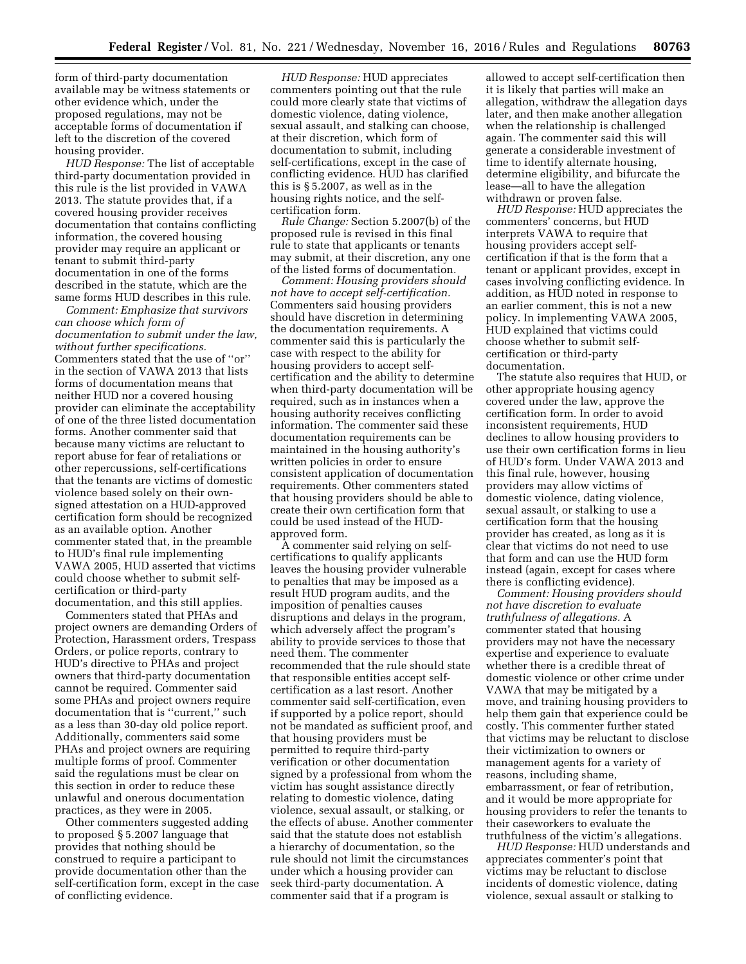form of third-party documentation available may be witness statements or other evidence which, under the proposed regulations, may not be acceptable forms of documentation if left to the discretion of the covered housing provider.

*HUD Response:* The list of acceptable third-party documentation provided in this rule is the list provided in VAWA 2013. The statute provides that, if a covered housing provider receives documentation that contains conflicting information, the covered housing provider may require an applicant or tenant to submit third-party documentation in one of the forms described in the statute, which are the same forms HUD describes in this rule.

*Comment: Emphasize that survivors can choose which form of documentation to submit under the law, without further specifications.*  Commenters stated that the use of ''or'' in the section of VAWA 2013 that lists forms of documentation means that neither HUD nor a covered housing provider can eliminate the acceptability of one of the three listed documentation forms. Another commenter said that because many victims are reluctant to report abuse for fear of retaliations or other repercussions, self-certifications that the tenants are victims of domestic violence based solely on their ownsigned attestation on a HUD-approved certification form should be recognized as an available option. Another commenter stated that, in the preamble to HUD's final rule implementing VAWA 2005, HUD asserted that victims could choose whether to submit selfcertification or third-party documentation, and this still applies.

Commenters stated that PHAs and project owners are demanding Orders of Protection, Harassment orders, Trespass Orders, or police reports, contrary to HUD's directive to PHAs and project owners that third-party documentation cannot be required. Commenter said some PHAs and project owners require documentation that is ''current,'' such as a less than 30-day old police report. Additionally, commenters said some PHAs and project owners are requiring multiple forms of proof. Commenter said the regulations must be clear on this section in order to reduce these unlawful and onerous documentation practices, as they were in 2005.

Other commenters suggested adding to proposed § 5.2007 language that provides that nothing should be construed to require a participant to provide documentation other than the self-certification form, except in the case of conflicting evidence.

*HUD Response:* HUD appreciates commenters pointing out that the rule could more clearly state that victims of domestic violence, dating violence, sexual assault, and stalking can choose, at their discretion, which form of documentation to submit, including self-certifications, except in the case of conflicting evidence. HUD has clarified this is § 5.2007, as well as in the housing rights notice, and the selfcertification form.

*Rule Change:* Section 5.2007(b) of the proposed rule is revised in this final rule to state that applicants or tenants may submit, at their discretion, any one of the listed forms of documentation.

*Comment: Housing providers should not have to accept self-certification.*  Commenters said housing providers should have discretion in determining the documentation requirements. A commenter said this is particularly the case with respect to the ability for housing providers to accept selfcertification and the ability to determine when third-party documentation will be required, such as in instances when a housing authority receives conflicting information. The commenter said these documentation requirements can be maintained in the housing authority's written policies in order to ensure consistent application of documentation requirements. Other commenters stated that housing providers should be able to create their own certification form that could be used instead of the HUDapproved form.

A commenter said relying on selfcertifications to qualify applicants leaves the housing provider vulnerable to penalties that may be imposed as a result HUD program audits, and the imposition of penalties causes disruptions and delays in the program, which adversely affect the program's ability to provide services to those that need them. The commenter recommended that the rule should state that responsible entities accept selfcertification as a last resort. Another commenter said self-certification, even if supported by a police report, should not be mandated as sufficient proof, and that housing providers must be permitted to require third-party verification or other documentation signed by a professional from whom the victim has sought assistance directly relating to domestic violence, dating violence, sexual assault, or stalking, or the effects of abuse. Another commenter said that the statute does not establish a hierarchy of documentation, so the rule should not limit the circumstances under which a housing provider can seek third-party documentation. A commenter said that if a program is

allowed to accept self-certification then it is likely that parties will make an allegation, withdraw the allegation days later, and then make another allegation when the relationship is challenged again. The commenter said this will generate a considerable investment of time to identify alternate housing, determine eligibility, and bifurcate the lease—all to have the allegation withdrawn or proven false.

*HUD Response:* HUD appreciates the commenters' concerns, but HUD interprets VAWA to require that housing providers accept selfcertification if that is the form that a tenant or applicant provides, except in cases involving conflicting evidence. In addition, as HUD noted in response to an earlier comment, this is not a new policy. In implementing VAWA 2005, HUD explained that victims could choose whether to submit selfcertification or third-party documentation.

The statute also requires that HUD, or other appropriate housing agency covered under the law, approve the certification form. In order to avoid inconsistent requirements, HUD declines to allow housing providers to use their own certification forms in lieu of HUD's form. Under VAWA 2013 and this final rule, however, housing providers may allow victims of domestic violence, dating violence, sexual assault, or stalking to use a certification form that the housing provider has created, as long as it is clear that victims do not need to use that form and can use the HUD form instead (again, except for cases where there is conflicting evidence).

*Comment: Housing providers should not have discretion to evaluate truthfulness of allegations.* A commenter stated that housing providers may not have the necessary expertise and experience to evaluate whether there is a credible threat of domestic violence or other crime under VAWA that may be mitigated by a move, and training housing providers to help them gain that experience could be costly. This commenter further stated that victims may be reluctant to disclose their victimization to owners or management agents for a variety of reasons, including shame, embarrassment, or fear of retribution, and it would be more appropriate for housing providers to refer the tenants to their caseworkers to evaluate the truthfulness of the victim's allegations.

*HUD Response:* HUD understands and appreciates commenter's point that victims may be reluctant to disclose incidents of domestic violence, dating violence, sexual assault or stalking to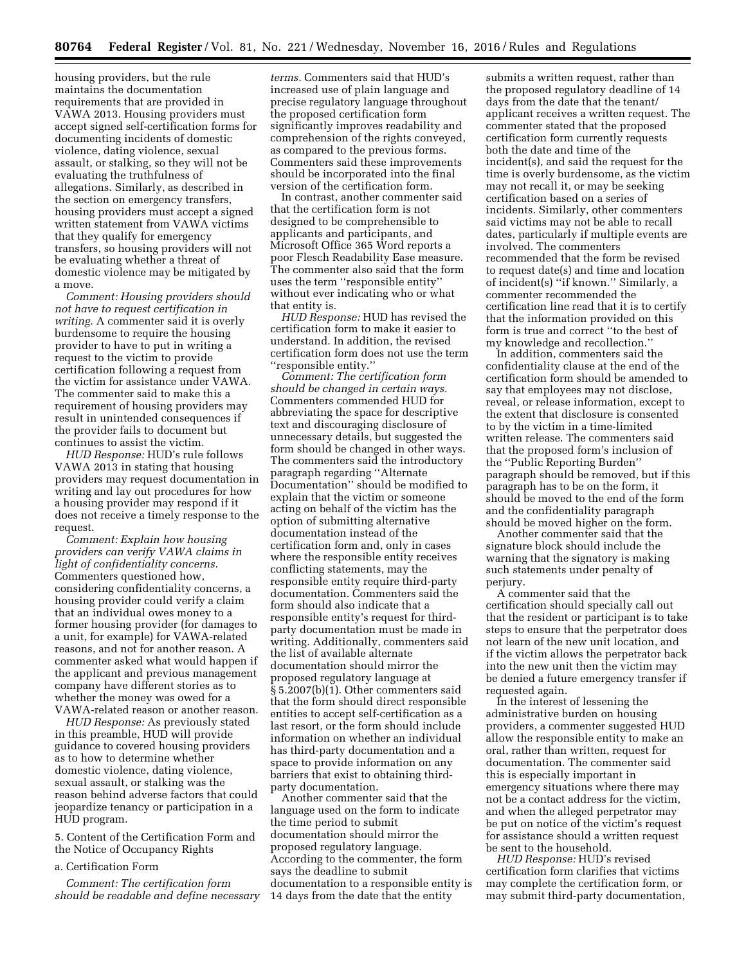housing providers, but the rule maintains the documentation requirements that are provided in VAWA 2013. Housing providers must accept signed self-certification forms for documenting incidents of domestic violence, dating violence, sexual assault, or stalking, so they will not be evaluating the truthfulness of allegations. Similarly, as described in the section on emergency transfers, housing providers must accept a signed written statement from VAWA victims that they qualify for emergency transfers, so housing providers will not be evaluating whether a threat of domestic violence may be mitigated by a move.

*Comment: Housing providers should not have to request certification in writing.* A commenter said it is overly burdensome to require the housing provider to have to put in writing a request to the victim to provide certification following a request from the victim for assistance under VAWA. The commenter said to make this a requirement of housing providers may result in unintended consequences if the provider fails to document but continues to assist the victim.

*HUD Response:* HUD's rule follows VAWA 2013 in stating that housing providers may request documentation in writing and lay out procedures for how a housing provider may respond if it does not receive a timely response to the request.

*Comment: Explain how housing providers can verify VAWA claims in light of confidentiality concerns.*  Commenters questioned how, considering confidentiality concerns, a housing provider could verify a claim that an individual owes money to a former housing provider (for damages to a unit, for example) for VAWA-related reasons, and not for another reason. A commenter asked what would happen if the applicant and previous management company have different stories as to whether the money was owed for a VAWA-related reason or another reason.

*HUD Response:* As previously stated in this preamble, HUD will provide guidance to covered housing providers as to how to determine whether domestic violence, dating violence, sexual assault, or stalking was the reason behind adverse factors that could jeopardize tenancy or participation in a HUD program.

5. Content of the Certification Form and the Notice of Occupancy Rights

a. Certification Form

*Comment: The certification form should be readable and define necessary* 

*terms.* Commenters said that HUD's increased use of plain language and precise regulatory language throughout the proposed certification form significantly improves readability and comprehension of the rights conveyed, as compared to the previous forms. Commenters said these improvements should be incorporated into the final version of the certification form.

In contrast, another commenter said that the certification form is not designed to be comprehensible to applicants and participants, and Microsoft Office 365 Word reports a poor Flesch Readability Ease measure. The commenter also said that the form uses the term ''responsible entity'' without ever indicating who or what that entity is.

*HUD Response:* HUD has revised the certification form to make it easier to understand. In addition, the revised certification form does not use the term ''responsible entity.''

*Comment: The certification form should be changed in certain ways.*  Commenters commended HUD for abbreviating the space for descriptive text and discouraging disclosure of unnecessary details, but suggested the form should be changed in other ways. The commenters said the introductory paragraph regarding ''Alternate Documentation'' should be modified to explain that the victim or someone acting on behalf of the victim has the option of submitting alternative documentation instead of the certification form and, only in cases where the responsible entity receives conflicting statements, may the responsible entity require third-party documentation. Commenters said the form should also indicate that a responsible entity's request for thirdparty documentation must be made in writing. Additionally, commenters said the list of available alternate documentation should mirror the proposed regulatory language at § 5.2007(b)(1). Other commenters said that the form should direct responsible entities to accept self-certification as a last resort, or the form should include information on whether an individual has third-party documentation and a space to provide information on any barriers that exist to obtaining thirdparty documentation.

Another commenter said that the language used on the form to indicate the time period to submit documentation should mirror the proposed regulatory language. According to the commenter, the form says the deadline to submit documentation to a responsible entity is 14 days from the date that the entity

submits a written request, rather than the proposed regulatory deadline of 14 days from the date that the tenant/ applicant receives a written request. The commenter stated that the proposed certification form currently requests both the date and time of the incident(s), and said the request for the time is overly burdensome, as the victim may not recall it, or may be seeking certification based on a series of incidents. Similarly, other commenters said victims may not be able to recall dates, particularly if multiple events are involved. The commenters recommended that the form be revised to request date(s) and time and location of incident(s) ''if known.'' Similarly, a commenter recommended the certification line read that it is to certify that the information provided on this form is true and correct ''to the best of my knowledge and recollection.''

In addition, commenters said the confidentiality clause at the end of the certification form should be amended to say that employees may not disclose, reveal, or release information, except to the extent that disclosure is consented to by the victim in a time-limited written release. The commenters said that the proposed form's inclusion of the ''Public Reporting Burden'' paragraph should be removed, but if this paragraph has to be on the form, it should be moved to the end of the form and the confidentiality paragraph should be moved higher on the form.

Another commenter said that the signature block should include the warning that the signatory is making such statements under penalty of perjury.

A commenter said that the certification should specially call out that the resident or participant is to take steps to ensure that the perpetrator does not learn of the new unit location, and if the victim allows the perpetrator back into the new unit then the victim may be denied a future emergency transfer if requested again.

In the interest of lessening the administrative burden on housing providers, a commenter suggested HUD allow the responsible entity to make an oral, rather than written, request for documentation. The commenter said this is especially important in emergency situations where there may not be a contact address for the victim, and when the alleged perpetrator may be put on notice of the victim's request for assistance should a written request be sent to the household.

*HUD Response:* HUD's revised certification form clarifies that victims may complete the certification form, or may submit third-party documentation,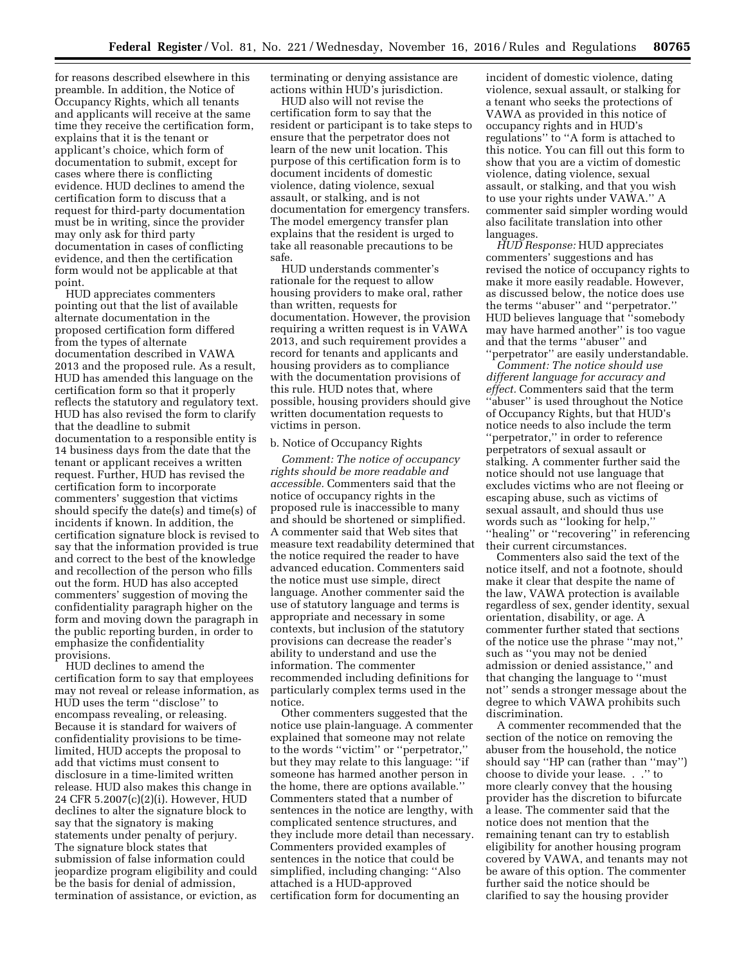for reasons described elsewhere in this preamble. In addition, the Notice of Occupancy Rights, which all tenants and applicants will receive at the same time they receive the certification form, explains that it is the tenant or applicant's choice, which form of documentation to submit, except for cases where there is conflicting evidence. HUD declines to amend the certification form to discuss that a request for third-party documentation must be in writing, since the provider may only ask for third party documentation in cases of conflicting evidence, and then the certification form would not be applicable at that point.

HUD appreciates commenters pointing out that the list of available alternate documentation in the proposed certification form differed from the types of alternate documentation described in VAWA 2013 and the proposed rule. As a result, HUD has amended this language on the certification form so that it properly reflects the statutory and regulatory text. HUD has also revised the form to clarify that the deadline to submit documentation to a responsible entity is 14 business days from the date that the tenant or applicant receives a written request. Further, HUD has revised the certification form to incorporate commenters' suggestion that victims should specify the date(s) and time(s) of incidents if known. In addition, the certification signature block is revised to say that the information provided is true and correct to the best of the knowledge and recollection of the person who fills out the form. HUD has also accepted commenters' suggestion of moving the confidentiality paragraph higher on the form and moving down the paragraph in the public reporting burden, in order to emphasize the confidentiality provisions.

HUD declines to amend the certification form to say that employees may not reveal or release information, as HUD uses the term ''disclose'' to encompass revealing, or releasing. Because it is standard for waivers of confidentiality provisions to be timelimited, HUD accepts the proposal to add that victims must consent to disclosure in a time-limited written release. HUD also makes this change in 24 CFR 5.2007(c)(2)(i). However, HUD declines to alter the signature block to say that the signatory is making statements under penalty of perjury. The signature block states that submission of false information could jeopardize program eligibility and could be the basis for denial of admission, termination of assistance, or eviction, as

terminating or denying assistance are actions within HUD's jurisdiction.

HUD also will not revise the certification form to say that the resident or participant is to take steps to ensure that the perpetrator does not learn of the new unit location. This purpose of this certification form is to document incidents of domestic violence, dating violence, sexual assault, or stalking, and is not documentation for emergency transfers. The model emergency transfer plan explains that the resident is urged to take all reasonable precautions to be safe.

HUD understands commenter's rationale for the request to allow housing providers to make oral, rather than written, requests for documentation. However, the provision requiring a written request is in VAWA 2013, and such requirement provides a record for tenants and applicants and housing providers as to compliance with the documentation provisions of this rule. HUD notes that, where possible, housing providers should give written documentation requests to victims in person.

### b. Notice of Occupancy Rights

*Comment: The notice of occupancy rights should be more readable and accessible.* Commenters said that the notice of occupancy rights in the proposed rule is inaccessible to many and should be shortened or simplified. A commenter said that Web sites that measure text readability determined that the notice required the reader to have advanced education. Commenters said the notice must use simple, direct language. Another commenter said the use of statutory language and terms is appropriate and necessary in some contexts, but inclusion of the statutory provisions can decrease the reader's ability to understand and use the information. The commenter recommended including definitions for particularly complex terms used in the notice.

Other commenters suggested that the notice use plain-language. A commenter explained that someone may not relate to the words ''victim'' or ''perpetrator,'' but they may relate to this language: ''if someone has harmed another person in the home, there are options available.'' Commenters stated that a number of sentences in the notice are lengthy, with complicated sentence structures, and they include more detail than necessary. Commenters provided examples of sentences in the notice that could be simplified, including changing: ''Also attached is a HUD-approved certification form for documenting an

incident of domestic violence, dating violence, sexual assault, or stalking for a tenant who seeks the protections of VAWA as provided in this notice of occupancy rights and in HUD's regulations'' to ''A form is attached to this notice. You can fill out this form to show that you are a victim of domestic violence, dating violence, sexual assault, or stalking, and that you wish to use your rights under VAWA.'' A commenter said simpler wording would also facilitate translation into other languages.

*HUD Response:* HUD appreciates commenters' suggestions and has revised the notice of occupancy rights to make it more easily readable. However, as discussed below, the notice does use the terms ''abuser'' and ''perpetrator.'' HUD believes language that ''somebody may have harmed another'' is too vague and that the terms ''abuser'' and ''perpetrator'' are easily understandable.

*Comment: The notice should use different language for accuracy and effect.* Commenters said that the term ''abuser'' is used throughout the Notice of Occupancy Rights, but that HUD's notice needs to also include the term ''perpetrator,'' in order to reference perpetrators of sexual assault or stalking. A commenter further said the notice should not use language that excludes victims who are not fleeing or escaping abuse, such as victims of sexual assault, and should thus use words such as ''looking for help,'' "healing" or "recovering" in referencing their current circumstances.

Commenters also said the text of the notice itself, and not a footnote, should make it clear that despite the name of the law, VAWA protection is available regardless of sex, gender identity, sexual orientation, disability, or age. A commenter further stated that sections of the notice use the phrase ''may not,'' such as ''you may not be denied admission or denied assistance,'' and that changing the language to ''must not'' sends a stronger message about the degree to which VAWA prohibits such discrimination.

A commenter recommended that the section of the notice on removing the abuser from the household, the notice should say ''HP can (rather than ''may'') choose to divide your lease. . .'' to more clearly convey that the housing provider has the discretion to bifurcate a lease. The commenter said that the notice does not mention that the remaining tenant can try to establish eligibility for another housing program covered by VAWA, and tenants may not be aware of this option. The commenter further said the notice should be clarified to say the housing provider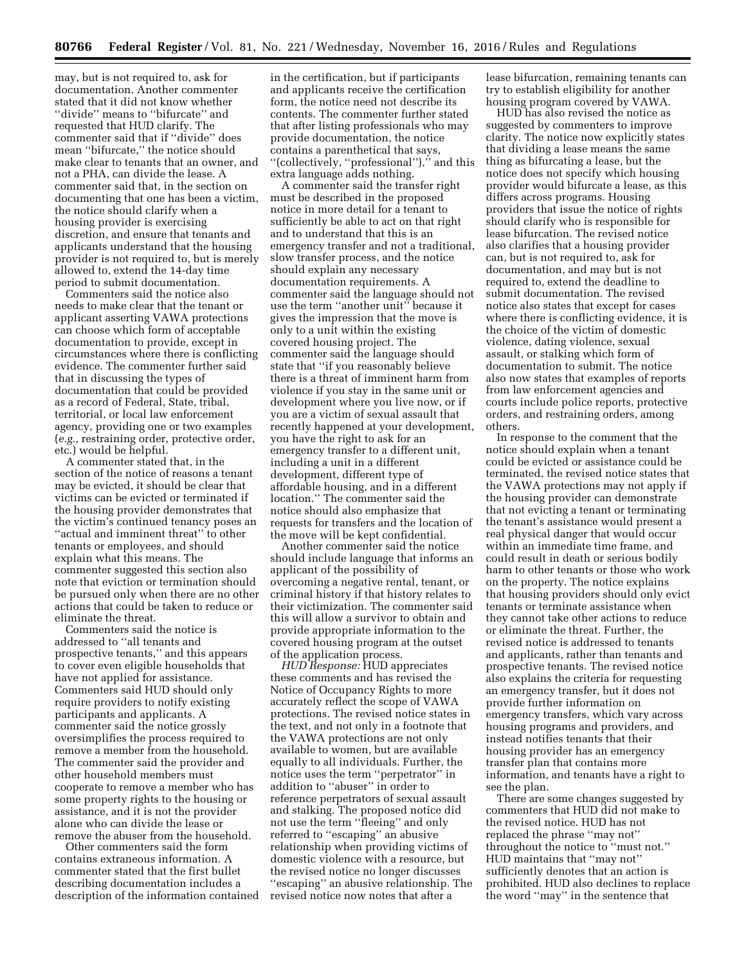may, but is not required to, ask for documentation. Another commenter stated that it did not know whether ''divide'' means to ''bifurcate'' and requested that HUD clarify. The commenter said that if ''divide'' does mean ''bifurcate,'' the notice should make clear to tenants that an owner, and not a PHA, can divide the lease. A commenter said that, in the section on documenting that one has been a victim, the notice should clarify when a housing provider is exercising discretion, and ensure that tenants and applicants understand that the housing provider is not required to, but is merely allowed to, extend the 14-day time period to submit documentation.

Commenters said the notice also needs to make clear that the tenant or applicant asserting VAWA protections can choose which form of acceptable documentation to provide, except in circumstances where there is conflicting evidence. The commenter further said that in discussing the types of documentation that could be provided as a record of Federal, State, tribal, territorial, or local law enforcement agency, providing one or two examples (*e.g.,* restraining order, protective order, etc.) would be helpful.

A commenter stated that, in the section of the notice of reasons a tenant may be evicted, it should be clear that victims can be evicted or terminated if the housing provider demonstrates that the victim's continued tenancy poses an "actual and imminent threat" to other tenants or employees, and should explain what this means. The commenter suggested this section also note that eviction or termination should be pursued only when there are no other actions that could be taken to reduce or eliminate the threat.

Commenters said the notice is addressed to ''all tenants and prospective tenants,'' and this appears to cover even eligible households that have not applied for assistance. Commenters said HUD should only require providers to notify existing participants and applicants. A commenter said the notice grossly oversimplifies the process required to remove a member from the household. The commenter said the provider and other household members must cooperate to remove a member who has some property rights to the housing or assistance, and it is not the provider alone who can divide the lease or remove the abuser from the household.

Other commenters said the form contains extraneous information. A commenter stated that the first bullet describing documentation includes a description of the information contained in the certification, but if participants and applicants receive the certification form, the notice need not describe its contents. The commenter further stated that after listing professionals who may provide documentation, the notice contains a parenthetical that says, ''(collectively, ''professional''),'' and this extra language adds nothing.

A commenter said the transfer right must be described in the proposed notice in more detail for a tenant to sufficiently be able to act on that right and to understand that this is an emergency transfer and not a traditional, slow transfer process, and the notice should explain any necessary documentation requirements. A commenter said the language should not use the term ''another unit'' because it gives the impression that the move is only to a unit within the existing covered housing project. The commenter said the language should state that ''if you reasonably believe there is a threat of imminent harm from violence if you stay in the same unit or development where you live now, or if you are a victim of sexual assault that recently happened at your development, you have the right to ask for an emergency transfer to a different unit, including a unit in a different development, different type of affordable housing, and in a different location.'' The commenter said the notice should also emphasize that requests for transfers and the location of the move will be kept confidential.

Another commenter said the notice should include language that informs an applicant of the possibility of overcoming a negative rental, tenant, or criminal history if that history relates to their victimization. The commenter said this will allow a survivor to obtain and provide appropriate information to the covered housing program at the outset of the application process.

*HUD Response:* HUD appreciates these comments and has revised the Notice of Occupancy Rights to more accurately reflect the scope of VAWA protections. The revised notice states in the text, and not only in a footnote that the VAWA protections are not only available to women, but are available equally to all individuals. Further, the notice uses the term ''perpetrator'' in addition to ''abuser'' in order to reference perpetrators of sexual assault and stalking. The proposed notice did not use the term ''fleeing'' and only referred to ''escaping'' an abusive relationship when providing victims of domestic violence with a resource, but the revised notice no longer discusses ''escaping'' an abusive relationship. The revised notice now notes that after a

lease bifurcation, remaining tenants can try to establish eligibility for another housing program covered by VAWA.

HUD has also revised the notice as suggested by commenters to improve clarity. The notice now explicitly states that dividing a lease means the same thing as bifurcating a lease, but the notice does not specify which housing provider would bifurcate a lease, as this differs across programs. Housing providers that issue the notice of rights should clarify who is responsible for lease bifurcation. The revised notice also clarifies that a housing provider can, but is not required to, ask for documentation, and may but is not required to, extend the deadline to submit documentation. The revised notice also states that except for cases where there is conflicting evidence, it is the choice of the victim of domestic violence, dating violence, sexual assault, or stalking which form of documentation to submit. The notice also now states that examples of reports from law enforcement agencies and courts include police reports, protective orders, and restraining orders, among others.

In response to the comment that the notice should explain when a tenant could be evicted or assistance could be terminated, the revised notice states that the VAWA protections may not apply if the housing provider can demonstrate that not evicting a tenant or terminating the tenant's assistance would present a real physical danger that would occur within an immediate time frame, and could result in death or serious bodily harm to other tenants or those who work on the property. The notice explains that housing providers should only evict tenants or terminate assistance when they cannot take other actions to reduce or eliminate the threat. Further, the revised notice is addressed to tenants and applicants, rather than tenants and prospective tenants. The revised notice also explains the criteria for requesting an emergency transfer, but it does not provide further information on emergency transfers, which vary across housing programs and providers, and instead notifies tenants that their housing provider has an emergency transfer plan that contains more information, and tenants have a right to see the plan.

There are some changes suggested by commenters that HUD did not make to the revised notice. HUD has not replaced the phrase ''may not'' throughout the notice to ''must not.'' HUD maintains that ''may not'' sufficiently denotes that an action is prohibited. HUD also declines to replace the word ''may'' in the sentence that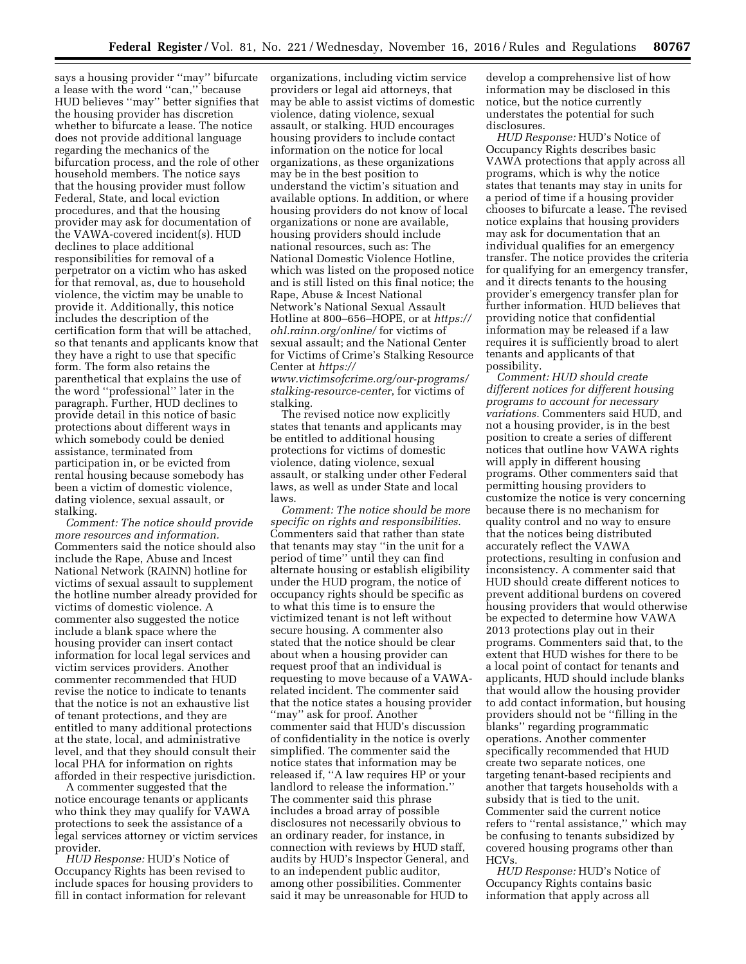says a housing provider ''may'' bifurcate a lease with the word ''can,'' because HUD believes ''may'' better signifies that the housing provider has discretion whether to bifurcate a lease. The notice does not provide additional language regarding the mechanics of the bifurcation process, and the role of other household members. The notice says that the housing provider must follow Federal, State, and local eviction procedures, and that the housing provider may ask for documentation of the VAWA-covered incident(s). HUD declines to place additional responsibilities for removal of a perpetrator on a victim who has asked for that removal, as, due to household violence, the victim may be unable to provide it. Additionally, this notice includes the description of the certification form that will be attached, so that tenants and applicants know that they have a right to use that specific form. The form also retains the parenthetical that explains the use of the word ''professional'' later in the paragraph. Further, HUD declines to provide detail in this notice of basic protections about different ways in which somebody could be denied assistance, terminated from participation in, or be evicted from rental housing because somebody has been a victim of domestic violence, dating violence, sexual assault, or stalking.

*Comment: The notice should provide more resources and information.*  Commenters said the notice should also include the Rape, Abuse and Incest National Network (RAINN) hotline for victims of sexual assault to supplement the hotline number already provided for victims of domestic violence. A commenter also suggested the notice include a blank space where the housing provider can insert contact information for local legal services and victim services providers. Another commenter recommended that HUD revise the notice to indicate to tenants that the notice is not an exhaustive list of tenant protections, and they are entitled to many additional protections at the state, local, and administrative level, and that they should consult their local PHA for information on rights afforded in their respective jurisdiction.

A commenter suggested that the notice encourage tenants or applicants who think they may qualify for VAWA protections to seek the assistance of a legal services attorney or victim services provider.

*HUD Response:* HUD's Notice of Occupancy Rights has been revised to include spaces for housing providers to fill in contact information for relevant

organizations, including victim service providers or legal aid attorneys, that may be able to assist victims of domestic violence, dating violence, sexual assault, or stalking. HUD encourages housing providers to include contact information on the notice for local organizations, as these organizations may be in the best position to understand the victim's situation and available options. In addition, or where housing providers do not know of local organizations or none are available, housing providers should include national resources, such as: The National Domestic Violence Hotline, which was listed on the proposed notice and is still listed on this final notice; the Rape, Abuse & Incest National Network's National Sexual Assault Hotline at 800–656–HOPE, or at *[https://](https://ohl.rainn.org/online/)  [ohl.rainn.org/online/](https://ohl.rainn.org/online/)* for victims of sexual assault; and the National Center for Victims of Crime's Stalking Resource Center at *[https://](https://www.victimsofcrime.org/our-programs/stalking-resource-center)*

*[www.victimsofcrime.org/our-programs/](https://www.victimsofcrime.org/our-programs/stalking-resource-center) [stalking-resource-center](https://www.victimsofcrime.org/our-programs/stalking-resource-center)*, for victims of stalking.

The revised notice now explicitly states that tenants and applicants may be entitled to additional housing protections for victims of domestic violence, dating violence, sexual assault, or stalking under other Federal laws, as well as under State and local laws.

*Comment: The notice should be more specific on rights and responsibilities.*  Commenters said that rather than state that tenants may stay ''in the unit for a period of time'' until they can find alternate housing or establish eligibility under the HUD program, the notice of occupancy rights should be specific as to what this time is to ensure the victimized tenant is not left without secure housing. A commenter also stated that the notice should be clear about when a housing provider can request proof that an individual is requesting to move because of a VAWArelated incident. The commenter said that the notice states a housing provider ''may'' ask for proof. Another commenter said that HUD's discussion of confidentiality in the notice is overly simplified. The commenter said the notice states that information may be released if, ''A law requires HP or your landlord to release the information.'' The commenter said this phrase includes a broad array of possible disclosures not necessarily obvious to an ordinary reader, for instance, in connection with reviews by HUD staff, audits by HUD's Inspector General, and to an independent public auditor, among other possibilities. Commenter said it may be unreasonable for HUD to

develop a comprehensive list of how information may be disclosed in this notice, but the notice currently understates the potential for such disclosures.

*HUD Response:* HUD's Notice of Occupancy Rights describes basic VAWA protections that apply across all programs, which is why the notice states that tenants may stay in units for a period of time if a housing provider chooses to bifurcate a lease. The revised notice explains that housing providers may ask for documentation that an individual qualifies for an emergency transfer. The notice provides the criteria for qualifying for an emergency transfer, and it directs tenants to the housing provider's emergency transfer plan for further information. HUD believes that providing notice that confidential information may be released if a law requires it is sufficiently broad to alert tenants and applicants of that possibility.

*Comment: HUD should create different notices for different housing programs to account for necessary variations.* Commenters said HUD, and not a housing provider, is in the best position to create a series of different notices that outline how VAWA rights will apply in different housing programs. Other commenters said that permitting housing providers to customize the notice is very concerning because there is no mechanism for quality control and no way to ensure that the notices being distributed accurately reflect the VAWA protections, resulting in confusion and inconsistency. A commenter said that HUD should create different notices to prevent additional burdens on covered housing providers that would otherwise be expected to determine how VAWA 2013 protections play out in their programs. Commenters said that, to the extent that HUD wishes for there to be a local point of contact for tenants and applicants, HUD should include blanks that would allow the housing provider to add contact information, but housing providers should not be ''filling in the blanks'' regarding programmatic operations. Another commenter specifically recommended that HUD create two separate notices, one targeting tenant-based recipients and another that targets households with a subsidy that is tied to the unit. Commenter said the current notice refers to ''rental assistance,'' which may be confusing to tenants subsidized by covered housing programs other than HCVs.

*HUD Response:* HUD's Notice of Occupancy Rights contains basic information that apply across all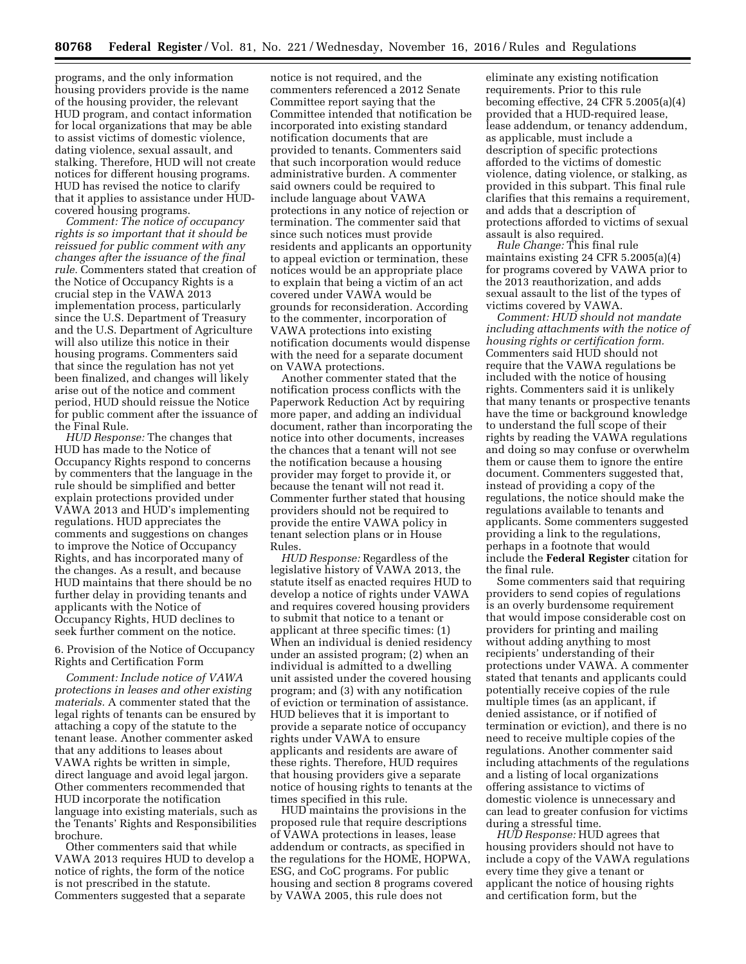programs, and the only information housing providers provide is the name of the housing provider, the relevant HUD program, and contact information for local organizations that may be able to assist victims of domestic violence, dating violence, sexual assault, and stalking. Therefore, HUD will not create notices for different housing programs. HUD has revised the notice to clarify that it applies to assistance under HUDcovered housing programs.

*Comment: The notice of occupancy rights is so important that it should be reissued for public comment with any changes after the issuance of the final rule.* Commenters stated that creation of the Notice of Occupancy Rights is a crucial step in the VAWA 2013 implementation process, particularly since the U.S. Department of Treasury and the U.S. Department of Agriculture will also utilize this notice in their housing programs. Commenters said that since the regulation has not yet been finalized, and changes will likely arise out of the notice and comment period, HUD should reissue the Notice for public comment after the issuance of the Final Rule.

*HUD Response:* The changes that HUD has made to the Notice of Occupancy Rights respond to concerns by commenters that the language in the rule should be simplified and better explain protections provided under VAWA 2013 and HUD's implementing regulations. HUD appreciates the comments and suggestions on changes to improve the Notice of Occupancy Rights, and has incorporated many of the changes. As a result, and because HUD maintains that there should be no further delay in providing tenants and applicants with the Notice of Occupancy Rights, HUD declines to seek further comment on the notice.

# 6. Provision of the Notice of Occupancy Rights and Certification Form

*Comment: Include notice of VAWA protections in leases and other existing materials.* A commenter stated that the legal rights of tenants can be ensured by attaching a copy of the statute to the tenant lease. Another commenter asked that any additions to leases about VAWA rights be written in simple, direct language and avoid legal jargon. Other commenters recommended that HUD incorporate the notification language into existing materials, such as the Tenants' Rights and Responsibilities brochure.

Other commenters said that while VAWA 2013 requires HUD to develop a notice of rights, the form of the notice is not prescribed in the statute. Commenters suggested that a separate

notice is not required, and the commenters referenced a 2012 Senate Committee report saying that the Committee intended that notification be incorporated into existing standard notification documents that are provided to tenants. Commenters said that such incorporation would reduce administrative burden. A commenter said owners could be required to include language about VAWA protections in any notice of rejection or termination. The commenter said that since such notices must provide residents and applicants an opportunity to appeal eviction or termination, these notices would be an appropriate place to explain that being a victim of an act covered under VAWA would be grounds for reconsideration. According to the commenter, incorporation of VAWA protections into existing notification documents would dispense with the need for a separate document on VAWA protections.

Another commenter stated that the notification process conflicts with the Paperwork Reduction Act by requiring more paper, and adding an individual document, rather than incorporating the notice into other documents, increases the chances that a tenant will not see the notification because a housing provider may forget to provide it, or because the tenant will not read it. Commenter further stated that housing providers should not be required to provide the entire VAWA policy in tenant selection plans or in House Rules.

*HUD Response:* Regardless of the legislative history of VAWA 2013, the statute itself as enacted requires HUD to develop a notice of rights under VAWA and requires covered housing providers to submit that notice to a tenant or applicant at three specific times: (1) When an individual is denied residency under an assisted program; (2) when an individual is admitted to a dwelling unit assisted under the covered housing program; and (3) with any notification of eviction or termination of assistance. HUD believes that it is important to provide a separate notice of occupancy rights under VAWA to ensure applicants and residents are aware of these rights. Therefore, HUD requires that housing providers give a separate notice of housing rights to tenants at the times specified in this rule.

HUD maintains the provisions in the proposed rule that require descriptions of VAWA protections in leases, lease addendum or contracts, as specified in the regulations for the HOME, HOPWA, ESG, and CoC programs. For public housing and section 8 programs covered by VAWA 2005, this rule does not

eliminate any existing notification requirements. Prior to this rule becoming effective, 24 CFR 5.2005(a)(4) provided that a HUD-required lease, lease addendum, or tenancy addendum, as applicable, must include a description of specific protections afforded to the victims of domestic violence, dating violence, or stalking, as provided in this subpart. This final rule clarifies that this remains a requirement, and adds that a description of protections afforded to victims of sexual assault is also required.

*Rule Change:* This final rule maintains existing 24 CFR 5.2005(a)(4) for programs covered by VAWA prior to the 2013 reauthorization, and adds sexual assault to the list of the types of victims covered by VAWA.

*Comment: HUD should not mandate including attachments with the notice of housing rights or certification form.*  Commenters said HUD should not require that the VAWA regulations be included with the notice of housing rights. Commenters said it is unlikely that many tenants or prospective tenants have the time or background knowledge to understand the full scope of their rights by reading the VAWA regulations and doing so may confuse or overwhelm them or cause them to ignore the entire document. Commenters suggested that, instead of providing a copy of the regulations, the notice should make the regulations available to tenants and applicants. Some commenters suggested providing a link to the regulations, perhaps in a footnote that would include the **Federal Register** citation for the final rule.

Some commenters said that requiring providers to send copies of regulations is an overly burdensome requirement that would impose considerable cost on providers for printing and mailing without adding anything to most recipients' understanding of their protections under VAWA. A commenter stated that tenants and applicants could potentially receive copies of the rule multiple times (as an applicant, if denied assistance, or if notified of termination or eviction), and there is no need to receive multiple copies of the regulations. Another commenter said including attachments of the regulations and a listing of local organizations offering assistance to victims of domestic violence is unnecessary and can lead to greater confusion for victims during a stressful time.

*HUD Response:* HUD agrees that housing providers should not have to include a copy of the VAWA regulations every time they give a tenant or applicant the notice of housing rights and certification form, but the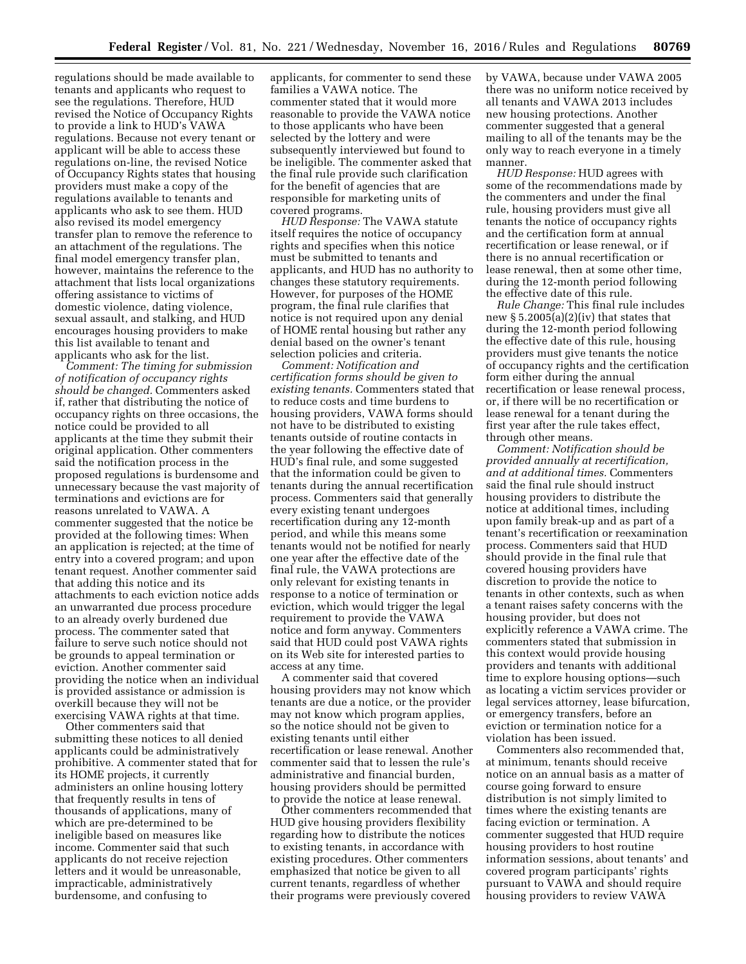regulations should be made available to tenants and applicants who request to see the regulations. Therefore, HUD revised the Notice of Occupancy Rights to provide a link to HUD's VAWA regulations. Because not every tenant or applicant will be able to access these regulations on-line, the revised Notice of Occupancy Rights states that housing providers must make a copy of the regulations available to tenants and applicants who ask to see them. HUD also revised its model emergency transfer plan to remove the reference to an attachment of the regulations. The final model emergency transfer plan, however, maintains the reference to the attachment that lists local organizations offering assistance to victims of domestic violence, dating violence, sexual assault, and stalking, and HUD encourages housing providers to make this list available to tenant and applicants who ask for the list.

*Comment: The timing for submission of notification of occupancy rights should be changed.* Commenters asked if, rather that distributing the notice of occupancy rights on three occasions, the notice could be provided to all applicants at the time they submit their original application. Other commenters said the notification process in the proposed regulations is burdensome and unnecessary because the vast majority of terminations and evictions are for reasons unrelated to VAWA. A commenter suggested that the notice be provided at the following times: When an application is rejected; at the time of entry into a covered program; and upon tenant request. Another commenter said that adding this notice and its attachments to each eviction notice adds an unwarranted due process procedure to an already overly burdened due process. The commenter sated that failure to serve such notice should not be grounds to appeal termination or eviction. Another commenter said providing the notice when an individual is provided assistance or admission is overkill because they will not be exercising VAWA rights at that time.

Other commenters said that submitting these notices to all denied applicants could be administratively prohibitive. A commenter stated that for its HOME projects, it currently administers an online housing lottery that frequently results in tens of thousands of applications, many of which are pre-determined to be ineligible based on measures like income. Commenter said that such applicants do not receive rejection letters and it would be unreasonable, impracticable, administratively burdensome, and confusing to

applicants, for commenter to send these families a VAWA notice. The commenter stated that it would more reasonable to provide the VAWA notice to those applicants who have been selected by the lottery and were subsequently interviewed but found to be ineligible. The commenter asked that the final rule provide such clarification for the benefit of agencies that are responsible for marketing units of covered programs.

*HUD Response:* The VAWA statute itself requires the notice of occupancy rights and specifies when this notice must be submitted to tenants and applicants, and HUD has no authority to changes these statutory requirements. However, for purposes of the HOME program, the final rule clarifies that notice is not required upon any denial of HOME rental housing but rather any denial based on the owner's tenant selection policies and criteria.

*Comment: Notification and certification forms should be given to existing tenants.* Commenters stated that to reduce costs and time burdens to housing providers, VAWA forms should not have to be distributed to existing tenants outside of routine contacts in the year following the effective date of HUD's final rule, and some suggested that the information could be given to tenants during the annual recertification process. Commenters said that generally every existing tenant undergoes recertification during any 12-month period, and while this means some tenants would not be notified for nearly one year after the effective date of the final rule, the VAWA protections are only relevant for existing tenants in response to a notice of termination or eviction, which would trigger the legal requirement to provide the VAWA notice and form anyway. Commenters said that HUD could post VAWA rights on its Web site for interested parties to access at any time.

A commenter said that covered housing providers may not know which tenants are due a notice, or the provider may not know which program applies, so the notice should not be given to existing tenants until either recertification or lease renewal. Another commenter said that to lessen the rule's administrative and financial burden, housing providers should be permitted to provide the notice at lease renewal.

Other commenters recommended that HUD give housing providers flexibility regarding how to distribute the notices to existing tenants, in accordance with existing procedures. Other commenters emphasized that notice be given to all current tenants, regardless of whether their programs were previously covered

by VAWA, because under VAWA 2005 there was no uniform notice received by all tenants and VAWA 2013 includes new housing protections. Another commenter suggested that a general mailing to all of the tenants may be the only way to reach everyone in a timely manner.

*HUD Response:* HUD agrees with some of the recommendations made by the commenters and under the final rule, housing providers must give all tenants the notice of occupancy rights and the certification form at annual recertification or lease renewal, or if there is no annual recertification or lease renewal, then at some other time, during the 12-month period following the effective date of this rule.

*Rule Change:* This final rule includes new  $\S 5.2005(a)(2)(iv)$  that states that during the 12-month period following the effective date of this rule, housing providers must give tenants the notice of occupancy rights and the certification form either during the annual recertification or lease renewal process, or, if there will be no recertification or lease renewal for a tenant during the first year after the rule takes effect, through other means.

*Comment: Notification should be provided annually at recertification, and at additional times.* Commenters said the final rule should instruct housing providers to distribute the notice at additional times, including upon family break-up and as part of a tenant's recertification or reexamination process. Commenters said that HUD should provide in the final rule that covered housing providers have discretion to provide the notice to tenants in other contexts, such as when a tenant raises safety concerns with the housing provider, but does not explicitly reference a VAWA crime. The commenters stated that submission in this context would provide housing providers and tenants with additional time to explore housing options—such as locating a victim services provider or legal services attorney, lease bifurcation, or emergency transfers, before an eviction or termination notice for a violation has been issued.

Commenters also recommended that, at minimum, tenants should receive notice on an annual basis as a matter of course going forward to ensure distribution is not simply limited to times where the existing tenants are facing eviction or termination. A commenter suggested that HUD require housing providers to host routine information sessions, about tenants' and covered program participants' rights pursuant to VAWA and should require housing providers to review VAWA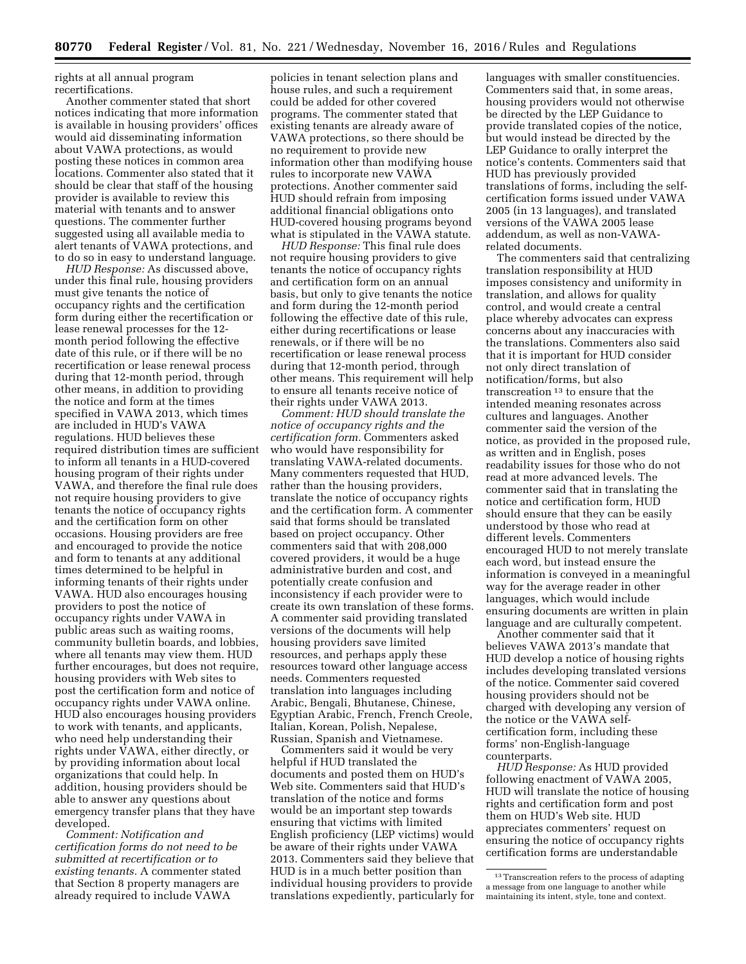rights at all annual program recertifications.

Another commenter stated that short notices indicating that more information is available in housing providers' offices would aid disseminating information about VAWA protections, as would posting these notices in common area locations. Commenter also stated that it should be clear that staff of the housing provider is available to review this material with tenants and to answer questions. The commenter further suggested using all available media to alert tenants of VAWA protections, and to do so in easy to understand language.

*HUD Response:* As discussed above, under this final rule, housing providers must give tenants the notice of occupancy rights and the certification form during either the recertification or lease renewal processes for the 12 month period following the effective date of this rule, or if there will be no recertification or lease renewal process during that 12-month period, through other means, in addition to providing the notice and form at the times specified in VAWA 2013, which times are included in HUD's VAWA regulations. HUD believes these required distribution times are sufficient to inform all tenants in a HUD-covered housing program of their rights under VAWA, and therefore the final rule does not require housing providers to give tenants the notice of occupancy rights and the certification form on other occasions. Housing providers are free and encouraged to provide the notice and form to tenants at any additional times determined to be helpful in informing tenants of their rights under VAWA. HUD also encourages housing providers to post the notice of occupancy rights under VAWA in public areas such as waiting rooms, community bulletin boards, and lobbies, where all tenants may view them. HUD further encourages, but does not require, housing providers with Web sites to post the certification form and notice of occupancy rights under VAWA online. HUD also encourages housing providers to work with tenants, and applicants, who need help understanding their rights under VAWA, either directly, or by providing information about local organizations that could help. In addition, housing providers should be able to answer any questions about emergency transfer plans that they have developed.

*Comment: Notification and certification forms do not need to be submitted at recertification or to existing tenants.* A commenter stated that Section 8 property managers are already required to include VAWA

policies in tenant selection plans and house rules, and such a requirement could be added for other covered programs. The commenter stated that existing tenants are already aware of VAWA protections, so there should be no requirement to provide new information other than modifying house rules to incorporate new VAWA protections. Another commenter said HUD should refrain from imposing additional financial obligations onto HUD-covered housing programs beyond what is stipulated in the VAWA statute.

*HUD Response:* This final rule does not require housing providers to give tenants the notice of occupancy rights and certification form on an annual basis, but only to give tenants the notice and form during the 12-month period following the effective date of this rule, either during recertifications or lease renewals, or if there will be no recertification or lease renewal process during that 12-month period, through other means. This requirement will help to ensure all tenants receive notice of their rights under VAWA 2013.

*Comment: HUD should translate the notice of occupancy rights and the certification form.* Commenters asked who would have responsibility for translating VAWA-related documents. Many commenters requested that HUD, rather than the housing providers, translate the notice of occupancy rights and the certification form. A commenter said that forms should be translated based on project occupancy. Other commenters said that with 208,000 covered providers, it would be a huge administrative burden and cost, and potentially create confusion and inconsistency if each provider were to create its own translation of these forms. A commenter said providing translated versions of the documents will help housing providers save limited resources, and perhaps apply these resources toward other language access needs. Commenters requested translation into languages including Arabic, Bengali, Bhutanese, Chinese, Egyptian Arabic, French, French Creole, Italian, Korean, Polish, Nepalese, Russian, Spanish and Vietnamese.

Commenters said it would be very helpful if HUD translated the documents and posted them on HUD's Web site. Commenters said that HUD's translation of the notice and forms would be an important step towards ensuring that victims with limited English proficiency (LEP victims) would be aware of their rights under VAWA 2013. Commenters said they believe that HUD is in a much better position than individual housing providers to provide translations expediently, particularly for languages with smaller constituencies. Commenters said that, in some areas, housing providers would not otherwise be directed by the LEP Guidance to provide translated copies of the notice, but would instead be directed by the LEP Guidance to orally interpret the notice's contents. Commenters said that HUD has previously provided translations of forms, including the selfcertification forms issued under VAWA 2005 (in 13 languages), and translated versions of the VAWA 2005 lease addendum, as well as non-VAWArelated documents.

The commenters said that centralizing translation responsibility at HUD imposes consistency and uniformity in translation, and allows for quality control, and would create a central place whereby advocates can express concerns about any inaccuracies with the translations. Commenters also said that it is important for HUD consider not only direct translation of notification/forms, but also transcreation 13 to ensure that the intended meaning resonates across cultures and languages. Another commenter said the version of the notice, as provided in the proposed rule, as written and in English, poses readability issues for those who do not read at more advanced levels. The commenter said that in translating the notice and certification form, HUD should ensure that they can be easily understood by those who read at different levels. Commenters encouraged HUD to not merely translate each word, but instead ensure the information is conveyed in a meaningful way for the average reader in other languages, which would include ensuring documents are written in plain language and are culturally competent.

Another commenter said that it believes VAWA 2013's mandate that HUD develop a notice of housing rights includes developing translated versions of the notice. Commenter said covered housing providers should not be charged with developing any version of the notice or the VAWA selfcertification form, including these forms' non-English-language counterparts.

*HUD Response:* As HUD provided following enactment of VAWA 2005, HUD will translate the notice of housing rights and certification form and post them on HUD's Web site. HUD appreciates commenters' request on ensuring the notice of occupancy rights certification forms are understandable

<sup>&</sup>lt;sup>13</sup> Transcreation refers to the process of adapting a message from one language to another while maintaining its intent, style, tone and context.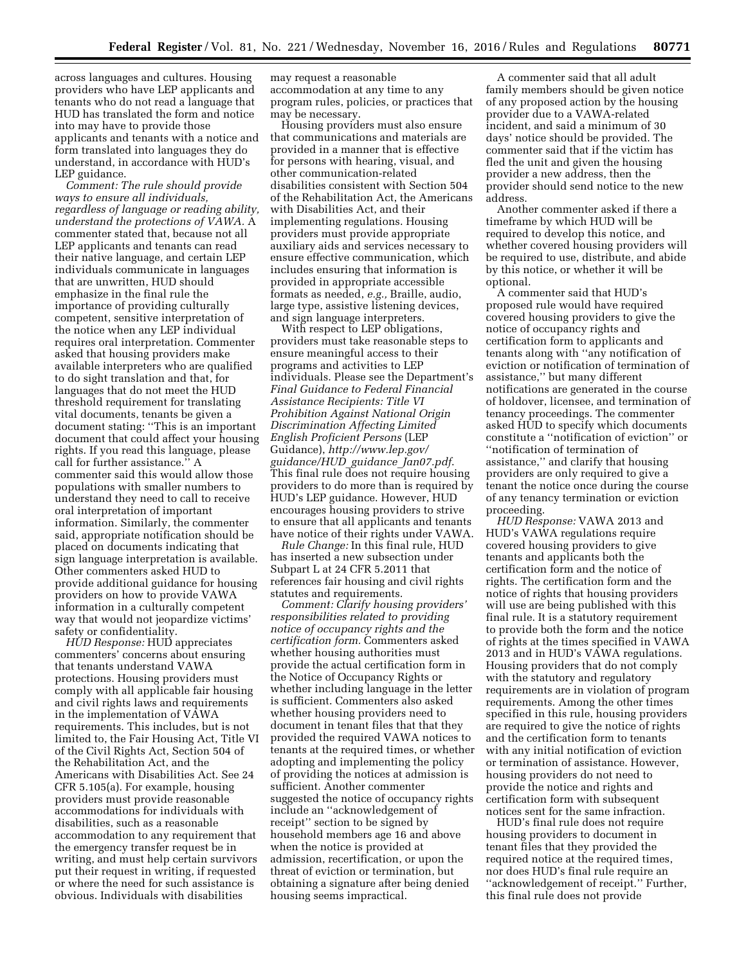across languages and cultures. Housing providers who have LEP applicants and tenants who do not read a language that HUD has translated the form and notice into may have to provide those applicants and tenants with a notice and form translated into languages they do understand, in accordance with HUD's LEP guidance.

*Comment: The rule should provide ways to ensure all individuals, regardless of language or reading ability, understand the protections of VAWA.* A commenter stated that, because not all LEP applicants and tenants can read their native language, and certain LEP individuals communicate in languages that are unwritten, HUD should emphasize in the final rule the importance of providing culturally competent, sensitive interpretation of the notice when any LEP individual requires oral interpretation. Commenter asked that housing providers make available interpreters who are qualified to do sight translation and that, for languages that do not meet the HUD threshold requirement for translating vital documents, tenants be given a document stating: ''This is an important document that could affect your housing rights. If you read this language, please call for further assistance.'' A commenter said this would allow those populations with smaller numbers to understand they need to call to receive oral interpretation of important information. Similarly, the commenter said, appropriate notification should be placed on documents indicating that sign language interpretation is available. Other commenters asked HUD to provide additional guidance for housing providers on how to provide VAWA information in a culturally competent way that would not jeopardize victims' safety or confidentiality.

*HUD Response:* HUD appreciates commenters' concerns about ensuring that tenants understand VAWA protections. Housing providers must comply with all applicable fair housing and civil rights laws and requirements in the implementation of VAWA requirements. This includes, but is not limited to, the Fair Housing Act, Title VI of the Civil Rights Act, Section 504 of the Rehabilitation Act, and the Americans with Disabilities Act. See 24 CFR 5.105(a). For example, housing providers must provide reasonable accommodations for individuals with disabilities, such as a reasonable accommodation to any requirement that the emergency transfer request be in writing, and must help certain survivors put their request in writing, if requested or where the need for such assistance is obvious. Individuals with disabilities

may request a reasonable accommodation at any time to any program rules, policies, or practices that may be necessary.

Housing providers must also ensure that communications and materials are provided in a manner that is effective for persons with hearing, visual, and other communication-related disabilities consistent with Section 504 of the Rehabilitation Act, the Americans with Disabilities Act, and their implementing regulations. Housing providers must provide appropriate auxiliary aids and services necessary to ensure effective communication, which includes ensuring that information is provided in appropriate accessible formats as needed, *e.g.,* Braille, audio, large type, assistive listening devices, and sign language interpreters.

With respect to LEP obligations, providers must take reasonable steps to ensure meaningful access to their programs and activities to LEP individuals. Please see the Department's *Final Guidance to Federal Financial Assistance Recipients: Title VI Prohibition Against National Origin Discrimination Affecting Limited English Proficient Persons* (LEP Guidance), *[http://www.lep.gov/](http://www.lep.gov/guidance/HUD_guidance_Jan07.pdf) [guidance/HUD](http://www.lep.gov/guidance/HUD_guidance_Jan07.pdf)*\_*guidance*\_*Jan07.pdf*. This final rule does not require housing providers to do more than is required by HUD's LEP guidance. However, HUD encourages housing providers to strive to ensure that all applicants and tenants have notice of their rights under VAWA.

*Rule Change:* In this final rule, HUD has inserted a new subsection under Subpart L at 24 CFR 5.2011 that references fair housing and civil rights statutes and requirements.

*Comment: Clarify housing providers' responsibilities related to providing notice of occupancy rights and the certification form.* Commenters asked whether housing authorities must provide the actual certification form in the Notice of Occupancy Rights or whether including language in the letter is sufficient. Commenters also asked whether housing providers need to document in tenant files that that they provided the required VAWA notices to tenants at the required times, or whether adopting and implementing the policy of providing the notices at admission is sufficient. Another commenter suggested the notice of occupancy rights include an ''acknowledgement of receipt'' section to be signed by household members age 16 and above when the notice is provided at admission, recertification, or upon the threat of eviction or termination, but obtaining a signature after being denied housing seems impractical.

A commenter said that all adult family members should be given notice of any proposed action by the housing provider due to a VAWA-related incident, and said a minimum of 30 days' notice should be provided. The commenter said that if the victim has fled the unit and given the housing provider a new address, then the provider should send notice to the new address.

Another commenter asked if there a timeframe by which HUD will be required to develop this notice, and whether covered housing providers will be required to use, distribute, and abide by this notice, or whether it will be optional.

A commenter said that HUD's proposed rule would have required covered housing providers to give the notice of occupancy rights and certification form to applicants and tenants along with ''any notification of eviction or notification of termination of assistance,'' but many different notifications are generated in the course of holdover, licensee, and termination of tenancy proceedings. The commenter asked HUD to specify which documents constitute a ''notification of eviction'' or ''notification of termination of assistance,'' and clarify that housing providers are only required to give a tenant the notice once during the course of any tenancy termination or eviction proceeding.

*HUD Response:* VAWA 2013 and HUD's VAWA regulations require covered housing providers to give tenants and applicants both the certification form and the notice of rights. The certification form and the notice of rights that housing providers will use are being published with this final rule. It is a statutory requirement to provide both the form and the notice of rights at the times specified in VAWA 2013 and in HUD's VAWA regulations. Housing providers that do not comply with the statutory and regulatory requirements are in violation of program requirements. Among the other times specified in this rule, housing providers are required to give the notice of rights and the certification form to tenants with any initial notification of eviction or termination of assistance. However, housing providers do not need to provide the notice and rights and certification form with subsequent notices sent for the same infraction.

HUD's final rule does not require housing providers to document in tenant files that they provided the required notice at the required times, nor does HUD's final rule require an ''acknowledgement of receipt.'' Further, this final rule does not provide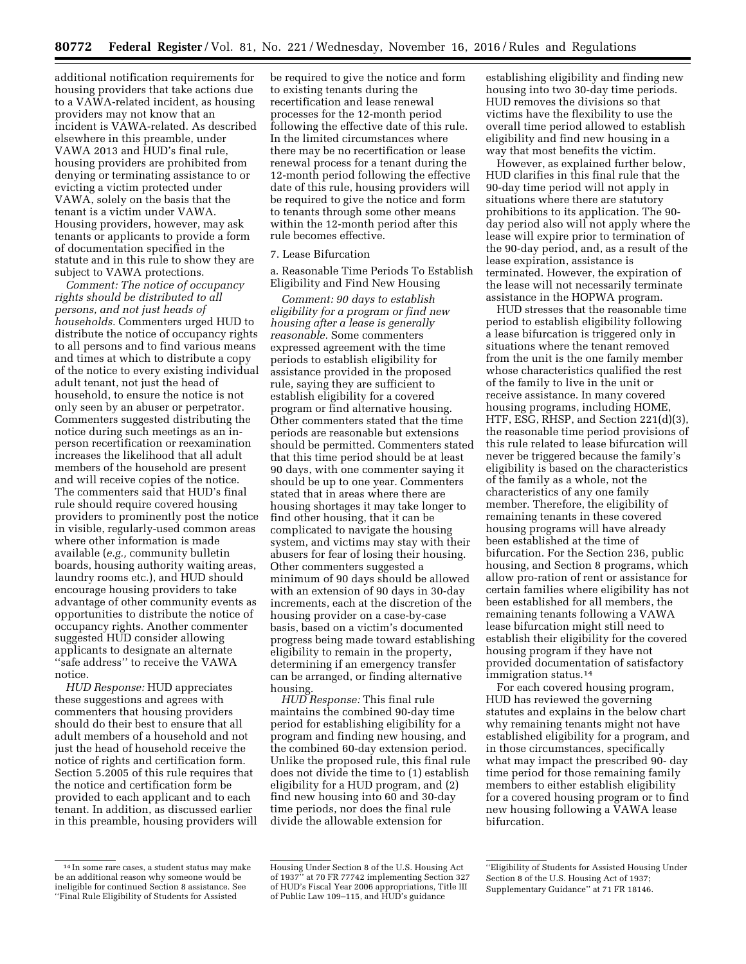additional notification requirements for housing providers that take actions due to a VAWA-related incident, as housing providers may not know that an incident is VAWA-related. As described elsewhere in this preamble, under VAWA 2013 and HUD's final rule, housing providers are prohibited from denying or terminating assistance to or evicting a victim protected under VAWA, solely on the basis that the tenant is a victim under VAWA. Housing providers, however, may ask tenants or applicants to provide a form of documentation specified in the statute and in this rule to show they are subject to VAWA protections.

*Comment: The notice of occupancy rights should be distributed to all persons, and not just heads of households.* Commenters urged HUD to distribute the notice of occupancy rights to all persons and to find various means and times at which to distribute a copy of the notice to every existing individual adult tenant, not just the head of household, to ensure the notice is not only seen by an abuser or perpetrator. Commenters suggested distributing the notice during such meetings as an inperson recertification or reexamination increases the likelihood that all adult members of the household are present and will receive copies of the notice. The commenters said that HUD's final rule should require covered housing providers to prominently post the notice in visible, regularly-used common areas where other information is made available (*e.g.,* community bulletin boards, housing authority waiting areas, laundry rooms etc.), and HUD should encourage housing providers to take advantage of other community events as opportunities to distribute the notice of occupancy rights. Another commenter suggested HUD consider allowing applicants to designate an alternate ''safe address'' to receive the VAWA notice.

*HUD Response:* HUD appreciates these suggestions and agrees with commenters that housing providers should do their best to ensure that all adult members of a household and not just the head of household receive the notice of rights and certification form. Section 5.2005 of this rule requires that the notice and certification form be provided to each applicant and to each tenant. In addition, as discussed earlier in this preamble, housing providers will be required to give the notice and form to existing tenants during the recertification and lease renewal processes for the 12-month period following the effective date of this rule. In the limited circumstances where there may be no recertification or lease renewal process for a tenant during the 12-month period following the effective date of this rule, housing providers will be required to give the notice and form to tenants through some other means within the 12-month period after this rule becomes effective.

# 7. Lease Bifurcation

a. Reasonable Time Periods To Establish Eligibility and Find New Housing

*Comment: 90 days to establish eligibility for a program or find new housing after a lease is generally reasonable.* Some commenters expressed agreement with the time periods to establish eligibility for assistance provided in the proposed rule, saying they are sufficient to establish eligibility for a covered program or find alternative housing. Other commenters stated that the time periods are reasonable but extensions should be permitted. Commenters stated that this time period should be at least 90 days, with one commenter saying it should be up to one year. Commenters stated that in areas where there are housing shortages it may take longer to find other housing, that it can be complicated to navigate the housing system, and victims may stay with their abusers for fear of losing their housing. Other commenters suggested a minimum of 90 days should be allowed with an extension of 90 days in 30-day increments, each at the discretion of the housing provider on a case-by-case basis, based on a victim's documented progress being made toward establishing eligibility to remain in the property, determining if an emergency transfer can be arranged, or finding alternative housing.

*HUD Response:* This final rule maintains the combined 90-day time period for establishing eligibility for a program and finding new housing, and the combined 60-day extension period. Unlike the proposed rule, this final rule does not divide the time to (1) establish eligibility for a HUD program, and (2) find new housing into 60 and 30-day time periods, nor does the final rule divide the allowable extension for

establishing eligibility and finding new housing into two 30-day time periods. HUD removes the divisions so that victims have the flexibility to use the overall time period allowed to establish eligibility and find new housing in a way that most benefits the victim.

However, as explained further below, HUD clarifies in this final rule that the 90-day time period will not apply in situations where there are statutory prohibitions to its application. The 90 day period also will not apply where the lease will expire prior to termination of the 90-day period, and, as a result of the lease expiration, assistance is terminated. However, the expiration of the lease will not necessarily terminate assistance in the HOPWA program.

HUD stresses that the reasonable time period to establish eligibility following a lease bifurcation is triggered only in situations where the tenant removed from the unit is the one family member whose characteristics qualified the rest of the family to live in the unit or receive assistance. In many covered housing programs, including HOME, HTF, ESG, RHSP, and Section 221(d)(3), the reasonable time period provisions of this rule related to lease bifurcation will never be triggered because the family's eligibility is based on the characteristics of the family as a whole, not the characteristics of any one family member. Therefore, the eligibility of remaining tenants in these covered housing programs will have already been established at the time of bifurcation. For the Section 236, public housing, and Section 8 programs, which allow pro-ration of rent or assistance for certain families where eligibility has not been established for all members, the remaining tenants following a VAWA lease bifurcation might still need to establish their eligibility for the covered housing program if they have not provided documentation of satisfactory immigration status.14

For each covered housing program, HUD has reviewed the governing statutes and explains in the below chart why remaining tenants might not have established eligibility for a program, and in those circumstances, specifically what may impact the prescribed 90- day time period for those remaining family members to either establish eligibility for a covered housing program or to find new housing following a VAWA lease bifurcation.

<sup>14</sup> In some rare cases, a student status may make be an additional reason why someone would be ineligible for continued Section 8 assistance. See ''Final Rule Eligibility of Students for Assisted

Housing Under Section 8 of the U.S. Housing Act of 1937'' at 70 FR 77742 implementing Section 327 of HUD's Fiscal Year 2006 appropriations, Title III of Public Law 109–115, and HUD's guidance

<sup>&#</sup>x27;'Eligibility of Students for Assisted Housing Under Section 8 of the U.S. Housing Act of 1937; Supplementary Guidance'' at 71 FR 18146.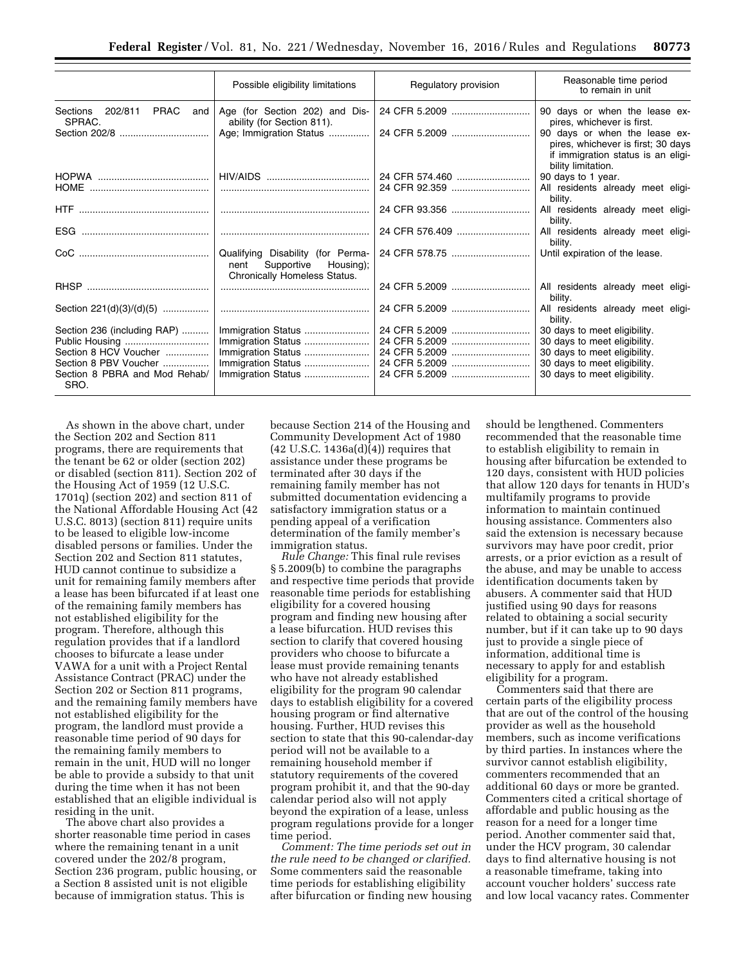|                                        | Possible eligibility limitations                                                                  | Regulatory provision | Reasonable time period<br>to remain in unit                                                                                     |
|----------------------------------------|---------------------------------------------------------------------------------------------------|----------------------|---------------------------------------------------------------------------------------------------------------------------------|
| Sections 202/811 PRAC<br>and<br>SPRAC. | Age (for Section 202) and Dis-<br>ability (for Section 811).                                      | 24 CFR 5.2009        | 90 days or when the lease ex-<br>pires, whichever is first.                                                                     |
|                                        | Age; Immigration Status                                                                           | 24 CFR 5.2009        | 90 days or when the lease ex-<br>pires, whichever is first; 30 days<br>if immigration status is an eligi-<br>bility limitation. |
|                                        |                                                                                                   | 24 CFR 574.460       | 90 days to 1 year.                                                                                                              |
|                                        |                                                                                                   |                      | All residents already meet eligi-<br>bility.                                                                                    |
|                                        |                                                                                                   | 24 CFR 93.356        | All residents already meet eligi-<br>bility.                                                                                    |
|                                        |                                                                                                   | 24 CFR 576.409       | All residents already meet eligi-<br>bility.                                                                                    |
|                                        | Qualifying Disability (for Perma-<br>Supportive Housing);<br>nent<br>Chronically Homeless Status. |                      | Until expiration of the lease.                                                                                                  |
|                                        |                                                                                                   | 24 CFR 5.2009        | All residents already meet eligi-<br>bility.                                                                                    |
| Section 221(d)(3)/(d)(5)               |                                                                                                   | 24 CFR 5.2009        | All residents already meet eligi-<br>bility.                                                                                    |
| Section 236 (including RAP)            | Immigration Status                                                                                | 24 CFR 5.2009        | 30 days to meet eligibility.                                                                                                    |
|                                        | Immigration Status                                                                                | 24 CFR 5.2009        | 30 days to meet eligibility.                                                                                                    |
| Section 8 HCV Voucher                  | Immigration Status                                                                                | 24 CFR 5.2009        | 30 days to meet eligibility.                                                                                                    |
| Section 8 PBV Voucher                  | Immigration Status                                                                                | 24 CFR 5.2009        | 30 days to meet eligibility.                                                                                                    |
| Section 8 PBRA and Mod Rehab/<br>SRO.  | Immigration Status                                                                                | 24 CFR 5.2009        | 30 days to meet eligibility.                                                                                                    |

As shown in the above chart, under the Section 202 and Section 811 programs, there are requirements that the tenant be 62 or older (section 202) or disabled (section 811). Section 202 of the Housing Act of 1959 (12 U.S.C. 1701q) (section 202) and section 811 of the National Affordable Housing Act (42 U.S.C. 8013) (section 811) require units to be leased to eligible low-income disabled persons or families. Under the Section 202 and Section 811 statutes, HUD cannot continue to subsidize a unit for remaining family members after a lease has been bifurcated if at least one of the remaining family members has not established eligibility for the program. Therefore, although this regulation provides that if a landlord chooses to bifurcate a lease under VAWA for a unit with a Project Rental Assistance Contract (PRAC) under the Section 202 or Section 811 programs, and the remaining family members have not established eligibility for the program, the landlord must provide a reasonable time period of 90 days for the remaining family members to remain in the unit, HUD will no longer be able to provide a subsidy to that unit during the time when it has not been established that an eligible individual is residing in the unit.

The above chart also provides a shorter reasonable time period in cases where the remaining tenant in a unit covered under the 202/8 program, Section 236 program, public housing, or a Section 8 assisted unit is not eligible because of immigration status. This is

because Section 214 of the Housing and Community Development Act of 1980  $(42 \text{ U.S.C. } 1436a(d)(4))$  requires that assistance under these programs be terminated after 30 days if the remaining family member has not submitted documentation evidencing a satisfactory immigration status or a pending appeal of a verification determination of the family member's immigration status.

*Rule Change:* This final rule revises § 5.2009(b) to combine the paragraphs and respective time periods that provide reasonable time periods for establishing eligibility for a covered housing program and finding new housing after a lease bifurcation. HUD revises this section to clarify that covered housing providers who choose to bifurcate a lease must provide remaining tenants who have not already established eligibility for the program 90 calendar days to establish eligibility for a covered housing program or find alternative housing. Further, HUD revises this section to state that this 90-calendar-day period will not be available to a remaining household member if statutory requirements of the covered program prohibit it, and that the 90-day calendar period also will not apply beyond the expiration of a lease, unless program regulations provide for a longer time period.

*Comment: The time periods set out in the rule need to be changed or clarified.*  Some commenters said the reasonable time periods for establishing eligibility after bifurcation or finding new housing should be lengthened. Commenters recommended that the reasonable time to establish eligibility to remain in housing after bifurcation be extended to 120 days, consistent with HUD policies that allow 120 days for tenants in HUD's multifamily programs to provide information to maintain continued housing assistance. Commenters also said the extension is necessary because survivors may have poor credit, prior arrests, or a prior eviction as a result of the abuse, and may be unable to access identification documents taken by abusers. A commenter said that HUD justified using 90 days for reasons related to obtaining a social security number, but if it can take up to 90 days just to provide a single piece of information, additional time is necessary to apply for and establish eligibility for a program.

Commenters said that there are certain parts of the eligibility process that are out of the control of the housing provider as well as the household members, such as income verifications by third parties. In instances where the survivor cannot establish eligibility, commenters recommended that an additional 60 days or more be granted. Commenters cited a critical shortage of affordable and public housing as the reason for a need for a longer time period. Another commenter said that, under the HCV program, 30 calendar days to find alternative housing is not a reasonable timeframe, taking into account voucher holders' success rate and low local vacancy rates. Commenter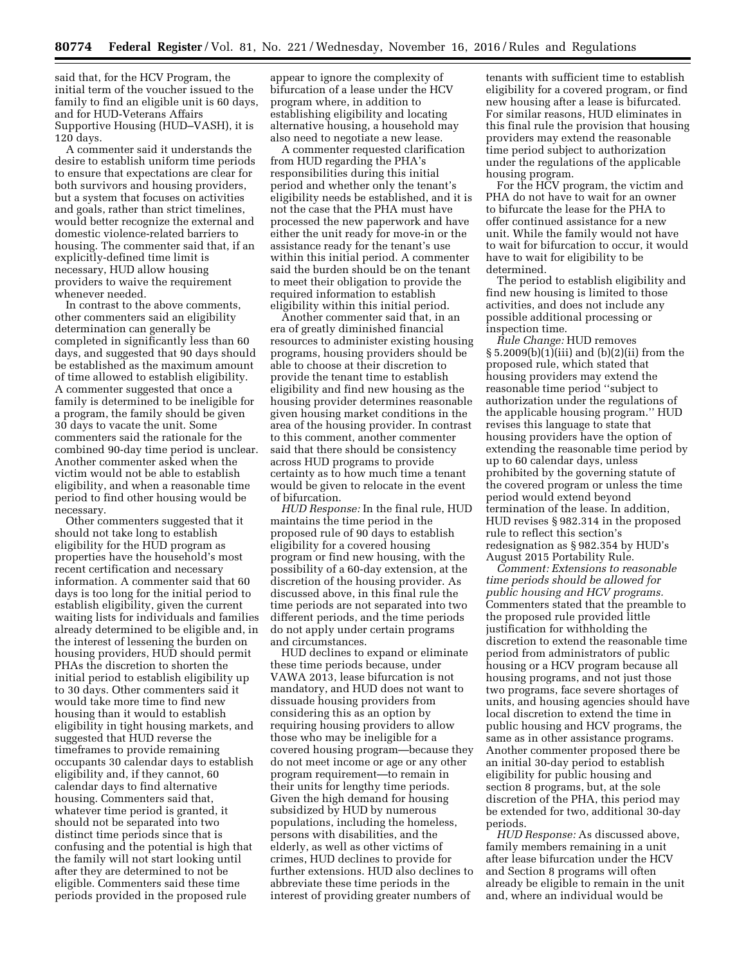said that, for the HCV Program, the initial term of the voucher issued to the family to find an eligible unit is 60 days, and for HUD-Veterans Affairs Supportive Housing (HUD–VASH), it is 120 days.

A commenter said it understands the desire to establish uniform time periods to ensure that expectations are clear for both survivors and housing providers, but a system that focuses on activities and goals, rather than strict timelines, would better recognize the external and domestic violence-related barriers to housing. The commenter said that, if an explicitly-defined time limit is necessary, HUD allow housing providers to waive the requirement whenever needed.

In contrast to the above comments, other commenters said an eligibility determination can generally be completed in significantly less than 60 days, and suggested that 90 days should be established as the maximum amount of time allowed to establish eligibility. A commenter suggested that once a family is determined to be ineligible for a program, the family should be given 30 days to vacate the unit. Some commenters said the rationale for the combined 90-day time period is unclear. Another commenter asked when the victim would not be able to establish eligibility, and when a reasonable time period to find other housing would be necessary.

Other commenters suggested that it should not take long to establish eligibility for the HUD program as properties have the household's most recent certification and necessary information. A commenter said that 60 days is too long for the initial period to establish eligibility, given the current waiting lists for individuals and families already determined to be eligible and, in the interest of lessening the burden on housing providers, HUD should permit PHAs the discretion to shorten the initial period to establish eligibility up to 30 days. Other commenters said it would take more time to find new housing than it would to establish eligibility in tight housing markets, and suggested that HUD reverse the timeframes to provide remaining occupants 30 calendar days to establish eligibility and, if they cannot, 60 calendar days to find alternative housing. Commenters said that, whatever time period is granted, it should not be separated into two distinct time periods since that is confusing and the potential is high that the family will not start looking until after they are determined to not be eligible. Commenters said these time periods provided in the proposed rule

appear to ignore the complexity of bifurcation of a lease under the HCV program where, in addition to establishing eligibility and locating alternative housing, a household may also need to negotiate a new lease.

A commenter requested clarification from HUD regarding the PHA's responsibilities during this initial period and whether only the tenant's eligibility needs be established, and it is not the case that the PHA must have processed the new paperwork and have either the unit ready for move-in or the assistance ready for the tenant's use within this initial period. A commenter said the burden should be on the tenant to meet their obligation to provide the required information to establish eligibility within this initial period.

Another commenter said that, in an era of greatly diminished financial resources to administer existing housing programs, housing providers should be able to choose at their discretion to provide the tenant time to establish eligibility and find new housing as the housing provider determines reasonable given housing market conditions in the area of the housing provider. In contrast to this comment, another commenter said that there should be consistency across HUD programs to provide certainty as to how much time a tenant would be given to relocate in the event of bifurcation.

*HUD Response:* In the final rule, HUD maintains the time period in the proposed rule of 90 days to establish eligibility for a covered housing program or find new housing, with the possibility of a 60-day extension, at the discretion of the housing provider. As discussed above, in this final rule the time periods are not separated into two different periods, and the time periods do not apply under certain programs and circumstances.

HUD declines to expand or eliminate these time periods because, under VAWA 2013, lease bifurcation is not mandatory, and HUD does not want to dissuade housing providers from considering this as an option by requiring housing providers to allow those who may be ineligible for a covered housing program—because they do not meet income or age or any other program requirement—to remain in their units for lengthy time periods. Given the high demand for housing subsidized by HUD by numerous populations, including the homeless, persons with disabilities, and the elderly, as well as other victims of crimes, HUD declines to provide for further extensions. HUD also declines to abbreviate these time periods in the interest of providing greater numbers of

tenants with sufficient time to establish eligibility for a covered program, or find new housing after a lease is bifurcated. For similar reasons, HUD eliminates in this final rule the provision that housing providers may extend the reasonable time period subject to authorization under the regulations of the applicable housing program.

For the HCV program, the victim and PHA do not have to wait for an owner to bifurcate the lease for the PHA to offer continued assistance for a new unit. While the family would not have to wait for bifurcation to occur, it would have to wait for eligibility to be determined.

The period to establish eligibility and find new housing is limited to those activities, and does not include any possible additional processing or inspection time.

*Rule Change:* HUD removes § 5.2009(b)(1)(iii) and (b)(2)(ii) from the proposed rule, which stated that housing providers may extend the reasonable time period ''subject to authorization under the regulations of the applicable housing program.'' HUD revises this language to state that housing providers have the option of extending the reasonable time period by up to 60 calendar days, unless prohibited by the governing statute of the covered program or unless the time period would extend beyond termination of the lease. In addition, HUD revises § 982.314 in the proposed rule to reflect this section's redesignation as § 982.354 by HUD's August 2015 Portability Rule.

*Comment: Extensions to reasonable time periods should be allowed for public housing and HCV programs.*  Commenters stated that the preamble to the proposed rule provided little justification for withholding the discretion to extend the reasonable time period from administrators of public housing or a HCV program because all housing programs, and not just those two programs, face severe shortages of units, and housing agencies should have local discretion to extend the time in public housing and HCV programs, the same as in other assistance programs. Another commenter proposed there be an initial 30-day period to establish eligibility for public housing and section 8 programs, but, at the sole discretion of the PHA, this period may be extended for two, additional 30-day periods.

*HUD Response:* As discussed above, family members remaining in a unit after lease bifurcation under the HCV and Section 8 programs will often already be eligible to remain in the unit and, where an individual would be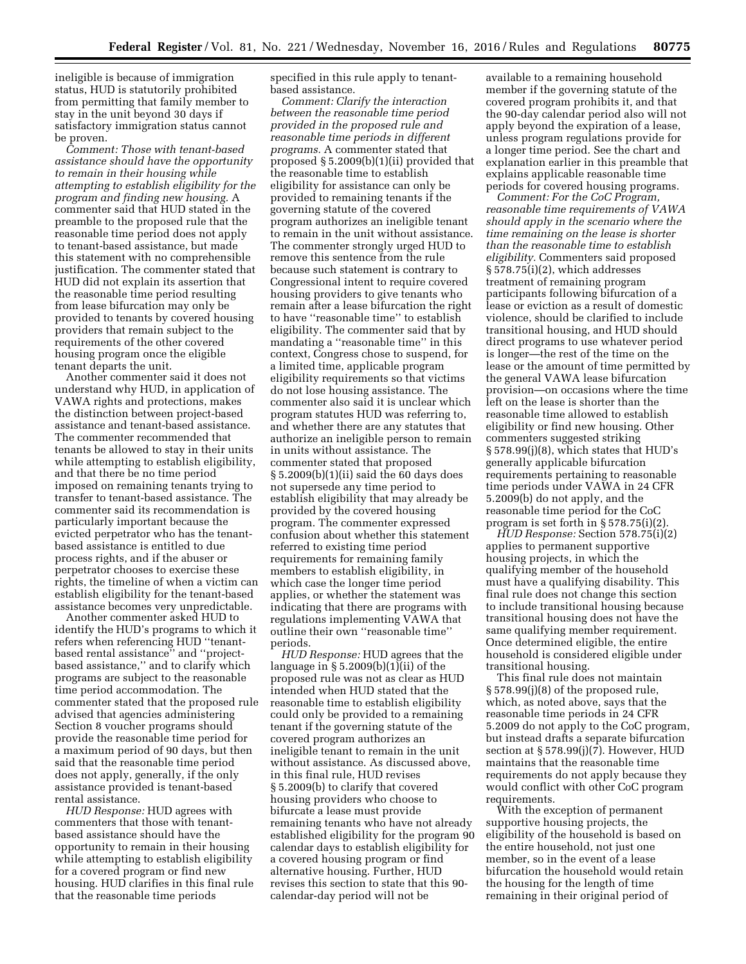ineligible is because of immigration status, HUD is statutorily prohibited from permitting that family member to stay in the unit beyond 30 days if satisfactory immigration status cannot be proven.

*Comment: Those with tenant-based assistance should have the opportunity to remain in their housing while attempting to establish eligibility for the program and finding new housing.* A commenter said that HUD stated in the preamble to the proposed rule that the reasonable time period does not apply to tenant-based assistance, but made this statement with no comprehensible justification. The commenter stated that HUD did not explain its assertion that the reasonable time period resulting from lease bifurcation may only be provided to tenants by covered housing providers that remain subject to the requirements of the other covered housing program once the eligible tenant departs the unit.

Another commenter said it does not understand why HUD, in application of VAWA rights and protections, makes the distinction between project-based assistance and tenant-based assistance. The commenter recommended that tenants be allowed to stay in their units while attempting to establish eligibility, and that there be no time period imposed on remaining tenants trying to transfer to tenant-based assistance. The commenter said its recommendation is particularly important because the evicted perpetrator who has the tenantbased assistance is entitled to due process rights, and if the abuser or perpetrator chooses to exercise these rights, the timeline of when a victim can establish eligibility for the tenant-based assistance becomes very unpredictable.

Another commenter asked HUD to identify the HUD's programs to which it refers when referencing HUD ''tenantbased rental assistance'' and ''projectbased assistance,'' and to clarify which programs are subject to the reasonable time period accommodation. The commenter stated that the proposed rule advised that agencies administering Section 8 voucher programs should provide the reasonable time period for a maximum period of 90 days, but then said that the reasonable time period does not apply, generally, if the only assistance provided is tenant-based rental assistance.

*HUD Response:* HUD agrees with commenters that those with tenantbased assistance should have the opportunity to remain in their housing while attempting to establish eligibility for a covered program or find new housing. HUD clarifies in this final rule that the reasonable time periods

specified in this rule apply to tenantbased assistance.

*Comment: Clarify the interaction between the reasonable time period provided in the proposed rule and reasonable time periods in different programs.* A commenter stated that proposed § 5.2009(b)(1)(ii) provided that the reasonable time to establish eligibility for assistance can only be provided to remaining tenants if the governing statute of the covered program authorizes an ineligible tenant to remain in the unit without assistance. The commenter strongly urged HUD to remove this sentence from the rule because such statement is contrary to Congressional intent to require covered housing providers to give tenants who remain after a lease bifurcation the right to have ''reasonable time'' to establish eligibility. The commenter said that by mandating a ''reasonable time'' in this context, Congress chose to suspend, for a limited time, applicable program eligibility requirements so that victims do not lose housing assistance. The commenter also said it is unclear which program statutes HUD was referring to, and whether there are any statutes that authorize an ineligible person to remain in units without assistance. The commenter stated that proposed § 5.2009(b)(1)(ii) said the 60 days does not supersede any time period to establish eligibility that may already be provided by the covered housing program. The commenter expressed confusion about whether this statement referred to existing time period requirements for remaining family members to establish eligibility, in which case the longer time period applies, or whether the statement was indicating that there are programs with regulations implementing VAWA that outline their own ''reasonable time'' periods.

*HUD Response:* HUD agrees that the language in § 5.2009(b)(1)(ii) of the proposed rule was not as clear as HUD intended when HUD stated that the reasonable time to establish eligibility could only be provided to a remaining tenant if the governing statute of the covered program authorizes an ineligible tenant to remain in the unit without assistance. As discussed above, in this final rule, HUD revises § 5.2009(b) to clarify that covered housing providers who choose to bifurcate a lease must provide remaining tenants who have not already established eligibility for the program 90 calendar days to establish eligibility for a covered housing program or find alternative housing. Further, HUD revises this section to state that this 90 calendar-day period will not be

available to a remaining household member if the governing statute of the covered program prohibits it, and that the 90-day calendar period also will not apply beyond the expiration of a lease, unless program regulations provide for a longer time period. See the chart and explanation earlier in this preamble that explains applicable reasonable time periods for covered housing programs.

*Comment: For the CoC Program, reasonable time requirements of VAWA should apply in the scenario where the time remaining on the lease is shorter than the reasonable time to establish eligibility.* Commenters said proposed § 578.75(i)(2), which addresses treatment of remaining program participants following bifurcation of a lease or eviction as a result of domestic violence, should be clarified to include transitional housing, and HUD should direct programs to use whatever period is longer—the rest of the time on the lease or the amount of time permitted by the general VAWA lease bifurcation provision—on occasions where the time left on the lease is shorter than the reasonable time allowed to establish eligibility or find new housing. Other commenters suggested striking § 578.99(j)(8), which states that HUD's generally applicable bifurcation requirements pertaining to reasonable time periods under VAWA in 24 CFR 5.2009(b) do not apply, and the reasonable time period for the CoC program is set forth in § 578.75(i)(2).

*HUD Response:* Section 578.75(i)(2) applies to permanent supportive housing projects, in which the qualifying member of the household must have a qualifying disability. This final rule does not change this section to include transitional housing because transitional housing does not have the same qualifying member requirement. Once determined eligible, the entire household is considered eligible under transitional housing.

This final rule does not maintain § 578.99(j)(8) of the proposed rule, which, as noted above, says that the reasonable time periods in 24 CFR 5.2009 do not apply to the CoC program, but instead drafts a separate bifurcation section at § 578.99(j)(7). However, HUD maintains that the reasonable time requirements do not apply because they would conflict with other CoC program requirements.

With the exception of permanent supportive housing projects, the eligibility of the household is based on the entire household, not just one member, so in the event of a lease bifurcation the household would retain the housing for the length of time remaining in their original period of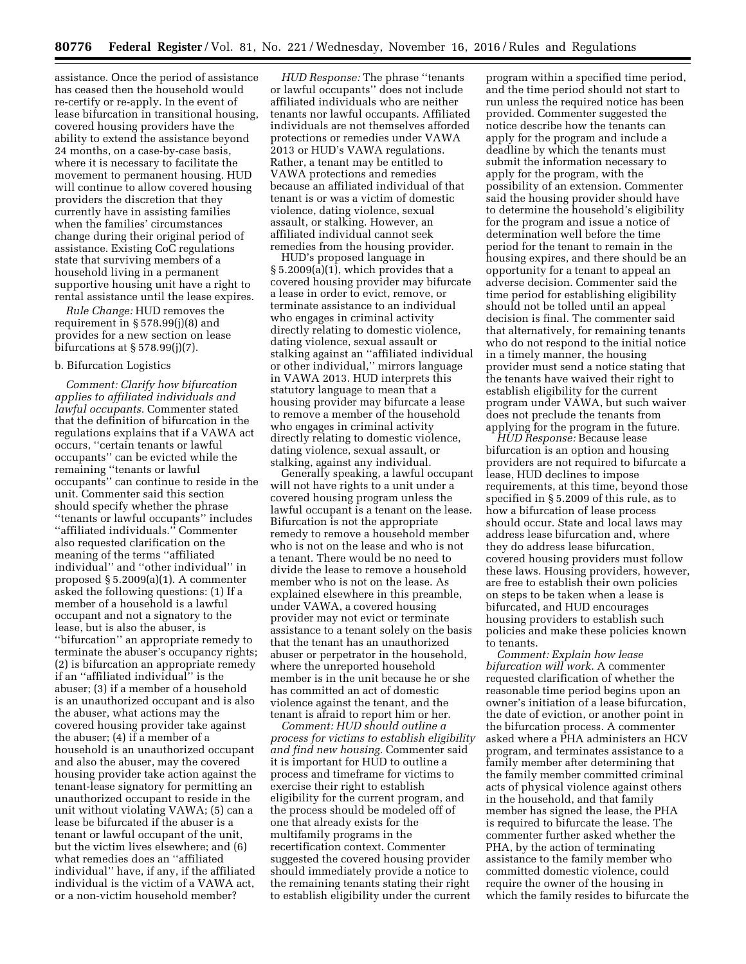assistance. Once the period of assistance has ceased then the household would re-certify or re-apply. In the event of lease bifurcation in transitional housing, covered housing providers have the ability to extend the assistance beyond 24 months, on a case-by-case basis, where it is necessary to facilitate the movement to permanent housing. HUD will continue to allow covered housing providers the discretion that they currently have in assisting families when the families' circumstances change during their original period of assistance. Existing CoC regulations state that surviving members of a household living in a permanent supportive housing unit have a right to rental assistance until the lease expires.

*Rule Change:* HUD removes the requirement in § 578.99(j)(8) and provides for a new section on lease bifurcations at  $\S 578.99(j)(7)$ .

# b. Bifurcation Logistics

*Comment: Clarify how bifurcation applies to affiliated individuals and lawful occupants.* Commenter stated that the definition of bifurcation in the regulations explains that if a VAWA act occurs, ''certain tenants or lawful occupants'' can be evicted while the remaining ''tenants or lawful occupants'' can continue to reside in the unit. Commenter said this section should specify whether the phrase ''tenants or lawful occupants'' includes ''affiliated individuals.'' Commenter also requested clarification on the meaning of the terms ''affiliated individual'' and ''other individual'' in proposed § 5.2009(a)(1). A commenter asked the following questions: (1) If a member of a household is a lawful occupant and not a signatory to the lease, but is also the abuser, is ''bifurcation'' an appropriate remedy to terminate the abuser's occupancy rights; (2) is bifurcation an appropriate remedy if an ''affiliated individual'' is the abuser; (3) if a member of a household is an unauthorized occupant and is also the abuser, what actions may the covered housing provider take against the abuser; (4) if a member of a household is an unauthorized occupant and also the abuser, may the covered housing provider take action against the tenant-lease signatory for permitting an unauthorized occupant to reside in the unit without violating VAWA; (5) can a lease be bifurcated if the abuser is a tenant or lawful occupant of the unit, but the victim lives elsewhere; and (6) what remedies does an ''affiliated individual'' have, if any, if the affiliated individual is the victim of a VAWA act, or a non-victim household member?

*HUD Response:* The phrase ''tenants or lawful occupants'' does not include affiliated individuals who are neither tenants nor lawful occupants. Affiliated individuals are not themselves afforded protections or remedies under VAWA 2013 or HUD's VAWA regulations. Rather, a tenant may be entitled to VAWA protections and remedies because an affiliated individual of that tenant is or was a victim of domestic violence, dating violence, sexual assault, or stalking. However, an affiliated individual cannot seek remedies from the housing provider.

HUD's proposed language in § 5.2009(a)(1), which provides that a covered housing provider may bifurcate a lease in order to evict, remove, or terminate assistance to an individual who engages in criminal activity directly relating to domestic violence, dating violence, sexual assault or stalking against an ''affiliated individual or other individual,'' mirrors language in VAWA 2013. HUD interprets this statutory language to mean that a housing provider may bifurcate a lease to remove a member of the household who engages in criminal activity directly relating to domestic violence, dating violence, sexual assault, or stalking, against any individual.

Generally speaking, a lawful occupant will not have rights to a unit under a covered housing program unless the lawful occupant is a tenant on the lease. Bifurcation is not the appropriate remedy to remove a household member who is not on the lease and who is not a tenant. There would be no need to divide the lease to remove a household member who is not on the lease. As explained elsewhere in this preamble, under VAWA, a covered housing provider may not evict or terminate assistance to a tenant solely on the basis that the tenant has an unauthorized abuser or perpetrator in the household, where the unreported household member is in the unit because he or she has committed an act of domestic violence against the tenant, and the tenant is afraid to report him or her.

*Comment: HUD should outline a process for victims to establish eligibility and find new housing.* Commenter said it is important for HUD to outline a process and timeframe for victims to exercise their right to establish eligibility for the current program, and the process should be modeled off of one that already exists for the multifamily programs in the recertification context. Commenter suggested the covered housing provider should immediately provide a notice to the remaining tenants stating their right to establish eligibility under the current

program within a specified time period, and the time period should not start to run unless the required notice has been provided. Commenter suggested the notice describe how the tenants can apply for the program and include a deadline by which the tenants must submit the information necessary to apply for the program, with the possibility of an extension. Commenter said the housing provider should have to determine the household's eligibility for the program and issue a notice of determination well before the time period for the tenant to remain in the housing expires, and there should be an opportunity for a tenant to appeal an adverse decision. Commenter said the time period for establishing eligibility should not be tolled until an appeal decision is final. The commenter said that alternatively, for remaining tenants who do not respond to the initial notice in a timely manner, the housing provider must send a notice stating that the tenants have waived their right to establish eligibility for the current program under VAWA, but such waiver does not preclude the tenants from applying for the program in the future.

*HUD Response:* Because lease bifurcation is an option and housing providers are not required to bifurcate a lease, HUD declines to impose requirements, at this time, beyond those specified in § 5.2009 of this rule, as to how a bifurcation of lease process should occur. State and local laws may address lease bifurcation and, where they do address lease bifurcation, covered housing providers must follow these laws. Housing providers, however, are free to establish their own policies on steps to be taken when a lease is bifurcated, and HUD encourages housing providers to establish such policies and make these policies known to tenants.

*Comment: Explain how lease bifurcation will work.* A commenter requested clarification of whether the reasonable time period begins upon an owner's initiation of a lease bifurcation, the date of eviction, or another point in the bifurcation process. A commenter asked where a PHA administers an HCV program, and terminates assistance to a family member after determining that the family member committed criminal acts of physical violence against others in the household, and that family member has signed the lease, the PHA is required to bifurcate the lease. The commenter further asked whether the PHA, by the action of terminating assistance to the family member who committed domestic violence, could require the owner of the housing in which the family resides to bifurcate the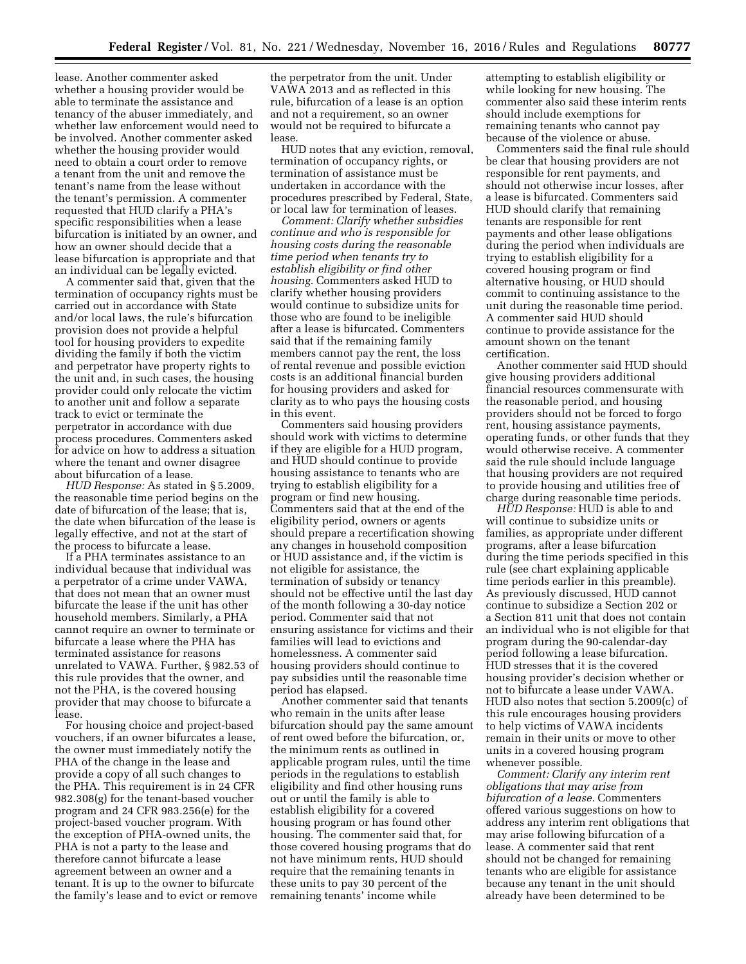lease. Another commenter asked whether a housing provider would be able to terminate the assistance and tenancy of the abuser immediately, and whether law enforcement would need to be involved. Another commenter asked whether the housing provider would need to obtain a court order to remove a tenant from the unit and remove the tenant's name from the lease without the tenant's permission. A commenter requested that HUD clarify a PHA's specific responsibilities when a lease bifurcation is initiated by an owner, and how an owner should decide that a lease bifurcation is appropriate and that an individual can be legally evicted.

A commenter said that, given that the termination of occupancy rights must be carried out in accordance with State and/or local laws, the rule's bifurcation provision does not provide a helpful tool for housing providers to expedite dividing the family if both the victim and perpetrator have property rights to the unit and, in such cases, the housing provider could only relocate the victim to another unit and follow a separate track to evict or terminate the perpetrator in accordance with due process procedures. Commenters asked for advice on how to address a situation where the tenant and owner disagree about bifurcation of a lease.

*HUD Response:* As stated in § 5.2009, the reasonable time period begins on the date of bifurcation of the lease; that is, the date when bifurcation of the lease is legally effective, and not at the start of the process to bifurcate a lease.

If a PHA terminates assistance to an individual because that individual was a perpetrator of a crime under VAWA, that does not mean that an owner must bifurcate the lease if the unit has other household members. Similarly, a PHA cannot require an owner to terminate or bifurcate a lease where the PHA has terminated assistance for reasons unrelated to VAWA. Further, § 982.53 of this rule provides that the owner, and not the PHA, is the covered housing provider that may choose to bifurcate a lease.

For housing choice and project-based vouchers, if an owner bifurcates a lease, the owner must immediately notify the PHA of the change in the lease and provide a copy of all such changes to the PHA. This requirement is in 24 CFR 982.308(g) for the tenant-based voucher program and 24 CFR 983.256(e) for the project-based voucher program. With the exception of PHA-owned units, the PHA is not a party to the lease and therefore cannot bifurcate a lease agreement between an owner and a tenant. It is up to the owner to bifurcate the family's lease and to evict or remove

the perpetrator from the unit. Under VAWA 2013 and as reflected in this rule, bifurcation of a lease is an option and not a requirement, so an owner would not be required to bifurcate a lease.

HUD notes that any eviction, removal, termination of occupancy rights, or termination of assistance must be undertaken in accordance with the procedures prescribed by Federal, State, or local law for termination of leases.

*Comment: Clarify whether subsidies continue and who is responsible for housing costs during the reasonable time period when tenants try to establish eligibility or find other housing.* Commenters asked HUD to clarify whether housing providers would continue to subsidize units for those who are found to be ineligible after a lease is bifurcated. Commenters said that if the remaining family members cannot pay the rent, the loss of rental revenue and possible eviction costs is an additional financial burden for housing providers and asked for clarity as to who pays the housing costs in this event.

Commenters said housing providers should work with victims to determine if they are eligible for a HUD program, and HUD should continue to provide housing assistance to tenants who are trying to establish eligibility for a program or find new housing. Commenters said that at the end of the eligibility period, owners or agents should prepare a recertification showing any changes in household composition or HUD assistance and, if the victim is not eligible for assistance, the termination of subsidy or tenancy should not be effective until the last day of the month following a 30-day notice period. Commenter said that not ensuring assistance for victims and their families will lead to evictions and homelessness. A commenter said housing providers should continue to pay subsidies until the reasonable time period has elapsed.

Another commenter said that tenants who remain in the units after lease bifurcation should pay the same amount of rent owed before the bifurcation, or, the minimum rents as outlined in applicable program rules, until the time periods in the regulations to establish eligibility and find other housing runs out or until the family is able to establish eligibility for a covered housing program or has found other housing. The commenter said that, for those covered housing programs that do not have minimum rents, HUD should require that the remaining tenants in these units to pay 30 percent of the remaining tenants' income while

attempting to establish eligibility or while looking for new housing. The commenter also said these interim rents should include exemptions for remaining tenants who cannot pay because of the violence or abuse.

Commenters said the final rule should be clear that housing providers are not responsible for rent payments, and should not otherwise incur losses, after a lease is bifurcated. Commenters said HUD should clarify that remaining tenants are responsible for rent payments and other lease obligations during the period when individuals are trying to establish eligibility for a covered housing program or find alternative housing, or HUD should commit to continuing assistance to the unit during the reasonable time period. A commenter said HUD should continue to provide assistance for the amount shown on the tenant certification.

Another commenter said HUD should give housing providers additional financial resources commensurate with the reasonable period, and housing providers should not be forced to forgo rent, housing assistance payments, operating funds, or other funds that they would otherwise receive. A commenter said the rule should include language that housing providers are not required to provide housing and utilities free of charge during reasonable time periods.

*HUD Response:* HUD is able to and will continue to subsidize units or families, as appropriate under different programs, after a lease bifurcation during the time periods specified in this rule (see chart explaining applicable time periods earlier in this preamble). As previously discussed, HUD cannot continue to subsidize a Section 202 or a Section 811 unit that does not contain an individual who is not eligible for that program during the 90-calendar-day period following a lease bifurcation. HUD stresses that it is the covered housing provider's decision whether or not to bifurcate a lease under VAWA. HUD also notes that section 5.2009(c) of this rule encourages housing providers to help victims of VAWA incidents remain in their units or move to other units in a covered housing program whenever possible.

*Comment: Clarify any interim rent obligations that may arise from bifurcation of a lease.* Commenters offered various suggestions on how to address any interim rent obligations that may arise following bifurcation of a lease. A commenter said that rent should not be changed for remaining tenants who are eligible for assistance because any tenant in the unit should already have been determined to be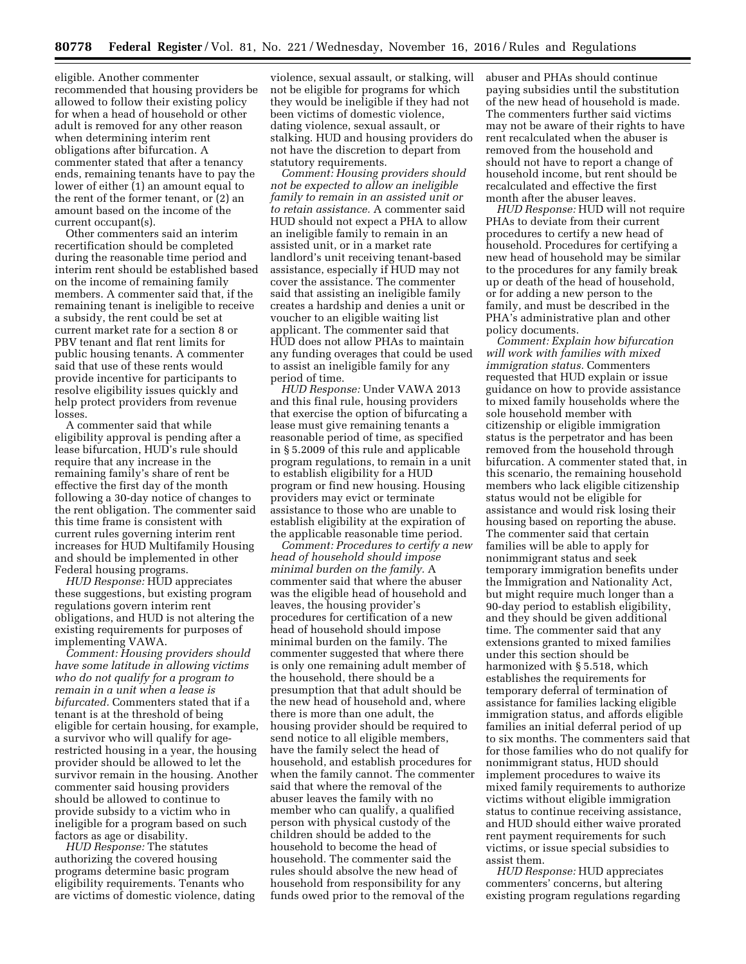eligible. Another commenter recommended that housing providers be allowed to follow their existing policy for when a head of household or other adult is removed for any other reason when determining interim rent obligations after bifurcation. A commenter stated that after a tenancy ends, remaining tenants have to pay the lower of either (1) an amount equal to the rent of the former tenant, or (2) an amount based on the income of the current occupant(s).

Other commenters said an interim recertification should be completed during the reasonable time period and interim rent should be established based on the income of remaining family members. A commenter said that, if the remaining tenant is ineligible to receive a subsidy, the rent could be set at current market rate for a section 8 or PBV tenant and flat rent limits for public housing tenants. A commenter said that use of these rents would provide incentive for participants to resolve eligibility issues quickly and help protect providers from revenue losses.

A commenter said that while eligibility approval is pending after a lease bifurcation, HUD's rule should require that any increase in the remaining family's share of rent be effective the first day of the month following a 30-day notice of changes to the rent obligation. The commenter said this time frame is consistent with current rules governing interim rent increases for HUD Multifamily Housing and should be implemented in other Federal housing programs.

*HUD Response:* HUD appreciates these suggestions, but existing program regulations govern interim rent obligations, and HUD is not altering the existing requirements for purposes of implementing VAWA.

*Comment: Housing providers should have some latitude in allowing victims who do not qualify for a program to remain in a unit when a lease is bifurcated.* Commenters stated that if a tenant is at the threshold of being eligible for certain housing, for example, a survivor who will qualify for agerestricted housing in a year, the housing provider should be allowed to let the survivor remain in the housing. Another commenter said housing providers should be allowed to continue to provide subsidy to a victim who in ineligible for a program based on such factors as age or disability.

*HUD Response:* The statutes authorizing the covered housing programs determine basic program eligibility requirements. Tenants who are victims of domestic violence, dating

violence, sexual assault, or stalking, will not be eligible for programs for which they would be ineligible if they had not been victims of domestic violence, dating violence, sexual assault, or stalking. HUD and housing providers do not have the discretion to depart from statutory requirements.

*Comment: Housing providers should not be expected to allow an ineligible family to remain in an assisted unit or to retain assistance.* A commenter said HUD should not expect a PHA to allow an ineligible family to remain in an assisted unit, or in a market rate landlord's unit receiving tenant-based assistance, especially if HUD may not cover the assistance. The commenter said that assisting an ineligible family creates a hardship and denies a unit or voucher to an eligible waiting list applicant. The commenter said that HUD does not allow PHAs to maintain any funding overages that could be used to assist an ineligible family for any period of time.

*HUD Response:* Under VAWA 2013 and this final rule, housing providers that exercise the option of bifurcating a lease must give remaining tenants a reasonable period of time, as specified in § 5.2009 of this rule and applicable program regulations, to remain in a unit to establish eligibility for a HUD program or find new housing. Housing providers may evict or terminate assistance to those who are unable to establish eligibility at the expiration of the applicable reasonable time period.

*Comment: Procedures to certify a new head of household should impose minimal burden on the family.* A commenter said that where the abuser was the eligible head of household and leaves, the housing provider's procedures for certification of a new head of household should impose minimal burden on the family. The commenter suggested that where there is only one remaining adult member of the household, there should be a presumption that that adult should be the new head of household and, where there is more than one adult, the housing provider should be required to send notice to all eligible members, have the family select the head of household, and establish procedures for when the family cannot. The commenter said that where the removal of the abuser leaves the family with no member who can qualify, a qualified person with physical custody of the children should be added to the household to become the head of household. The commenter said the rules should absolve the new head of household from responsibility for any funds owed prior to the removal of the

abuser and PHAs should continue paying subsidies until the substitution of the new head of household is made. The commenters further said victims may not be aware of their rights to have rent recalculated when the abuser is removed from the household and should not have to report a change of household income, but rent should be recalculated and effective the first month after the abuser leaves.

*HUD Response:* HUD will not require PHAs to deviate from their current procedures to certify a new head of household. Procedures for certifying a new head of household may be similar to the procedures for any family break up or death of the head of household, or for adding a new person to the family, and must be described in the PHA's administrative plan and other policy documents.

*Comment: Explain how bifurcation will work with families with mixed immigration status.* Commenters requested that HUD explain or issue guidance on how to provide assistance to mixed family households where the sole household member with citizenship or eligible immigration status is the perpetrator and has been removed from the household through bifurcation. A commenter stated that, in this scenario, the remaining household members who lack eligible citizenship status would not be eligible for assistance and would risk losing their housing based on reporting the abuse. The commenter said that certain families will be able to apply for nonimmigrant status and seek temporary immigration benefits under the Immigration and Nationality Act, but might require much longer than a 90-day period to establish eligibility, and they should be given additional time. The commenter said that any extensions granted to mixed families under this section should be harmonized with § 5.518, which establishes the requirements for temporary deferral of termination of assistance for families lacking eligible immigration status, and affords eligible families an initial deferral period of up to six months. The commenters said that for those families who do not qualify for nonimmigrant status, HUD should implement procedures to waive its mixed family requirements to authorize victims without eligible immigration status to continue receiving assistance, and HUD should either waive prorated rent payment requirements for such victims, or issue special subsidies to assist them.

*HUD Response:* HUD appreciates commenters' concerns, but altering existing program regulations regarding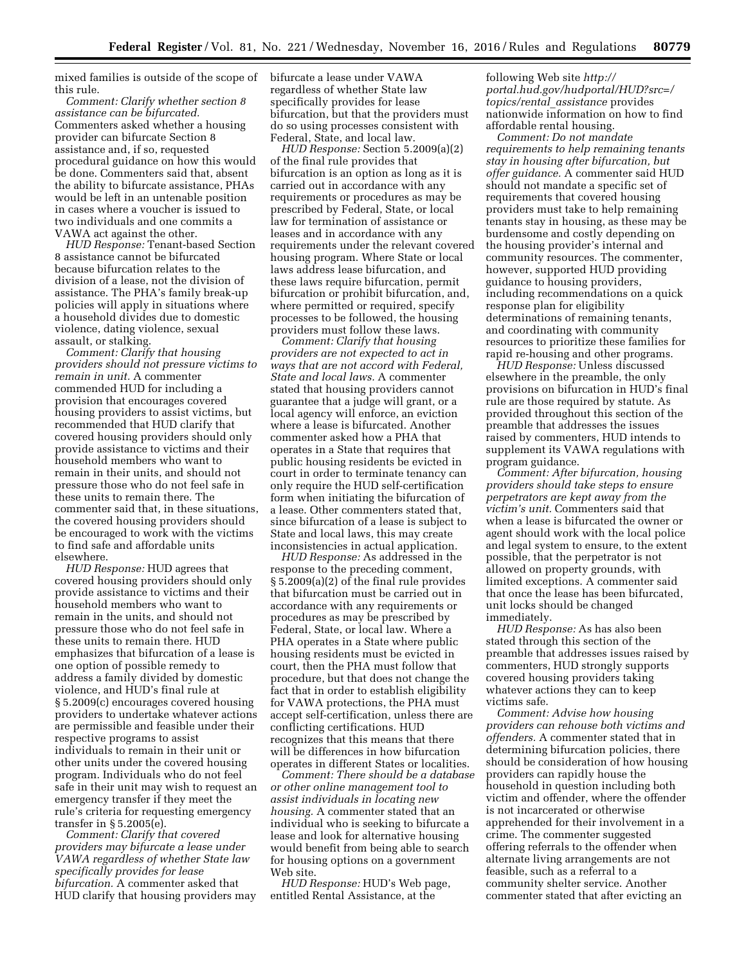mixed families is outside of the scope of this rule.

*Comment: Clarify whether section 8 assistance can be bifurcated.*  Commenters asked whether a housing provider can bifurcate Section 8 assistance and, if so, requested procedural guidance on how this would be done. Commenters said that, absent the ability to bifurcate assistance, PHAs would be left in an untenable position in cases where a voucher is issued to two individuals and one commits a VAWA act against the other.

*HUD Response:* Tenant-based Section 8 assistance cannot be bifurcated because bifurcation relates to the division of a lease, not the division of assistance. The PHA's family break-up policies will apply in situations where a household divides due to domestic violence, dating violence, sexual assault, or stalking.

*Comment: Clarify that housing providers should not pressure victims to remain in unit.* A commenter commended HUD for including a provision that encourages covered housing providers to assist victims, but recommended that HUD clarify that covered housing providers should only provide assistance to victims and their household members who want to remain in their units, and should not pressure those who do not feel safe in these units to remain there. The commenter said that, in these situations, the covered housing providers should be encouraged to work with the victims to find safe and affordable units elsewhere.

*HUD Response:* HUD agrees that covered housing providers should only provide assistance to victims and their household members who want to remain in the units, and should not pressure those who do not feel safe in these units to remain there. HUD emphasizes that bifurcation of a lease is one option of possible remedy to address a family divided by domestic violence, and HUD's final rule at § 5.2009(c) encourages covered housing providers to undertake whatever actions are permissible and feasible under their respective programs to assist individuals to remain in their unit or other units under the covered housing program. Individuals who do not feel safe in their unit may wish to request an emergency transfer if they meet the rule's criteria for requesting emergency transfer in § 5.2005(e).

*Comment: Clarify that covered providers may bifurcate a lease under VAWA regardless of whether State law specifically provides for lease bifurcation.* A commenter asked that HUD clarify that housing providers may bifurcate a lease under VAWA regardless of whether State law specifically provides for lease bifurcation, but that the providers must do so using processes consistent with Federal, State, and local law.

*HUD Response:* Section 5.2009(a)(2) of the final rule provides that bifurcation is an option as long as it is carried out in accordance with any requirements or procedures as may be prescribed by Federal, State, or local law for termination of assistance or leases and in accordance with any requirements under the relevant covered housing program. Where State or local laws address lease bifurcation, and these laws require bifurcation, permit bifurcation or prohibit bifurcation, and, where permitted or required, specify processes to be followed, the housing providers must follow these laws.

*Comment: Clarify that housing providers are not expected to act in ways that are not accord with Federal, State and local laws.* A commenter stated that housing providers cannot guarantee that a judge will grant, or a local agency will enforce, an eviction where a lease is bifurcated. Another commenter asked how a PHA that operates in a State that requires that public housing residents be evicted in court in order to terminate tenancy can only require the HUD self-certification form when initiating the bifurcation of a lease. Other commenters stated that, since bifurcation of a lease is subject to State and local laws, this may create inconsistencies in actual application.

*HUD Response:* As addressed in the response to the preceding comment, § 5.2009(a)(2) of the final rule provides that bifurcation must be carried out in accordance with any requirements or procedures as may be prescribed by Federal, State, or local law. Where a PHA operates in a State where public housing residents must be evicted in court, then the PHA must follow that procedure, but that does not change the fact that in order to establish eligibility for VAWA protections, the PHA must accept self-certification, unless there are conflicting certifications. HUD recognizes that this means that there will be differences in how bifurcation operates in different States or localities.

*Comment: There should be a database or other online management tool to assist individuals in locating new housing.* A commenter stated that an individual who is seeking to bifurcate a lease and look for alternative housing would benefit from being able to search for housing options on a government Web site.

*HUD Response:* HUD's Web page, entitled Rental Assistance, at the

following Web site *[http://](http://portal.hud.gov/hudportal/HUD?src=/topics/rental_assistance) [portal.hud.gov/hudportal/HUD?src=/](http://portal.hud.gov/hudportal/HUD?src=/topics/rental_assistance) [topics/rental](http://portal.hud.gov/hudportal/HUD?src=/topics/rental_assistance)*\_*assistance* provides nationwide information on how to find affordable rental housing.

*Comment: Do not mandate requirements to help remaining tenants stay in housing after bifurcation, but offer guidance.* A commenter said HUD should not mandate a specific set of requirements that covered housing providers must take to help remaining tenants stay in housing, as these may be burdensome and costly depending on the housing provider's internal and community resources. The commenter, however, supported HUD providing guidance to housing providers, including recommendations on a quick response plan for eligibility determinations of remaining tenants, and coordinating with community resources to prioritize these families for rapid re-housing and other programs.

*HUD Response:* Unless discussed elsewhere in the preamble, the only provisions on bifurcation in HUD's final rule are those required by statute. As provided throughout this section of the preamble that addresses the issues raised by commenters, HUD intends to supplement its VAWA regulations with program guidance.

*Comment: After bifurcation, housing providers should take steps to ensure perpetrators are kept away from the victim's unit.* Commenters said that when a lease is bifurcated the owner or agent should work with the local police and legal system to ensure, to the extent possible, that the perpetrator is not allowed on property grounds, with limited exceptions. A commenter said that once the lease has been bifurcated, unit locks should be changed immediately.

*HUD Response:* As has also been stated through this section of the preamble that addresses issues raised by commenters, HUD strongly supports covered housing providers taking whatever actions they can to keep victims safe.

*Comment: Advise how housing providers can rehouse both victims and offenders.* A commenter stated that in determining bifurcation policies, there should be consideration of how housing providers can rapidly house the household in question including both victim and offender, where the offender is not incarcerated or otherwise apprehended for their involvement in a crime. The commenter suggested offering referrals to the offender when alternate living arrangements are not feasible, such as a referral to a community shelter service. Another commenter stated that after evicting an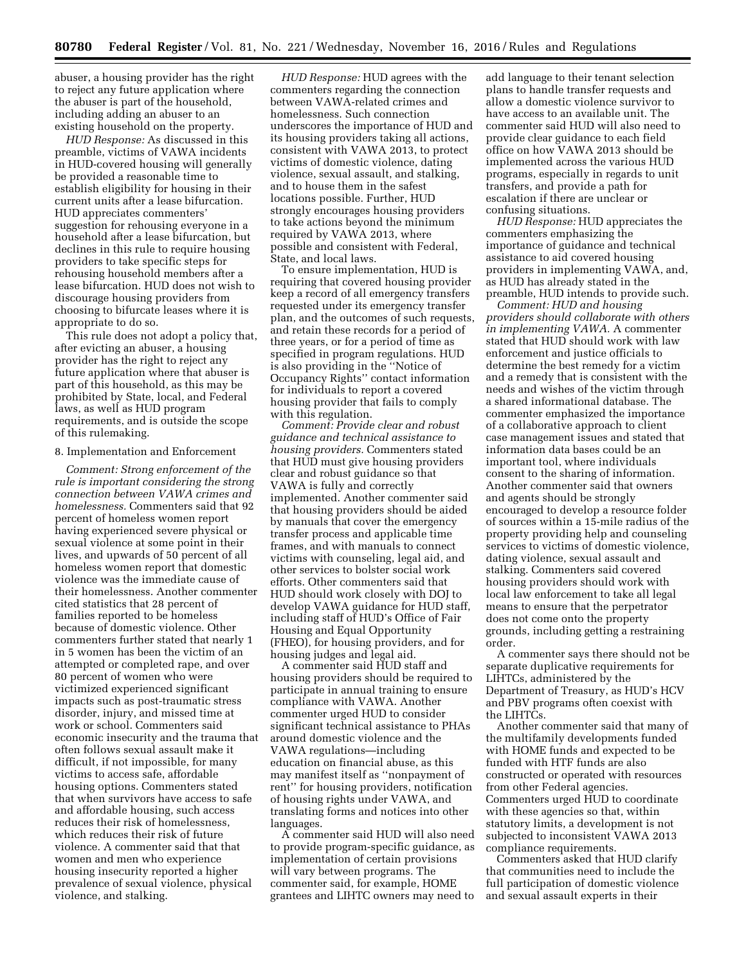abuser, a housing provider has the right to reject any future application where the abuser is part of the household, including adding an abuser to an existing household on the property.

*HUD Response:* As discussed in this preamble, victims of VAWA incidents in HUD-covered housing will generally be provided a reasonable time to establish eligibility for housing in their current units after a lease bifurcation. HUD appreciates commenters' suggestion for rehousing everyone in a household after a lease bifurcation, but declines in this rule to require housing providers to take specific steps for rehousing household members after a lease bifurcation. HUD does not wish to discourage housing providers from choosing to bifurcate leases where it is appropriate to do so.

This rule does not adopt a policy that, after evicting an abuser, a housing provider has the right to reject any future application where that abuser is part of this household, as this may be prohibited by State, local, and Federal laws, as well as HUD program requirements, and is outside the scope of this rulemaking.

#### 8. Implementation and Enforcement

*Comment: Strong enforcement of the rule is important considering the strong connection between VAWA crimes and homelessness.* Commenters said that 92 percent of homeless women report having experienced severe physical or sexual violence at some point in their lives, and upwards of 50 percent of all homeless women report that domestic violence was the immediate cause of their homelessness. Another commenter cited statistics that 28 percent of families reported to be homeless because of domestic violence. Other commenters further stated that nearly 1 in 5 women has been the victim of an attempted or completed rape, and over 80 percent of women who were victimized experienced significant impacts such as post-traumatic stress disorder, injury, and missed time at work or school. Commenters said economic insecurity and the trauma that often follows sexual assault make it difficult, if not impossible, for many victims to access safe, affordable housing options. Commenters stated that when survivors have access to safe and affordable housing, such access reduces their risk of homelessness, which reduces their risk of future violence. A commenter said that that women and men who experience housing insecurity reported a higher prevalence of sexual violence, physical violence, and stalking.

*HUD Response:* HUD agrees with the commenters regarding the connection between VAWA-related crimes and homelessness. Such connection underscores the importance of HUD and its housing providers taking all actions, consistent with VAWA 2013, to protect victims of domestic violence, dating violence, sexual assault, and stalking, and to house them in the safest locations possible. Further, HUD strongly encourages housing providers to take actions beyond the minimum required by VAWA 2013, where possible and consistent with Federal, State, and local laws.

To ensure implementation, HUD is requiring that covered housing provider keep a record of all emergency transfers requested under its emergency transfer plan, and the outcomes of such requests, and retain these records for a period of three years, or for a period of time as specified in program regulations. HUD is also providing in the ''Notice of Occupancy Rights'' contact information for individuals to report a covered housing provider that fails to comply with this regulation.

*Comment: Provide clear and robust guidance and technical assistance to housing providers.* Commenters stated that HUD must give housing providers clear and robust guidance so that VAWA is fully and correctly implemented. Another commenter said that housing providers should be aided by manuals that cover the emergency transfer process and applicable time frames, and with manuals to connect victims with counseling, legal aid, and other services to bolster social work efforts. Other commenters said that HUD should work closely with DOJ to develop VAWA guidance for HUD staff, including staff of HUD's Office of Fair Housing and Equal Opportunity (FHEO), for housing providers, and for housing judges and legal aid.

A commenter said HUD staff and housing providers should be required to participate in annual training to ensure compliance with VAWA. Another commenter urged HUD to consider significant technical assistance to PHAs around domestic violence and the VAWA regulations—including education on financial abuse, as this may manifest itself as ''nonpayment of rent'' for housing providers, notification of housing rights under VAWA, and translating forms and notices into other languages.

A commenter said HUD will also need to provide program-specific guidance, as implementation of certain provisions will vary between programs. The commenter said, for example, HOME grantees and LIHTC owners may need to

add language to their tenant selection plans to handle transfer requests and allow a domestic violence survivor to have access to an available unit. The commenter said HUD will also need to provide clear guidance to each field office on how VAWA 2013 should be implemented across the various HUD programs, especially in regards to unit transfers, and provide a path for escalation if there are unclear or confusing situations.

*HUD Response:* HUD appreciates the commenters emphasizing the importance of guidance and technical assistance to aid covered housing providers in implementing VAWA, and, as HUD has already stated in the preamble, HUD intends to provide such.

*Comment: HUD and housing providers should collaborate with others in implementing VAWA.* A commenter stated that HUD should work with law enforcement and justice officials to determine the best remedy for a victim and a remedy that is consistent with the needs and wishes of the victim through a shared informational database. The commenter emphasized the importance of a collaborative approach to client case management issues and stated that information data bases could be an important tool, where individuals consent to the sharing of information. Another commenter said that owners and agents should be strongly encouraged to develop a resource folder of sources within a 15-mile radius of the property providing help and counseling services to victims of domestic violence, dating violence, sexual assault and stalking. Commenters said covered housing providers should work with local law enforcement to take all legal means to ensure that the perpetrator does not come onto the property grounds, including getting a restraining order.

A commenter says there should not be separate duplicative requirements for LIHTCs, administered by the Department of Treasury, as HUD's HCV and PBV programs often coexist with the LIHTCs.

Another commenter said that many of the multifamily developments funded with HOME funds and expected to be funded with HTF funds are also constructed or operated with resources from other Federal agencies. Commenters urged HUD to coordinate with these agencies so that, within statutory limits, a development is not subjected to inconsistent VAWA 2013 compliance requirements.

Commenters asked that HUD clarify that communities need to include the full participation of domestic violence and sexual assault experts in their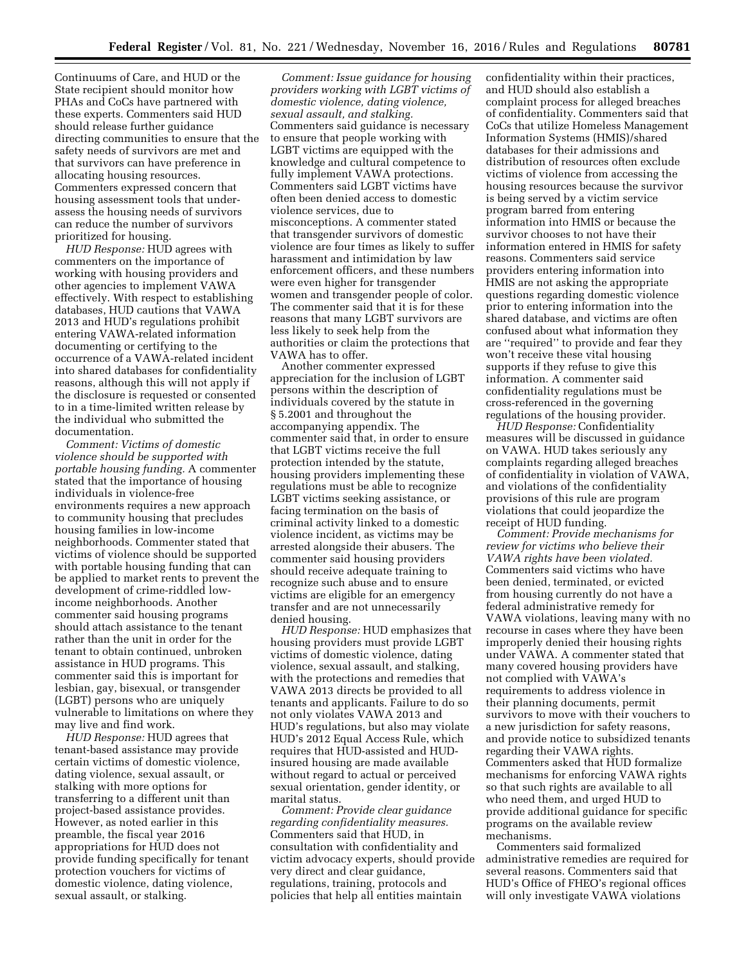Continuums of Care, and HUD or the State recipient should monitor how PHAs and CoCs have partnered with these experts. Commenters said HUD should release further guidance directing communities to ensure that the safety needs of survivors are met and that survivors can have preference in allocating housing resources. Commenters expressed concern that housing assessment tools that underassess the housing needs of survivors can reduce the number of survivors prioritized for housing.

*HUD Response:* HUD agrees with commenters on the importance of working with housing providers and other agencies to implement VAWA effectively. With respect to establishing databases, HUD cautions that VAWA 2013 and HUD's regulations prohibit entering VAWA-related information documenting or certifying to the occurrence of a VAWA-related incident into shared databases for confidentiality reasons, although this will not apply if the disclosure is requested or consented to in a time-limited written release by the individual who submitted the documentation.

*Comment: Victims of domestic violence should be supported with portable housing funding.* A commenter stated that the importance of housing individuals in violence-free environments requires a new approach to community housing that precludes housing families in low-income neighborhoods. Commenter stated that victims of violence should be supported with portable housing funding that can be applied to market rents to prevent the development of crime-riddled lowincome neighborhoods. Another commenter said housing programs should attach assistance to the tenant rather than the unit in order for the tenant to obtain continued, unbroken assistance in HUD programs. This commenter said this is important for lesbian, gay, bisexual, or transgender (LGBT) persons who are uniquely vulnerable to limitations on where they may live and find work.

*HUD Response:* HUD agrees that tenant-based assistance may provide certain victims of domestic violence, dating violence, sexual assault, or stalking with more options for transferring to a different unit than project-based assistance provides. However, as noted earlier in this preamble, the fiscal year 2016 appropriations for HUD does not provide funding specifically for tenant protection vouchers for victims of domestic violence, dating violence, sexual assault, or stalking.

*Comment: Issue guidance for housing providers working with LGBT victims of domestic violence, dating violence, sexual assault, and stalking.*  Commenters said guidance is necessary to ensure that people working with LGBT victims are equipped with the knowledge and cultural competence to fully implement VAWA protections. Commenters said LGBT victims have often been denied access to domestic violence services, due to misconceptions. A commenter stated that transgender survivors of domestic violence are four times as likely to suffer harassment and intimidation by law enforcement officers, and these numbers were even higher for transgender women and transgender people of color. The commenter said that it is for these reasons that many LGBT survivors are less likely to seek help from the authorities or claim the protections that VAWA has to offer.

Another commenter expressed appreciation for the inclusion of LGBT persons within the description of individuals covered by the statute in § 5.2001 and throughout the accompanying appendix. The commenter said that, in order to ensure that LGBT victims receive the full protection intended by the statute, housing providers implementing these regulations must be able to recognize LGBT victims seeking assistance, or facing termination on the basis of criminal activity linked to a domestic violence incident, as victims may be arrested alongside their abusers. The commenter said housing providers should receive adequate training to recognize such abuse and to ensure victims are eligible for an emergency transfer and are not unnecessarily denied housing.

*HUD Response:* HUD emphasizes that housing providers must provide LGBT victims of domestic violence, dating violence, sexual assault, and stalking, with the protections and remedies that VAWA 2013 directs be provided to all tenants and applicants. Failure to do so not only violates VAWA 2013 and HUD's regulations, but also may violate HUD's 2012 Equal Access Rule, which requires that HUD-assisted and HUDinsured housing are made available without regard to actual or perceived sexual orientation, gender identity, or marital status.

*Comment: Provide clear guidance regarding confidentiality measures.*  Commenters said that HUD, in consultation with confidentiality and victim advocacy experts, should provide very direct and clear guidance, regulations, training, protocols and policies that help all entities maintain

confidentiality within their practices, and HUD should also establish a complaint process for alleged breaches of confidentiality. Commenters said that CoCs that utilize Homeless Management Information Systems (HMIS)/shared databases for their admissions and distribution of resources often exclude victims of violence from accessing the housing resources because the survivor is being served by a victim service program barred from entering information into HMIS or because the survivor chooses to not have their information entered in HMIS for safety reasons. Commenters said service providers entering information into HMIS are not asking the appropriate questions regarding domestic violence prior to entering information into the shared database, and victims are often confused about what information they are ''required'' to provide and fear they won't receive these vital housing supports if they refuse to give this information. A commenter said confidentiality regulations must be cross-referenced in the governing regulations of the housing provider.

*HUD Response:* Confidentiality measures will be discussed in guidance on VAWA. HUD takes seriously any complaints regarding alleged breaches of confidentiality in violation of VAWA, and violations of the confidentiality provisions of this rule are program violations that could jeopardize the receipt of HUD funding.

*Comment: Provide mechanisms for review for victims who believe their VAWA rights have been violated.*  Commenters said victims who have been denied, terminated, or evicted from housing currently do not have a federal administrative remedy for VAWA violations, leaving many with no recourse in cases where they have been improperly denied their housing rights under VAWA. A commenter stated that many covered housing providers have not complied with VAWA's requirements to address violence in their planning documents, permit survivors to move with their vouchers to a new jurisdiction for safety reasons, and provide notice to subsidized tenants regarding their VAWA rights. Commenters asked that HUD formalize mechanisms for enforcing VAWA rights so that such rights are available to all who need them, and urged HUD to provide additional guidance for specific programs on the available review mechanisms.

Commenters said formalized administrative remedies are required for several reasons. Commenters said that HUD's Office of FHEO's regional offices will only investigate VAWA violations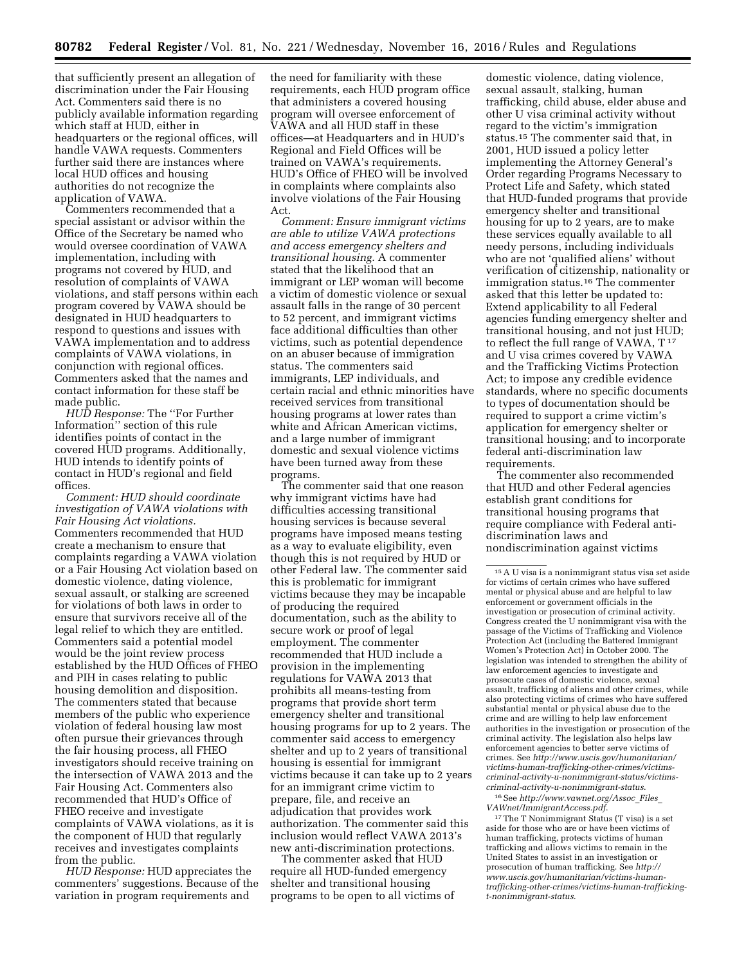that sufficiently present an allegation of discrimination under the Fair Housing Act. Commenters said there is no publicly available information regarding which staff at HUD, either in headquarters or the regional offices, will handle VAWA requests. Commenters further said there are instances where local HUD offices and housing authorities do not recognize the application of VAWA.

Commenters recommended that a special assistant or advisor within the Office of the Secretary be named who would oversee coordination of VAWA implementation, including with programs not covered by HUD, and resolution of complaints of VAWA violations, and staff persons within each program covered by VAWA should be designated in HUD headquarters to respond to questions and issues with VAWA implementation and to address complaints of VAWA violations, in conjunction with regional offices. Commenters asked that the names and contact information for these staff be made public.

*HUD Response:* The ''For Further Information'' section of this rule identifies points of contact in the covered HUD programs. Additionally, HUD intends to identify points of contact in HUD's regional and field offices.

*Comment: HUD should coordinate investigation of VAWA violations with Fair Housing Act violations.*  Commenters recommended that HUD create a mechanism to ensure that complaints regarding a VAWA violation or a Fair Housing Act violation based on domestic violence, dating violence, sexual assault, or stalking are screened for violations of both laws in order to ensure that survivors receive all of the legal relief to which they are entitled. Commenters said a potential model would be the joint review process established by the HUD Offices of FHEO and PIH in cases relating to public housing demolition and disposition. The commenters stated that because members of the public who experience violation of federal housing law most often pursue their grievances through the fair housing process, all FHEO investigators should receive training on the intersection of VAWA 2013 and the Fair Housing Act. Commenters also recommended that HUD's Office of FHEO receive and investigate complaints of VAWA violations, as it is the component of HUD that regularly receives and investigates complaints from the public.

*HUD Response:* HUD appreciates the commenters' suggestions. Because of the variation in program requirements and

the need for familiarity with these requirements, each HUD program office that administers a covered housing program will oversee enforcement of VAWA and all HUD staff in these offices—at Headquarters and in HUD's Regional and Field Offices will be trained on VAWA's requirements. HUD's Office of FHEO will be involved in complaints where complaints also involve violations of the Fair Housing Act.

*Comment: Ensure immigrant victims are able to utilize VAWA protections and access emergency shelters and transitional housing.* A commenter stated that the likelihood that an immigrant or LEP woman will become a victim of domestic violence or sexual assault falls in the range of 30 percent to 52 percent, and immigrant victims face additional difficulties than other victims, such as potential dependence on an abuser because of immigration status. The commenters said immigrants, LEP individuals, and certain racial and ethnic minorities have received services from transitional housing programs at lower rates than white and African American victims, and a large number of immigrant domestic and sexual violence victims have been turned away from these programs.

The commenter said that one reason why immigrant victims have had difficulties accessing transitional housing services is because several programs have imposed means testing as a way to evaluate eligibility, even though this is not required by HUD or other Federal law. The commenter said this is problematic for immigrant victims because they may be incapable of producing the required documentation, such as the ability to secure work or proof of legal employment. The commenter recommended that HUD include a provision in the implementing regulations for VAWA 2013 that prohibits all means-testing from programs that provide short term emergency shelter and transitional housing programs for up to 2 years. The commenter said access to emergency shelter and up to 2 years of transitional housing is essential for immigrant victims because it can take up to 2 years for an immigrant crime victim to prepare, file, and receive an adjudication that provides work authorization. The commenter said this inclusion would reflect VAWA 2013's new anti-discrimination protections.

The commenter asked that HUD require all HUD-funded emergency shelter and transitional housing programs to be open to all victims of

domestic violence, dating violence, sexual assault, stalking, human trafficking, child abuse, elder abuse and other U visa criminal activity without regard to the victim's immigration status.15 The commenter said that, in 2001, HUD issued a policy letter implementing the Attorney General's Order regarding Programs Necessary to Protect Life and Safety, which stated that HUD-funded programs that provide emergency shelter and transitional housing for up to 2 years, are to make these services equally available to all needy persons, including individuals who are not 'qualified aliens' without verification of citizenship, nationality or immigration status.16 The commenter asked that this letter be updated to: Extend applicability to all Federal agencies funding emergency shelter and transitional housing, and not just HUD; to reflect the full range of VAWA,  $T^{17}$ and U visa crimes covered by VAWA and the Trafficking Victims Protection Act; to impose any credible evidence standards, where no specific documents to types of documentation should be required to support a crime victim's application for emergency shelter or transitional housing; and to incorporate federal anti-discrimination law requirements.

The commenter also recommended that HUD and other Federal agencies establish grant conditions for transitional housing programs that require compliance with Federal antidiscrimination laws and nondiscrimination against victims

16See *[http://www.vawnet.org/Assoc](http://www.vawnet.org/Assoc_Files_VAWnet/ImmigrantAccess.pdf)*\_*Files*\_ *[VAWnet/ImmigrantAccess.pdf](http://www.vawnet.org/Assoc_Files_VAWnet/ImmigrantAccess.pdf)*.

17The T Nonimmigrant Status (T visa) is a set aside for those who are or have been victims of human trafficking, protects victims of human trafficking and allows victims to remain in the United States to assist in an investigation or prosecution of human trafficking. See *[http://](http://www.uscis.gov/humanitarian/victims-human-trafficking-other-crimes/victims-human-trafficking-t-nonimmigrant-status) [www.uscis.gov/humanitarian/victims-human](http://www.uscis.gov/humanitarian/victims-human-trafficking-other-crimes/victims-human-trafficking-t-nonimmigrant-status)[trafficking-other-crimes/victims-human-trafficking](http://www.uscis.gov/humanitarian/victims-human-trafficking-other-crimes/victims-human-trafficking-t-nonimmigrant-status)[t-nonimmigrant-status](http://www.uscis.gov/humanitarian/victims-human-trafficking-other-crimes/victims-human-trafficking-t-nonimmigrant-status)*.

 $^{15}\mathrm{A}$ U visa is a nonimmigrant status visa set aside for victims of certain crimes who have suffered mental or physical abuse and are helpful to law enforcement or government officials in the investigation or prosecution of criminal activity. Congress created the U nonimmigrant visa with the passage of the Victims of Trafficking and Violence Protection Act (including the Battered Immigrant Women's Protection Act) in October 2000. The legislation was intended to strengthen the ability of law enforcement agencies to investigate and prosecute cases of domestic violence, sexual assault, trafficking of aliens and other crimes, while also protecting victims of crimes who have suffered substantial mental or physical abuse due to the crime and are willing to help law enforcement authorities in the investigation or prosecution of the criminal activity. The legislation also helps law enforcement agencies to better serve victims of crimes. See *[http://www.uscis.gov/humanitarian/](http://www.uscis.gov/humanitarian/victims-human-trafficking-other-crimes/victims-criminal-activity-u-nonimmigrant-status/victims-criminal-activity-u-nonimmigrant-status) [victims-human-trafficking-other-crimes/victims](http://www.uscis.gov/humanitarian/victims-human-trafficking-other-crimes/victims-criminal-activity-u-nonimmigrant-status/victims-criminal-activity-u-nonimmigrant-status)[criminal-activity-u-nonimmigrant-status/victims](http://www.uscis.gov/humanitarian/victims-human-trafficking-other-crimes/victims-criminal-activity-u-nonimmigrant-status/victims-criminal-activity-u-nonimmigrant-status)[criminal-activity-u-nonimmigrant-status](http://www.uscis.gov/humanitarian/victims-human-trafficking-other-crimes/victims-criminal-activity-u-nonimmigrant-status/victims-criminal-activity-u-nonimmigrant-status)*.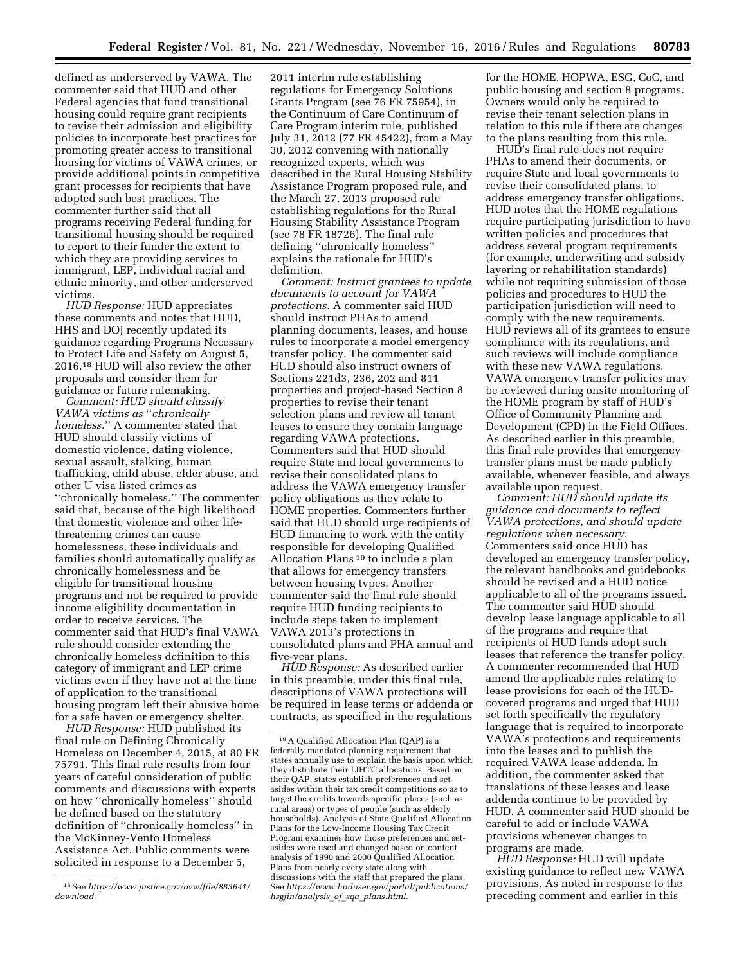defined as underserved by VAWA. The commenter said that HUD and other Federal agencies that fund transitional housing could require grant recipients to revise their admission and eligibility policies to incorporate best practices for promoting greater access to transitional housing for victims of VAWA crimes, or provide additional points in competitive grant processes for recipients that have adopted such best practices. The commenter further said that all programs receiving Federal funding for transitional housing should be required to report to their funder the extent to which they are providing services to immigrant, LEP, individual racial and ethnic minority, and other underserved victims.

*HUD Response:* HUD appreciates these comments and notes that HUD, HHS and DOJ recently updated its guidance regarding Programs Necessary to Protect Life and Safety on August 5, 2016.18 HUD will also review the other proposals and consider them for guidance or future rulemaking.

*Comment: HUD should classify VAWA victims as* ''*chronically homeless.*'' A commenter stated that HUD should classify victims of domestic violence, dating violence, sexual assault, stalking, human trafficking, child abuse, elder abuse, and other U visa listed crimes as ''chronically homeless.'' The commenter said that, because of the high likelihood that domestic violence and other lifethreatening crimes can cause homelessness, these individuals and families should automatically qualify as chronically homelessness and be eligible for transitional housing programs and not be required to provide income eligibility documentation in order to receive services. The commenter said that HUD's final VAWA rule should consider extending the chronically homeless definition to this category of immigrant and LEP crime victims even if they have not at the time of application to the transitional housing program left their abusive home for a safe haven or emergency shelter.

*HUD Response:* HUD published its final rule on Defining Chronically Homeless on December 4, 2015, at 80 FR 75791. This final rule results from four years of careful consideration of public comments and discussions with experts on how ''chronically homeless'' should be defined based on the statutory definition of ''chronically homeless'' in the McKinney-Vento Homeless Assistance Act. Public comments were solicited in response to a December 5,

2011 interim rule establishing regulations for Emergency Solutions Grants Program (see 76 FR 75954), in the Continuum of Care Continuum of Care Program interim rule, published July 31, 2012 (77 FR 45422), from a May 30, 2012 convening with nationally recognized experts, which was described in the Rural Housing Stability Assistance Program proposed rule, and the March 27, 2013 proposed rule establishing regulations for the Rural Housing Stability Assistance Program (see 78 FR 18726). The final rule defining ''chronically homeless'' explains the rationale for HUD's definition.

*Comment: Instruct grantees to update documents to account for VAWA protections.* A commenter said HUD should instruct PHAs to amend planning documents, leases, and house rules to incorporate a model emergency transfer policy. The commenter said HUD should also instruct owners of Sections 221d3, 236, 202 and 811 properties and project-based Section 8 properties to revise their tenant selection plans and review all tenant leases to ensure they contain language regarding VAWA protections. Commenters said that HUD should require State and local governments to revise their consolidated plans to address the VAWA emergency transfer policy obligations as they relate to HOME properties. Commenters further said that HUD should urge recipients of HUD financing to work with the entity responsible for developing Qualified Allocation Plans 19 to include a plan that allows for emergency transfers between housing types. Another commenter said the final rule should require HUD funding recipients to include steps taken to implement VAWA 2013's protections in consolidated plans and PHA annual and five-year plans.

*HUD Response:* As described earlier in this preamble, under this final rule, descriptions of VAWA protections will be required in lease terms or addenda or contracts, as specified in the regulations

for the HOME, HOPWA, ESG, CoC, and public housing and section 8 programs. Owners would only be required to revise their tenant selection plans in relation to this rule if there are changes to the plans resulting from this rule.

HUD's final rule does not require PHAs to amend their documents, or require State and local governments to revise their consolidated plans, to address emergency transfer obligations. HUD notes that the HOME regulations require participating jurisdiction to have written policies and procedures that address several program requirements (for example, underwriting and subsidy layering or rehabilitation standards) while not requiring submission of those policies and procedures to HUD the participation jurisdiction will need to comply with the new requirements. HUD reviews all of its grantees to ensure compliance with its regulations, and such reviews will include compliance with these new VAWA regulations. VAWA emergency transfer policies may be reviewed during onsite monitoring of the HOME program by staff of HUD's Office of Community Planning and Development (CPD) in the Field Offices. As described earlier in this preamble, this final rule provides that emergency transfer plans must be made publicly available, whenever feasible, and always available upon request.

*Comment: HUD should update its guidance and documents to reflect VAWA protections, and should update regulations when necessary.*  Commenters said once HUD has developed an emergency transfer policy, the relevant handbooks and guidebooks should be revised and a HUD notice applicable to all of the programs issued. The commenter said HUD should develop lease language applicable to all of the programs and require that recipients of HUD funds adopt such leases that reference the transfer policy. A commenter recommended that HUD amend the applicable rules relating to lease provisions for each of the HUDcovered programs and urged that HUD set forth specifically the regulatory language that is required to incorporate VAWA's protections and requirements into the leases and to publish the required VAWA lease addenda. In addition, the commenter asked that translations of these leases and lease addenda continue to be provided by HUD. A commenter said HUD should be careful to add or include VAWA provisions whenever changes to programs are made.

*HUD Response:* HUD will update existing guidance to reflect new VAWA provisions. As noted in response to the preceding comment and earlier in this

<sup>18</sup>See *[https://www.justice.gov/ovw/file/883641/](https://www.justice.gov/ovw/file/883641/download) [download](https://www.justice.gov/ovw/file/883641/download)*.

<sup>19</sup>A Qualified Allocation Plan (QAP) is a federally mandated planning requirement that states annually use to explain the basis upon which they distribute their LIHTC allocations. Based on their QAP, states establish preferences and setasides within their tax credit competitions so as to target the credits towards specific places (such as rural areas) or types of people (such as elderly households). Analysis of State Qualified Allocation Plans for the Low-Income Housing Tax Credit Program examines how those preferences and setasides were used and changed based on content analysis of 1990 and 2000 Qualified Allocation Plans from nearly every state along with discussions with the staff that prepared the plans. See *[https://www.huduser.gov/portal/publications/](https://www.huduser.gov/portal/publications/hsgfin/analysis_of_sqa_plans.html) [hsgfin/analysis](https://www.huduser.gov/portal/publications/hsgfin/analysis_of_sqa_plans.html)*\_*of*\_*sqa*\_*plans.html*.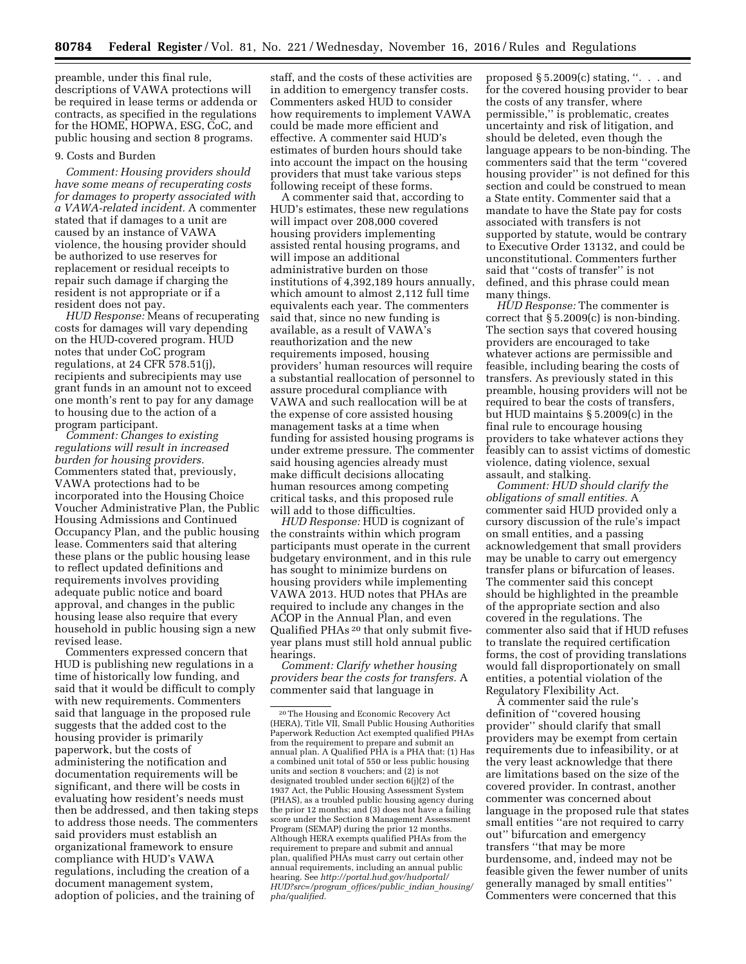preamble, under this final rule, descriptions of VAWA protections will be required in lease terms or addenda or contracts, as specified in the regulations for the HOME, HOPWA, ESG, CoC, and public housing and section 8 programs.

#### 9. Costs and Burden

*Comment: Housing providers should have some means of recuperating costs for damages to property associated with a VAWA-related incident.* A commenter stated that if damages to a unit are caused by an instance of VAWA violence, the housing provider should be authorized to use reserves for replacement or residual receipts to repair such damage if charging the resident is not appropriate or if a resident does not pay.

*HUD Response:* Means of recuperating costs for damages will vary depending on the HUD-covered program. HUD notes that under CoC program regulations, at 24 CFR 578.51(j), recipients and subrecipients may use grant funds in an amount not to exceed one month's rent to pay for any damage to housing due to the action of a program participant.

*Comment: Changes to existing regulations will result in increased burden for housing providers.*  Commenters stated that, previously, VAWA protections had to be incorporated into the Housing Choice Voucher Administrative Plan, the Public Housing Admissions and Continued Occupancy Plan, and the public housing lease. Commenters said that altering these plans or the public housing lease to reflect updated definitions and requirements involves providing adequate public notice and board approval, and changes in the public housing lease also require that every household in public housing sign a new revised lease.

Commenters expressed concern that HUD is publishing new regulations in a time of historically low funding, and said that it would be difficult to comply with new requirements. Commenters said that language in the proposed rule suggests that the added cost to the housing provider is primarily paperwork, but the costs of administering the notification and documentation requirements will be significant, and there will be costs in evaluating how resident's needs must then be addressed, and then taking steps to address those needs. The commenters said providers must establish an organizational framework to ensure compliance with HUD's VAWA regulations, including the creation of a document management system, adoption of policies, and the training of

staff, and the costs of these activities are in addition to emergency transfer costs. Commenters asked HUD to consider how requirements to implement VAWA could be made more efficient and effective. A commenter said HUD's estimates of burden hours should take into account the impact on the housing providers that must take various steps following receipt of these forms.

A commenter said that, according to HUD's estimates, these new regulations will impact over 208,000 covered housing providers implementing assisted rental housing programs, and will impose an additional administrative burden on those institutions of 4,392,189 hours annually, which amount to almost 2,112 full time equivalents each year. The commenters said that, since no new funding is available, as a result of VAWA's reauthorization and the new requirements imposed, housing providers' human resources will require a substantial reallocation of personnel to assure procedural compliance with VAWA and such reallocation will be at the expense of core assisted housing management tasks at a time when funding for assisted housing programs is under extreme pressure. The commenter said housing agencies already must make difficult decisions allocating human resources among competing critical tasks, and this proposed rule will add to those difficulties.

*HUD Response:* HUD is cognizant of the constraints within which program participants must operate in the current budgetary environment, and in this rule has sought to minimize burdens on housing providers while implementing VAWA 2013. HUD notes that PHAs are required to include any changes in the ACOP in the Annual Plan, and even Qualified PHAs 20 that only submit fiveyear plans must still hold annual public hearings.

*Comment: Clarify whether housing providers bear the costs for transfers.* A commenter said that language in

proposed  $\S 5.2009(c)$  stating, ". . . and for the covered housing provider to bear the costs of any transfer, where permissible,'' is problematic, creates uncertainty and risk of litigation, and should be deleted, even though the language appears to be non-binding. The commenters said that the term ''covered housing provider'' is not defined for this section and could be construed to mean a State entity. Commenter said that a mandate to have the State pay for costs associated with transfers is not supported by statute, would be contrary to Executive Order 13132, and could be unconstitutional. Commenters further said that ''costs of transfer'' is not defined, and this phrase could mean many things.

*HUD Response:* The commenter is correct that  $\S 5.2009(c)$  is non-binding. The section says that covered housing providers are encouraged to take whatever actions are permissible and feasible, including bearing the costs of transfers. As previously stated in this preamble, housing providers will not be required to bear the costs of transfers, but HUD maintains § 5.2009(c) in the final rule to encourage housing providers to take whatever actions they feasibly can to assist victims of domestic violence, dating violence, sexual assault, and stalking.

*Comment: HUD should clarify the obligations of small entities.* A commenter said HUD provided only a cursory discussion of the rule's impact on small entities, and a passing acknowledgement that small providers may be unable to carry out emergency transfer plans or bifurcation of leases. The commenter said this concept should be highlighted in the preamble of the appropriate section and also covered in the regulations. The commenter also said that if HUD refuses to translate the required certification forms, the cost of providing translations would fall disproportionately on small entities, a potential violation of the Regulatory Flexibility Act.

A commenter said the rule's definition of ''covered housing provider'' should clarify that small providers may be exempt from certain requirements due to infeasibility, or at the very least acknowledge that there are limitations based on the size of the covered provider. In contrast, another commenter was concerned about language in the proposed rule that states small entities ''are not required to carry out'' bifurcation and emergency transfers ''that may be more burdensome, and, indeed may not be feasible given the fewer number of units generally managed by small entities'' Commenters were concerned that this

<sup>20</sup>The Housing and Economic Recovery Act (HERA), Title VII, Small Public Housing Authorities Paperwork Reduction Act exempted qualified PHAs from the requirement to prepare and submit an annual plan. A Qualified PHA is a PHA that: (1) Has a combined unit total of 550 or less public housing units and section 8 vouchers; and  $(2)$  is not designated troubled under section 6(j)(2) of the 1937 Act, the Public Housing Assessment System (PHAS), as a troubled public housing agency during the prior 12 months; and (3) does not have a failing score under the Section 8 Management Assessment Program (SEMAP) during the prior 12 months. Although HERA exempts qualified PHAs from the requirement to prepare and submit and annual plan, qualified PHAs must carry out certain other annual requirements, including an annual public hearing. See *[http://portal.hud.gov/hudportal/](http://portal.hud.gov/hudportal/HUD?src=/program_offices/public_indian_housing/pha/qualified) [HUD?src=/program](http://portal.hud.gov/hudportal/HUD?src=/program_offices/public_indian_housing/pha/qualified)*\_*offices/public*\_*indian*\_*housing/ [pha/qualified.](http://portal.hud.gov/hudportal/HUD?src=/program_offices/public_indian_housing/pha/qualified)*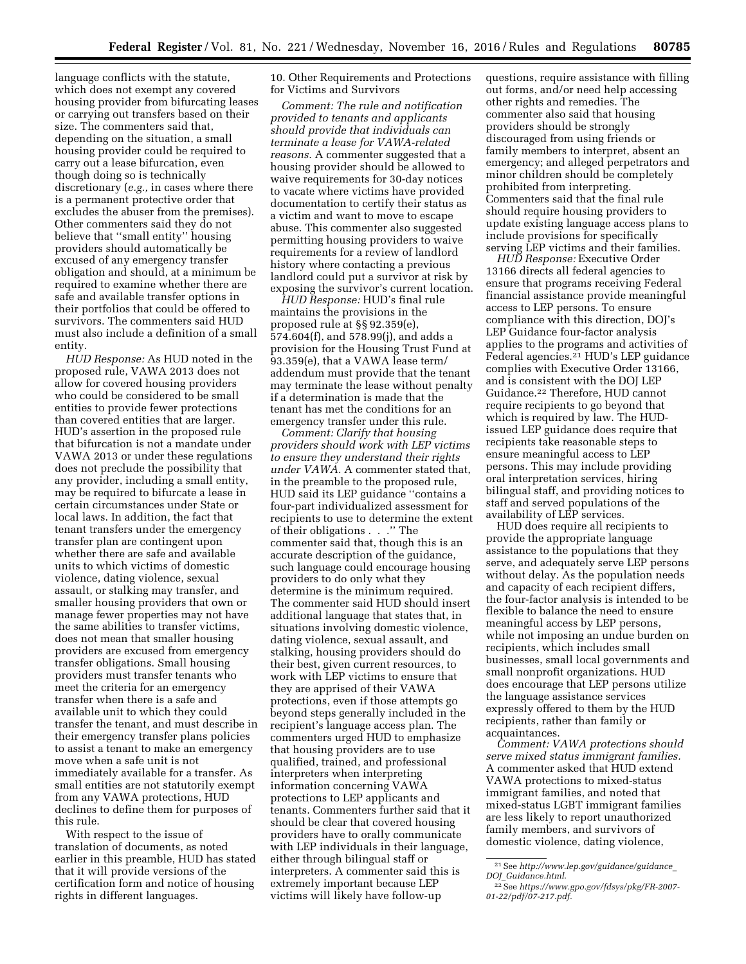language conflicts with the statute, which does not exempt any covered housing provider from bifurcating leases or carrying out transfers based on their size. The commenters said that, depending on the situation, a small housing provider could be required to carry out a lease bifurcation, even though doing so is technically discretionary (*e.g.,* in cases where there is a permanent protective order that excludes the abuser from the premises). Other commenters said they do not believe that ''small entity'' housing providers should automatically be excused of any emergency transfer obligation and should, at a minimum be required to examine whether there are safe and available transfer options in their portfolios that could be offered to survivors. The commenters said HUD must also include a definition of a small entity.

*HUD Response:* As HUD noted in the proposed rule, VAWA 2013 does not allow for covered housing providers who could be considered to be small entities to provide fewer protections than covered entities that are larger. HUD's assertion in the proposed rule that bifurcation is not a mandate under VAWA 2013 or under these regulations does not preclude the possibility that any provider, including a small entity, may be required to bifurcate a lease in certain circumstances under State or local laws. In addition, the fact that tenant transfers under the emergency transfer plan are contingent upon whether there are safe and available units to which victims of domestic violence, dating violence, sexual assault, or stalking may transfer, and smaller housing providers that own or manage fewer properties may not have the same abilities to transfer victims, does not mean that smaller housing providers are excused from emergency transfer obligations. Small housing providers must transfer tenants who meet the criteria for an emergency transfer when there is a safe and available unit to which they could transfer the tenant, and must describe in their emergency transfer plans policies to assist a tenant to make an emergency move when a safe unit is not immediately available for a transfer. As small entities are not statutorily exempt from any VAWA protections, HUD declines to define them for purposes of this rule.

With respect to the issue of translation of documents, as noted earlier in this preamble, HUD has stated that it will provide versions of the certification form and notice of housing rights in different languages.

10. Other Requirements and Protections for Victims and Survivors

*Comment: The rule and notification provided to tenants and applicants should provide that individuals can terminate a lease for VAWA-related reasons.* A commenter suggested that a housing provider should be allowed to waive requirements for 30-day notices to vacate where victims have provided documentation to certify their status as a victim and want to move to escape abuse. This commenter also suggested permitting housing providers to waive requirements for a review of landlord history where contacting a previous landlord could put a survivor at risk by exposing the survivor's current location.

*HUD Response:* HUD's final rule maintains the provisions in the proposed rule at §§ 92.359(e), 574.604(f), and 578.99(j), and adds a provision for the Housing Trust Fund at 93.359(e), that a VAWA lease term/ addendum must provide that the tenant may terminate the lease without penalty if a determination is made that the tenant has met the conditions for an emergency transfer under this rule.

*Comment: Clarify that housing providers should work with LEP victims to ensure they understand their rights under VAWA.* A commenter stated that, in the preamble to the proposed rule, HUD said its LEP guidance ''contains a four-part individualized assessment for recipients to use to determine the extent of their obligations . . .'' The commenter said that, though this is an accurate description of the guidance, such language could encourage housing providers to do only what they determine is the minimum required. The commenter said HUD should insert additional language that states that, in situations involving domestic violence, dating violence, sexual assault, and stalking, housing providers should do their best, given current resources, to work with LEP victims to ensure that they are apprised of their VAWA protections, even if those attempts go beyond steps generally included in the recipient's language access plan. The commenters urged HUD to emphasize that housing providers are to use qualified, trained, and professional interpreters when interpreting information concerning VAWA protections to LEP applicants and tenants. Commenters further said that it should be clear that covered housing providers have to orally communicate with LEP individuals in their language, either through bilingual staff or interpreters. A commenter said this is extremely important because LEP victims will likely have follow-up

questions, require assistance with filling out forms, and/or need help accessing other rights and remedies. The commenter also said that housing providers should be strongly discouraged from using friends or family members to interpret, absent an emergency; and alleged perpetrators and minor children should be completely prohibited from interpreting. Commenters said that the final rule should require housing providers to update existing language access plans to include provisions for specifically serving LEP victims and their families.

*HUD Response:* Executive Order 13166 directs all federal agencies to ensure that programs receiving Federal financial assistance provide meaningful access to LEP persons. To ensure compliance with this direction, DOJ's LEP Guidance four-factor analysis applies to the programs and activities of Federal agencies.21 HUD's LEP guidance complies with Executive Order 13166, and is consistent with the DOJ LEP Guidance.22 Therefore, HUD cannot require recipients to go beyond that which is required by law. The HUDissued LEP guidance does require that recipients take reasonable steps to ensure meaningful access to LEP persons. This may include providing oral interpretation services, hiring bilingual staff, and providing notices to staff and served populations of the availability of LEP services.

HUD does require all recipients to provide the appropriate language assistance to the populations that they serve, and adequately serve LEP persons without delay. As the population needs and capacity of each recipient differs, the four-factor analysis is intended to be flexible to balance the need to ensure meaningful access by LEP persons, while not imposing an undue burden on recipients, which includes small businesses, small local governments and small nonprofit organizations. HUD does encourage that LEP persons utilize the language assistance services expressly offered to them by the HUD recipients, rather than family or acquaintances.

*Comment: VAWA protections should serve mixed status immigrant families.*  A commenter asked that HUD extend VAWA protections to mixed-status immigrant families, and noted that mixed-status LGBT immigrant families are less likely to report unauthorized family members, and survivors of domestic violence, dating violence,

<sup>21</sup>See *[http://www.lep.gov/guidance/guidance](http://www.lep.gov/guidance/guidance_DOJ_Guidance.html)*\_ *DOJ*\_*[Guidance.html](http://www.lep.gov/guidance/guidance_DOJ_Guidance.html)*.

<sup>22</sup>See *[https://www.gpo.gov/fdsys/pkg/FR-2007-](https://www.gpo.gov/fdsys/pkg/FR-2007-01-22/pdf/07-217.pdf) [01-22/pdf/07-217.pdf.](https://www.gpo.gov/fdsys/pkg/FR-2007-01-22/pdf/07-217.pdf)*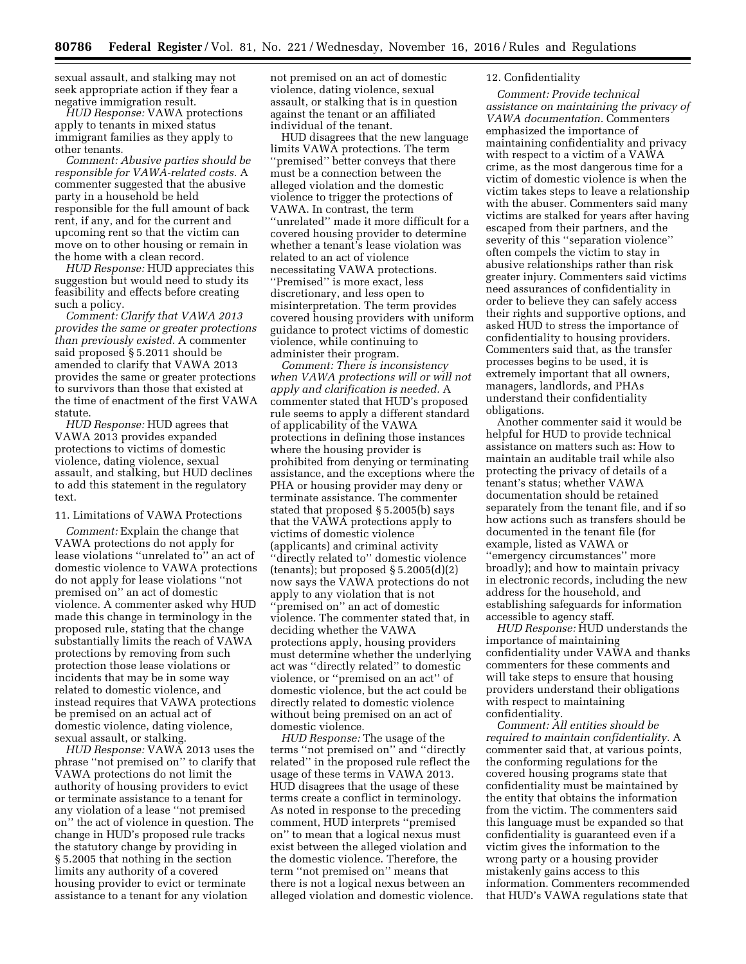sexual assault, and stalking may not seek appropriate action if they fear a negative immigration result.

*HUD Response:* VAWA protections apply to tenants in mixed status immigrant families as they apply to other tenants.

*Comment: Abusive parties should be responsible for VAWA-related costs.* A commenter suggested that the abusive party in a household be held responsible for the full amount of back rent, if any, and for the current and upcoming rent so that the victim can move on to other housing or remain in the home with a clean record.

*HUD Response:* HUD appreciates this suggestion but would need to study its feasibility and effects before creating such a policy.

*Comment: Clarify that VAWA 2013 provides the same or greater protections than previously existed.* A commenter said proposed § 5.2011 should be amended to clarify that VAWA 2013 provides the same or greater protections to survivors than those that existed at the time of enactment of the first VAWA statute.

*HUD Response:* HUD agrees that VAWA 2013 provides expanded protections to victims of domestic violence, dating violence, sexual assault, and stalking, but HUD declines to add this statement in the regulatory text.

11. Limitations of VAWA Protections

*Comment:* Explain the change that VAWA protections do not apply for lease violations ''unrelated to'' an act of domestic violence to VAWA protections do not apply for lease violations ''not premised on'' an act of domestic violence. A commenter asked why HUD made this change in terminology in the proposed rule, stating that the change substantially limits the reach of VAWA protections by removing from such protection those lease violations or incidents that may be in some way related to domestic violence, and instead requires that VAWA protections be premised on an actual act of domestic violence, dating violence, sexual assault, or stalking.

*HUD Response:* VAWA 2013 uses the phrase ''not premised on'' to clarify that VAWA protections do not limit the authority of housing providers to evict or terminate assistance to a tenant for any violation of a lease ''not premised on'' the act of violence in question. The change in HUD's proposed rule tracks the statutory change by providing in § 5.2005 that nothing in the section limits any authority of a covered housing provider to evict or terminate assistance to a tenant for any violation

not premised on an act of domestic violence, dating violence, sexual assault, or stalking that is in question against the tenant or an affiliated individual of the tenant.

HUD disagrees that the new language limits VAWA protections. The term ''premised'' better conveys that there must be a connection between the alleged violation and the domestic violence to trigger the protections of VAWA. In contrast, the term ''unrelated'' made it more difficult for a covered housing provider to determine whether a tenant's lease violation was related to an act of violence necessitating VAWA protections. ''Premised'' is more exact, less discretionary, and less open to misinterpretation. The term provides covered housing providers with uniform guidance to protect victims of domestic violence, while continuing to administer their program.

*Comment: There is inconsistency when VAWA protections will or will not apply and clarification is needed.* A commenter stated that HUD's proposed rule seems to apply a different standard of applicability of the VAWA protections in defining those instances where the housing provider is prohibited from denying or terminating assistance, and the exceptions where the PHA or housing provider may deny or terminate assistance. The commenter stated that proposed § 5.2005(b) says that the VAWA protections apply to victims of domestic violence (applicants) and criminal activity ''directly related to'' domestic violence (tenants); but proposed  $\S 5.2005(d)(2)$ now says the VAWA protections do not apply to any violation that is not ''premised on'' an act of domestic violence. The commenter stated that, in deciding whether the VAWA protections apply, housing providers must determine whether the underlying act was ''directly related'' to domestic violence, or ''premised on an act'' of domestic violence, but the act could be directly related to domestic violence without being premised on an act of domestic violence.

*HUD Response:* The usage of the terms ''not premised on'' and ''directly related'' in the proposed rule reflect the usage of these terms in VAWA 2013. HUD disagrees that the usage of these terms create a conflict in terminology. As noted in response to the preceding comment, HUD interprets ''premised on'' to mean that a logical nexus must exist between the alleged violation and the domestic violence. Therefore, the term ''not premised on'' means that there is not a logical nexus between an alleged violation and domestic violence.

# 12. Confidentiality

*Comment: Provide technical assistance on maintaining the privacy of VAWA documentation.* Commenters emphasized the importance of maintaining confidentiality and privacy with respect to a victim of a VAWA crime, as the most dangerous time for a victim of domestic violence is when the victim takes steps to leave a relationship with the abuser. Commenters said many victims are stalked for years after having escaped from their partners, and the severity of this "separation violence" often compels the victim to stay in abusive relationships rather than risk greater injury. Commenters said victims need assurances of confidentiality in order to believe they can safely access their rights and supportive options, and asked HUD to stress the importance of confidentiality to housing providers. Commenters said that, as the transfer processes begins to be used, it is extremely important that all owners, managers, landlords, and PHAs understand their confidentiality obligations.

Another commenter said it would be helpful for HUD to provide technical assistance on matters such as: How to maintain an auditable trail while also protecting the privacy of details of a tenant's status; whether VAWA documentation should be retained separately from the tenant file, and if so how actions such as transfers should be documented in the tenant file (for example, listed as VAWA or ''emergency circumstances'' more broadly); and how to maintain privacy in electronic records, including the new address for the household, and establishing safeguards for information accessible to agency staff.

*HUD Response:* HUD understands the importance of maintaining confidentiality under VAWA and thanks commenters for these comments and will take steps to ensure that housing providers understand their obligations with respect to maintaining confidentiality.

*Comment: All entities should be required to maintain confidentiality.* A commenter said that, at various points, the conforming regulations for the covered housing programs state that confidentiality must be maintained by the entity that obtains the information from the victim. The commenters said this language must be expanded so that confidentiality is guaranteed even if a victim gives the information to the wrong party or a housing provider mistakenly gains access to this information. Commenters recommended that HUD's VAWA regulations state that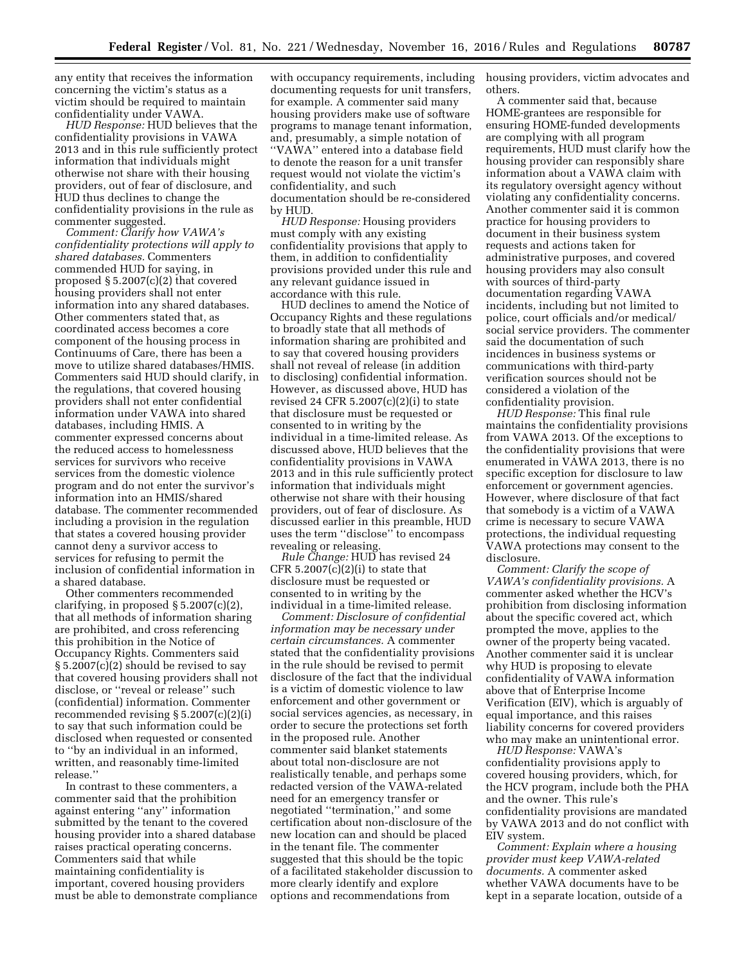any entity that receives the information concerning the victim's status as a victim should be required to maintain confidentiality under VAWA.

*HUD Response:* HUD believes that the confidentiality provisions in VAWA 2013 and in this rule sufficiently protect information that individuals might otherwise not share with their housing providers, out of fear of disclosure, and HUD thus declines to change the confidentiality provisions in the rule as commenter suggested.

*Comment: Clarify how VAWA's confidentiality protections will apply to shared databases.* Commenters commended HUD for saying, in proposed § 5.2007(c)(2) that covered housing providers shall not enter information into any shared databases. Other commenters stated that, as coordinated access becomes a core component of the housing process in Continuums of Care, there has been a move to utilize shared databases/HMIS. Commenters said HUD should clarify, in the regulations, that covered housing providers shall not enter confidential information under VAWA into shared databases, including HMIS. A commenter expressed concerns about the reduced access to homelessness services for survivors who receive services from the domestic violence program and do not enter the survivor's information into an HMIS/shared database. The commenter recommended including a provision in the regulation that states a covered housing provider cannot deny a survivor access to services for refusing to permit the inclusion of confidential information in a shared database.

Other commenters recommended clarifying, in proposed § 5.2007(c)(2), that all methods of information sharing are prohibited, and cross referencing this prohibition in the Notice of Occupancy Rights. Commenters said § 5.2007(c)(2) should be revised to say that covered housing providers shall not disclose, or ''reveal or release'' such (confidential) information. Commenter recommended revising § 5.2007(c)(2)(i) to say that such information could be disclosed when requested or consented to ''by an individual in an informed, written, and reasonably time-limited release.''

In contrast to these commenters, a commenter said that the prohibition against entering ''any'' information submitted by the tenant to the covered housing provider into a shared database raises practical operating concerns. Commenters said that while maintaining confidentiality is important, covered housing providers must be able to demonstrate compliance

with occupancy requirements, including housing providers, victim advocates and documenting requests for unit transfers, for example. A commenter said many housing providers make use of software programs to manage tenant information, and, presumably, a simple notation of ''VAWA'' entered into a database field to denote the reason for a unit transfer request would not violate the victim's confidentiality, and such documentation should be re-considered by HUD.

*HUD Response:* Housing providers must comply with any existing confidentiality provisions that apply to them, in addition to confidentiality provisions provided under this rule and any relevant guidance issued in accordance with this rule.

HUD declines to amend the Notice of Occupancy Rights and these regulations to broadly state that all methods of information sharing are prohibited and to say that covered housing providers shall not reveal of release (in addition to disclosing) confidential information. However, as discussed above, HUD has revised 24 CFR 5.2007(c)(2)(i) to state that disclosure must be requested or consented to in writing by the individual in a time-limited release. As discussed above, HUD believes that the confidentiality provisions in VAWA 2013 and in this rule sufficiently protect information that individuals might otherwise not share with their housing providers, out of fear of disclosure. As discussed earlier in this preamble, HUD uses the term ''disclose'' to encompass revealing or releasing.

*Rule Change:* HUD has revised 24 CFR  $5.2007(c)(2)(i)$  to state that disclosure must be requested or consented to in writing by the individual in a time-limited release.

*Comment: Disclosure of confidential information may be necessary under certain circumstances.* A commenter stated that the confidentiality provisions in the rule should be revised to permit disclosure of the fact that the individual is a victim of domestic violence to law enforcement and other government or social services agencies, as necessary, in order to secure the protections set forth in the proposed rule. Another commenter said blanket statements about total non-disclosure are not realistically tenable, and perhaps some redacted version of the VAWA-related need for an emergency transfer or negotiated ''termination,'' and some certification about non-disclosure of the new location can and should be placed in the tenant file. The commenter suggested that this should be the topic of a facilitated stakeholder discussion to more clearly identify and explore options and recommendations from

others.

A commenter said that, because HOME-grantees are responsible for ensuring HOME-funded developments are complying with all program requirements, HUD must clarify how the housing provider can responsibly share information about a VAWA claim with its regulatory oversight agency without violating any confidentiality concerns. Another commenter said it is common practice for housing providers to document in their business system requests and actions taken for administrative purposes, and covered housing providers may also consult with sources of third-party documentation regarding VAWA incidents, including but not limited to police, court officials and/or medical/ social service providers. The commenter said the documentation of such incidences in business systems or communications with third-party verification sources should not be considered a violation of the confidentiality provision.

*HUD Response:* This final rule maintains the confidentiality provisions from VAWA 2013. Of the exceptions to the confidentiality provisions that were enumerated in VAWA 2013, there is no specific exception for disclosure to law enforcement or government agencies. However, where disclosure of that fact that somebody is a victim of a VAWA crime is necessary to secure VAWA protections, the individual requesting VAWA protections may consent to the disclosure.

*Comment: Clarify the scope of VAWA's confidentiality provisions.* A commenter asked whether the HCV's prohibition from disclosing information about the specific covered act, which prompted the move, applies to the owner of the property being vacated. Another commenter said it is unclear why HUD is proposing to elevate confidentiality of VAWA information above that of Enterprise Income Verification (EIV), which is arguably of equal importance, and this raises liability concerns for covered providers who may make an unintentional error.

*HUD Response:* VAWA's confidentiality provisions apply to covered housing providers, which, for the HCV program, include both the PHA and the owner. This rule's confidentiality provisions are mandated by VAWA 2013 and do not conflict with EIV system.

*Comment: Explain where a housing provider must keep VAWA-related documents.* A commenter asked whether VAWA documents have to be kept in a separate location, outside of a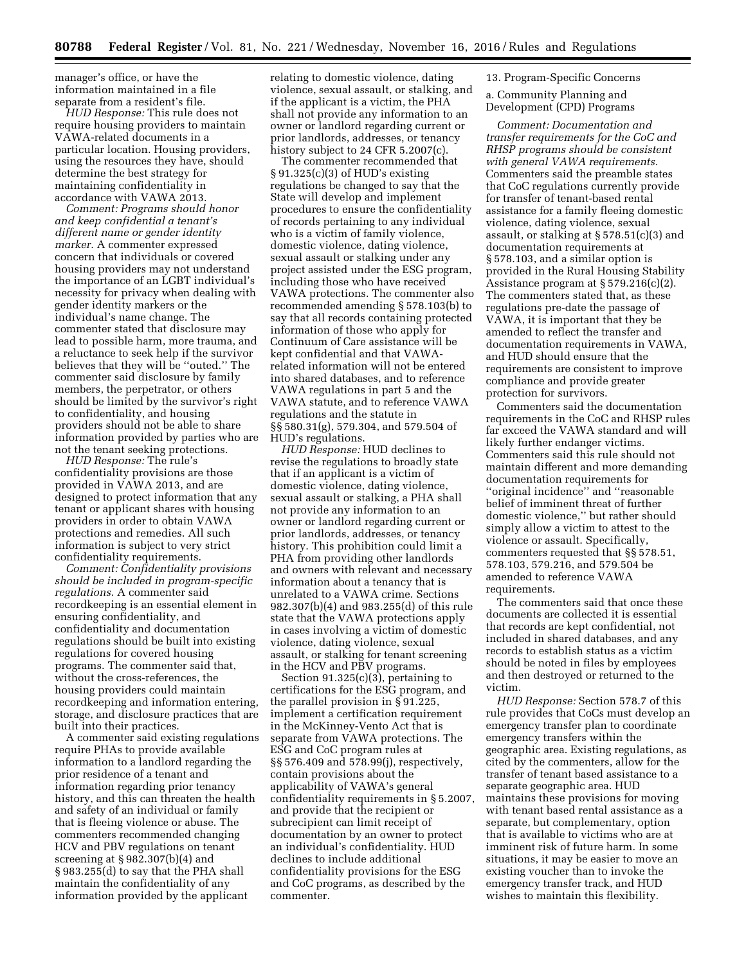manager's office, or have the information maintained in a file separate from a resident's file.

*HUD Response:* This rule does not require housing providers to maintain VAWA-related documents in a particular location. Housing providers, using the resources they have, should determine the best strategy for maintaining confidentiality in accordance with VAWA 2013.

*Comment: Programs should honor and keep confidential a tenant's different name or gender identity marker.* A commenter expressed concern that individuals or covered housing providers may not understand the importance of an LGBT individual's necessity for privacy when dealing with gender identity markers or the individual's name change. The commenter stated that disclosure may lead to possible harm, more trauma, and a reluctance to seek help if the survivor believes that they will be ''outed.'' The commenter said disclosure by family members, the perpetrator, or others should be limited by the survivor's right to confidentiality, and housing providers should not be able to share information provided by parties who are not the tenant seeking protections.

*HUD Response:* The rule's confidentiality provisions are those provided in VAWA 2013, and are designed to protect information that any tenant or applicant shares with housing providers in order to obtain VAWA protections and remedies. All such information is subject to very strict confidentiality requirements.

*Comment: Confidentiality provisions should be included in program-specific regulations.* A commenter said recordkeeping is an essential element in ensuring confidentiality, and confidentiality and documentation regulations should be built into existing regulations for covered housing programs. The commenter said that, without the cross-references, the housing providers could maintain recordkeeping and information entering, storage, and disclosure practices that are built into their practices.

A commenter said existing regulations require PHAs to provide available information to a landlord regarding the prior residence of a tenant and information regarding prior tenancy history, and this can threaten the health and safety of an individual or family that is fleeing violence or abuse. The commenters recommended changing HCV and PBV regulations on tenant screening at § 982.307(b)(4) and § 983.255(d) to say that the PHA shall maintain the confidentiality of any information provided by the applicant

relating to domestic violence, dating violence, sexual assault, or stalking, and if the applicant is a victim, the PHA shall not provide any information to an owner or landlord regarding current or prior landlords, addresses, or tenancy history subject to 24 CFR 5.2007(c).

The commenter recommended that § 91.325(c)(3) of HUD's existing regulations be changed to say that the State will develop and implement procedures to ensure the confidentiality of records pertaining to any individual who is a victim of family violence, domestic violence, dating violence, sexual assault or stalking under any project assisted under the ESG program, including those who have received VAWA protections. The commenter also recommended amending § 578.103(b) to say that all records containing protected information of those who apply for Continuum of Care assistance will be kept confidential and that VAWArelated information will not be entered into shared databases, and to reference VAWA regulations in part 5 and the VAWA statute, and to reference VAWA regulations and the statute in §§ 580.31(g), 579.304, and 579.504 of HUD's regulations.

*HUD Response:* HUD declines to revise the regulations to broadly state that if an applicant is a victim of domestic violence, dating violence, sexual assault or stalking, a PHA shall not provide any information to an owner or landlord regarding current or prior landlords, addresses, or tenancy history. This prohibition could limit a PHA from providing other landlords and owners with relevant and necessary information about a tenancy that is unrelated to a VAWA crime. Sections 982.307(b)(4) and 983.255(d) of this rule state that the VAWA protections apply in cases involving a victim of domestic violence, dating violence, sexual assault, or stalking for tenant screening in the HCV and PBV programs.

Section  $91.325(c)(3)$ , pertaining to certifications for the ESG program, and the parallel provision in § 91.225, implement a certification requirement in the McKinney-Vento Act that is separate from VAWA protections. The ESG and CoC program rules at §§ 576.409 and 578.99(j), respectively, contain provisions about the applicability of VAWA's general confidentiality requirements in § 5.2007, and provide that the recipient or subrecipient can limit receipt of documentation by an owner to protect an individual's confidentiality. HUD declines to include additional confidentiality provisions for the ESG and CoC programs, as described by the commenter.

13. Program-Specific Concerns

a. Community Planning and Development (CPD) Programs

*Comment: Documentation and transfer requirements for the CoC and RHSP programs should be consistent with general VAWA requirements.*  Commenters said the preamble states that CoC regulations currently provide for transfer of tenant-based rental assistance for a family fleeing domestic violence, dating violence, sexual assault, or stalking at § 578.51(c)(3) and documentation requirements at § 578.103, and a similar option is provided in the Rural Housing Stability Assistance program at § 579.216(c)(2). The commenters stated that, as these regulations pre-date the passage of VAWA, it is important that they be amended to reflect the transfer and documentation requirements in VAWA, and HUD should ensure that the requirements are consistent to improve compliance and provide greater protection for survivors.

Commenters said the documentation requirements in the CoC and RHSP rules far exceed the VAWA standard and will likely further endanger victims. Commenters said this rule should not maintain different and more demanding documentation requirements for ''original incidence'' and ''reasonable belief of imminent threat of further domestic violence,'' but rather should simply allow a victim to attest to the violence or assault. Specifically, commenters requested that §§ 578.51, 578.103, 579.216, and 579.504 be amended to reference VAWA requirements.

The commenters said that once these documents are collected it is essential that records are kept confidential, not included in shared databases, and any records to establish status as a victim should be noted in files by employees and then destroyed or returned to the victim.

*HUD Response:* Section 578.7 of this rule provides that CoCs must develop an emergency transfer plan to coordinate emergency transfers within the geographic area. Existing regulations, as cited by the commenters, allow for the transfer of tenant based assistance to a separate geographic area. HUD maintains these provisions for moving with tenant based rental assistance as a separate, but complementary, option that is available to victims who are at imminent risk of future harm. In some situations, it may be easier to move an existing voucher than to invoke the emergency transfer track, and HUD wishes to maintain this flexibility.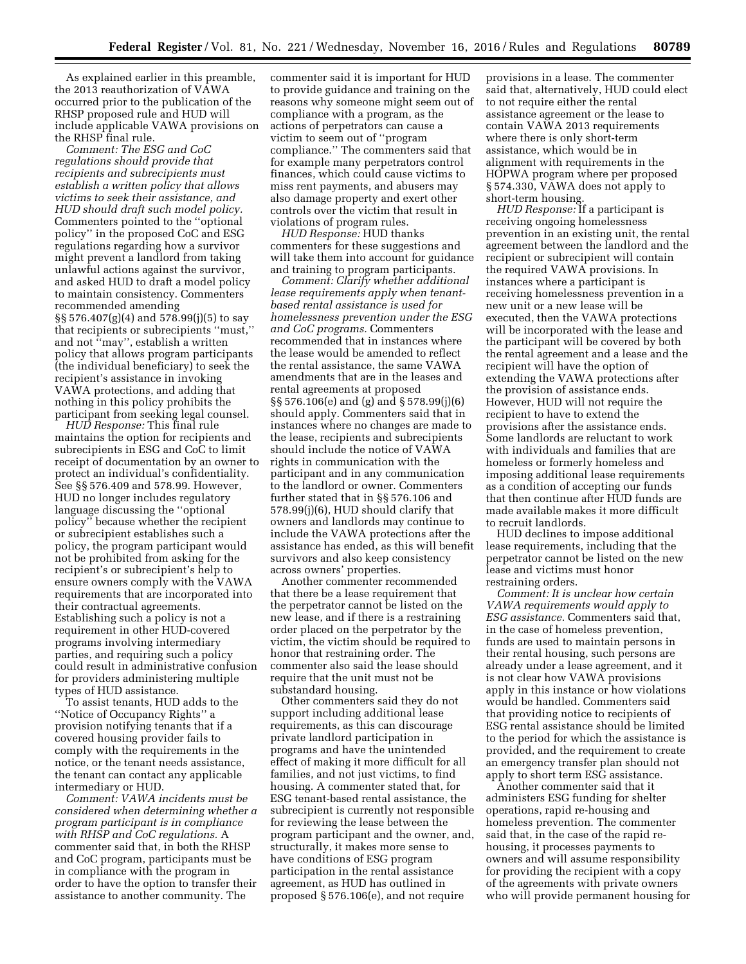As explained earlier in this preamble, the 2013 reauthorization of VAWA occurred prior to the publication of the RHSP proposed rule and HUD will include applicable VAWA provisions on the RHSP final rule.

*Comment: The ESG and CoC regulations should provide that recipients and subrecipients must establish a written policy that allows victims to seek their assistance, and HUD should draft such model policy.*  Commenters pointed to the ''optional policy'' in the proposed CoC and ESG regulations regarding how a survivor might prevent a landlord from taking unlawful actions against the survivor, and asked HUD to draft a model policy to maintain consistency. Commenters recommended amending §§ 576.407(g)(4) and 578.99(j)(5) to say that recipients or subrecipients ''must,'' and not ''may'', establish a written policy that allows program participants (the individual beneficiary) to seek the recipient's assistance in invoking VAWA protections, and adding that nothing in this policy prohibits the participant from seeking legal counsel.

*HUD Response:* This final rule maintains the option for recipients and subrecipients in ESG and CoC to limit receipt of documentation by an owner to protect an individual's confidentiality. See §§ 576.409 and 578.99. However, HUD no longer includes regulatory language discussing the ''optional policy'' because whether the recipient or subrecipient establishes such a policy, the program participant would not be prohibited from asking for the recipient's or subrecipient's help to ensure owners comply with the VAWA requirements that are incorporated into their contractual agreements. Establishing such a policy is not a requirement in other HUD-covered programs involving intermediary parties, and requiring such a policy could result in administrative confusion for providers administering multiple types of HUD assistance.

To assist tenants, HUD adds to the ''Notice of Occupancy Rights'' a provision notifying tenants that if a covered housing provider fails to comply with the requirements in the notice, or the tenant needs assistance, the tenant can contact any applicable intermediary or HUD.

*Comment: VAWA incidents must be considered when determining whether a program participant is in compliance with RHSP and CoC regulations.* A commenter said that, in both the RHSP and CoC program, participants must be in compliance with the program in order to have the option to transfer their assistance to another community. The

commenter said it is important for HUD to provide guidance and training on the reasons why someone might seem out of compliance with a program, as the actions of perpetrators can cause a victim to seem out of ''program compliance.'' The commenters said that for example many perpetrators control finances, which could cause victims to miss rent payments, and abusers may also damage property and exert other controls over the victim that result in violations of program rules.

*HUD Response:* HUD thanks commenters for these suggestions and will take them into account for guidance and training to program participants.

*Comment: Clarify whether additional lease requirements apply when tenantbased rental assistance is used for homelessness prevention under the ESG and CoC programs.* Commenters recommended that in instances where the lease would be amended to reflect the rental assistance, the same VAWA amendments that are in the leases and rental agreements at proposed §§ 576.106(e) and (g) and § 578.99(j)(6) should apply. Commenters said that in instances where no changes are made to the lease, recipients and subrecipients should include the notice of VAWA rights in communication with the participant and in any communication to the landlord or owner. Commenters further stated that in §§ 576.106 and 578.99(j)(6), HUD should clarify that owners and landlords may continue to include the VAWA protections after the assistance has ended, as this will benefit survivors and also keep consistency across owners' properties.

Another commenter recommended that there be a lease requirement that the perpetrator cannot be listed on the new lease, and if there is a restraining order placed on the perpetrator by the victim, the victim should be required to honor that restraining order. The commenter also said the lease should require that the unit must not be substandard housing.

Other commenters said they do not support including additional lease requirements, as this can discourage private landlord participation in programs and have the unintended effect of making it more difficult for all families, and not just victims, to find housing. A commenter stated that, for ESG tenant-based rental assistance, the subrecipient is currently not responsible for reviewing the lease between the program participant and the owner, and, structurally, it makes more sense to have conditions of ESG program participation in the rental assistance agreement, as HUD has outlined in proposed § 576.106(e), and not require

provisions in a lease. The commenter said that, alternatively, HUD could elect to not require either the rental assistance agreement or the lease to contain VAWA 2013 requirements where there is only short-term assistance, which would be in alignment with requirements in the HOPWA program where per proposed § 574.330, VAWA does not apply to short-term housing.

*HUD Response:* If a participant is receiving ongoing homelessness prevention in an existing unit, the rental agreement between the landlord and the recipient or subrecipient will contain the required VAWA provisions. In instances where a participant is receiving homelessness prevention in a new unit or a new lease will be executed, then the VAWA protections will be incorporated with the lease and the participant will be covered by both the rental agreement and a lease and the recipient will have the option of extending the VAWA protections after the provision of assistance ends. However, HUD will not require the recipient to have to extend the provisions after the assistance ends. Some landlords are reluctant to work with individuals and families that are homeless or formerly homeless and imposing additional lease requirements as a condition of accepting our funds that then continue after HUD funds are made available makes it more difficult to recruit landlords.

HUD declines to impose additional lease requirements, including that the perpetrator cannot be listed on the new lease and victims must honor restraining orders.

*Comment: It is unclear how certain VAWA requirements would apply to ESG assistance.* Commenters said that, in the case of homeless prevention, funds are used to maintain persons in their rental housing, such persons are already under a lease agreement, and it is not clear how VAWA provisions apply in this instance or how violations would be handled. Commenters said that providing notice to recipients of ESG rental assistance should be limited to the period for which the assistance is provided, and the requirement to create an emergency transfer plan should not apply to short term ESG assistance.

Another commenter said that it administers ESG funding for shelter operations, rapid re-housing and homeless prevention. The commenter said that, in the case of the rapid rehousing, it processes payments to owners and will assume responsibility for providing the recipient with a copy of the agreements with private owners who will provide permanent housing for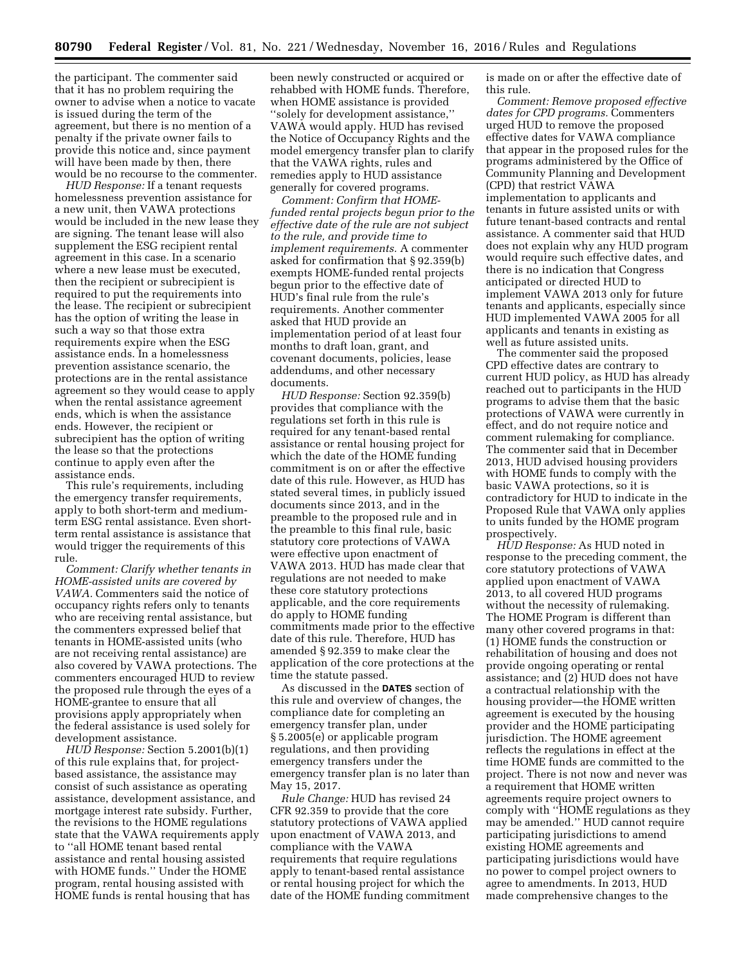the participant. The commenter said that it has no problem requiring the owner to advise when a notice to vacate is issued during the term of the agreement, but there is no mention of a penalty if the private owner fails to provide this notice and, since payment will have been made by then, there would be no recourse to the commenter.

*HUD Response:* If a tenant requests homelessness prevention assistance for a new unit, then VAWA protections would be included in the new lease they are signing. The tenant lease will also supplement the ESG recipient rental agreement in this case. In a scenario where a new lease must be executed, then the recipient or subrecipient is required to put the requirements into the lease. The recipient or subrecipient has the option of writing the lease in such a way so that those extra requirements expire when the ESG assistance ends. In a homelessness prevention assistance scenario, the protections are in the rental assistance agreement so they would cease to apply when the rental assistance agreement ends, which is when the assistance ends. However, the recipient or subrecipient has the option of writing the lease so that the protections continue to apply even after the assistance ends.

This rule's requirements, including the emergency transfer requirements, apply to both short-term and mediumterm ESG rental assistance. Even shortterm rental assistance is assistance that would trigger the requirements of this rule.

*Comment: Clarify whether tenants in HOME-assisted units are covered by VAWA.* Commenters said the notice of occupancy rights refers only to tenants who are receiving rental assistance, but the commenters expressed belief that tenants in HOME-assisted units (who are not receiving rental assistance) are also covered by VAWA protections. The commenters encouraged HUD to review the proposed rule through the eyes of a HOME-grantee to ensure that all provisions apply appropriately when the federal assistance is used solely for development assistance.

*HUD Response:* Section 5.2001(b)(1) of this rule explains that, for projectbased assistance, the assistance may consist of such assistance as operating assistance, development assistance, and mortgage interest rate subsidy. Further, the revisions to the HOME regulations state that the VAWA requirements apply to ''all HOME tenant based rental assistance and rental housing assisted with HOME funds.'' Under the HOME program, rental housing assisted with HOME funds is rental housing that has

been newly constructed or acquired or rehabbed with HOME funds. Therefore, when HOME assistance is provided ''solely for development assistance,'' VAWA would apply. HUD has revised the Notice of Occupancy Rights and the model emergency transfer plan to clarify that the VAWA rights, rules and remedies apply to HUD assistance generally for covered programs.

*Comment: Confirm that HOMEfunded rental projects begun prior to the effective date of the rule are not subject to the rule, and provide time to implement requirements.* A commenter asked for confirmation that § 92.359(b) exempts HOME-funded rental projects begun prior to the effective date of HUD's final rule from the rule's requirements. Another commenter asked that HUD provide an implementation period of at least four months to draft loan, grant, and covenant documents, policies, lease addendums, and other necessary documents.

*HUD Response:* Section 92.359(b) provides that compliance with the regulations set forth in this rule is required for any tenant-based rental assistance or rental housing project for which the date of the HOME funding commitment is on or after the effective date of this rule. However, as HUD has stated several times, in publicly issued documents since 2013, and in the preamble to the proposed rule and in the preamble to this final rule, basic statutory core protections of VAWA were effective upon enactment of VAWA 2013. HUD has made clear that regulations are not needed to make these core statutory protections applicable, and the core requirements do apply to HOME funding commitments made prior to the effective date of this rule. Therefore, HUD has amended § 92.359 to make clear the application of the core protections at the time the statute passed.

As discussed in the **DATES** section of this rule and overview of changes, the compliance date for completing an emergency transfer plan, under § 5.2005(e) or applicable program regulations, and then providing emergency transfers under the emergency transfer plan is no later than May 15, 2017.

*Rule Change:* HUD has revised 24 CFR 92.359 to provide that the core statutory protections of VAWA applied upon enactment of VAWA 2013, and compliance with the VAWA requirements that require regulations apply to tenant-based rental assistance or rental housing project for which the date of the HOME funding commitment is made on or after the effective date of this rule.

*Comment: Remove proposed effective dates for CPD programs.* Commenters urged HUD to remove the proposed effective dates for VAWA compliance that appear in the proposed rules for the programs administered by the Office of Community Planning and Development (CPD) that restrict VAWA implementation to applicants and tenants in future assisted units or with future tenant-based contracts and rental assistance. A commenter said that HUD does not explain why any HUD program would require such effective dates, and there is no indication that Congress anticipated or directed HUD to implement VAWA 2013 only for future tenants and applicants, especially since HUD implemented VAWA 2005 for all applicants and tenants in existing as well as future assisted units.

The commenter said the proposed CPD effective dates are contrary to current HUD policy, as HUD has already reached out to participants in the HUD programs to advise them that the basic protections of VAWA were currently in effect, and do not require notice and comment rulemaking for compliance. The commenter said that in December 2013, HUD advised housing providers with HOME funds to comply with the basic VAWA protections, so it is contradictory for HUD to indicate in the Proposed Rule that VAWA only applies to units funded by the HOME program prospectively.

*HUD Response:* As HUD noted in response to the preceding comment, the core statutory protections of VAWA applied upon enactment of VAWA 2013, to all covered HUD programs without the necessity of rulemaking. The HOME Program is different than many other covered programs in that: (1) HOME funds the construction or rehabilitation of housing and does not provide ongoing operating or rental assistance; and (2) HUD does not have a contractual relationship with the housing provider—the HOME written agreement is executed by the housing provider and the HOME participating jurisdiction. The HOME agreement reflects the regulations in effect at the time HOME funds are committed to the project. There is not now and never was a requirement that HOME written agreements require project owners to comply with ''HOME regulations as they may be amended.'' HUD cannot require participating jurisdictions to amend existing HOME agreements and participating jurisdictions would have no power to compel project owners to agree to amendments. In 2013, HUD made comprehensive changes to the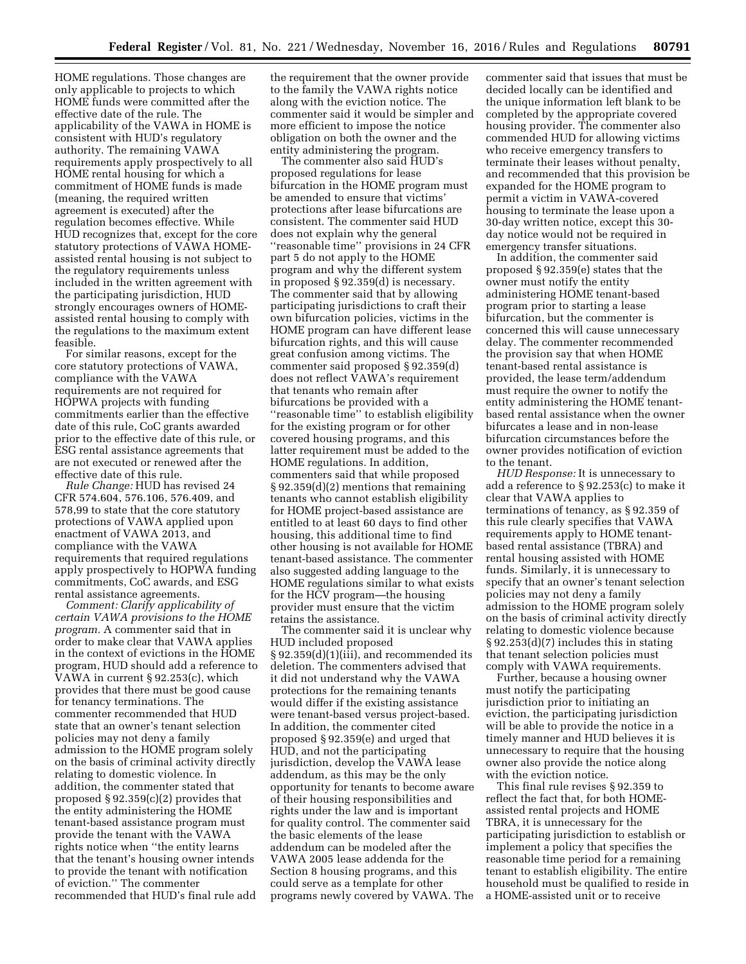HOME regulations. Those changes are only applicable to projects to which HOME funds were committed after the effective date of the rule. The applicability of the VAWA in HOME is consistent with HUD's regulatory authority. The remaining VAWA requirements apply prospectively to all HOME rental housing for which a commitment of HOME funds is made (meaning, the required written agreement is executed) after the regulation becomes effective. While HUD recognizes that, except for the core statutory protections of VAWA HOMEassisted rental housing is not subject to the regulatory requirements unless included in the written agreement with the participating jurisdiction, HUD strongly encourages owners of HOMEassisted rental housing to comply with the regulations to the maximum extent feasible.

For similar reasons, except for the core statutory protections of VAWA, compliance with the VAWA requirements are not required for HOPWA projects with funding commitments earlier than the effective date of this rule, CoC grants awarded prior to the effective date of this rule, or ESG rental assistance agreements that are not executed or renewed after the effective date of this rule.

*Rule Change:* HUD has revised 24 CFR 574.604, 576.106, 576.409, and 578,99 to state that the core statutory protections of VAWA applied upon enactment of VAWA 2013, and compliance with the VAWA requirements that required regulations apply prospectively to HOPWA funding commitments, CoC awards, and ESG rental assistance agreements.

*Comment: Clarify applicability of certain VAWA provisions to the HOME program.* A commenter said that in order to make clear that VAWA applies in the context of evictions in the HOME program, HUD should add a reference to VAWA in current § 92.253(c), which provides that there must be good cause for tenancy terminations. The commenter recommended that HUD state that an owner's tenant selection policies may not deny a family admission to the HOME program solely on the basis of criminal activity directly relating to domestic violence. In addition, the commenter stated that proposed § 92.359(c)(2) provides that the entity administering the HOME tenant-based assistance program must provide the tenant with the VAWA rights notice when ''the entity learns that the tenant's housing owner intends to provide the tenant with notification of eviction.'' The commenter recommended that HUD's final rule add

the requirement that the owner provide to the family the VAWA rights notice along with the eviction notice. The commenter said it would be simpler and more efficient to impose the notice obligation on both the owner and the entity administering the program.

The commenter also said HUD's proposed regulations for lease bifurcation in the HOME program must be amended to ensure that victims' protections after lease bifurcations are consistent. The commenter said HUD does not explain why the general ''reasonable time'' provisions in 24 CFR part 5 do not apply to the HOME program and why the different system in proposed § 92.359(d) is necessary. The commenter said that by allowing participating jurisdictions to craft their own bifurcation policies, victims in the HOME program can have different lease bifurcation rights, and this will cause great confusion among victims. The commenter said proposed § 92.359(d) does not reflect VAWA's requirement that tenants who remain after bifurcations be provided with a ''reasonable time'' to establish eligibility for the existing program or for other covered housing programs, and this latter requirement must be added to the HOME regulations. In addition, commenters said that while proposed § 92.359(d)(2) mentions that remaining tenants who cannot establish eligibility for HOME project-based assistance are entitled to at least 60 days to find other housing, this additional time to find other housing is not available for HOME tenant-based assistance. The commenter also suggested adding language to the HOME regulations similar to what exists for the HCV program—the housing provider must ensure that the victim retains the assistance.

The commenter said it is unclear why HUD included proposed § 92.359(d)(1)(iii), and recommended its deletion. The commenters advised that it did not understand why the VAWA protections for the remaining tenants would differ if the existing assistance were tenant-based versus project-based. In addition, the commenter cited proposed § 92.359(e) and urged that HUD, and not the participating jurisdiction, develop the VAWA lease addendum, as this may be the only opportunity for tenants to become aware of their housing responsibilities and rights under the law and is important for quality control. The commenter said the basic elements of the lease addendum can be modeled after the VAWA 2005 lease addenda for the Section 8 housing programs, and this could serve as a template for other programs newly covered by VAWA. The

commenter said that issues that must be decided locally can be identified and the unique information left blank to be completed by the appropriate covered housing provider. The commenter also commended HUD for allowing victims who receive emergency transfers to terminate their leases without penalty, and recommended that this provision be expanded for the HOME program to permit a victim in VAWA-covered housing to terminate the lease upon a 30-day written notice, except this 30 day notice would not be required in emergency transfer situations.

In addition, the commenter said proposed § 92.359(e) states that the owner must notify the entity administering HOME tenant-based program prior to starting a lease bifurcation, but the commenter is concerned this will cause unnecessary delay. The commenter recommended the provision say that when HOME tenant-based rental assistance is provided, the lease term/addendum must require the owner to notify the entity administering the HOME tenantbased rental assistance when the owner bifurcates a lease and in non-lease bifurcation circumstances before the owner provides notification of eviction to the tenant.

*HUD Response:* It is unnecessary to add a reference to § 92.253(c) to make it clear that VAWA applies to terminations of tenancy, as § 92.359 of this rule clearly specifies that VAWA requirements apply to HOME tenantbased rental assistance (TBRA) and rental housing assisted with HOME funds. Similarly, it is unnecessary to specify that an owner's tenant selection policies may not deny a family admission to the HOME program solely on the basis of criminal activity directly relating to domestic violence because § 92.253(d)(7) includes this in stating that tenant selection policies must comply with VAWA requirements.

Further, because a housing owner must notify the participating jurisdiction prior to initiating an eviction, the participating jurisdiction will be able to provide the notice in a timely manner and HUD believes it is unnecessary to require that the housing owner also provide the notice along with the eviction notice.

This final rule revises § 92.359 to reflect the fact that, for both HOMEassisted rental projects and HOME TBRA, it is unnecessary for the participating jurisdiction to establish or implement a policy that specifies the reasonable time period for a remaining tenant to establish eligibility. The entire household must be qualified to reside in a HOME-assisted unit or to receive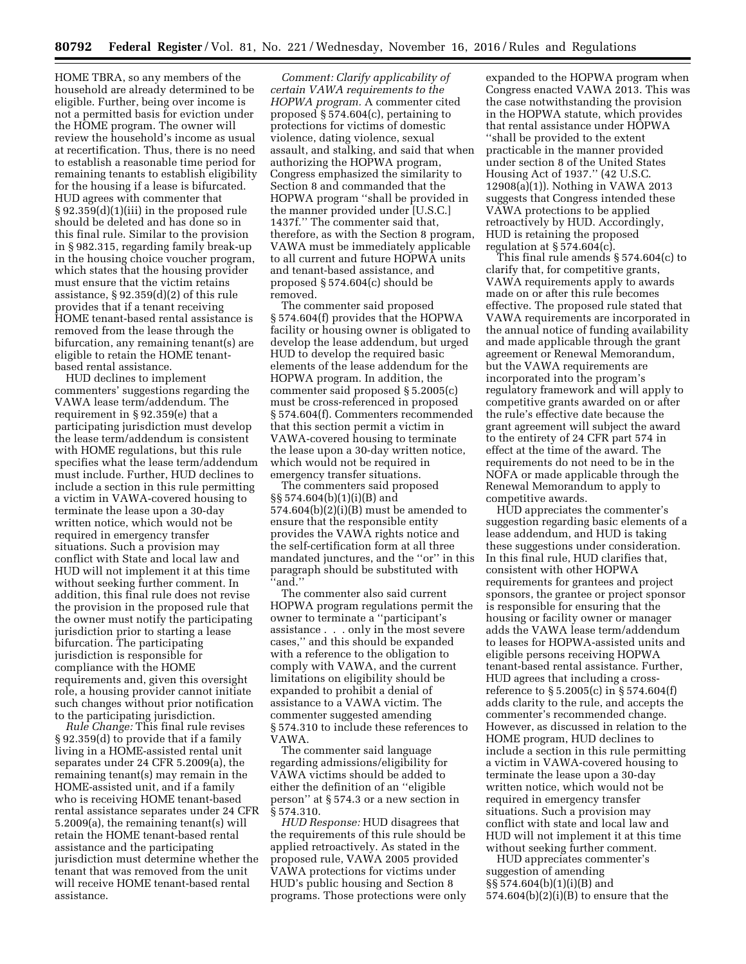HOME TBRA, so any members of the household are already determined to be eligible. Further, being over income is not a permitted basis for eviction under the HOME program. The owner will review the household's income as usual at recertification. Thus, there is no need to establish a reasonable time period for remaining tenants to establish eligibility for the housing if a lease is bifurcated. HUD agrees with commenter that § 92.359(d)(1)(iii) in the proposed rule should be deleted and has done so in this final rule. Similar to the provision in § 982.315, regarding family break-up in the housing choice voucher program, which states that the housing provider must ensure that the victim retains assistance, § 92.359(d)(2) of this rule provides that if a tenant receiving HOME tenant-based rental assistance is removed from the lease through the bifurcation, any remaining tenant(s) are eligible to retain the HOME tenantbased rental assistance.

HUD declines to implement commenters' suggestions regarding the VAWA lease term/addendum. The requirement in § 92.359(e) that a participating jurisdiction must develop the lease term/addendum is consistent with HOME regulations, but this rule specifies what the lease term/addendum must include. Further, HUD declines to include a section in this rule permitting a victim in VAWA-covered housing to terminate the lease upon a 30-day written notice, which would not be required in emergency transfer situations. Such a provision may conflict with State and local law and HUD will not implement it at this time without seeking further comment. In addition, this final rule does not revise the provision in the proposed rule that the owner must notify the participating jurisdiction prior to starting a lease bifurcation. The participating jurisdiction is responsible for compliance with the HOME requirements and, given this oversight role, a housing provider cannot initiate such changes without prior notification to the participating jurisdiction.

*Rule Change:* This final rule revises § 92.359(d) to provide that if a family living in a HOME-assisted rental unit separates under 24 CFR 5.2009(a), the remaining tenant(s) may remain in the HOME-assisted unit, and if a family who is receiving HOME tenant-based rental assistance separates under 24 CFR 5.2009(a), the remaining tenant(s) will retain the HOME tenant-based rental assistance and the participating jurisdiction must determine whether the tenant that was removed from the unit will receive HOME tenant-based rental assistance.

*Comment: Clarify applicability of certain VAWA requirements to the HOPWA program.* A commenter cited proposed § 574.604(c), pertaining to protections for victims of domestic violence, dating violence, sexual assault, and stalking, and said that when authorizing the HOPWA program, Congress emphasized the similarity to Section 8 and commanded that the HOPWA program ''shall be provided in the manner provided under [U.S.C.] 1437f.'' The commenter said that, therefore, as with the Section 8 program, VAWA must be immediately applicable to all current and future HOPWA units and tenant-based assistance, and proposed § 574.604(c) should be removed.

The commenter said proposed § 574.604(f) provides that the HOPWA facility or housing owner is obligated to develop the lease addendum, but urged HUD to develop the required basic elements of the lease addendum for the HOPWA program. In addition, the commenter said proposed § 5.2005(c) must be cross-referenced in proposed § 574.604(f). Commenters recommended that this section permit a victim in VAWA-covered housing to terminate the lease upon a 30-day written notice, which would not be required in emergency transfer situations.

The commenters said proposed §§ 574.604(b)(1)(i)(B) and 574.604(b)(2)(i)(B) must be amended to ensure that the responsible entity provides the VAWA rights notice and the self-certification form at all three mandated junctures, and the ''or'' in this paragraph should be substituted with ''and.''

The commenter also said current HOPWA program regulations permit the owner to terminate a ''participant's assistance . . . only in the most severe cases,'' and this should be expanded with a reference to the obligation to comply with VAWA, and the current limitations on eligibility should be expanded to prohibit a denial of assistance to a VAWA victim. The commenter suggested amending § 574.310 to include these references to VAWA.

The commenter said language regarding admissions/eligibility for VAWA victims should be added to either the definition of an ''eligible person'' at § 574.3 or a new section in § 574.310.

*HUD Response:* HUD disagrees that the requirements of this rule should be applied retroactively. As stated in the proposed rule, VAWA 2005 provided VAWA protections for victims under HUD's public housing and Section 8 programs. Those protections were only

expanded to the HOPWA program when Congress enacted VAWA 2013. This was the case notwithstanding the provision in the HOPWA statute, which provides that rental assistance under HOPWA ''shall be provided to the extent practicable in the manner provided under section 8 of the United States Housing Act of 1937.'' (42 U.S.C. 12908(a)(1)). Nothing in VAWA 2013 suggests that Congress intended these VAWA protections to be applied retroactively by HUD. Accordingly, HUD is retaining the proposed regulation at  $\S 574.604(c)$ .

This final rule amends § 574.604(c) to clarify that, for competitive grants, VAWA requirements apply to awards made on or after this rule becomes effective. The proposed rule stated that VAWA requirements are incorporated in the annual notice of funding availability and made applicable through the grant agreement or Renewal Memorandum, but the VAWA requirements are incorporated into the program's regulatory framework and will apply to competitive grants awarded on or after the rule's effective date because the grant agreement will subject the award to the entirety of 24 CFR part 574 in effect at the time of the award. The requirements do not need to be in the NOFA or made applicable through the Renewal Memorandum to apply to competitive awards.

HUD appreciates the commenter's suggestion regarding basic elements of a lease addendum, and HUD is taking these suggestions under consideration. In this final rule, HUD clarifies that, consistent with other HOPWA requirements for grantees and project sponsors, the grantee or project sponsor is responsible for ensuring that the housing or facility owner or manager adds the VAWA lease term/addendum to leases for HOPWA-assisted units and eligible persons receiving HOPWA tenant-based rental assistance. Further, HUD agrees that including a crossreference to § 5.2005(c) in § 574.604(f) adds clarity to the rule, and accepts the commenter's recommended change. However, as discussed in relation to the HOME program, HUD declines to include a section in this rule permitting a victim in VAWA-covered housing to terminate the lease upon a 30-day written notice, which would not be required in emergency transfer situations. Such a provision may conflict with state and local law and HUD will not implement it at this time without seeking further comment.

HUD appreciates commenter's suggestion of amending §§ 574.604(b)(1)(i)(B) and  $574.604(b)(2)(i)(B)$  to ensure that the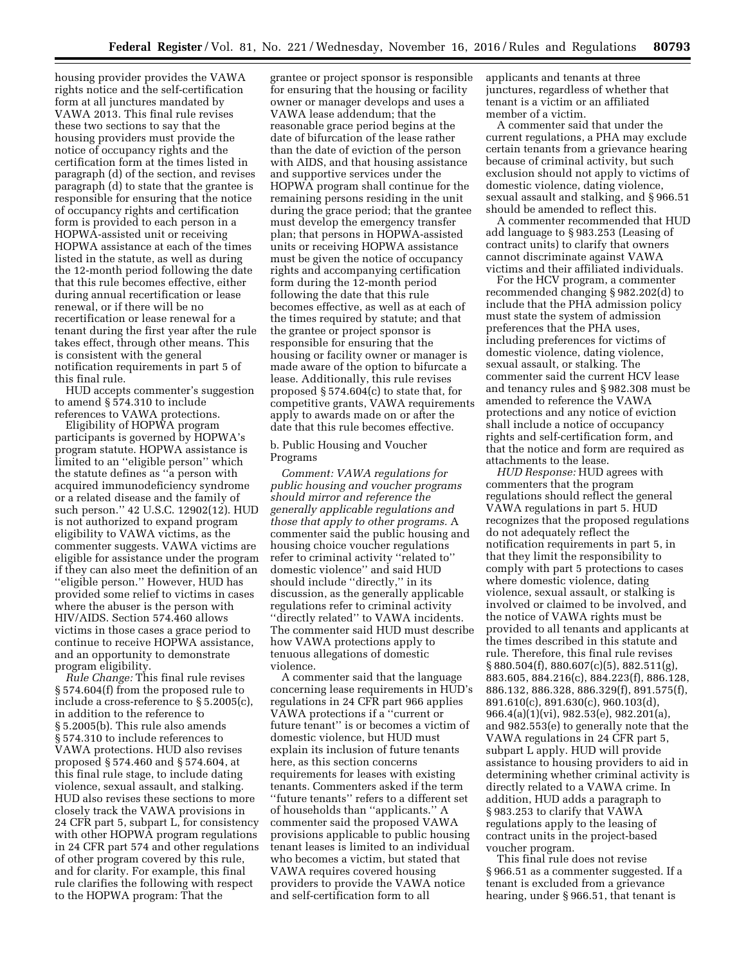housing provider provides the VAWA rights notice and the self-certification form at all junctures mandated by VAWA 2013. This final rule revises these two sections to say that the housing providers must provide the notice of occupancy rights and the certification form at the times listed in paragraph (d) of the section, and revises paragraph (d) to state that the grantee is responsible for ensuring that the notice of occupancy rights and certification form is provided to each person in a HOPWA-assisted unit or receiving HOPWA assistance at each of the times listed in the statute, as well as during the 12-month period following the date that this rule becomes effective, either during annual recertification or lease renewal, or if there will be no recertification or lease renewal for a tenant during the first year after the rule takes effect, through other means. This is consistent with the general notification requirements in part 5 of this final rule.

HUD accepts commenter's suggestion to amend § 574.310 to include references to VAWA protections.

Eligibility of HOPWA program participants is governed by HOPWA's program statute. HOPWA assistance is limited to an ''eligible person'' which the statute defines as ''a person with acquired immunodeficiency syndrome or a related disease and the family of such person.'' 42 U.S.C. 12902(12). HUD is not authorized to expand program eligibility to VAWA victims, as the commenter suggests. VAWA victims are eligible for assistance under the program if they can also meet the definition of an ''eligible person.'' However, HUD has provided some relief to victims in cases where the abuser is the person with HIV/AIDS. Section 574.460 allows victims in those cases a grace period to continue to receive HOPWA assistance, and an opportunity to demonstrate program eligibility.

*Rule Change:* This final rule revises § 574.604(f) from the proposed rule to include a cross-reference to § 5.2005(c), in addition to the reference to § 5.2005(b). This rule also amends § 574.310 to include references to VAWA protections. HUD also revises proposed § 574.460 and § 574.604, at this final rule stage, to include dating violence, sexual assault, and stalking. HUD also revises these sections to more closely track the VAWA provisions in 24 CFR part 5, subpart L, for consistency with other HOPWA program regulations in 24 CFR part 574 and other regulations of other program covered by this rule, and for clarity. For example, this final rule clarifies the following with respect to the HOPWA program: That the

grantee or project sponsor is responsible for ensuring that the housing or facility owner or manager develops and uses a VAWA lease addendum; that the reasonable grace period begins at the date of bifurcation of the lease rather than the date of eviction of the person with AIDS, and that housing assistance and supportive services under the HOPWA program shall continue for the remaining persons residing in the unit during the grace period; that the grantee must develop the emergency transfer plan; that persons in HOPWA-assisted units or receiving HOPWA assistance must be given the notice of occupancy rights and accompanying certification form during the 12-month period following the date that this rule becomes effective, as well as at each of the times required by statute; and that the grantee or project sponsor is responsible for ensuring that the housing or facility owner or manager is made aware of the option to bifurcate a lease. Additionally, this rule revises proposed § 574.604(c) to state that, for competitive grants, VAWA requirements apply to awards made on or after the date that this rule becomes effective.

b. Public Housing and Voucher Programs

*Comment: VAWA regulations for public housing and voucher programs should mirror and reference the generally applicable regulations and those that apply to other programs.* A commenter said the public housing and housing choice voucher regulations refer to criminal activity ''related to'' domestic violence'' and said HUD should include ''directly,'' in its discussion, as the generally applicable regulations refer to criminal activity ''directly related'' to VAWA incidents. The commenter said HUD must describe how VAWA protections apply to tenuous allegations of domestic violence.

A commenter said that the language concerning lease requirements in HUD's regulations in 24 CFR part 966 applies VAWA protections if a ''current or future tenant'' is or becomes a victim of domestic violence, but HUD must explain its inclusion of future tenants here, as this section concerns requirements for leases with existing tenants. Commenters asked if the term ''future tenants'' refers to a different set of households than ''applicants.'' A commenter said the proposed VAWA provisions applicable to public housing tenant leases is limited to an individual who becomes a victim, but stated that VAWA requires covered housing providers to provide the VAWA notice and self-certification form to all

applicants and tenants at three junctures, regardless of whether that tenant is a victim or an affiliated member of a victim.

A commenter said that under the current regulations, a PHA may exclude certain tenants from a grievance hearing because of criminal activity, but such exclusion should not apply to victims of domestic violence, dating violence, sexual assault and stalking, and § 966.51 should be amended to reflect this.

A commenter recommended that HUD add language to § 983.253 (Leasing of contract units) to clarify that owners cannot discriminate against VAWA victims and their affiliated individuals.

For the HCV program, a commenter recommended changing § 982.202(d) to include that the PHA admission policy must state the system of admission preferences that the PHA uses, including preferences for victims of domestic violence, dating violence, sexual assault, or stalking. The commenter said the current HCV lease and tenancy rules and § 982.308 must be amended to reference the VAWA protections and any notice of eviction shall include a notice of occupancy rights and self-certification form, and that the notice and form are required as attachments to the lease.

*HUD Response:* HUD agrees with commenters that the program regulations should reflect the general VAWA regulations in part 5. HUD recognizes that the proposed regulations do not adequately reflect the notification requirements in part 5, in that they limit the responsibility to comply with part 5 protections to cases where domestic violence, dating violence, sexual assault, or stalking is involved or claimed to be involved, and the notice of VAWA rights must be provided to all tenants and applicants at the times described in this statute and rule. Therefore, this final rule revises § 880.504(f), 880.607(c)(5), 882.511(g), 883.605, 884.216(c), 884.223(f), 886.128, 886.132, 886.328, 886.329(f), 891.575(f), 891.610(c), 891.630(c), 960.103(d), 966.4(a)(1)(vi), 982.53(e), 982.201(a), and 982.553(e) to generally note that the VAWA regulations in 24 CFR part 5, subpart L apply. HUD will provide assistance to housing providers to aid in determining whether criminal activity is directly related to a VAWA crime. In addition, HUD adds a paragraph to § 983.253 to clarify that VAWA regulations apply to the leasing of contract units in the project-based voucher program.

This final rule does not revise § 966.51 as a commenter suggested. If a tenant is excluded from a grievance hearing, under § 966.51, that tenant is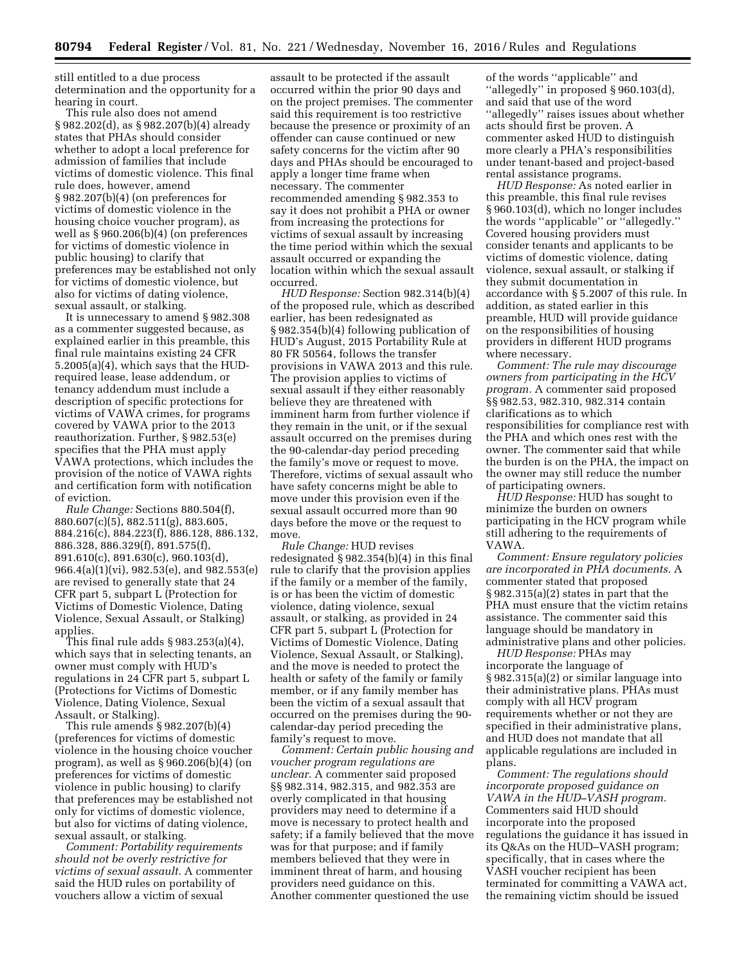still entitled to a due process determination and the opportunity for a hearing in court.

This rule also does not amend § 982.202(d), as § 982.207(b)(4) already states that PHAs should consider whether to adopt a local preference for admission of families that include victims of domestic violence. This final rule does, however, amend § 982.207(b)(4) (on preferences for victims of domestic violence in the housing choice voucher program), as well as § 960.206(b)(4) (on preferences for victims of domestic violence in public housing) to clarify that preferences may be established not only for victims of domestic violence, but also for victims of dating violence, sexual assault, or stalking.

It is unnecessary to amend § 982.308 as a commenter suggested because, as explained earlier in this preamble, this final rule maintains existing 24 CFR 5.2005(a)(4), which says that the HUDrequired lease, lease addendum, or tenancy addendum must include a description of specific protections for victims of VAWA crimes, for programs covered by VAWA prior to the 2013 reauthorization. Further, § 982.53(e) specifies that the PHA must apply VAWA protections, which includes the provision of the notice of VAWA rights and certification form with notification of eviction.

*Rule Change:* Sections 880.504(f), 880.607(c)(5), 882.511(g), 883.605, 884.216(c), 884.223(f), 886.128, 886.132, 886.328, 886.329(f), 891.575(f), 891.610(c), 891.630(c), 960.103(d), 966.4(a)(1)(vi), 982.53(e), and 982.553(e) are revised to generally state that 24 CFR part 5, subpart L (Protection for Victims of Domestic Violence, Dating Violence, Sexual Assault, or Stalking) applies.

This final rule adds § 983.253(a)(4), which says that in selecting tenants, an owner must comply with HUD's regulations in 24 CFR part 5, subpart L (Protections for Victims of Domestic Violence, Dating Violence, Sexual Assault, or Stalking).

This rule amends § 982.207(b)(4) (preferences for victims of domestic violence in the housing choice voucher program), as well as § 960.206(b)(4) (on preferences for victims of domestic violence in public housing) to clarify that preferences may be established not only for victims of domestic violence, but also for victims of dating violence, sexual assault, or stalking.

*Comment: Portability requirements should not be overly restrictive for victims of sexual assault.* A commenter said the HUD rules on portability of vouchers allow a victim of sexual

assault to be protected if the assault occurred within the prior 90 days and on the project premises. The commenter said this requirement is too restrictive because the presence or proximity of an offender can cause continued or new safety concerns for the victim after 90 days and PHAs should be encouraged to apply a longer time frame when necessary. The commenter recommended amending § 982.353 to say it does not prohibit a PHA or owner from increasing the protections for victims of sexual assault by increasing the time period within which the sexual assault occurred or expanding the location within which the sexual assault occurred.

*HUD Response:* Section 982.314(b)(4) of the proposed rule, which as described earlier, has been redesignated as § 982.354(b)(4) following publication of HUD's August, 2015 Portability Rule at 80 FR 50564, follows the transfer provisions in VAWA 2013 and this rule. The provision applies to victims of sexual assault if they either reasonably believe they are threatened with imminent harm from further violence if they remain in the unit, or if the sexual assault occurred on the premises during the 90-calendar-day period preceding the family's move or request to move. Therefore, victims of sexual assault who have safety concerns might be able to move under this provision even if the sexual assault occurred more than 90 days before the move or the request to move.

*Rule Change:* HUD revises redesignated § 982.354(b)(4) in this final rule to clarify that the provision applies if the family or a member of the family, is or has been the victim of domestic violence, dating violence, sexual assault, or stalking, as provided in 24 CFR part 5, subpart L (Protection for Victims of Domestic Violence, Dating Violence, Sexual Assault, or Stalking), and the move is needed to protect the health or safety of the family or family member, or if any family member has been the victim of a sexual assault that occurred on the premises during the 90 calendar-day period preceding the family's request to move.

*Comment: Certain public housing and voucher program regulations are unclear.* A commenter said proposed §§ 982.314, 982.315, and 982.353 are overly complicated in that housing providers may need to determine if a move is necessary to protect health and safety; if a family believed that the move was for that purpose; and if family members believed that they were in imminent threat of harm, and housing providers need guidance on this. Another commenter questioned the use

of the words ''applicable'' and ''allegedly'' in proposed § 960.103(d), and said that use of the word ''allegedly'' raises issues about whether acts should first be proven. A commenter asked HUD to distinguish more clearly a PHA's responsibilities under tenant-based and project-based rental assistance programs.

*HUD Response:* As noted earlier in this preamble, this final rule revises § 960.103(d), which no longer includes the words ''applicable'' or ''allegedly.'' Covered housing providers must consider tenants and applicants to be victims of domestic violence, dating violence, sexual assault, or stalking if they submit documentation in accordance with § 5.2007 of this rule. In addition, as stated earlier in this preamble, HUD will provide guidance on the responsibilities of housing providers in different HUD programs where necessary.

*Comment: The rule may discourage owners from participating in the HCV program.* A commenter said proposed §§ 982.53, 982.310, 982.314 contain clarifications as to which responsibilities for compliance rest with the PHA and which ones rest with the owner. The commenter said that while the burden is on the PHA, the impact on the owner may still reduce the number of participating owners.

*HUD Response:* HUD has sought to minimize the burden on owners participating in the HCV program while still adhering to the requirements of VAWA.

*Comment: Ensure regulatory policies are incorporated in PHA documents.* A commenter stated that proposed § 982.315(a)(2) states in part that the PHA must ensure that the victim retains assistance. The commenter said this language should be mandatory in administrative plans and other policies.

*HUD Response:* PHAs may incorporate the language of § 982.315(a)(2) or similar language into their administrative plans. PHAs must comply with all HCV program requirements whether or not they are specified in their administrative plans, and HUD does not mandate that all applicable regulations are included in plans.

*Comment: The regulations should incorporate proposed guidance on VAWA in the HUD–VASH program.*  Commenters said HUD should incorporate into the proposed regulations the guidance it has issued in its Q&As on the HUD–VASH program; specifically, that in cases where the VASH voucher recipient has been terminated for committing a VAWA act, the remaining victim should be issued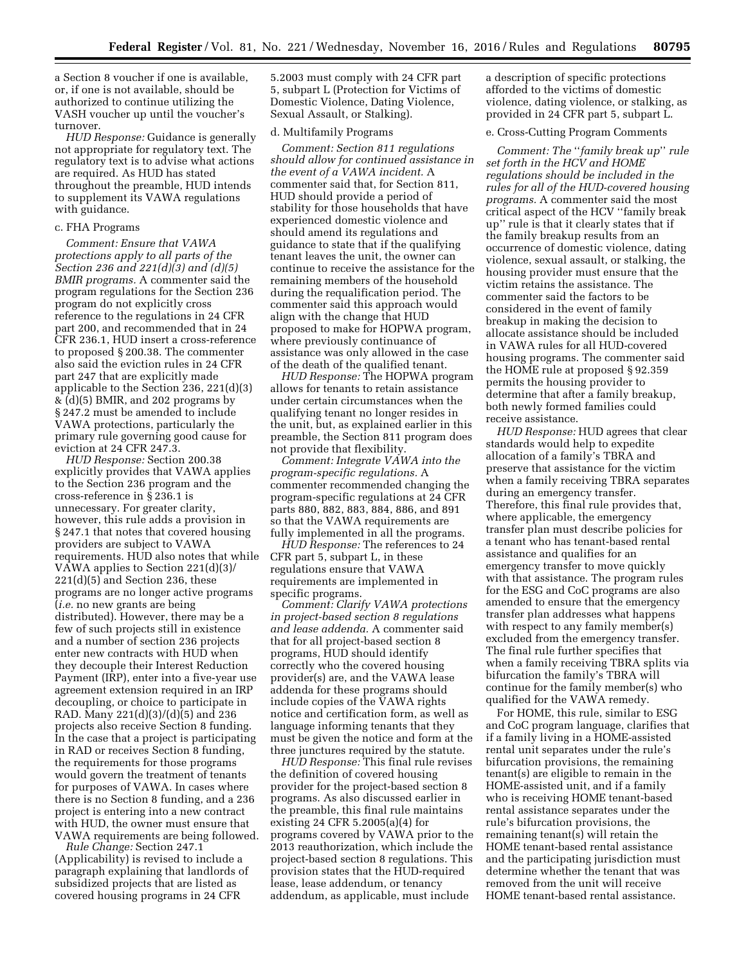a Section 8 voucher if one is available, or, if one is not available, should be authorized to continue utilizing the VASH voucher up until the voucher's turnover.

*HUD Response:* Guidance is generally not appropriate for regulatory text. The regulatory text is to advise what actions are required. As HUD has stated throughout the preamble, HUD intends to supplement its VAWA regulations with guidance.

## c. FHA Programs

*Comment: Ensure that VAWA protections apply to all parts of the Section 236 and 221(d)(3) and (d)(5) BMIR programs.* A commenter said the program regulations for the Section 236 program do not explicitly cross reference to the regulations in 24 CFR part 200, and recommended that in 24 CFR 236.1, HUD insert a cross-reference to proposed § 200.38. The commenter also said the eviction rules in 24 CFR part 247 that are explicitly made applicable to the Section 236, 221(d)(3) & (d)(5) BMIR, and 202 programs by § 247.2 must be amended to include VAWA protections, particularly the primary rule governing good cause for eviction at 24 CFR 247.3.

*HUD Response:* Section 200.38 explicitly provides that VAWA applies to the Section 236 program and the cross-reference in § 236.1 is unnecessary. For greater clarity, however, this rule adds a provision in § 247.1 that notes that covered housing providers are subject to VAWA requirements. HUD also notes that while VAWA applies to Section 221(d)(3)/ 221(d)(5) and Section 236, these programs are no longer active programs (*i.e.* no new grants are being distributed). However, there may be a few of such projects still in existence and a number of section 236 projects enter new contracts with HUD when they decouple their Interest Reduction Payment (IRP), enter into a five-year use agreement extension required in an IRP decoupling, or choice to participate in RAD. Many 221(d)(3)/(d)(5) and 236 projects also receive Section 8 funding. In the case that a project is participating in RAD or receives Section 8 funding, the requirements for those programs would govern the treatment of tenants for purposes of VAWA. In cases where there is no Section 8 funding, and a 236 project is entering into a new contract with HUD, the owner must ensure that VAWA requirements are being followed.

*Rule Change:* Section 247.1 (Applicability) is revised to include a paragraph explaining that landlords of subsidized projects that are listed as covered housing programs in 24 CFR

5.2003 must comply with 24 CFR part 5, subpart L (Protection for Victims of Domestic Violence, Dating Violence, Sexual Assault, or Stalking).

### d. Multifamily Programs

*Comment: Section 811 regulations should allow for continued assistance in the event of a VAWA incident.* A commenter said that, for Section 811, HUD should provide a period of stability for those households that have experienced domestic violence and should amend its regulations and guidance to state that if the qualifying tenant leaves the unit, the owner can continue to receive the assistance for the remaining members of the household during the requalification period. The commenter said this approach would align with the change that HUD proposed to make for HOPWA program, where previously continuance of assistance was only allowed in the case of the death of the qualified tenant.

*HUD Response:* The HOPWA program allows for tenants to retain assistance under certain circumstances when the qualifying tenant no longer resides in the unit, but, as explained earlier in this preamble, the Section 811 program does not provide that flexibility.

*Comment: Integrate VAWA into the program-specific regulations.* A commenter recommended changing the program-specific regulations at 24 CFR parts 880, 882, 883, 884, 886, and 891 so that the VAWA requirements are fully implemented in all the programs.

*HUD Response:* The references to 24 CFR part 5, subpart L, in these regulations ensure that VAWA requirements are implemented in specific programs.

*Comment: Clarify VAWA protections in project-based section 8 regulations and lease addenda.* A commenter said that for all project-based section 8 programs, HUD should identify correctly who the covered housing provider(s) are, and the VAWA lease addenda for these programs should include copies of the VAWA rights notice and certification form, as well as language informing tenants that they must be given the notice and form at the three junctures required by the statute.

*HUD Response:* This final rule revises the definition of covered housing provider for the project-based section 8 programs. As also discussed earlier in the preamble, this final rule maintains existing 24 CFR 5.2005(a)(4) for programs covered by VAWA prior to the 2013 reauthorization, which include the project-based section 8 regulations. This provision states that the HUD-required lease, lease addendum, or tenancy addendum, as applicable, must include

a description of specific protections afforded to the victims of domestic violence, dating violence, or stalking, as provided in 24 CFR part 5, subpart L.

# e. Cross-Cutting Program Comments

*Comment: The* ''*family break up*'' *rule set forth in the HCV and HOME regulations should be included in the rules for all of the HUD-covered housing programs.* A commenter said the most critical aspect of the HCV ''family break up'' rule is that it clearly states that if the family breakup results from an occurrence of domestic violence, dating violence, sexual assault, or stalking, the housing provider must ensure that the victim retains the assistance. The commenter said the factors to be considered in the event of family breakup in making the decision to allocate assistance should be included in VAWA rules for all HUD-covered housing programs. The commenter said the HOME rule at proposed § 92.359 permits the housing provider to determine that after a family breakup, both newly formed families could receive assistance.

*HUD Response:* HUD agrees that clear standards would help to expedite allocation of a family's TBRA and preserve that assistance for the victim when a family receiving TBRA separates during an emergency transfer. Therefore, this final rule provides that, where applicable, the emergency transfer plan must describe policies for a tenant who has tenant-based rental assistance and qualifies for an emergency transfer to move quickly with that assistance. The program rules for the ESG and CoC programs are also amended to ensure that the emergency transfer plan addresses what happens with respect to any family member(s) excluded from the emergency transfer. The final rule further specifies that when a family receiving TBRA splits via bifurcation the family's TBRA will continue for the family member(s) who qualified for the VAWA remedy.

For HOME, this rule, similar to ESG and CoC program language, clarifies that if a family living in a HOME-assisted rental unit separates under the rule's bifurcation provisions, the remaining tenant(s) are eligible to remain in the HOME-assisted unit, and if a family who is receiving HOME tenant-based rental assistance separates under the rule's bifurcation provisions, the remaining tenant(s) will retain the HOME tenant-based rental assistance and the participating jurisdiction must determine whether the tenant that was removed from the unit will receive HOME tenant-based rental assistance.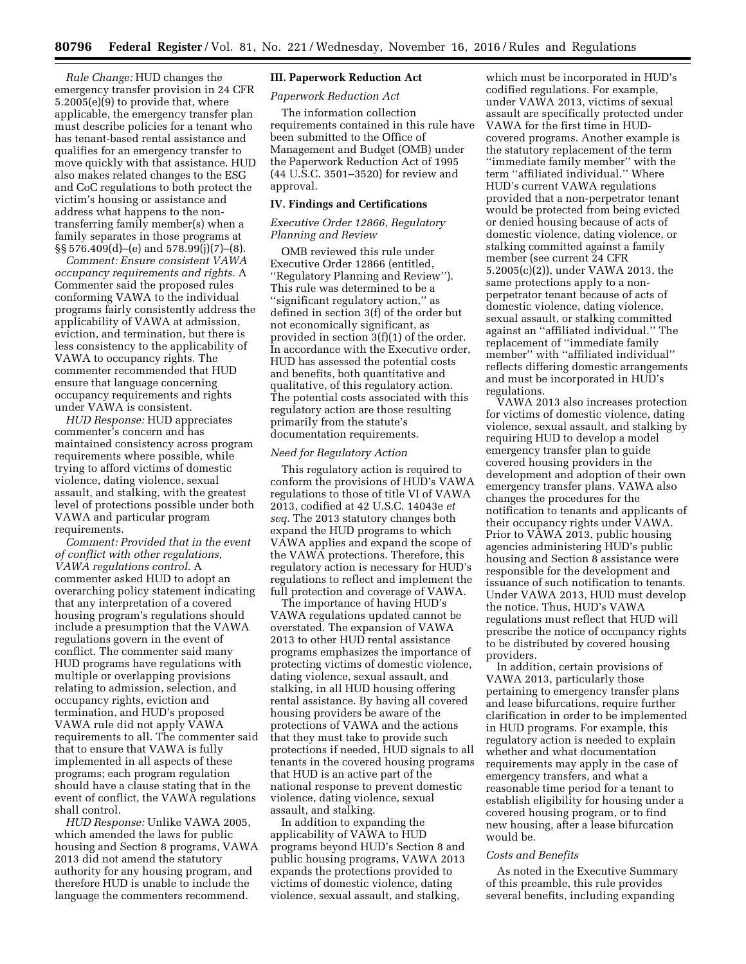*Rule Change:* HUD changes the emergency transfer provision in 24 CFR 5.2005(e)(9) to provide that, where applicable, the emergency transfer plan must describe policies for a tenant who has tenant-based rental assistance and qualifies for an emergency transfer to move quickly with that assistance. HUD also makes related changes to the ESG and CoC regulations to both protect the victim's housing or assistance and address what happens to the nontransferring family member(s) when a family separates in those programs at §§ 576.409(d)–(e) and 578.99(j)(7)–(8).

*Comment: Ensure consistent VAWA occupancy requirements and rights.* A Commenter said the proposed rules conforming VAWA to the individual programs fairly consistently address the applicability of VAWA at admission, eviction, and termination, but there is less consistency to the applicability of VAWA to occupancy rights. The commenter recommended that HUD ensure that language concerning occupancy requirements and rights under VAWA is consistent.

*HUD Response:* HUD appreciates commenter's concern and has maintained consistency across program requirements where possible, while trying to afford victims of domestic violence, dating violence, sexual assault, and stalking, with the greatest level of protections possible under both VAWA and particular program requirements.

*Comment: Provided that in the event of conflict with other regulations, VAWA regulations control.* A commenter asked HUD to adopt an overarching policy statement indicating that any interpretation of a covered housing program's regulations should include a presumption that the VAWA regulations govern in the event of conflict. The commenter said many HUD programs have regulations with multiple or overlapping provisions relating to admission, selection, and occupancy rights, eviction and termination, and HUD's proposed VAWA rule did not apply VAWA requirements to all. The commenter said that to ensure that VAWA is fully implemented in all aspects of these programs; each program regulation should have a clause stating that in the event of conflict, the VAWA regulations shall control.

*HUD Response:* Unlike VAWA 2005, which amended the laws for public housing and Section 8 programs, VAWA 2013 did not amend the statutory authority for any housing program, and therefore HUD is unable to include the language the commenters recommend.

# **III. Paperwork Reduction Act**

# *Paperwork Reduction Act*

The information collection requirements contained in this rule have been submitted to the Office of Management and Budget (OMB) under the Paperwork Reduction Act of 1995 (44 U.S.C. 3501–3520) for review and approval.

### **IV. Findings and Certifications**

# *Executive Order 12866, Regulatory Planning and Review*

OMB reviewed this rule under Executive Order 12866 (entitled, ''Regulatory Planning and Review''). This rule was determined to be a ''significant regulatory action,'' as defined in section 3(f) of the order but not economically significant, as provided in section 3(f)(1) of the order. In accordance with the Executive order, HUD has assessed the potential costs and benefits, both quantitative and qualitative, of this regulatory action. The potential costs associated with this regulatory action are those resulting primarily from the statute's documentation requirements.

### *Need for Regulatory Action*

This regulatory action is required to conform the provisions of HUD's VAWA regulations to those of title VI of VAWA 2013, codified at 42 U.S.C. 14043e *et seq.* The 2013 statutory changes both expand the HUD programs to which VAWA applies and expand the scope of the VAWA protections. Therefore, this regulatory action is necessary for HUD's regulations to reflect and implement the full protection and coverage of VAWA.

The importance of having HUD's VAWA regulations updated cannot be overstated. The expansion of VAWA 2013 to other HUD rental assistance programs emphasizes the importance of protecting victims of domestic violence, dating violence, sexual assault, and stalking, in all HUD housing offering rental assistance. By having all covered housing providers be aware of the protections of VAWA and the actions that they must take to provide such protections if needed, HUD signals to all tenants in the covered housing programs that HUD is an active part of the national response to prevent domestic violence, dating violence, sexual assault, and stalking.

In addition to expanding the applicability of VAWA to HUD programs beyond HUD's Section 8 and public housing programs, VAWA 2013 expands the protections provided to victims of domestic violence, dating violence, sexual assault, and stalking,

which must be incorporated in HUD's codified regulations. For example, under VAWA 2013, victims of sexual assault are specifically protected under VAWA for the first time in HUDcovered programs. Another example is the statutory replacement of the term ''immediate family member'' with the term ''affiliated individual.'' Where HUD's current VAWA regulations provided that a non-perpetrator tenant would be protected from being evicted or denied housing because of acts of domestic violence, dating violence, or stalking committed against a family member (see current 24 CFR 5.2005(c)(2)), under VAWA 2013, the same protections apply to a nonperpetrator tenant because of acts of domestic violence, dating violence, sexual assault, or stalking committed against an ''affiliated individual.'' The replacement of ''immediate family member'' with ''affiliated individual'' reflects differing domestic arrangements and must be incorporated in HUD's regulations.

VAWA 2013 also increases protection for victims of domestic violence, dating violence, sexual assault, and stalking by requiring HUD to develop a model emergency transfer plan to guide covered housing providers in the development and adoption of their own emergency transfer plans. VAWA also changes the procedures for the notification to tenants and applicants of their occupancy rights under VAWA. Prior to VAWA 2013, public housing agencies administering HUD's public housing and Section 8 assistance were responsible for the development and issuance of such notification to tenants. Under VAWA 2013, HUD must develop the notice. Thus, HUD's VAWA regulations must reflect that HUD will prescribe the notice of occupancy rights to be distributed by covered housing providers.

In addition, certain provisions of VAWA 2013, particularly those pertaining to emergency transfer plans and lease bifurcations, require further clarification in order to be implemented in HUD programs. For example, this regulatory action is needed to explain whether and what documentation requirements may apply in the case of emergency transfers, and what a reasonable time period for a tenant to establish eligibility for housing under a covered housing program, or to find new housing, after a lease bifurcation would be.

# *Costs and Benefits*

As noted in the Executive Summary of this preamble, this rule provides several benefits, including expanding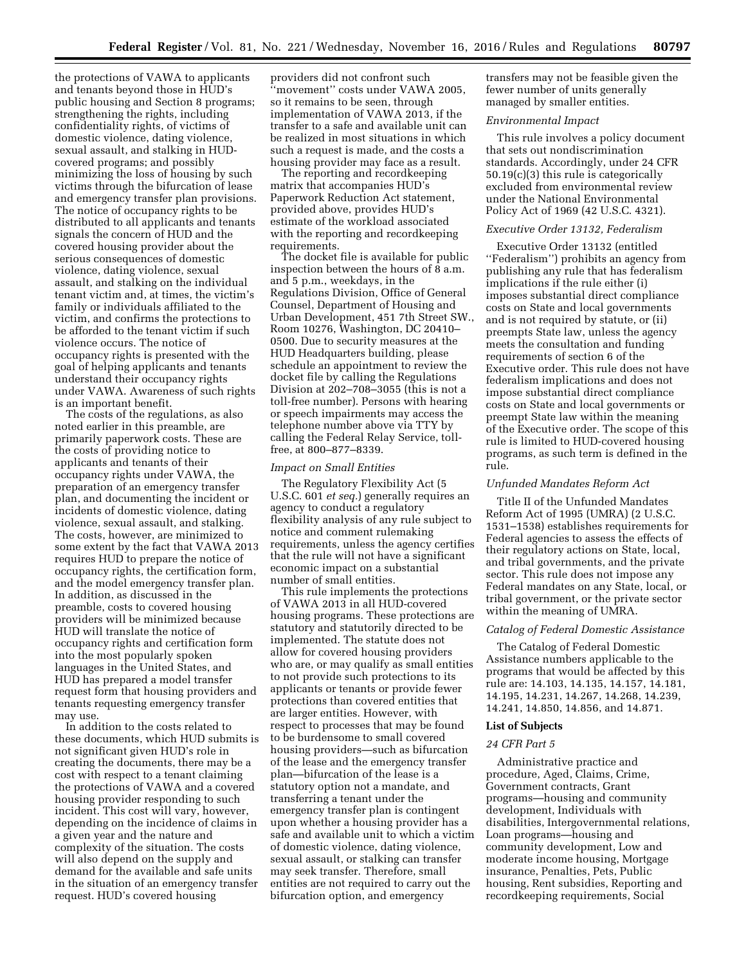the protections of VAWA to applicants and tenants beyond those in HUD's public housing and Section 8 programs; strengthening the rights, including confidentiality rights, of victims of domestic violence, dating violence, sexual assault, and stalking in HUDcovered programs; and possibly minimizing the loss of housing by such victims through the bifurcation of lease and emergency transfer plan provisions. The notice of occupancy rights to be distributed to all applicants and tenants signals the concern of HUD and the covered housing provider about the serious consequences of domestic violence, dating violence, sexual assault, and stalking on the individual tenant victim and, at times, the victim's family or individuals affiliated to the victim, and confirms the protections to be afforded to the tenant victim if such violence occurs. The notice of occupancy rights is presented with the goal of helping applicants and tenants understand their occupancy rights under VAWA. Awareness of such rights is an important benefit.

The costs of the regulations, as also noted earlier in this preamble, are primarily paperwork costs. These are the costs of providing notice to applicants and tenants of their occupancy rights under VAWA, the preparation of an emergency transfer plan, and documenting the incident or incidents of domestic violence, dating violence, sexual assault, and stalking. The costs, however, are minimized to some extent by the fact that VAWA 2013 requires HUD to prepare the notice of occupancy rights, the certification form, and the model emergency transfer plan. In addition, as discussed in the preamble, costs to covered housing providers will be minimized because HUD will translate the notice of occupancy rights and certification form into the most popularly spoken languages in the United States, and HUD has prepared a model transfer request form that housing providers and tenants requesting emergency transfer may use.

In addition to the costs related to these documents, which HUD submits is not significant given HUD's role in creating the documents, there may be a cost with respect to a tenant claiming the protections of VAWA and a covered housing provider responding to such incident. This cost will vary, however, depending on the incidence of claims in a given year and the nature and complexity of the situation. The costs will also depend on the supply and demand for the available and safe units in the situation of an emergency transfer request. HUD's covered housing

providers did not confront such 'movement'' costs under VAWA 2005, so it remains to be seen, through implementation of VAWA 2013, if the transfer to a safe and available unit can be realized in most situations in which such a request is made, and the costs a housing provider may face as a result.

The reporting and recordkeeping matrix that accompanies HUD's Paperwork Reduction Act statement, provided above, provides HUD's estimate of the workload associated with the reporting and recordkeeping requirements.

The docket file is available for public inspection between the hours of 8 a.m. and 5 p.m., weekdays, in the Regulations Division, Office of General Counsel, Department of Housing and Urban Development, 451 7th Street SW., Room 10276, Washington, DC 20410– 0500. Due to security measures at the HUD Headquarters building, please schedule an appointment to review the docket file by calling the Regulations Division at 202–708–3055 (this is not a toll-free number). Persons with hearing or speech impairments may access the telephone number above via TTY by calling the Federal Relay Service, tollfree, at 800–877–8339.

### *Impact on Small Entities*

The Regulatory Flexibility Act (5 U.S.C. 601 *et seq.*) generally requires an agency to conduct a regulatory flexibility analysis of any rule subject to notice and comment rulemaking requirements, unless the agency certifies that the rule will not have a significant economic impact on a substantial number of small entities.

This rule implements the protections of VAWA 2013 in all HUD-covered housing programs. These protections are statutory and statutorily directed to be implemented. The statute does not allow for covered housing providers who are, or may qualify as small entities to not provide such protections to its applicants or tenants or provide fewer protections than covered entities that are larger entities. However, with respect to processes that may be found to be burdensome to small covered housing providers—such as bifurcation of the lease and the emergency transfer plan—bifurcation of the lease is a statutory option not a mandate, and transferring a tenant under the emergency transfer plan is contingent upon whether a housing provider has a safe and available unit to which a victim of domestic violence, dating violence, sexual assault, or stalking can transfer may seek transfer. Therefore, small entities are not required to carry out the bifurcation option, and emergency

transfers may not be feasible given the fewer number of units generally managed by smaller entities.

### *Environmental Impact*

This rule involves a policy document that sets out nondiscrimination standards. Accordingly, under 24 CFR 50.19(c)(3) this rule is categorically excluded from environmental review under the National Environmental Policy Act of 1969 (42 U.S.C. 4321).

#### *Executive Order 13132, Federalism*

Executive Order 13132 (entitled ''Federalism'') prohibits an agency from publishing any rule that has federalism implications if the rule either (i) imposes substantial direct compliance costs on State and local governments and is not required by statute, or (ii) preempts State law, unless the agency meets the consultation and funding requirements of section 6 of the Executive order. This rule does not have federalism implications and does not impose substantial direct compliance costs on State and local governments or preempt State law within the meaning of the Executive order. The scope of this rule is limited to HUD-covered housing programs, as such term is defined in the rule.

# *Unfunded Mandates Reform Act*

Title II of the Unfunded Mandates Reform Act of 1995 (UMRA) (2 U.S.C. 1531–1538) establishes requirements for Federal agencies to assess the effects of their regulatory actions on State, local, and tribal governments, and the private sector. This rule does not impose any Federal mandates on any State, local, or tribal government, or the private sector within the meaning of UMRA.

### *Catalog of Federal Domestic Assistance*

The Catalog of Federal Domestic Assistance numbers applicable to the programs that would be affected by this rule are: 14.103, 14.135, 14.157, 14.181, 14.195, 14.231, 14.267, 14.268, 14.239, 14.241, 14.850, 14.856, and 14.871.

## **List of Subjects**

#### *24 CFR Part 5*

Administrative practice and procedure, Aged, Claims, Crime, Government contracts, Grant programs—housing and community development, Individuals with disabilities, Intergovernmental relations, Loan programs—housing and community development, Low and moderate income housing, Mortgage insurance, Penalties, Pets, Public housing, Rent subsidies, Reporting and recordkeeping requirements, Social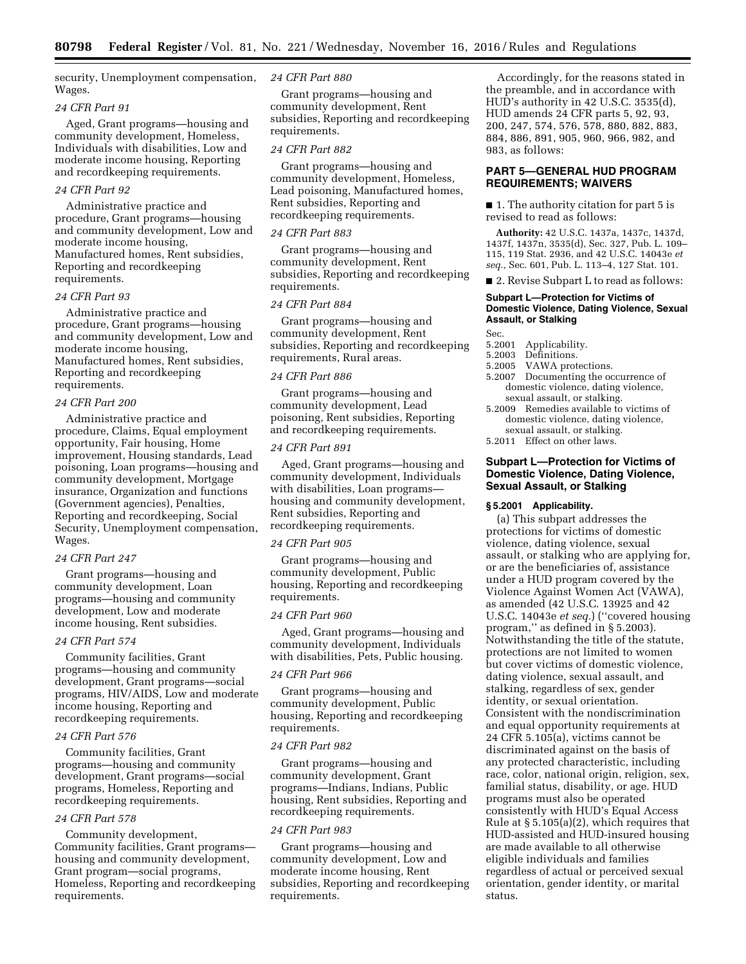security, Unemployment compensation, Wages.

# *24 CFR Part 91*

Aged, Grant programs—housing and community development, Homeless, Individuals with disabilities, Low and moderate income housing, Reporting and recordkeeping requirements.

## *24 CFR Part 92*

Administrative practice and procedure, Grant programs—housing and community development, Low and moderate income housing, Manufactured homes, Rent subsidies, Reporting and recordkeeping requirements.

#### *24 CFR Part 93*

Administrative practice and procedure, Grant programs—housing and community development, Low and moderate income housing, Manufactured homes, Rent subsidies, Reporting and recordkeeping requirements.

### *24 CFR Part 200*

Administrative practice and procedure, Claims, Equal employment opportunity, Fair housing, Home improvement, Housing standards, Lead poisoning, Loan programs—housing and community development, Mortgage insurance, Organization and functions (Government agencies), Penalties, Reporting and recordkeeping, Social Security, Unemployment compensation, Wages.

#### *24 CFR Part 247*

Grant programs—housing and community development, Loan programs—housing and community development, Low and moderate income housing, Rent subsidies.

# *24 CFR Part 574*

Community facilities, Grant programs—housing and community development, Grant programs—social programs, HIV/AIDS, Low and moderate income housing, Reporting and recordkeeping requirements.

### *24 CFR Part 576*

Community facilities, Grant programs—housing and community development, Grant programs—social programs, Homeless, Reporting and recordkeeping requirements.

### *24 CFR Part 578*

Community development, Community facilities, Grant programs housing and community development, Grant program—social programs, Homeless, Reporting and recordkeeping requirements.

## *24 CFR Part 880*

Grant programs—housing and community development, Rent subsidies, Reporting and recordkeeping requirements.

# *24 CFR Part 882*

Grant programs—housing and community development, Homeless, Lead poisoning, Manufactured homes, Rent subsidies, Reporting and recordkeeping requirements.

### *24 CFR Part 883*

Grant programs—housing and community development, Rent subsidies, Reporting and recordkeeping requirements.

## *24 CFR Part 884*

Grant programs—housing and community development, Rent subsidies, Reporting and recordkeeping requirements, Rural areas.

#### *24 CFR Part 886*

Grant programs—housing and community development, Lead poisoning, Rent subsidies, Reporting and recordkeeping requirements.

# *24 CFR Part 891*

Aged, Grant programs—housing and community development, Individuals with disabilities, Loan programs housing and community development, Rent subsidies, Reporting and recordkeeping requirements.

#### *24 CFR Part 905*

Grant programs—housing and community development, Public housing, Reporting and recordkeeping requirements.

#### *24 CFR Part 960*

Aged, Grant programs—housing and community development, Individuals with disabilities, Pets, Public housing.

# *24 CFR Part 966*

Grant programs—housing and community development, Public housing, Reporting and recordkeeping requirements.

#### *24 CFR Part 982*

Grant programs—housing and community development, Grant programs—Indians, Indians, Public housing, Rent subsidies, Reporting and recordkeeping requirements.

# *24 CFR Part 983*

Grant programs—housing and community development, Low and moderate income housing, Rent subsidies, Reporting and recordkeeping requirements.

Accordingly, for the reasons stated in the preamble, and in accordance with HUD's authority in 42 U.S.C. 3535(d), HUD amends 24 CFR parts 5, 92, 93, 200, 247, 574, 576, 578, 880, 882, 883, 884, 886, 891, 905, 960, 966, 982, and 983, as follows:

# **PART 5—GENERAL HUD PROGRAM REQUIREMENTS; WAIVERS**

■ 1. The authority citation for part 5 is revised to read as follows:

**Authority:** 42 U.S.C. 1437a, 1437c, 1437d, 1437f, 1437n, 3535(d), Sec. 327, Pub. L. 109– 115, 119 Stat. 2936, and 42 U.S.C. 14043e *et seq.,* Sec. 601, Pub. L. 113–4, 127 Stat. 101.

■ 2. Revise Subpart L to read as follows:

# **Subpart L—Protection for Victims of Domestic Violence, Dating Violence, Sexual Assault, or Stalking**

Sec.

- 5.2001 Applicability.
- 5.2003 Definitions.<br>5.2005 VAWA prot
- 5.2005 VAWA protections.<br>5.2007 Documenting the or
- Documenting the occurrence of domestic violence, dating violence, sexual assault, or stalking.
- 5.2009 Remedies available to victims of domestic violence, dating violence, sexual assault, or stalking.
- 5.2011 Effect on other laws.

# **Subpart L—Protection for Victims of Domestic Violence, Dating Violence, Sexual Assault, or Stalking**

#### **§ 5.2001 Applicability.**

(a) This subpart addresses the protections for victims of domestic violence, dating violence, sexual assault, or stalking who are applying for, or are the beneficiaries of, assistance under a HUD program covered by the Violence Against Women Act (VAWA), as amended (42 U.S.C. 13925 and 42 U.S.C. 14043e *et seq.*) (''covered housing program,'' as defined in § 5.2003). Notwithstanding the title of the statute, protections are not limited to women but cover victims of domestic violence, dating violence, sexual assault, and stalking, regardless of sex, gender identity, or sexual orientation. Consistent with the nondiscrimination and equal opportunity requirements at 24 CFR 5.105(a), victims cannot be discriminated against on the basis of any protected characteristic, including race, color, national origin, religion, sex, familial status, disability, or age. HUD programs must also be operated consistently with HUD's Equal Access Rule at § 5.105(a)(2), which requires that HUD-assisted and HUD-insured housing are made available to all otherwise eligible individuals and families regardless of actual or perceived sexual orientation, gender identity, or marital status.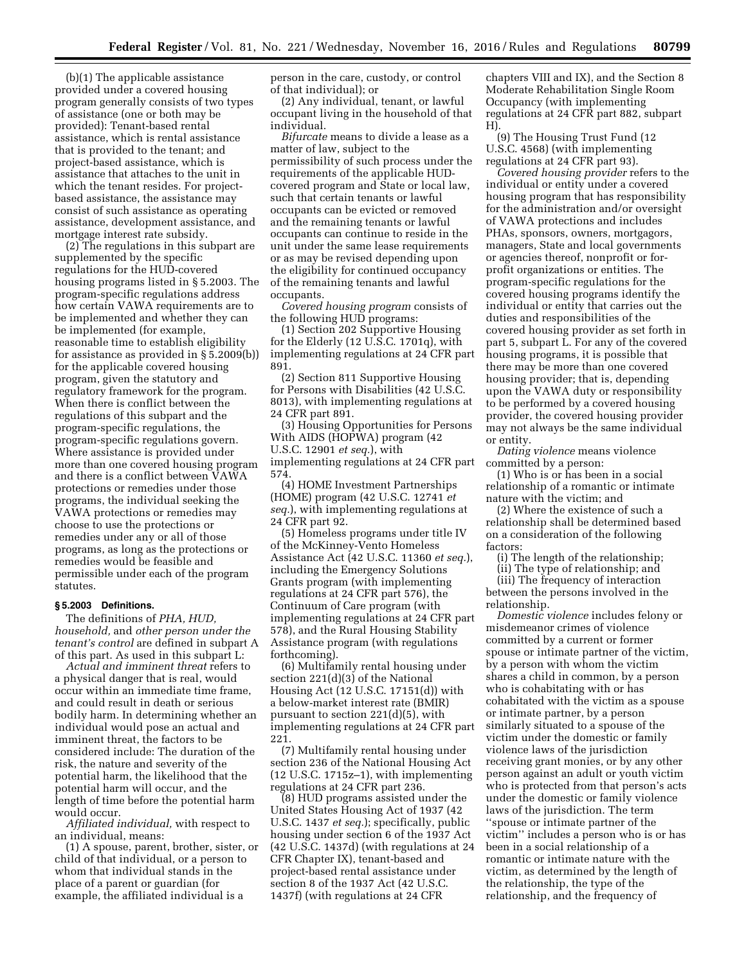(b)(1) The applicable assistance provided under a covered housing program generally consists of two types of assistance (one or both may be provided): Tenant-based rental assistance, which is rental assistance that is provided to the tenant; and project-based assistance, which is assistance that attaches to the unit in which the tenant resides. For projectbased assistance, the assistance may consist of such assistance as operating assistance, development assistance, and mortgage interest rate subsidy.

(2) The regulations in this subpart are supplemented by the specific regulations for the HUD-covered housing programs listed in § 5.2003. The program-specific regulations address how certain VAWA requirements are to be implemented and whether they can be implemented (for example, reasonable time to establish eligibility for assistance as provided in § 5.2009(b)) for the applicable covered housing program, given the statutory and regulatory framework for the program. When there is conflict between the regulations of this subpart and the program-specific regulations, the program-specific regulations govern. Where assistance is provided under more than one covered housing program and there is a conflict between VAWA protections or remedies under those programs, the individual seeking the VAWA protections or remedies may choose to use the protections or remedies under any or all of those programs, as long as the protections or remedies would be feasible and permissible under each of the program statutes.

#### **§ 5.2003 Definitions.**

The definitions of *PHA, HUD, household,* and *other person under the tenant's control* are defined in subpart A of this part. As used in this subpart L:

*Actual and imminent threat* refers to a physical danger that is real, would occur within an immediate time frame, and could result in death or serious bodily harm. In determining whether an individual would pose an actual and imminent threat, the factors to be considered include: The duration of the risk, the nature and severity of the potential harm, the likelihood that the potential harm will occur, and the length of time before the potential harm would occur.

*Affiliated individual,* with respect to an individual, means:

(1) A spouse, parent, brother, sister, or child of that individual, or a person to whom that individual stands in the place of a parent or guardian (for example, the affiliated individual is a

person in the care, custody, or control of that individual); or

(2) Any individual, tenant, or lawful occupant living in the household of that individual.

*Bifurcate* means to divide a lease as a matter of law, subject to the permissibility of such process under the requirements of the applicable HUDcovered program and State or local law, such that certain tenants or lawful occupants can be evicted or removed and the remaining tenants or lawful occupants can continue to reside in the unit under the same lease requirements or as may be revised depending upon the eligibility for continued occupancy of the remaining tenants and lawful occupants.

*Covered housing program* consists of the following HUD programs:

(1) Section 202 Supportive Housing for the Elderly (12 U.S.C. 1701q), with implementing regulations at 24 CFR part 891.

(2) Section 811 Supportive Housing for Persons with Disabilities (42 U.S.C. 8013), with implementing regulations at 24 CFR part 891.

(3) Housing Opportunities for Persons With AIDS (HOPWA) program (42 U.S.C. 12901 *et seq.*), with implementing regulations at 24 CFR part 574.

(4) HOME Investment Partnerships (HOME) program (42 U.S.C. 12741 *et seq.*), with implementing regulations at 24 CFR part 92.

(5) Homeless programs under title IV of the McKinney-Vento Homeless Assistance Act (42 U.S.C. 11360 *et seq.*), including the Emergency Solutions Grants program (with implementing regulations at 24 CFR part 576), the Continuum of Care program (with implementing regulations at 24 CFR part 578), and the Rural Housing Stability Assistance program (with regulations forthcoming).

(6) Multifamily rental housing under section 221(d)(3) of the National Housing Act (12 U.S.C. 17151(d)) with a below-market interest rate (BMIR) pursuant to section 221(d)(5), with implementing regulations at 24 CFR part 221.

(7) Multifamily rental housing under section 236 of the National Housing Act (12 U.S.C. 1715z–1), with implementing regulations at 24 CFR part 236.

(8) HUD programs assisted under the United States Housing Act of 1937 (42 U.S.C. 1437 *et seq.*); specifically, public housing under section 6 of the 1937 Act (42 U.S.C. 1437d) (with regulations at 24 CFR Chapter IX), tenant-based and project-based rental assistance under section 8 of the 1937 Act (42 U.S.C. 1437f) (with regulations at 24 CFR

chapters VIII and IX), and the Section 8 Moderate Rehabilitation Single Room Occupancy (with implementing regulations at 24 CFR part 882, subpart H).

(9) The Housing Trust Fund (12 U.S.C. 4568) (with implementing regulations at 24 CFR part 93).

*Covered housing provider* refers to the individual or entity under a covered housing program that has responsibility for the administration and/or oversight of VAWA protections and includes PHAs, sponsors, owners, mortgagors, managers, State and local governments or agencies thereof, nonprofit or forprofit organizations or entities. The program-specific regulations for the covered housing programs identify the individual or entity that carries out the duties and responsibilities of the covered housing provider as set forth in part 5, subpart L. For any of the covered housing programs, it is possible that there may be more than one covered housing provider; that is, depending upon the VAWA duty or responsibility to be performed by a covered housing provider, the covered housing provider may not always be the same individual or entity.

*Dating violence* means violence committed by a person:

(1) Who is or has been in a social relationship of a romantic or intimate nature with the victim; and

(2) Where the existence of such a relationship shall be determined based on a consideration of the following factors:

(i) The length of the relationship;

(ii) The type of relationship; and

(iii) The frequency of interaction between the persons involved in the relationship.

*Domestic violence* includes felony or misdemeanor crimes of violence committed by a current or former spouse or intimate partner of the victim, by a person with whom the victim shares a child in common, by a person who is cohabitating with or has cohabitated with the victim as a spouse or intimate partner, by a person similarly situated to a spouse of the victim under the domestic or family violence laws of the jurisdiction receiving grant monies, or by any other person against an adult or youth victim who is protected from that person's acts under the domestic or family violence laws of the jurisdiction. The term ''spouse or intimate partner of the victim'' includes a person who is or has been in a social relationship of a romantic or intimate nature with the victim, as determined by the length of the relationship, the type of the relationship, and the frequency of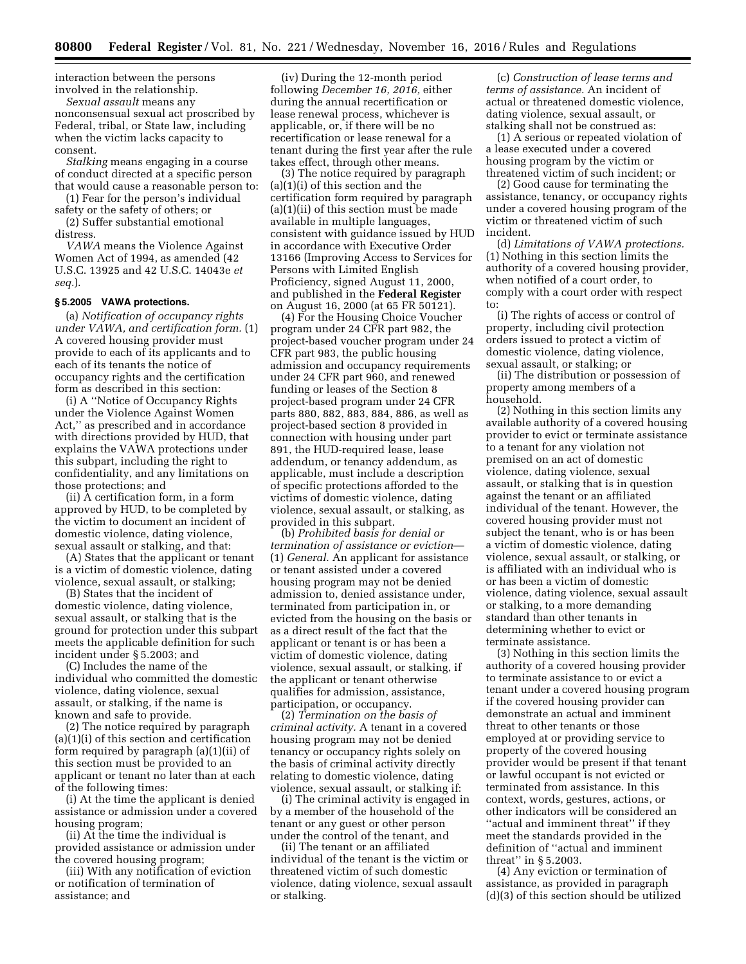interaction between the persons involved in the relationship.

*Sexual assault* means any nonconsensual sexual act proscribed by Federal, tribal, or State law, including when the victim lacks capacity to consent.

*Stalking* means engaging in a course of conduct directed at a specific person that would cause a reasonable person to:

(1) Fear for the person's individual safety or the safety of others; or

(2) Suffer substantial emotional distress.

*VAWA* means the Violence Against Women Act of 1994, as amended (42 U.S.C. 13925 and 42 U.S.C. 14043e *et seq.*).

# **§ 5.2005 VAWA protections.**

(a) *Notification of occupancy rights under VAWA, and certification form.* (1) A covered housing provider must provide to each of its applicants and to each of its tenants the notice of occupancy rights and the certification form as described in this section:

(i) A ''Notice of Occupancy Rights under the Violence Against Women Act,'' as prescribed and in accordance with directions provided by HUD, that explains the VAWA protections under this subpart, including the right to confidentiality, and any limitations on those protections; and

(ii) A certification form, in a form approved by HUD, to be completed by the victim to document an incident of domestic violence, dating violence, sexual assault or stalking, and that:

(A) States that the applicant or tenant is a victim of domestic violence, dating violence, sexual assault, or stalking;

(B) States that the incident of domestic violence, dating violence, sexual assault, or stalking that is the ground for protection under this subpart meets the applicable definition for such incident under § 5.2003; and

(C) Includes the name of the individual who committed the domestic violence, dating violence, sexual assault, or stalking, if the name is known and safe to provide.

(2) The notice required by paragraph (a)(1)(i) of this section and certification form required by paragraph (a)(1)(ii) of this section must be provided to an applicant or tenant no later than at each of the following times:

(i) At the time the applicant is denied assistance or admission under a covered housing program;

(ii) At the time the individual is provided assistance or admission under the covered housing program;

(iii) With any notification of eviction or notification of termination of assistance; and

(iv) During the 12-month period following *December 16, 2016,* either during the annual recertification or lease renewal process, whichever is applicable, or, if there will be no recertification or lease renewal for a tenant during the first year after the rule takes effect, through other means.

(3) The notice required by paragraph (a)(1)(i) of this section and the certification form required by paragraph (a)(1)(ii) of this section must be made available in multiple languages, consistent with guidance issued by HUD in accordance with Executive Order 13166 (Improving Access to Services for Persons with Limited English Proficiency, signed August 11, 2000, and published in the **Federal Register**  on August 16, 2000 (at 65 FR 50121).

(4) For the Housing Choice Voucher program under 24 CFR part 982, the project-based voucher program under 24 CFR part 983, the public housing admission and occupancy requirements under 24 CFR part 960, and renewed funding or leases of the Section 8 project-based program under 24 CFR parts 880, 882, 883, 884, 886, as well as project-based section 8 provided in connection with housing under part 891, the HUD-required lease, lease addendum, or tenancy addendum, as applicable, must include a description of specific protections afforded to the victims of domestic violence, dating violence, sexual assault, or stalking, as provided in this subpart.

(b) *Prohibited basis for denial or termination of assistance or eviction*— (1) *General.* An applicant for assistance or tenant assisted under a covered housing program may not be denied admission to, denied assistance under, terminated from participation in, or evicted from the housing on the basis or as a direct result of the fact that the applicant or tenant is or has been a victim of domestic violence, dating violence, sexual assault, or stalking, if the applicant or tenant otherwise qualifies for admission, assistance, participation, or occupancy.

(2) *Termination on the basis of criminal activity.* A tenant in a covered housing program may not be denied tenancy or occupancy rights solely on the basis of criminal activity directly relating to domestic violence, dating violence, sexual assault, or stalking if:

(i) The criminal activity is engaged in by a member of the household of the tenant or any guest or other person under the control of the tenant, and

(ii) The tenant or an affiliated individual of the tenant is the victim or threatened victim of such domestic violence, dating violence, sexual assault or stalking.

(c) *Construction of lease terms and terms of assistance.* An incident of actual or threatened domestic violence, dating violence, sexual assault, or stalking shall not be construed as:

(1) A serious or repeated violation of a lease executed under a covered housing program by the victim or threatened victim of such incident; or

(2) Good cause for terminating the assistance, tenancy, or occupancy rights under a covered housing program of the victim or threatened victim of such incident.

(d) *Limitations of VAWA protections.*  (1) Nothing in this section limits the authority of a covered housing provider, when notified of a court order, to comply with a court order with respect to:

(i) The rights of access or control of property, including civil protection orders issued to protect a victim of domestic violence, dating violence, sexual assault, or stalking; or

(ii) The distribution or possession of property among members of a household.

(2) Nothing in this section limits any available authority of a covered housing provider to evict or terminate assistance to a tenant for any violation not premised on an act of domestic violence, dating violence, sexual assault, or stalking that is in question against the tenant or an affiliated individual of the tenant. However, the covered housing provider must not subject the tenant, who is or has been a victim of domestic violence, dating violence, sexual assault, or stalking, or is affiliated with an individual who is or has been a victim of domestic violence, dating violence, sexual assault or stalking, to a more demanding standard than other tenants in determining whether to evict or terminate assistance.

(3) Nothing in this section limits the authority of a covered housing provider to terminate assistance to or evict a tenant under a covered housing program if the covered housing provider can demonstrate an actual and imminent threat to other tenants or those employed at or providing service to property of the covered housing provider would be present if that tenant or lawful occupant is not evicted or terminated from assistance. In this context, words, gestures, actions, or other indicators will be considered an "actual and imminent threat" if they meet the standards provided in the definition of ''actual and imminent threat'' in § 5.2003.

(4) Any eviction or termination of assistance, as provided in paragraph (d)(3) of this section should be utilized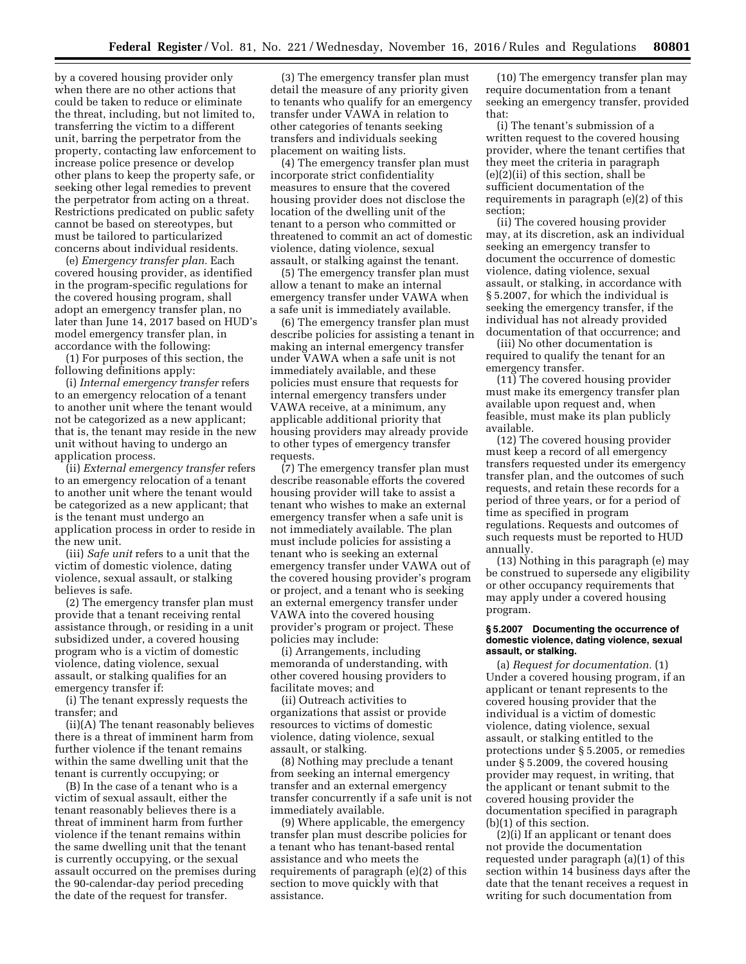by a covered housing provider only when there are no other actions that could be taken to reduce or eliminate the threat, including, but not limited to, transferring the victim to a different unit, barring the perpetrator from the property, contacting law enforcement to increase police presence or develop other plans to keep the property safe, or seeking other legal remedies to prevent the perpetrator from acting on a threat. Restrictions predicated on public safety cannot be based on stereotypes, but must be tailored to particularized concerns about individual residents.

(e) *Emergency transfer plan.* Each covered housing provider, as identified in the program-specific regulations for the covered housing program, shall adopt an emergency transfer plan, no later than June 14, 2017 based on HUD's model emergency transfer plan, in accordance with the following:

(1) For purposes of this section, the following definitions apply:

(i) *Internal emergency transfer* refers to an emergency relocation of a tenant to another unit where the tenant would not be categorized as a new applicant; that is, the tenant may reside in the new unit without having to undergo an application process.

(ii) *External emergency transfer* refers to an emergency relocation of a tenant to another unit where the tenant would be categorized as a new applicant; that is the tenant must undergo an application process in order to reside in the new unit.

(iii) *Safe unit* refers to a unit that the victim of domestic violence, dating violence, sexual assault, or stalking believes is safe.

(2) The emergency transfer plan must provide that a tenant receiving rental assistance through, or residing in a unit subsidized under, a covered housing program who is a victim of domestic violence, dating violence, sexual assault, or stalking qualifies for an emergency transfer if:

(i) The tenant expressly requests the transfer; and

(ii)(A) The tenant reasonably believes there is a threat of imminent harm from further violence if the tenant remains within the same dwelling unit that the tenant is currently occupying; or

(B) In the case of a tenant who is a victim of sexual assault, either the tenant reasonably believes there is a threat of imminent harm from further violence if the tenant remains within the same dwelling unit that the tenant is currently occupying, or the sexual assault occurred on the premises during the 90-calendar-day period preceding the date of the request for transfer.

(3) The emergency transfer plan must detail the measure of any priority given to tenants who qualify for an emergency transfer under VAWA in relation to other categories of tenants seeking transfers and individuals seeking placement on waiting lists.

(4) The emergency transfer plan must incorporate strict confidentiality measures to ensure that the covered housing provider does not disclose the location of the dwelling unit of the tenant to a person who committed or threatened to commit an act of domestic violence, dating violence, sexual assault, or stalking against the tenant.

(5) The emergency transfer plan must allow a tenant to make an internal emergency transfer under VAWA when a safe unit is immediately available.

(6) The emergency transfer plan must describe policies for assisting a tenant in making an internal emergency transfer under VAWA when a safe unit is not immediately available, and these policies must ensure that requests for internal emergency transfers under VAWA receive, at a minimum, any applicable additional priority that housing providers may already provide to other types of emergency transfer requests.

(7) The emergency transfer plan must describe reasonable efforts the covered housing provider will take to assist a tenant who wishes to make an external emergency transfer when a safe unit is not immediately available. The plan must include policies for assisting a tenant who is seeking an external emergency transfer under VAWA out of the covered housing provider's program or project, and a tenant who is seeking an external emergency transfer under VAWA into the covered housing provider's program or project. These policies may include:

(i) Arrangements, including memoranda of understanding, with other covered housing providers to facilitate moves; and

(ii) Outreach activities to organizations that assist or provide resources to victims of domestic violence, dating violence, sexual assault, or stalking.

(8) Nothing may preclude a tenant from seeking an internal emergency transfer and an external emergency transfer concurrently if a safe unit is not immediately available.

(9) Where applicable, the emergency transfer plan must describe policies for a tenant who has tenant-based rental assistance and who meets the requirements of paragraph (e)(2) of this section to move quickly with that assistance.

(10) The emergency transfer plan may require documentation from a tenant seeking an emergency transfer, provided that:

(i) The tenant's submission of a written request to the covered housing provider, where the tenant certifies that they meet the criteria in paragraph  $(e)(2)(ii)$  of this section, shall be sufficient documentation of the requirements in paragraph (e)(2) of this section;

(ii) The covered housing provider may, at its discretion, ask an individual seeking an emergency transfer to document the occurrence of domestic violence, dating violence, sexual assault, or stalking, in accordance with § 5.2007, for which the individual is seeking the emergency transfer, if the individual has not already provided documentation of that occurrence; and

(iii) No other documentation is required to qualify the tenant for an emergency transfer.

(11) The covered housing provider must make its emergency transfer plan available upon request and, when feasible, must make its plan publicly available.

(12) The covered housing provider must keep a record of all emergency transfers requested under its emergency transfer plan, and the outcomes of such requests, and retain these records for a period of three years, or for a period of time as specified in program regulations. Requests and outcomes of such requests must be reported to HUD annually.

(13) Nothing in this paragraph (e) may be construed to supersede any eligibility or other occupancy requirements that may apply under a covered housing program.

### **§ 5.2007 Documenting the occurrence of domestic violence, dating violence, sexual assault, or stalking.**

(a) *Request for documentation.* (1) Under a covered housing program, if an applicant or tenant represents to the covered housing provider that the individual is a victim of domestic violence, dating violence, sexual assault, or stalking entitled to the protections under § 5.2005, or remedies under § 5.2009, the covered housing provider may request, in writing, that the applicant or tenant submit to the covered housing provider the documentation specified in paragraph (b)(1) of this section.

(2)(i) If an applicant or tenant does not provide the documentation requested under paragraph (a)(1) of this section within 14 business days after the date that the tenant receives a request in writing for such documentation from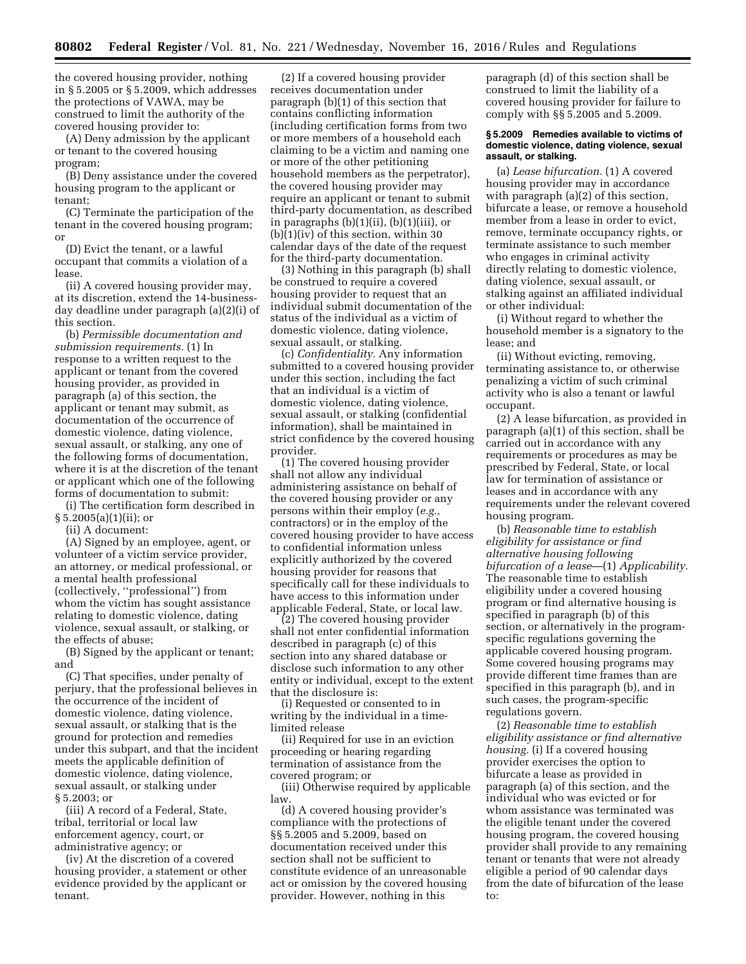the covered housing provider, nothing in § 5.2005 or § 5.2009, which addresses the protections of VAWA, may be construed to limit the authority of the covered housing provider to:

(A) Deny admission by the applicant or tenant to the covered housing program;

(B) Deny assistance under the covered housing program to the applicant or tenant;

(C) Terminate the participation of the tenant in the covered housing program; or

(D) Evict the tenant, or a lawful occupant that commits a violation of a lease.

(ii) A covered housing provider may, at its discretion, extend the 14-businessday deadline under paragraph (a)(2)(i) of this section.

(b) *Permissible documentation and submission requirements.* (1) In response to a written request to the applicant or tenant from the covered housing provider, as provided in paragraph (a) of this section, the applicant or tenant may submit, as documentation of the occurrence of domestic violence, dating violence, sexual assault, or stalking, any one of the following forms of documentation, where it is at the discretion of the tenant or applicant which one of the following forms of documentation to submit:

(i) The certification form described in  $§ 5.2005(a)(1)(ii);$  or

(ii) A document:

(A) Signed by an employee, agent, or volunteer of a victim service provider, an attorney, or medical professional, or a mental health professional (collectively, ''professional'') from whom the victim has sought assistance relating to domestic violence, dating violence, sexual assault, or stalking, or the effects of abuse;

(B) Signed by the applicant or tenant; and

(C) That specifies, under penalty of perjury, that the professional believes in the occurrence of the incident of domestic violence, dating violence, sexual assault, or stalking that is the ground for protection and remedies under this subpart, and that the incident meets the applicable definition of domestic violence, dating violence, sexual assault, or stalking under § 5.2003; or

(iii) A record of a Federal, State, tribal, territorial or local law enforcement agency, court, or administrative agency; or

(iv) At the discretion of a covered housing provider, a statement or other evidence provided by the applicant or tenant.

(2) If a covered housing provider receives documentation under paragraph (b)(1) of this section that contains conflicting information (including certification forms from two or more members of a household each claiming to be a victim and naming one or more of the other petitioning household members as the perpetrator), the covered housing provider may require an applicant or tenant to submit third-party documentation, as described in paragraphs  $(b)(1)(ii)$ ,  $(b)(1)(iii)$ , or  $(b)(1)(iv)$  of this section, within 30 calendar days of the date of the request for the third-party documentation.

(3) Nothing in this paragraph (b) shall be construed to require a covered housing provider to request that an individual submit documentation of the status of the individual as a victim of domestic violence, dating violence, sexual assault, or stalking.

(c) *Confidentiality.* Any information submitted to a covered housing provider under this section, including the fact that an individual is a victim of domestic violence, dating violence, sexual assault, or stalking (confidential information), shall be maintained in strict confidence by the covered housing provider.

(1) The covered housing provider shall not allow any individual administering assistance on behalf of the covered housing provider or any persons within their employ (*e.g.,*  contractors) or in the employ of the covered housing provider to have access to confidential information unless explicitly authorized by the covered housing provider for reasons that specifically call for these individuals to have access to this information under applicable Federal, State, or local law.

(2) The covered housing provider shall not enter confidential information described in paragraph (c) of this section into any shared database or disclose such information to any other entity or individual, except to the extent that the disclosure is:

(i) Requested or consented to in writing by the individual in a timelimited release

(ii) Required for use in an eviction proceeding or hearing regarding termination of assistance from the covered program; or

(iii) Otherwise required by applicable law.

(d) A covered housing provider's compliance with the protections of §§ 5.2005 and 5.2009, based on documentation received under this section shall not be sufficient to constitute evidence of an unreasonable act or omission by the covered housing provider. However, nothing in this

paragraph (d) of this section shall be construed to limit the liability of a covered housing provider for failure to comply with §§ 5.2005 and 5.2009.

## **§ 5.2009 Remedies available to victims of domestic violence, dating violence, sexual assault, or stalking.**

(a) *Lease bifurcation.* (1) A covered housing provider may in accordance with paragraph (a)(2) of this section, bifurcate a lease, or remove a household member from a lease in order to evict, remove, terminate occupancy rights, or terminate assistance to such member who engages in criminal activity directly relating to domestic violence, dating violence, sexual assault, or stalking against an affiliated individual or other individual:

(i) Without regard to whether the household member is a signatory to the lease; and

(ii) Without evicting, removing, terminating assistance to, or otherwise penalizing a victim of such criminal activity who is also a tenant or lawful occupant.

(2) A lease bifurcation, as provided in paragraph (a)(1) of this section, shall be carried out in accordance with any requirements or procedures as may be prescribed by Federal, State, or local law for termination of assistance or leases and in accordance with any requirements under the relevant covered housing program.

(b) *Reasonable time to establish eligibility for assistance or find alternative housing following bifurcation of a lease*—(1) *Applicability.*  The reasonable time to establish eligibility under a covered housing program or find alternative housing is specified in paragraph (b) of this section, or alternatively in the programspecific regulations governing the applicable covered housing program. Some covered housing programs may provide different time frames than are specified in this paragraph (b), and in such cases, the program-specific regulations govern.

(2) *Reasonable time to establish eligibility assistance or find alternative housing.* (i) If a covered housing provider exercises the option to bifurcate a lease as provided in paragraph (a) of this section, and the individual who was evicted or for whom assistance was terminated was the eligible tenant under the covered housing program, the covered housing provider shall provide to any remaining tenant or tenants that were not already eligible a period of 90 calendar days from the date of bifurcation of the lease to: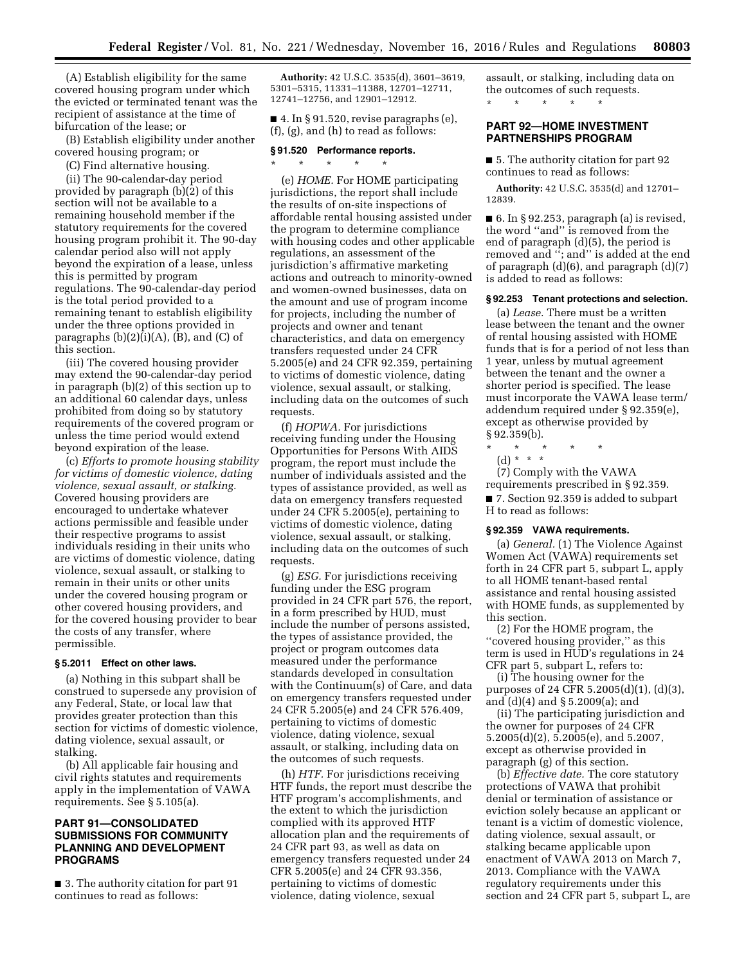(A) Establish eligibility for the same covered housing program under which the evicted or terminated tenant was the recipient of assistance at the time of bifurcation of the lease; or

(B) Establish eligibility under another covered housing program; or

(C) Find alternative housing.

(ii) The 90-calendar-day period provided by paragraph (b)(2) of this section will not be available to a remaining household member if the statutory requirements for the covered housing program prohibit it. The 90-day calendar period also will not apply beyond the expiration of a lease, unless this is permitted by program regulations. The 90-calendar-day period is the total period provided to a remaining tenant to establish eligibility under the three options provided in paragraphs  $(b)(2)(i)(A)$ ,  $(B)$ , and  $(C)$  of this section.

(iii) The covered housing provider may extend the 90-calendar-day period in paragraph (b)(2) of this section up to an additional 60 calendar days, unless prohibited from doing so by statutory requirements of the covered program or unless the time period would extend beyond expiration of the lease.

(c) *Efforts to promote housing stability for victims of domestic violence, dating violence, sexual assault, or stalking.*  Covered housing providers are encouraged to undertake whatever actions permissible and feasible under their respective programs to assist individuals residing in their units who are victims of domestic violence, dating violence, sexual assault, or stalking to remain in their units or other units under the covered housing program or other covered housing providers, and for the covered housing provider to bear the costs of any transfer, where permissible.

#### **§ 5.2011 Effect on other laws.**

(a) Nothing in this subpart shall be construed to supersede any provision of any Federal, State, or local law that provides greater protection than this section for victims of domestic violence, dating violence, sexual assault, or stalking.

(b) All applicable fair housing and civil rights statutes and requirements apply in the implementation of VAWA requirements. See § 5.105(a).

# **PART 91—CONSOLIDATED SUBMISSIONS FOR COMMUNITY PLANNING AND DEVELOPMENT PROGRAMS**

■ 3. The authority citation for part 91 continues to read as follows:

**Authority:** 42 U.S.C. 3535(d), 3601–3619, 5301–5315, 11331–11388, 12701–12711, 12741–12756, and 12901–12912.

 $\blacksquare$  4. In § 91.520, revise paragraphs (e), (f), (g), and (h) to read as follows:

# **§ 91.520 Performance reports.**

 $\star$   $\star$   $\star$ 

(e) *HOME.* For HOME participating jurisdictions, the report shall include the results of on-site inspections of affordable rental housing assisted under the program to determine compliance with housing codes and other applicable regulations, an assessment of the jurisdiction's affirmative marketing actions and outreach to minority-owned and women-owned businesses, data on the amount and use of program income for projects, including the number of projects and owner and tenant characteristics, and data on emergency transfers requested under 24 CFR 5.2005(e) and 24 CFR 92.359, pertaining to victims of domestic violence, dating violence, sexual assault, or stalking, including data on the outcomes of such requests.

(f) *HOPWA.* For jurisdictions receiving funding under the Housing Opportunities for Persons With AIDS program, the report must include the number of individuals assisted and the types of assistance provided, as well as data on emergency transfers requested under 24 CFR 5.2005(e), pertaining to victims of domestic violence, dating violence, sexual assault, or stalking, including data on the outcomes of such requests.

(g) *ESG.* For jurisdictions receiving funding under the ESG program provided in 24 CFR part 576, the report, in a form prescribed by HUD, must include the number of persons assisted, the types of assistance provided, the project or program outcomes data measured under the performance standards developed in consultation with the Continuum(s) of Care, and data on emergency transfers requested under 24 CFR 5.2005(e) and 24 CFR 576.409, pertaining to victims of domestic violence, dating violence, sexual assault, or stalking, including data on the outcomes of such requests.

(h) *HTF.* For jurisdictions receiving HTF funds, the report must describe the HTF program's accomplishments, and the extent to which the jurisdiction complied with its approved HTF allocation plan and the requirements of 24 CFR part 93, as well as data on emergency transfers requested under 24 CFR 5.2005(e) and 24 CFR 93.356, pertaining to victims of domestic violence, dating violence, sexual

assault, or stalking, including data on the outcomes of such requests. \* \* \* \* \*

**PART 92—HOME INVESTMENT PARTNERSHIPS PROGRAM** 

■ 5. The authority citation for part 92 continues to read as follows:

**Authority:** 42 U.S.C. 3535(d) and 12701– 12839.

■ 6. In § 92.253, paragraph (a) is revised, the word ''and'' is removed from the end of paragraph (d)(5), the period is removed and ''; and'' is added at the end of paragraph  $(d)(6)$ , and paragraph  $(d)(7)$ is added to read as follows:

# **§ 92.253 Tenant protections and selection.**

(a) *Lease.* There must be a written lease between the tenant and the owner of rental housing assisted with HOME funds that is for a period of not less than 1 year, unless by mutual agreement between the tenant and the owner a shorter period is specified. The lease must incorporate the VAWA lease term/ addendum required under § 92.359(e), except as otherwise provided by § 92.359(b).

\* \* \* \* \*

(d) \* \* \*

(7) Comply with the VAWA requirements prescribed in § 92.359. ■ 7. Section 92.359 is added to subpart H to read as follows:

#### **§ 92.359 VAWA requirements.**

(a) *General.* (1) The Violence Against Women Act (VAWA) requirements set forth in 24 CFR part 5, subpart L, apply to all HOME tenant-based rental assistance and rental housing assisted with HOME funds, as supplemented by this section.

(2) For the HOME program, the "covered housing provider," as this term is used in HUD's regulations in 24 CFR part 5, subpart L, refers to:

(i) The housing owner for the purposes of 24 CFR 5.2005(d)(1), (d)(3), and (d)(4) and § 5.2009(a); and

(ii) The participating jurisdiction and the owner for purposes of 24 CFR 5.2005(d)(2), 5.2005(e), and 5.2007, except as otherwise provided in paragraph (g) of this section.

(b) *Effective date.* The core statutory protections of VAWA that prohibit denial or termination of assistance or eviction solely because an applicant or tenant is a victim of domestic violence, dating violence, sexual assault, or stalking became applicable upon enactment of VAWA 2013 on March 7, 2013. Compliance with the VAWA regulatory requirements under this section and 24 CFR part 5, subpart L, are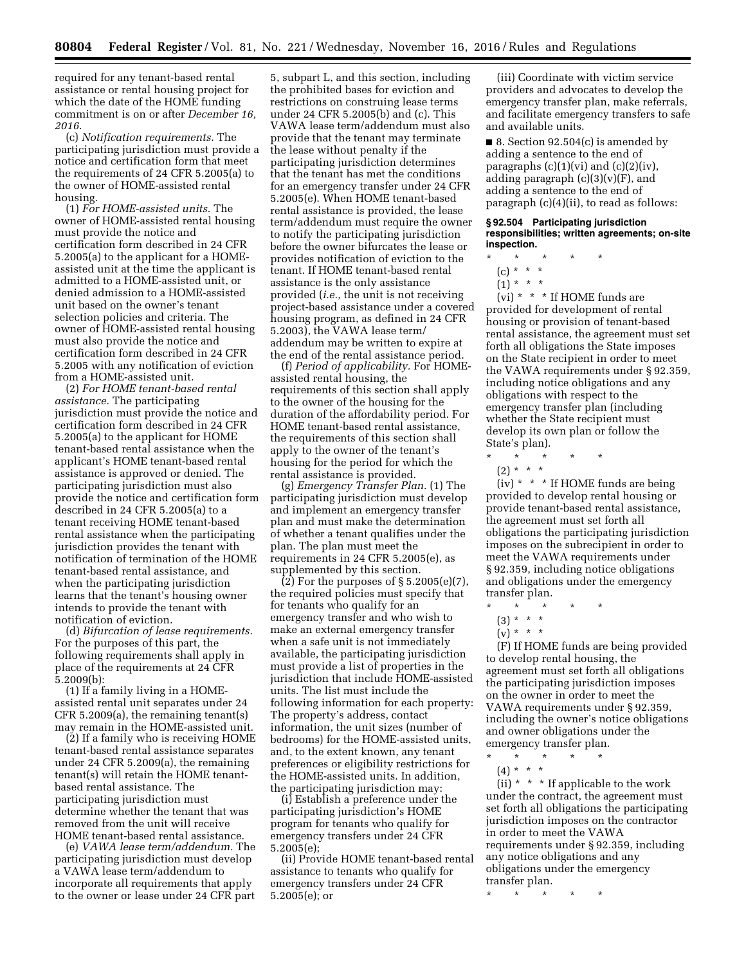required for any tenant-based rental assistance or rental housing project for which the date of the HOME funding commitment is on or after *December 16, 2016*.

(c) *Notification requirements.* The participating jurisdiction must provide a notice and certification form that meet the requirements of 24 CFR 5.2005(a) to the owner of HOME-assisted rental housing.

(1) *For HOME-assisted units.* The owner of HOME-assisted rental housing must provide the notice and certification form described in 24 CFR 5.2005(a) to the applicant for a HOMEassisted unit at the time the applicant is admitted to a HOME-assisted unit, or denied admission to a HOME-assisted unit based on the owner's tenant selection policies and criteria. The owner of HOME-assisted rental housing must also provide the notice and certification form described in 24 CFR 5.2005 with any notification of eviction from a HOME-assisted unit.

(2) *For HOME tenant-based rental assistance.* The participating jurisdiction must provide the notice and certification form described in 24 CFR 5.2005(a) to the applicant for HOME tenant-based rental assistance when the applicant's HOME tenant-based rental assistance is approved or denied. The participating jurisdiction must also provide the notice and certification form described in 24 CFR 5.2005(a) to a tenant receiving HOME tenant-based rental assistance when the participating jurisdiction provides the tenant with notification of termination of the HOME tenant-based rental assistance, and when the participating jurisdiction learns that the tenant's housing owner intends to provide the tenant with notification of eviction.

(d) *Bifurcation of lease requirements.*  For the purposes of this part, the following requirements shall apply in place of the requirements at 24 CFR 5.2009(b):

(1) If a family living in a HOMEassisted rental unit separates under 24 CFR 5.2009(a), the remaining tenant(s) may remain in the HOME-assisted unit.

(2) If a family who is receiving HOME tenant-based rental assistance separates under 24 CFR 5.2009(a), the remaining tenant(s) will retain the HOME tenantbased rental assistance. The participating jurisdiction must determine whether the tenant that was removed from the unit will receive HOME tenant-based rental assistance.

(e) *VAWA lease term/addendum.* The participating jurisdiction must develop a VAWA lease term/addendum to incorporate all requirements that apply to the owner or lease under 24 CFR part

5, subpart L, and this section, including the prohibited bases for eviction and restrictions on construing lease terms under 24 CFR 5.2005(b) and (c). This VAWA lease term/addendum must also provide that the tenant may terminate the lease without penalty if the participating jurisdiction determines that the tenant has met the conditions for an emergency transfer under 24 CFR 5.2005(e). When HOME tenant-based rental assistance is provided, the lease term/addendum must require the owner to notify the participating jurisdiction before the owner bifurcates the lease or provides notification of eviction to the tenant. If HOME tenant-based rental assistance is the only assistance provided (*i.e.,* the unit is not receiving project-based assistance under a covered housing program, as defined in 24 CFR 5.2003), the VAWA lease term/ addendum may be written to expire at the end of the rental assistance period.

(f) *Period of applicability.* For HOMEassisted rental housing, the requirements of this section shall apply to the owner of the housing for the duration of the affordability period. For HOME tenant-based rental assistance, the requirements of this section shall apply to the owner of the tenant's housing for the period for which the rental assistance is provided.

(g) *Emergency Transfer Plan.* (1) The participating jurisdiction must develop and implement an emergency transfer plan and must make the determination of whether a tenant qualifies under the plan. The plan must meet the requirements in 24 CFR 5.2005(e), as supplemented by this section.

(2) For the purposes of § 5.2005(e)(7), the required policies must specify that for tenants who qualify for an emergency transfer and who wish to make an external emergency transfer when a safe unit is not immediately available, the participating jurisdiction must provide a list of properties in the jurisdiction that include HOME-assisted units. The list must include the following information for each property: The property's address, contact information, the unit sizes (number of bedrooms) for the HOME-assisted units, and, to the extent known, any tenant preferences or eligibility restrictions for the HOME-assisted units. In addition, the participating jurisdiction may:

(i) Establish a preference under the participating jurisdiction's HOME program for tenants who qualify for emergency transfers under 24 CFR 5.2005(e);

(ii) Provide HOME tenant-based rental assistance to tenants who qualify for emergency transfers under 24 CFR 5.2005(e); or

(iii) Coordinate with victim service providers and advocates to develop the emergency transfer plan, make referrals, and facilitate emergency transfers to safe and available units.

 $\blacksquare$  8. Section 92.504(c) is amended by adding a sentence to the end of paragraphs  $(c)(1)(vi)$  and  $(c)(2)(iv)$ , adding paragraph  $(c)(3)(v)(F)$ , and adding a sentence to the end of paragraph (c)(4)(ii), to read as follows:

#### **§ 92.504 Participating jurisdiction responsibilities; written agreements; on-site inspection.**

- \* \* \* \* \*
- (c) \* \* \*
- $(1) * * * *$

 $(vi) * * * If HOME funds are$ provided for development of rental housing or provision of tenant-based rental assistance, the agreement must set forth all obligations the State imposes on the State recipient in order to meet the VAWA requirements under § 92.359, including notice obligations and any obligations with respect to the emergency transfer plan (including whether the State recipient must develop its own plan or follow the State's plan).

\* \* \* \* \* (2) \* \* \*

(iv) \* \* \* If HOME funds are being provided to develop rental housing or provide tenant-based rental assistance, the agreement must set forth all obligations the participating jurisdiction imposes on the subrecipient in order to meet the VAWA requirements under § 92.359, including notice obligations and obligations under the emergency transfer plan.

- $\star$   $\star$
- $(3) * * * *$
- $(v) * * * *$

(F) If HOME funds are being provided to develop rental housing, the agreement must set forth all obligations the participating jurisdiction imposes on the owner in order to meet the VAWA requirements under § 92.359, including the owner's notice obligations and owner obligations under the emergency transfer plan.

- \* \* \* \* \*
- (4) \* \* \*

(ii)  $*$   $*$   $*$  If applicable to the work under the contract, the agreement must set forth all obligations the participating jurisdiction imposes on the contractor in order to meet the VAWA requirements under § 92.359, including any notice obligations and any obligations under the emergency transfer plan.

\* \* \* \* \*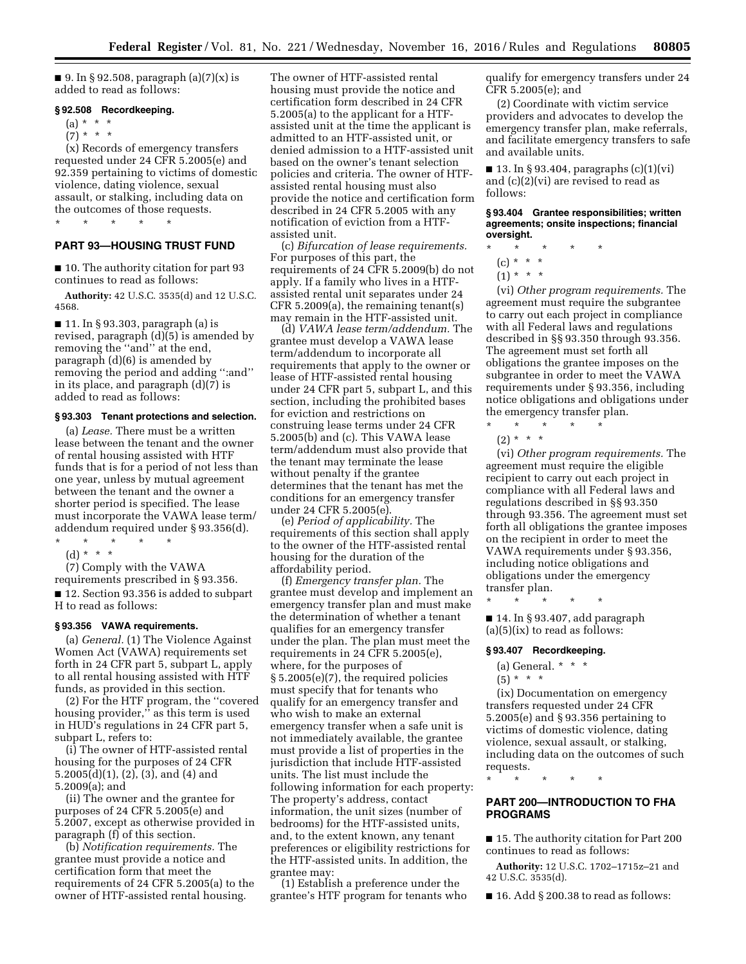■ 9. In § 92.508, paragraph  $(a)(7)(x)$  is added to read as follows:

# **§ 92.508 Recordkeeping.**

\* \* \* \* \*

- (a) \* \* \*
- $(7) * * * *$

(x) Records of emergency transfers requested under 24 CFR 5.2005(e) and 92.359 pertaining to victims of domestic violence, dating violence, sexual assault, or stalking, including data on the outcomes of those requests.

**PART 93—HOUSING TRUST FUND** 

■ 10. The authority citation for part 93 continues to read as follows:

**Authority:** 42 U.S.C. 3535(d) and 12 U.S.C. 4568.

■ 11. In § 93.303, paragraph (a) is revised, paragraph (d)(5) is amended by removing the ''and'' at the end, paragraph (d)(6) is amended by removing the period and adding '':and'' in its place, and paragraph (d)(7) is added to read as follows:

#### **§ 93.303 Tenant protections and selection.**

(a) *Lease.* There must be a written lease between the tenant and the owner of rental housing assisted with HTF funds that is for a period of not less than one year, unless by mutual agreement between the tenant and the owner a shorter period is specified. The lease must incorporate the VAWA lease term/ addendum required under § 93.356(d).

\* \* \* \* \*

(d) \* \* \*

(7) Comply with the VAWA

requirements prescribed in § 93.356. ■ 12. Section 93.356 is added to subpart H to read as follows:

#### **§ 93.356 VAWA requirements.**

(a) *General.* (1) The Violence Against Women Act (VAWA) requirements set forth in 24 CFR part 5, subpart L, apply to all rental housing assisted with HTF funds, as provided in this section.

(2) For the HTF program, the ''covered housing provider,'' as this term is used in HUD's regulations in 24 CFR part 5, subpart L, refers to:

(i) The owner of HTF-assisted rental housing for the purposes of 24 CFR 5.2005(d)(1), (2), (3), and (4) and 5.2009(a); and

(ii) The owner and the grantee for purposes of 24 CFR 5.2005(e) and 5.2007, except as otherwise provided in paragraph (f) of this section.

(b) *Notification requirements.* The grantee must provide a notice and certification form that meet the requirements of 24 CFR 5.2005(a) to the owner of HTF-assisted rental housing.

The owner of HTF-assisted rental housing must provide the notice and certification form described in 24 CFR 5.2005(a) to the applicant for a HTFassisted unit at the time the applicant is admitted to an HTF-assisted unit, or denied admission to a HTF-assisted unit based on the owner's tenant selection policies and criteria. The owner of HTFassisted rental housing must also provide the notice and certification form described in 24 CFR 5.2005 with any notification of eviction from a HTFassisted unit.

(c) *Bifurcation of lease requirements.*  For purposes of this part, the requirements of 24 CFR 5.2009(b) do not apply. If a family who lives in a HTFassisted rental unit separates under 24 CFR 5.2009(a), the remaining tenant(s) may remain in the HTF-assisted unit.

(d) *VAWA lease term/addendum.* The grantee must develop a VAWA lease term/addendum to incorporate all requirements that apply to the owner or lease of HTF-assisted rental housing under 24 CFR part 5, subpart L, and this section, including the prohibited bases for eviction and restrictions on construing lease terms under 24 CFR 5.2005(b) and (c). This VAWA lease term/addendum must also provide that the tenant may terminate the lease without penalty if the grantee determines that the tenant has met the conditions for an emergency transfer under 24 CFR 5.2005(e).

(e) *Period of applicability.* The requirements of this section shall apply to the owner of the HTF-assisted rental housing for the duration of the affordability period.

(f) *Emergency transfer plan.* The grantee must develop and implement an emergency transfer plan and must make the determination of whether a tenant qualifies for an emergency transfer under the plan. The plan must meet the requirements in 24 CFR 5.2005(e), where, for the purposes of § 5.2005(e)(7), the required policies must specify that for tenants who qualify for an emergency transfer and who wish to make an external emergency transfer when a safe unit is not immediately available, the grantee must provide a list of properties in the jurisdiction that include HTF-assisted units. The list must include the following information for each property: The property's address, contact information, the unit sizes (number of bedrooms) for the HTF-assisted units, and, to the extent known, any tenant preferences or eligibility restrictions for the HTF-assisted units. In addition, the grantee may:

(1) Establish a preference under the grantee's HTF program for tenants who qualify for emergency transfers under 24 CFR 5.2005(e); and

(2) Coordinate with victim service providers and advocates to develop the emergency transfer plan, make referrals, and facilitate emergency transfers to safe and available units.

 $\blacksquare$  13. In § 93.404, paragraphs (c)(1)(vi) and (c)(2)(vi) are revised to read as follows:

**§ 93.404 Grantee responsibilities; written agreements; onsite inspections; financial oversight.** 

\* \* \* \* \*

- (c) \* \* \*
- $(1) * * * *$

(vi) *Other program requirements.* The agreement must require the subgrantee to carry out each project in compliance with all Federal laws and regulations described in §§ 93.350 through 93.356. The agreement must set forth all obligations the grantee imposes on the subgrantee in order to meet the VAWA requirements under § 93.356, including notice obligations and obligations under the emergency transfer plan.

 $\star$   $\qquad$   $\star$   $\qquad$   $\star$  $(2) * * * *$ 

(vi) *Other program requirements.* The agreement must require the eligible recipient to carry out each project in compliance with all Federal laws and regulations described in §§ 93.350 through 93.356. The agreement must set forth all obligations the grantee imposes on the recipient in order to meet the VAWA requirements under § 93.356, including notice obligations and obligations under the emergency transfer plan.

\* \* \* \* \*

■ 14. In § 93.407, add paragraph  $(a)(5)(ix)$  to read as follows:

### **§ 93.407 Recordkeeping.**

(a) General. \* \* \*

 $(5) * * * *$ 

(ix) Documentation on emergency transfers requested under 24 CFR 5.2005(e) and § 93.356 pertaining to victims of domestic violence, dating violence, sexual assault, or stalking, including data on the outcomes of such requests.

\* \* \* \* \*

# **PART 200—INTRODUCTION TO FHA PROGRAMS**

■ 15. The authority citation for Part 200 continues to read as follows:

**Authority:** 12 U.S.C. 1702–1715z–21 and 42 U.S.C. 3535(d).

 $\blacksquare$  16. Add § 200.38 to read as follows: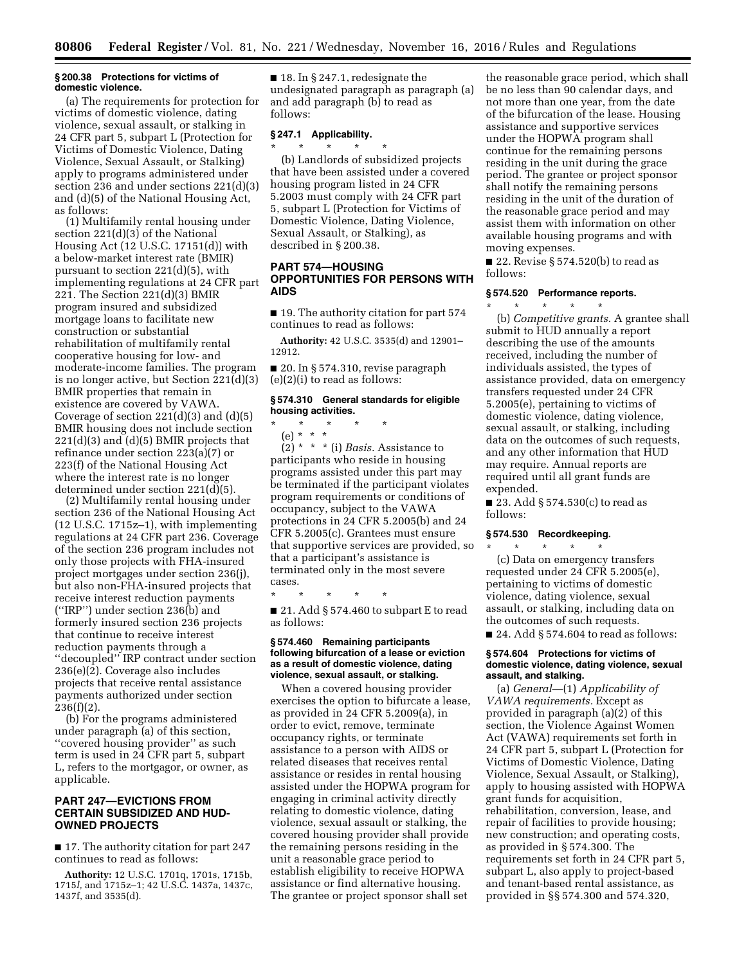### **§ 200.38 Protections for victims of domestic violence.**

(a) The requirements for protection for victims of domestic violence, dating violence, sexual assault, or stalking in 24 CFR part 5, subpart L (Protection for Victims of Domestic Violence, Dating Violence, Sexual Assault, or Stalking) apply to programs administered under section 236 and under sections 221(d)(3) and (d)(5) of the National Housing Act, as follows:

(1) Multifamily rental housing under section 221(d)(3) of the National Housing Act (12 U.S.C. 17151(d)) with a below-market interest rate (BMIR) pursuant to section 221(d)(5), with implementing regulations at 24 CFR part 221. The Section 221(d)(3) BMIR program insured and subsidized mortgage loans to facilitate new construction or substantial rehabilitation of multifamily rental cooperative housing for low- and moderate-income families. The program is no longer active, but Section 221(d)(3) BMIR properties that remain in existence are covered by VAWA. Coverage of section 221(d)(3) and (d)(5) BMIR housing does not include section  $221(d)(3)$  and  $(d)(5)$  BMIR projects that refinance under section 223(a)(7) or 223(f) of the National Housing Act where the interest rate is no longer determined under section 221(d)(5).

(2) Multifamily rental housing under section 236 of the National Housing Act (12 U.S.C. 1715z–1), with implementing regulations at 24 CFR part 236. Coverage of the section 236 program includes not only those projects with FHA-insured project mortgages under section 236(j), but also non-FHA-insured projects that receive interest reduction payments (''IRP'') under section 236(b) and formerly insured section 236 projects that continue to receive interest reduction payments through a ''decoupled'' IRP contract under section 236(e)(2). Coverage also includes projects that receive rental assistance payments authorized under section  $236(f)(2)$ .

(b) For the programs administered under paragraph (a) of this section, "covered housing provider" as such term is used in 24 CFR part 5, subpart L, refers to the mortgagor, or owner, as applicable.

# **PART 247—EVICTIONS FROM CERTAIN SUBSIDIZED AND HUD-OWNED PROJECTS**

■ 17. The authority citation for part 247 continues to read as follows:

**Authority:** 12 U.S.C. 1701q, 1701s, 1715b, 1715*l,* and 1715z–1; 42 U.S.C. 1437a, 1437c, 1437f, and 3535(d).

■ 18. In § 247.1, redesignate the undesignated paragraph as paragraph (a) and add paragraph (b) to read as follows:

#### **§ 247.1 Applicability.**  \* \* \* \* \*

(b) Landlords of subsidized projects that have been assisted under a covered housing program listed in 24 CFR 5.2003 must comply with 24 CFR part 5, subpart L (Protection for Victims of Domestic Violence, Dating Violence, Sexual Assault, or Stalking), as described in § 200.38.

# **PART 574—HOUSING OPPORTUNITIES FOR PERSONS WITH AIDS**

■ 19. The authority citation for part 574 continues to read as follows:

**Authority:** 42 U.S.C. 3535(d) and 12901– 12912.

■ 20. In § 574.310, revise paragraph (e)(2)(i) to read as follows:

# **§ 574.310 General standards for eligible housing activities.**

\* \* \* \* \*

(e) \* \* \*

(2) \* \* \* (i) *Basis.* Assistance to participants who reside in housing programs assisted under this part may be terminated if the participant violates program requirements or conditions of occupancy, subject to the VAWA protections in 24 CFR 5.2005(b) and 24 CFR 5.2005(c). Grantees must ensure that supportive services are provided, so that a participant's assistance is terminated only in the most severe cases.

\* \* \* \* \*

■ 21. Add § 574.460 to subpart E to read as follows:

# **§ 574.460 Remaining participants following bifurcation of a lease or eviction as a result of domestic violence, dating violence, sexual assault, or stalking.**

When a covered housing provider exercises the option to bifurcate a lease, as provided in 24 CFR 5.2009(a), in order to evict, remove, terminate occupancy rights, or terminate assistance to a person with AIDS or related diseases that receives rental assistance or resides in rental housing assisted under the HOPWA program for engaging in criminal activity directly relating to domestic violence, dating violence, sexual assault or stalking, the covered housing provider shall provide the remaining persons residing in the unit a reasonable grace period to establish eligibility to receive HOPWA assistance or find alternative housing. The grantee or project sponsor shall set

the reasonable grace period, which shall be no less than 90 calendar days, and not more than one year, from the date of the bifurcation of the lease. Housing assistance and supportive services under the HOPWA program shall continue for the remaining persons residing in the unit during the grace period. The grantee or project sponsor shall notify the remaining persons residing in the unit of the duration of the reasonable grace period and may assist them with information on other available housing programs and with moving expenses.

■ 22. Revise § 574.520(b) to read as follows:

### **§ 574.520 Performance reports.**

\* \* \* \* \* (b) *Competitive grants.* A grantee shall submit to HUD annually a report describing the use of the amounts received, including the number of individuals assisted, the types of assistance provided, data on emergency transfers requested under 24 CFR 5.2005(e), pertaining to victims of domestic violence, dating violence, sexual assault, or stalking, including data on the outcomes of such requests, and any other information that HUD may require. Annual reports are required until all grant funds are expended.

■ 23. Add  $§ 574.530(c)$  to read as follows:

# **§ 574.530 Recordkeeping.**

\* \* \* \* \* (c) Data on emergency transfers requested under 24 CFR 5.2005(e), pertaining to victims of domestic violence, dating violence, sexual assault, or stalking, including data on the outcomes of such requests.

■ 24. Add § 574.604 to read as follows:

## **§ 574.604 Protections for victims of domestic violence, dating violence, sexual assault, and stalking.**

(a) *General*—(1) *Applicability of VAWA requirements.* Except as provided in paragraph (a)(2) of this section, the Violence Against Women Act (VAWA) requirements set forth in 24 CFR part 5, subpart L (Protection for Victims of Domestic Violence, Dating Violence, Sexual Assault, or Stalking), apply to housing assisted with HOPWA grant funds for acquisition, rehabilitation, conversion, lease, and repair of facilities to provide housing; new construction; and operating costs, as provided in § 574.300. The requirements set forth in 24 CFR part 5, subpart L, also apply to project-based and tenant-based rental assistance, as provided in §§ 574.300 and 574.320,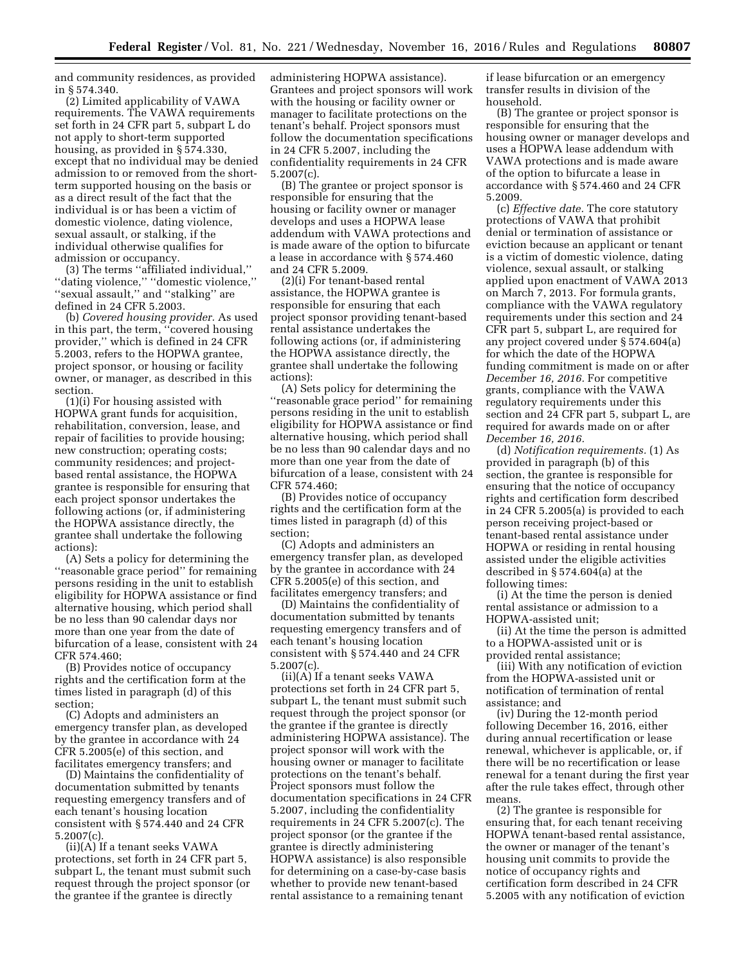and community residences, as provided in § 574.340.

(2) Limited applicability of VAWA requirements. The VAWA requirements set forth in 24 CFR part 5, subpart L do not apply to short-term supported housing, as provided in § 574.330, except that no individual may be denied admission to or removed from the shortterm supported housing on the basis or as a direct result of the fact that the individual is or has been a victim of domestic violence, dating violence, sexual assault, or stalking, if the individual otherwise qualifies for admission or occupancy.

(3) The terms ''affiliated individual,'' ''dating violence,'' ''domestic violence,'' ''sexual assault,'' and ''stalking'' are defined in 24 CFR 5.2003.

(b) *Covered housing provider.* As used in this part, the term, ''covered housing provider,'' which is defined in 24 CFR 5.2003, refers to the HOPWA grantee, project sponsor, or housing or facility owner, or manager, as described in this section.

(1)(i) For housing assisted with HOPWA grant funds for acquisition, rehabilitation, conversion, lease, and repair of facilities to provide housing; new construction; operating costs; community residences; and projectbased rental assistance, the HOPWA grantee is responsible for ensuring that each project sponsor undertakes the following actions (or, if administering the HOPWA assistance directly, the grantee shall undertake the following actions):

(A) Sets a policy for determining the ''reasonable grace period'' for remaining persons residing in the unit to establish eligibility for HOPWA assistance or find alternative housing, which period shall be no less than 90 calendar days nor more than one year from the date of bifurcation of a lease, consistent with 24 CFR 574.460;

(B) Provides notice of occupancy rights and the certification form at the times listed in paragraph (d) of this section;

(C) Adopts and administers an emergency transfer plan, as developed by the grantee in accordance with 24 CFR 5.2005(e) of this section, and facilitates emergency transfers; and

(D) Maintains the confidentiality of documentation submitted by tenants requesting emergency transfers and of each tenant's housing location consistent with § 574.440 and 24 CFR 5.2007(c).

(ii)(A) If a tenant seeks VAWA protections, set forth in 24 CFR part 5, subpart L, the tenant must submit such request through the project sponsor (or the grantee if the grantee is directly

administering HOPWA assistance). Grantees and project sponsors will work with the housing or facility owner or manager to facilitate protections on the tenant's behalf. Project sponsors must follow the documentation specifications in 24 CFR 5.2007, including the confidentiality requirements in 24 CFR 5.2007(c).

(B) The grantee or project sponsor is responsible for ensuring that the housing or facility owner or manager develops and uses a HOPWA lease addendum with VAWA protections and is made aware of the option to bifurcate a lease in accordance with § 574.460 and 24 CFR 5.2009.

(2)(i) For tenant-based rental assistance, the HOPWA grantee is responsible for ensuring that each project sponsor providing tenant-based rental assistance undertakes the following actions (or, if administering the HOPWA assistance directly, the grantee shall undertake the following actions):

(A) Sets policy for determining the ''reasonable grace period'' for remaining persons residing in the unit to establish eligibility for HOPWA assistance or find alternative housing, which period shall be no less than 90 calendar days and no more than one year from the date of bifurcation of a lease, consistent with 24 CFR 574.460;

(B) Provides notice of occupancy rights and the certification form at the times listed in paragraph (d) of this section;

(C) Adopts and administers an emergency transfer plan, as developed by the grantee in accordance with 24 CFR 5.2005(e) of this section, and facilitates emergency transfers; and

(D) Maintains the confidentiality of documentation submitted by tenants requesting emergency transfers and of each tenant's housing location consistent with § 574.440 and 24 CFR 5.2007(c).

(ii)(A) If a tenant seeks VAWA protections set forth in 24 CFR part 5, subpart L, the tenant must submit such request through the project sponsor (or the grantee if the grantee is directly administering HOPWA assistance). The project sponsor will work with the housing owner or manager to facilitate protections on the tenant's behalf. Project sponsors must follow the documentation specifications in 24 CFR 5.2007, including the confidentiality requirements in 24 CFR 5.2007(c). The project sponsor (or the grantee if the grantee is directly administering HOPWA assistance) is also responsible for determining on a case-by-case basis whether to provide new tenant-based rental assistance to a remaining tenant

if lease bifurcation or an emergency transfer results in division of the household.

(B) The grantee or project sponsor is responsible for ensuring that the housing owner or manager develops and uses a HOPWA lease addendum with VAWA protections and is made aware of the option to bifurcate a lease in accordance with § 574.460 and 24 CFR 5.2009.

(c) *Effective date.* The core statutory protections of VAWA that prohibit denial or termination of assistance or eviction because an applicant or tenant is a victim of domestic violence, dating violence, sexual assault, or stalking applied upon enactment of VAWA 2013 on March 7, 2013. For formula grants, compliance with the VAWA regulatory requirements under this section and 24 CFR part 5, subpart L, are required for any project covered under § 574.604(a) for which the date of the HOPWA funding commitment is made on or after *December 16, 2016.* For competitive grants, compliance with the VAWA regulatory requirements under this section and 24 CFR part 5, subpart L, are required for awards made on or after *December 16, 2016.* 

(d) *Notification requirements.* (1) As provided in paragraph (b) of this section, the grantee is responsible for ensuring that the notice of occupancy rights and certification form described in 24 CFR 5.2005(a) is provided to each person receiving project-based or tenant-based rental assistance under HOPWA or residing in rental housing assisted under the eligible activities described in § 574.604(a) at the following times:

(i) At the time the person is denied rental assistance or admission to a HOPWA-assisted unit;

(ii) At the time the person is admitted to a HOPWA-assisted unit or is provided rental assistance;

(iii) With any notification of eviction from the HOPWA-assisted unit or notification of termination of rental assistance; and

(iv) During the 12-month period following December 16, 2016, either during annual recertification or lease renewal, whichever is applicable, or, if there will be no recertification or lease renewal for a tenant during the first year after the rule takes effect, through other means.

(2) The grantee is responsible for ensuring that, for each tenant receiving HOPWA tenant-based rental assistance, the owner or manager of the tenant's housing unit commits to provide the notice of occupancy rights and certification form described in 24 CFR 5.2005 with any notification of eviction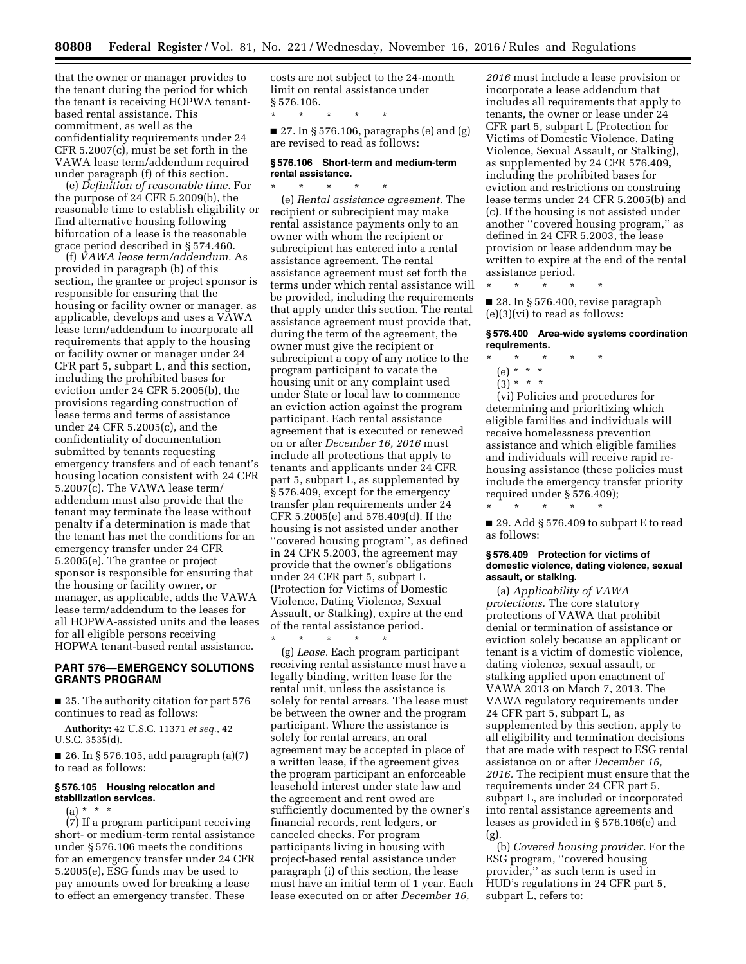that the owner or manager provides to the tenant during the period for which the tenant is receiving HOPWA tenantbased rental assistance. This commitment, as well as the confidentiality requirements under 24 CFR 5.2007(c), must be set forth in the VAWA lease term/addendum required under paragraph (f) of this section.

(e) *Definition of reasonable time.* For the purpose of 24 CFR 5.2009(b), the reasonable time to establish eligibility or find alternative housing following bifurcation of a lease is the reasonable grace period described in § 574.460.

(f) *VAWA lease term/addendum.* As provided in paragraph (b) of this section, the grantee or project sponsor is responsible for ensuring that the housing or facility owner or manager, as applicable, develops and uses a VAWA lease term/addendum to incorporate all requirements that apply to the housing or facility owner or manager under 24 CFR part 5, subpart L, and this section, including the prohibited bases for eviction under 24 CFR 5.2005(b), the provisions regarding construction of lease terms and terms of assistance under 24 CFR 5.2005(c), and the confidentiality of documentation submitted by tenants requesting emergency transfers and of each tenant's housing location consistent with 24 CFR 5.2007(c). The VAWA lease term/ addendum must also provide that the tenant may terminate the lease without penalty if a determination is made that the tenant has met the conditions for an emergency transfer under 24 CFR 5.2005(e). The grantee or project sponsor is responsible for ensuring that the housing or facility owner, or manager, as applicable, adds the VAWA lease term/addendum to the leases for all HOPWA-assisted units and the leases for all eligible persons receiving HOPWA tenant-based rental assistance.

# **PART 576—EMERGENCY SOLUTIONS GRANTS PROGRAM**

■ 25. The authority citation for part 576 continues to read as follows:

**Authority:** 42 U.S.C. 11371 *et seq.,* 42 U.S.C. 3535(d).

■ 26. In § 576.105, add paragraph (a)(7) to read as follows:

## **§ 576.105 Housing relocation and stabilization services.**

 $(a) * * * *$ 

(7) If a program participant receiving short- or medium-term rental assistance under § 576.106 meets the conditions for an emergency transfer under 24 CFR 5.2005(e), ESG funds may be used to pay amounts owed for breaking a lease to effect an emergency transfer. These

costs are not subject to the 24-month limit on rental assistance under § 576.106.

\* \* \* \* \*

 $\blacksquare$  27. In § 576.106, paragraphs (e) and (g) are revised to read as follows:

#### **§ 576.106 Short-term and medium-term rental assistance.**  \* \* \* \* \*

(e) *Rental assistance agreement.* The recipient or subrecipient may make rental assistance payments only to an owner with whom the recipient or subrecipient has entered into a rental assistance agreement. The rental assistance agreement must set forth the terms under which rental assistance will be provided, including the requirements that apply under this section. The rental assistance agreement must provide that, during the term of the agreement, the owner must give the recipient or subrecipient a copy of any notice to the program participant to vacate the housing unit or any complaint used under State or local law to commence an eviction action against the program participant. Each rental assistance agreement that is executed or renewed on or after *December 16, 2016* must include all protections that apply to tenants and applicants under 24 CFR part 5, subpart L, as supplemented by § 576.409, except for the emergency transfer plan requirements under 24 CFR 5.2005(e) and 576.409(d). If the housing is not assisted under another ''covered housing program'', as defined in 24 CFR 5.2003, the agreement may provide that the owner's obligations under 24 CFR part 5, subpart L (Protection for Victims of Domestic Violence, Dating Violence, Sexual Assault, or Stalking), expire at the end of the rental assistance period.

\* \* \* \* \* (g) *Lease.* Each program participant receiving rental assistance must have a legally binding, written lease for the rental unit, unless the assistance is solely for rental arrears. The lease must be between the owner and the program participant. Where the assistance is solely for rental arrears, an oral agreement may be accepted in place of a written lease, if the agreement gives the program participant an enforceable leasehold interest under state law and the agreement and rent owed are sufficiently documented by the owner's financial records, rent ledgers, or canceled checks. For program participants living in housing with project-based rental assistance under paragraph (i) of this section, the lease must have an initial term of 1 year. Each lease executed on or after *December 16,* 

*2016* must include a lease provision or incorporate a lease addendum that includes all requirements that apply to tenants, the owner or lease under 24 CFR part 5, subpart L (Protection for Victims of Domestic Violence, Dating Violence, Sexual Assault, or Stalking), as supplemented by 24 CFR 576.409, including the prohibited bases for eviction and restrictions on construing lease terms under 24 CFR 5.2005(b) and (c). If the housing is not assisted under another ''covered housing program,'' as defined in 24 CFR 5.2003, the lease provision or lease addendum may be written to expire at the end of the rental assistance period.

\* \* \* \* \*

■ 28. In § 576.400, revise paragraph (e)(3)(vi) to read as follows:

### **§ 576.400 Area-wide systems coordination requirements.**

- \* \* \* \* \*
	- (e) \* \* \*
	- $(3) * * * *$

(vi) Policies and procedures for determining and prioritizing which eligible families and individuals will receive homelessness prevention assistance and which eligible families and individuals will receive rapid rehousing assistance (these policies must include the emergency transfer priority required under § 576.409);

■ 29. Add § 576.409 to subpart E to read as follows:

\* \* \* \* \*

### **§ 576.409 Protection for victims of domestic violence, dating violence, sexual assault, or stalking.**

(a) *Applicability of VAWA protections.* The core statutory protections of VAWA that prohibit denial or termination of assistance or eviction solely because an applicant or tenant is a victim of domestic violence, dating violence, sexual assault, or stalking applied upon enactment of VAWA 2013 on March 7, 2013. The VAWA regulatory requirements under 24 CFR part 5, subpart L, as supplemented by this section, apply to all eligibility and termination decisions that are made with respect to ESG rental assistance on or after *December 16, 2016.* The recipient must ensure that the requirements under 24 CFR part 5, subpart L, are included or incorporated into rental assistance agreements and leases as provided in § 576.106(e) and (g).

(b) *Covered housing provider.* For the ESG program, ''covered housing provider,'' as such term is used in HUD's regulations in 24 CFR part 5, subpart L, refers to: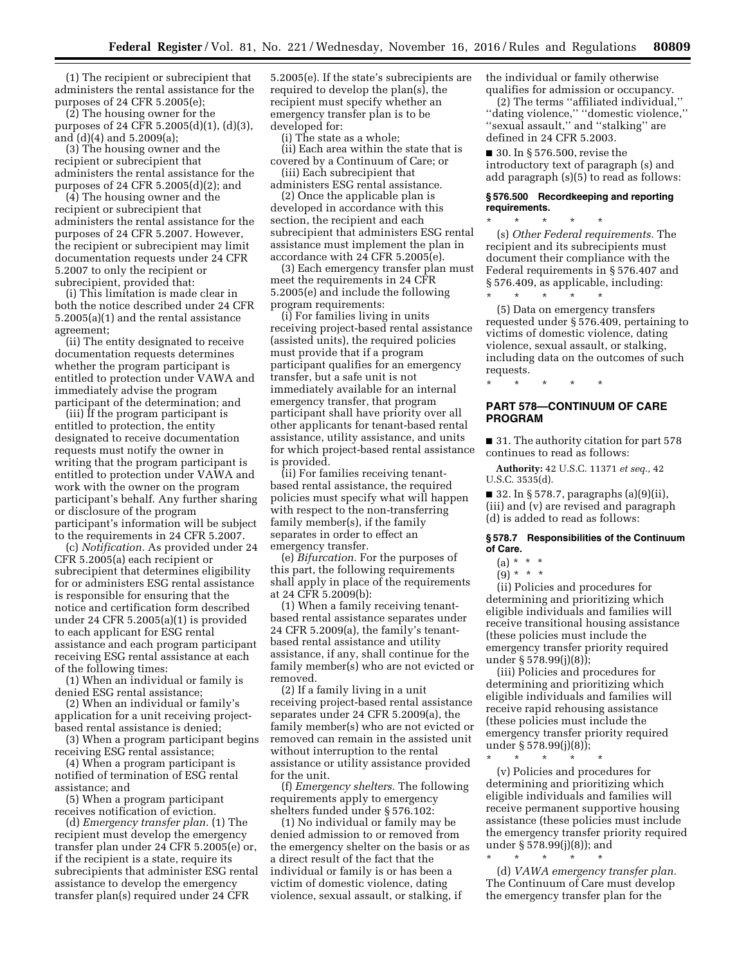(1) The recipient or subrecipient that administers the rental assistance for the purposes of 24 CFR 5.2005(e);

(2) The housing owner for the purposes of 24 CFR 5.2005(d)(1), (d)(3), and (d)(4) and 5.2009(a);

(3) The housing owner and the recipient or subrecipient that administers the rental assistance for the purposes of 24 CFR 5.2005(d)(2); and

(4) The housing owner and the recipient or subrecipient that administers the rental assistance for the purposes of 24 CFR 5.2007. However, the recipient or subrecipient may limit documentation requests under 24 CFR 5.2007 to only the recipient or subrecipient, provided that:

(i) This limitation is made clear in both the notice described under 24 CFR 5.2005(a)(1) and the rental assistance agreement;

(ii) The entity designated to receive documentation requests determines whether the program participant is entitled to protection under VAWA and immediately advise the program participant of the determination; and

(iii) If the program participant is entitled to protection, the entity designated to receive documentation requests must notify the owner in writing that the program participant is entitled to protection under VAWA and work with the owner on the program participant's behalf. Any further sharing or disclosure of the program participant's information will be subject to the requirements in 24 CFR 5.2007.

(c) *Notification.* As provided under 24 CFR 5.2005(a) each recipient or subrecipient that determines eligibility for or administers ESG rental assistance is responsible for ensuring that the notice and certification form described under 24 CFR 5.2005(a)(1) is provided to each applicant for ESG rental assistance and each program participant receiving ESG rental assistance at each of the following times:

(1) When an individual or family is denied ESG rental assistance;

(2) When an individual or family's application for a unit receiving projectbased rental assistance is denied;

(3) When a program participant begins receiving ESG rental assistance;

(4) When a program participant is notified of termination of ESG rental assistance; and

(5) When a program participant receives notification of eviction.

(d) *Emergency transfer plan.* (1) The recipient must develop the emergency transfer plan under 24 CFR 5.2005(e) or, if the recipient is a state, require its subrecipients that administer ESG rental assistance to develop the emergency transfer plan(s) required under 24 CFR

5.2005(e). If the state's subrecipients are required to develop the plan(s), the recipient must specify whether an emergency transfer plan is to be developed for:

(i) The state as a whole;

(ii) Each area within the state that is covered by a Continuum of Care; or (iii) Each subrecipient that

administers ESG rental assistance.

(2) Once the applicable plan is developed in accordance with this section, the recipient and each subrecipient that administers ESG rental assistance must implement the plan in accordance with 24 CFR 5.2005(e).

(3) Each emergency transfer plan must meet the requirements in 24 CFR 5.2005(e) and include the following program requirements:

(i) For families living in units receiving project-based rental assistance (assisted units), the required policies must provide that if a program participant qualifies for an emergency transfer, but a safe unit is not immediately available for an internal emergency transfer, that program participant shall have priority over all other applicants for tenant-based rental assistance, utility assistance, and units for which project-based rental assistance is provided.

(ii) For families receiving tenantbased rental assistance, the required policies must specify what will happen with respect to the non-transferring family member(s), if the family separates in order to effect an emergency transfer.

(e) *Bifurcation.* For the purposes of this part, the following requirements shall apply in place of the requirements at 24 CFR 5.2009(b):

(1) When a family receiving tenantbased rental assistance separates under 24 CFR 5.2009(a), the family's tenantbased rental assistance and utility assistance, if any, shall continue for the family member(s) who are not evicted or removed.

(2) If a family living in a unit receiving project-based rental assistance separates under 24 CFR 5.2009(a), the family member(s) who are not evicted or removed can remain in the assisted unit without interruption to the rental assistance or utility assistance provided for the unit.

(f) *Emergency shelters.* The following requirements apply to emergency shelters funded under § 576.102:

(1) No individual or family may be denied admission to or removed from the emergency shelter on the basis or as a direct result of the fact that the individual or family is or has been a victim of domestic violence, dating violence, sexual assault, or stalking, if

the individual or family otherwise qualifies for admission or occupancy.

(2) The terms ''affiliated individual,'' ''dating violence,'' ''domestic violence,'' ''sexual assault,'' and ''stalking'' are defined in 24 CFR 5.2003.

■ 30. In § 576.500, revise the introductory text of paragraph (s) and add paragraph (s)(5) to read as follows:

### **§ 576.500 Recordkeeping and reporting requirements.**

\* \* \* \* \* (s) *Other Federal requirements.* The recipient and its subrecipients must document their compliance with the Federal requirements in § 576.407 and § 576.409, as applicable, including:

\* \* \* \* \* (5) Data on emergency transfers requested under § 576.409, pertaining to victims of domestic violence, dating violence, sexual assault, or stalking, including data on the outcomes of such requests.

**PART 578—CONTINUUM OF CARE PROGRAM** 

\* \* \* \* \*

■ 31. The authority citation for part 578 continues to read as follows:

**Authority:** 42 U.S.C. 11371 *et seq.,* 42 U.S.C. 3535(d).

 $\blacksquare$  32. In § 578.7, paragraphs (a)(9)(ii), (iii) and (v) are revised and paragraph (d) is added to read as follows:

# **§ 578.7 Responsibilities of the Continuum of Care.**

# $(a) * * * *$

 $(9) * * * *$ 

(ii) Policies and procedures for determining and prioritizing which eligible individuals and families will receive transitional housing assistance (these policies must include the emergency transfer priority required under § 578.99(j)(8));

(iii) Policies and procedures for determining and prioritizing which eligible individuals and families will receive rapid rehousing assistance (these policies must include the emergency transfer priority required under § 578.99(j)(8));

\* \* \* \* \*

(v) Policies and procedures for determining and prioritizing which eligible individuals and families will receive permanent supportive housing assistance (these policies must include the emergency transfer priority required under § 578.99(j)(8)); and

\* \* \* \* \* (d) *VAWA emergency transfer plan.*  The Continuum of Care must develop the emergency transfer plan for the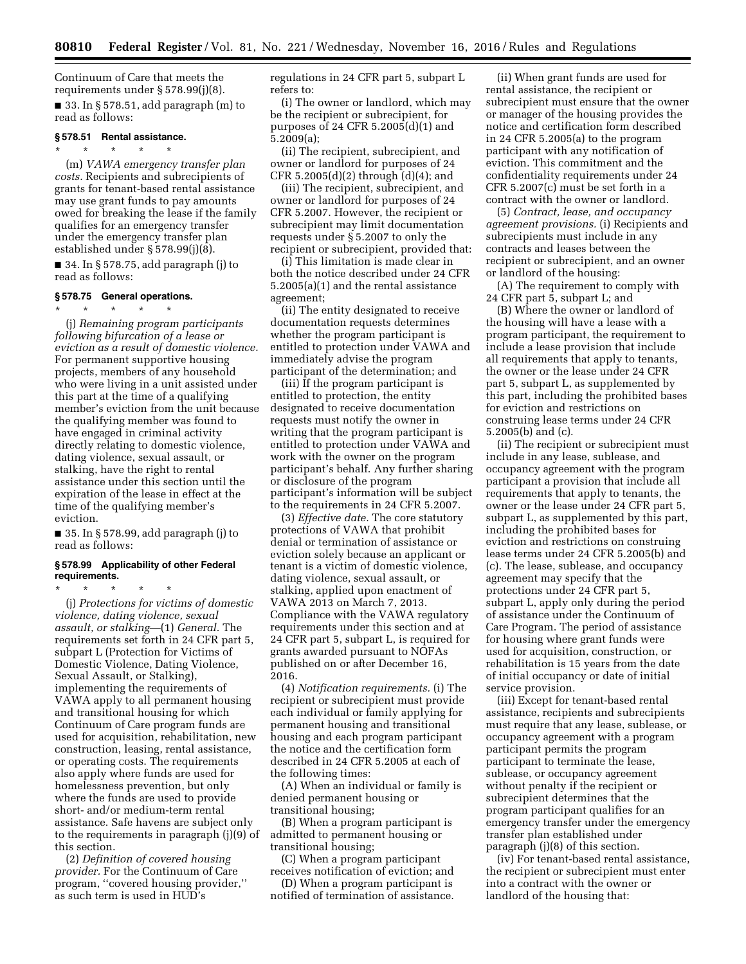Continuum of Care that meets the requirements under § 578.99(j)(8).  $\blacksquare$  33. In § 578.51, add paragraph (m) to read as follows:

#### **§ 578.51 Rental assistance.**

\* \* \* \* \*

(m) *VAWA emergency transfer plan costs.* Recipients and subrecipients of grants for tenant-based rental assistance may use grant funds to pay amounts owed for breaking the lease if the family qualifies for an emergency transfer under the emergency transfer plan established under § 578.99(j)(8).

■ 34. In § 578.75, add paragraph (j) to read as follows:

#### **§ 578.75 General operations.**

\* \* \* \* \*

(j) *Remaining program participants following bifurcation of a lease or eviction as a result of domestic violence.*  For permanent supportive housing projects, members of any household who were living in a unit assisted under this part at the time of a qualifying member's eviction from the unit because the qualifying member was found to have engaged in criminal activity directly relating to domestic violence, dating violence, sexual assault, or stalking, have the right to rental assistance under this section until the expiration of the lease in effect at the time of the qualifying member's eviction.

■ 35. In § 578.99, add paragraph (j) to read as follows:

# **§ 578.99 Applicability of other Federal requirements.**

\* \* \* \* \* (j) *Protections for victims of domestic violence, dating violence, sexual assault, or stalking*—(1) *General.* The requirements set forth in 24 CFR part 5, subpart L (Protection for Victims of Domestic Violence, Dating Violence, Sexual Assault, or Stalking), implementing the requirements of VAWA apply to all permanent housing and transitional housing for which Continuum of Care program funds are used for acquisition, rehabilitation, new construction, leasing, rental assistance, or operating costs. The requirements also apply where funds are used for homelessness prevention, but only where the funds are used to provide short- and/or medium-term rental assistance. Safe havens are subject only to the requirements in paragraph (j)(9) of this section.

(2) *Definition of covered housing provider.* For the Continuum of Care program, ''covered housing provider,'' as such term is used in HUD's

regulations in 24 CFR part 5, subpart L refers to:

(i) The owner or landlord, which may be the recipient or subrecipient, for purposes of 24 CFR 5.2005(d)(1) and 5.2009(a);

(ii) The recipient, subrecipient, and owner or landlord for purposes of 24  $CFR 5.2005(d)(2)$  through  $(d)(4)$ ; and

(iii) The recipient, subrecipient, and owner or landlord for purposes of 24 CFR 5.2007. However, the recipient or subrecipient may limit documentation requests under § 5.2007 to only the recipient or subrecipient, provided that:

(i) This limitation is made clear in both the notice described under 24 CFR 5.2005(a)(1) and the rental assistance agreement;

(ii) The entity designated to receive documentation requests determines whether the program participant is entitled to protection under VAWA and immediately advise the program participant of the determination; and

(iii) If the program participant is entitled to protection, the entity designated to receive documentation requests must notify the owner in writing that the program participant is entitled to protection under VAWA and work with the owner on the program participant's behalf. Any further sharing or disclosure of the program participant's information will be subject to the requirements in 24 CFR 5.2007.

(3) *Effective date.* The core statutory protections of VAWA that prohibit denial or termination of assistance or eviction solely because an applicant or tenant is a victim of domestic violence, dating violence, sexual assault, or stalking, applied upon enactment of VAWA 2013 on March 7, 2013. Compliance with the VAWA regulatory requirements under this section and at 24 CFR part 5, subpart L, is required for grants awarded pursuant to NOFAs published on or after December 16, 2016.

(4) *Notification requirements.* (i) The recipient or subrecipient must provide each individual or family applying for permanent housing and transitional housing and each program participant the notice and the certification form described in 24 CFR 5.2005 at each of the following times:

(A) When an individual or family is denied permanent housing or transitional housing;

(B) When a program participant is admitted to permanent housing or transitional housing;

(C) When a program participant receives notification of eviction; and

(D) When a program participant is notified of termination of assistance.

(ii) When grant funds are used for rental assistance, the recipient or subrecipient must ensure that the owner or manager of the housing provides the notice and certification form described in 24 CFR 5.2005(a) to the program participant with any notification of eviction. This commitment and the confidentiality requirements under 24 CFR 5.2007(c) must be set forth in a contract with the owner or landlord.

(5) *Contract, lease, and occupancy agreement provisions.* (i) Recipients and subrecipients must include in any contracts and leases between the recipient or subrecipient, and an owner or landlord of the housing:

(A) The requirement to comply with 24 CFR part 5, subpart L; and

(B) Where the owner or landlord of the housing will have a lease with a program participant, the requirement to include a lease provision that include all requirements that apply to tenants, the owner or the lease under 24 CFR part 5, subpart L, as supplemented by this part, including the prohibited bases for eviction and restrictions on construing lease terms under 24 CFR 5.2005(b) and (c).

(ii) The recipient or subrecipient must include in any lease, sublease, and occupancy agreement with the program participant a provision that include all requirements that apply to tenants, the owner or the lease under 24 CFR part 5, subpart L, as supplemented by this part, including the prohibited bases for eviction and restrictions on construing lease terms under 24 CFR 5.2005(b) and (c). The lease, sublease, and occupancy agreement may specify that the protections under 24 CFR part 5, subpart L, apply only during the period of assistance under the Continuum of Care Program. The period of assistance for housing where grant funds were used for acquisition, construction, or rehabilitation is 15 years from the date of initial occupancy or date of initial service provision.

(iii) Except for tenant-based rental assistance, recipients and subrecipients must require that any lease, sublease, or occupancy agreement with a program participant permits the program participant to terminate the lease, sublease, or occupancy agreement without penalty if the recipient or subrecipient determines that the program participant qualifies for an emergency transfer under the emergency transfer plan established under paragraph (j)(8) of this section.

(iv) For tenant-based rental assistance, the recipient or subrecipient must enter into a contract with the owner or landlord of the housing that: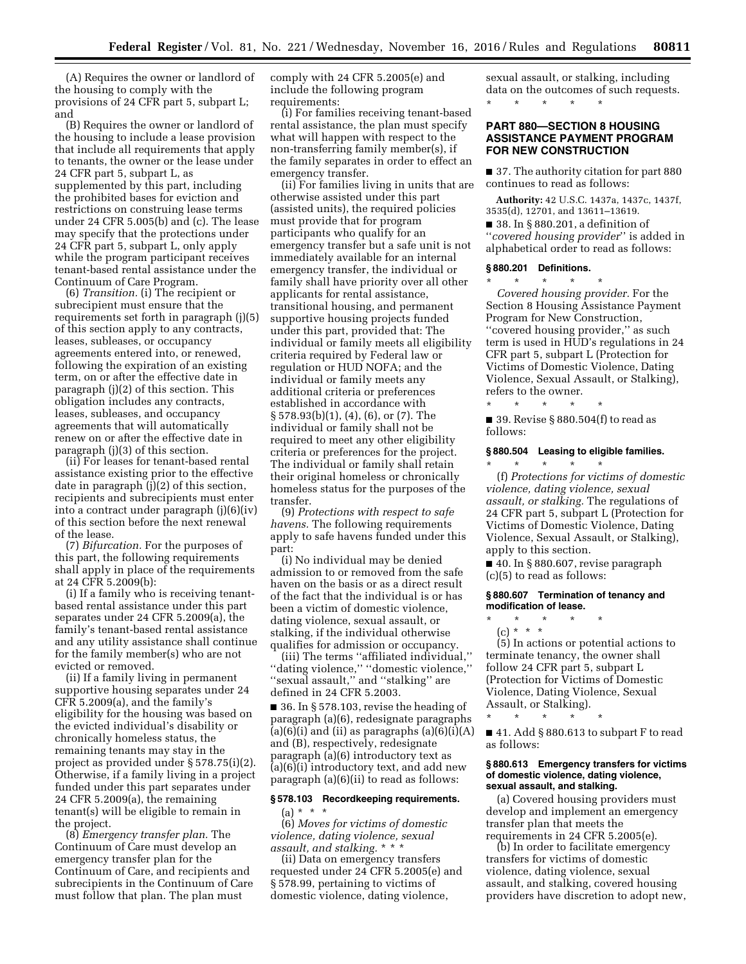(A) Requires the owner or landlord of the housing to comply with the provisions of 24 CFR part 5, subpart L; and

(B) Requires the owner or landlord of the housing to include a lease provision that include all requirements that apply to tenants, the owner or the lease under 24 CFR part 5, subpart L, as supplemented by this part, including the prohibited bases for eviction and restrictions on construing lease terms under 24 CFR 5.005(b) and (c). The lease may specify that the protections under 24 CFR part 5, subpart L, only apply while the program participant receives tenant-based rental assistance under the Continuum of Care Program.

(6) *Transition.* (i) The recipient or subrecipient must ensure that the requirements set forth in paragraph (j)(5) of this section apply to any contracts, leases, subleases, or occupancy agreements entered into, or renewed, following the expiration of an existing term, on or after the effective date in paragraph (j)(2) of this section. This obligation includes any contracts, leases, subleases, and occupancy agreements that will automatically renew on or after the effective date in paragraph (j)(3) of this section.

(ii) For leases for tenant-based rental assistance existing prior to the effective date in paragraph (j)(2) of this section, recipients and subrecipients must enter into a contract under paragraph (j)(6)(iv) of this section before the next renewal of the lease.

(7) *Bifurcation.* For the purposes of this part, the following requirements shall apply in place of the requirements at 24 CFR 5.2009(b):

(i) If a family who is receiving tenantbased rental assistance under this part separates under 24 CFR 5.2009(a), the family's tenant-based rental assistance and any utility assistance shall continue for the family member(s) who are not evicted or removed.

(ii) If a family living in permanent supportive housing separates under 24 CFR 5.2009(a), and the family's eligibility for the housing was based on the evicted individual's disability or chronically homeless status, the remaining tenants may stay in the project as provided under § 578.75(i)(2). Otherwise, if a family living in a project funded under this part separates under 24 CFR 5.2009(a), the remaining tenant(s) will be eligible to remain in the project.

(8) *Emergency transfer plan.* The Continuum of Care must develop an emergency transfer plan for the Continuum of Care, and recipients and subrecipients in the Continuum of Care must follow that plan. The plan must

comply with 24 CFR 5.2005(e) and include the following program requirements:

(i) For families receiving tenant-based rental assistance, the plan must specify what will happen with respect to the non-transferring family member(s), if the family separates in order to effect an emergency transfer.

(ii) For families living in units that are otherwise assisted under this part (assisted units), the required policies must provide that for program participants who qualify for an emergency transfer but a safe unit is not immediately available for an internal emergency transfer, the individual or family shall have priority over all other applicants for rental assistance, transitional housing, and permanent supportive housing projects funded under this part, provided that: The individual or family meets all eligibility criteria required by Federal law or regulation or HUD NOFA; and the individual or family meets any additional criteria or preferences established in accordance with § 578.93(b)(1), (4), (6), or (7). The individual or family shall not be required to meet any other eligibility criteria or preferences for the project. The individual or family shall retain their original homeless or chronically homeless status for the purposes of the transfer.

(9) *Protections with respect to safe havens.* The following requirements apply to safe havens funded under this part:

(i) No individual may be denied admission to or removed from the safe haven on the basis or as a direct result of the fact that the individual is or has been a victim of domestic violence, dating violence, sexual assault, or stalking, if the individual otherwise qualifies for admission or occupancy.

(iii) The terms ''affiliated individual,'' ''dating violence,'' ''domestic violence,'' ''sexual assault,'' and ''stalking'' are defined in 24 CFR 5.2003.

 $\blacksquare$  36. In § 578.103, revise the heading of paragraph (a)(6), redesignate paragraphs  $(a)(6)(i)$  and (ii) as paragraphs  $(a)(6)(i)(A)$ and (B), respectively, redesignate paragraph (a)(6) introductory text as (a)(6)(i) introductory text, and add new paragraph (a)(6)(ii) to read as follows:

# **§ 578.103 Recordkeeping requirements.**   $(a) * * * *$

(6) *Moves for victims of domestic violence, dating violence, sexual assault, and stalking.* \* \* \*

(ii) Data on emergency transfers requested under 24 CFR 5.2005(e) and § 578.99, pertaining to victims of domestic violence, dating violence,

sexual assault, or stalking, including data on the outcomes of such requests. \* \* \* \* \*

# **PART 880—SECTION 8 HOUSING ASSISTANCE PAYMENT PROGRAM FOR NEW CONSTRUCTION**

■ 37. The authority citation for part 880 continues to read as follows:

**Authority:** 42 U.S.C. 1437a, 1437c, 1437f, 3535(d), 12701, and 13611–13619.

■ 38. In § 880.201, a definition of ''*covered housing provider*'' is added in alphabetical order to read as follows:

## **§ 880.201 Definitions.**

\* \* \* \* \*

\* \* \* \* \* *Covered housing provider.* For the Section 8 Housing Assistance Payment Program for New Construction, ''covered housing provider,'' as such term is used in HUD's regulations in 24 CFR part 5, subpart L (Protection for Victims of Domestic Violence, Dating Violence, Sexual Assault, or Stalking), refers to the owner.

■ 39. Revise § 880.504(f) to read as follows:

### **§ 880.504 Leasing to eligible families.**  \* \* \* \* \*

(f) *Protections for victims of domestic violence, dating violence, sexual assault, or stalking.* The regulations of 24 CFR part 5, subpart L (Protection for Victims of Domestic Violence, Dating Violence, Sexual Assault, or Stalking), apply to this section.

■ 40. In § 880.607, revise paragraph (c)(5) to read as follows:

**§ 880.607 Termination of tenancy and modification of lease.** 

\* \* \* \* \*

Assault, or Stalking).

(c) \* \* \* (5) In actions or potential actions to terminate tenancy, the owner shall follow 24 CFR part 5, subpart L (Protection for Victims of Domestic Violence, Dating Violence, Sexual

\* \* \* \* \* ■ 41. Add § 880.613 to subpart F to read as follows:

### **§ 880.613 Emergency transfers for victims of domestic violence, dating violence, sexual assault, and stalking.**

(a) Covered housing providers must develop and implement an emergency transfer plan that meets the requirements in 24 CFR 5.2005(e).

(b) In order to facilitate emergency transfers for victims of domestic violence, dating violence, sexual assault, and stalking, covered housing providers have discretion to adopt new,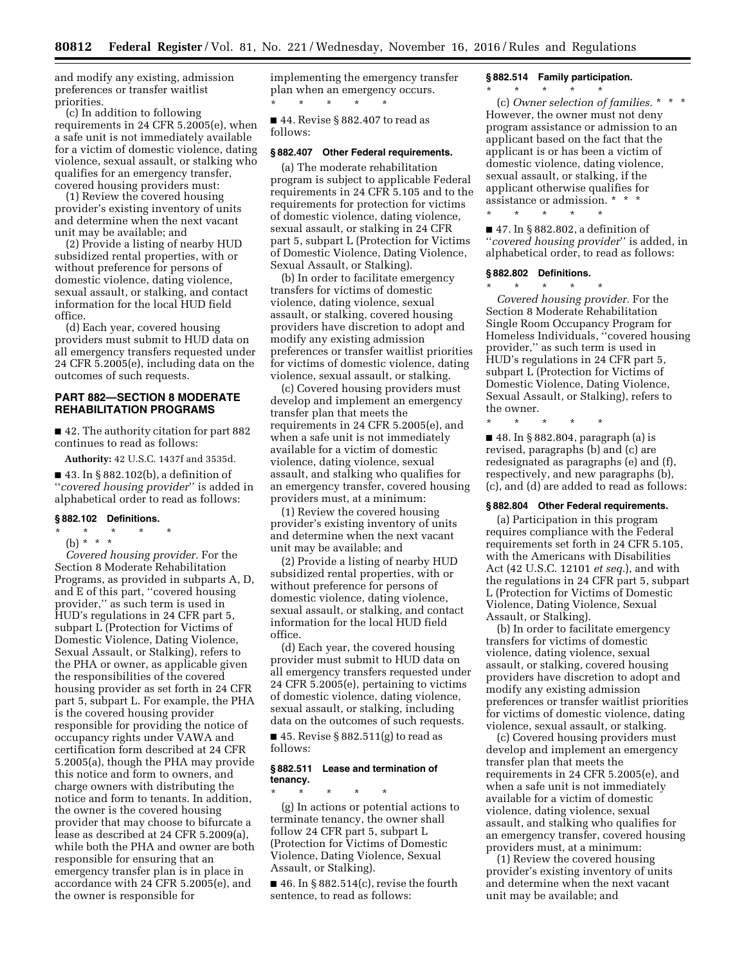and modify any existing, admission preferences or transfer waitlist priorities.

(c) In addition to following requirements in 24 CFR 5.2005(e), when a safe unit is not immediately available for a victim of domestic violence, dating violence, sexual assault, or stalking who qualifies for an emergency transfer, covered housing providers must:

(1) Review the covered housing provider's existing inventory of units and determine when the next vacant unit may be available; and

(2) Provide a listing of nearby HUD subsidized rental properties, with or without preference for persons of domestic violence, dating violence, sexual assault, or stalking, and contact information for the local HUD field office.

(d) Each year, covered housing providers must submit to HUD data on all emergency transfers requested under 24 CFR 5.2005(e), including data on the outcomes of such requests.

# **PART 882—SECTION 8 MODERATE REHABILITATION PROGRAMS**

■ 42. The authority citation for part 882 continues to read as follows:

**Authority:** 42 U.S.C. 1437f and 3535d.

■ 43. In § 882.102(b), a definition of ''*covered housing provider*'' is added in alphabetical order to read as follows:

### **§ 882.102 Definitions.**

\* \* \* \* \*

(b) \* \* \* *Covered housing provider.* For the Section 8 Moderate Rehabilitation Programs, as provided in subparts A, D, and E of this part, ''covered housing provider,'' as such term is used in HUD's regulations in 24 CFR part 5, subpart L (Protection for Victims of Domestic Violence, Dating Violence, Sexual Assault, or Stalking), refers to the PHA or owner, as applicable given the responsibilities of the covered housing provider as set forth in 24 CFR part 5, subpart L. For example, the PHA is the covered housing provider responsible for providing the notice of occupancy rights under VAWA and certification form described at 24 CFR 5.2005(a), though the PHA may provide this notice and form to owners, and charge owners with distributing the notice and form to tenants. In addition, the owner is the covered housing provider that may choose to bifurcate a lease as described at 24 CFR 5.2009(a), while both the PHA and owner are both responsible for ensuring that an emergency transfer plan is in place in accordance with 24 CFR 5.2005(e), and the owner is responsible for

implementing the emergency transfer plan when an emergency occurs. \* \* \* \* \*

■ 44. Revise § 882.407 to read as follows:

### **§ 882.407 Other Federal requirements.**

(a) The moderate rehabilitation program is subject to applicable Federal requirements in 24 CFR 5.105 and to the requirements for protection for victims of domestic violence, dating violence, sexual assault, or stalking in 24 CFR part 5, subpart L (Protection for Victims of Domestic Violence, Dating Violence, Sexual Assault, or Stalking).

(b) In order to facilitate emergency transfers for victims of domestic violence, dating violence, sexual assault, or stalking, covered housing providers have discretion to adopt and modify any existing admission preferences or transfer waitlist priorities for victims of domestic violence, dating violence, sexual assault, or stalking.

(c) Covered housing providers must develop and implement an emergency transfer plan that meets the requirements in 24 CFR 5.2005(e), and when a safe unit is not immediately available for a victim of domestic violence, dating violence, sexual assault, and stalking who qualifies for an emergency transfer, covered housing providers must, at a minimum:

(1) Review the covered housing provider's existing inventory of units and determine when the next vacant unit may be available; and

(2) Provide a listing of nearby HUD subsidized rental properties, with or without preference for persons of domestic violence, dating violence, sexual assault, or stalking, and contact information for the local HUD field office.

(d) Each year, the covered housing provider must submit to HUD data on all emergency transfers requested under 24 CFR 5.2005(e), pertaining to victims of domestic violence, dating violence, sexual assault, or stalking, including data on the outcomes of such requests.

 $\blacksquare$  45. Revise § 882.511(g) to read as follows:

# **§ 882.511 Lease and termination of tenancy.**

\* \* \* \* \* (g) In actions or potential actions to terminate tenancy, the owner shall follow 24 CFR part 5, subpart L (Protection for Victims of Domestic Violence, Dating Violence, Sexual Assault, or Stalking).

 $\blacksquare$  46. In § 882.514(c), revise the fourth sentence, to read as follows:

# **§ 882.514 Family participation.**

 $*$  \*

(c) *Owner selection of families.* \* \* \* However, the owner must not deny program assistance or admission to an applicant based on the fact that the applicant is or has been a victim of domestic violence, dating violence, sexual assault, or stalking, if the applicant otherwise qualifies for assistance or admission. \* \* \* \* \* \* \* \* \* \*

■ 47. In § 882.802, a definition of ''*covered housing provider*'' is added, in alphabetical order, to read as follows:

# **§ 882.802 Definitions.**

\* \* \* \* \*

\* \* \* \* \* *Covered housing provider.* For the Section 8 Moderate Rehabilitation Single Room Occupancy Program for Homeless Individuals, ''covered housing provider,'' as such term is used in HUD's regulations in 24 CFR part 5, subpart L (Protection for Victims of Domestic Violence, Dating Violence, Sexual Assault, or Stalking), refers to the owner.

■ 48. In § 882.804, paragraph (a) is revised, paragraphs (b) and (c) are redesignated as paragraphs (e) and (f), respectively, and new paragraphs (b), (c), and (d) are added to read as follows:

### **§ 882.804 Other Federal requirements.**

(a) Participation in this program requires compliance with the Federal requirements set forth in 24 CFR 5.105, with the Americans with Disabilities Act (42 U.S.C. 12101 *et seq.*), and with the regulations in 24 CFR part 5, subpart L (Protection for Victims of Domestic Violence, Dating Violence, Sexual Assault, or Stalking).

(b) In order to facilitate emergency transfers for victims of domestic violence, dating violence, sexual assault, or stalking, covered housing providers have discretion to adopt and modify any existing admission preferences or transfer waitlist priorities for victims of domestic violence, dating violence, sexual assault, or stalking.

(c) Covered housing providers must develop and implement an emergency transfer plan that meets the requirements in 24 CFR 5.2005(e), and when a safe unit is not immediately available for a victim of domestic violence, dating violence, sexual assault, and stalking who qualifies for an emergency transfer, covered housing providers must, at a minimum:

(1) Review the covered housing provider's existing inventory of units and determine when the next vacant unit may be available; and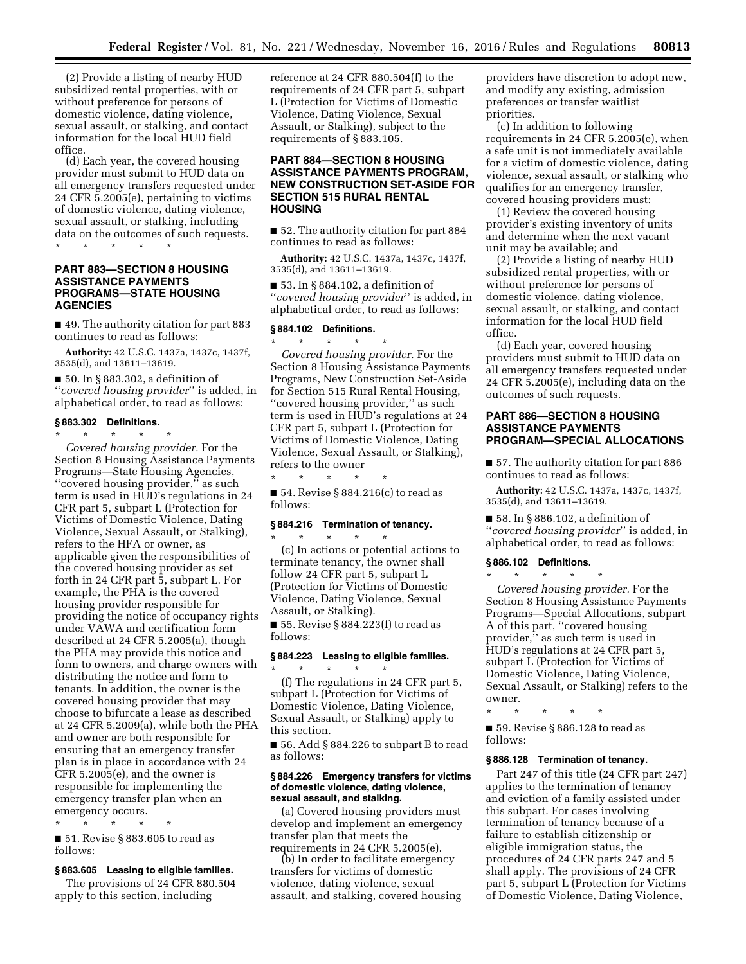(2) Provide a listing of nearby HUD subsidized rental properties, with or without preference for persons of domestic violence, dating violence, sexual assault, or stalking, and contact information for the local HUD field office.

(d) Each year, the covered housing provider must submit to HUD data on all emergency transfers requested under 24 CFR 5.2005(e), pertaining to victims of domestic violence, dating violence, sexual assault, or stalking, including data on the outcomes of such requests.

\* \* \* \* \*

# **PART 883—SECTION 8 HOUSING ASSISTANCE PAYMENTS PROGRAMS—STATE HOUSING AGENCIES**

■ 49. The authority citation for part 883 continues to read as follows:

**Authority:** 42 U.S.C. 1437a, 1437c, 1437f, 3535(d), and 13611–13619.

■ 50. In § 883.302, a definition of ''*covered housing provider*'' is added, in alphabetical order, to read as follows:

# **§ 883.302 Definitions.**

\* \* \* \* \* *Covered housing provider.* For the Section 8 Housing Assistance Payments Programs—State Housing Agencies, ''covered housing provider,'' as such term is used in HUD's regulations in 24 CFR part 5, subpart L (Protection for Victims of Domestic Violence, Dating Violence, Sexual Assault, or Stalking), refers to the HFA or owner, as applicable given the responsibilities of the covered housing provider as set forth in 24 CFR part 5, subpart L. For example, the PHA is the covered housing provider responsible for providing the notice of occupancy rights under VAWA and certification form described at 24 CFR 5.2005(a), though the PHA may provide this notice and form to owners, and charge owners with distributing the notice and form to tenants. In addition, the owner is the covered housing provider that may choose to bifurcate a lease as described at 24 CFR 5.2009(a), while both the PHA and owner are both responsible for ensuring that an emergency transfer plan is in place in accordance with 24 CFR 5.2005(e), and the owner is responsible for implementing the emergency transfer plan when an emergency occurs. \* \* \* \* \*

■ 51. Revise § 883.605 to read as follows:

# **§ 883.605 Leasing to eligible families.**

The provisions of 24 CFR 880.504 apply to this section, including

reference at 24 CFR 880.504(f) to the requirements of 24 CFR part 5, subpart L (Protection for Victims of Domestic Violence, Dating Violence, Sexual Assault, or Stalking), subject to the requirements of § 883.105.

# **PART 884—SECTION 8 HOUSING ASSISTANCE PAYMENTS PROGRAM, NEW CONSTRUCTION SET-ASIDE FOR SECTION 515 RURAL RENTAL HOUSING**

■ 52. The authority citation for part 884 continues to read as follows:

**Authority:** 42 U.S.C. 1437a, 1437c, 1437f, 3535(d), and 13611–13619.

■ 53. In § 884.102, a definition of ''*covered housing provider*'' is added, in alphabetical order, to read as follows:

# **§ 884.102 Definitions.**

\* \* \* \* \* *Covered housing provider.* For the Section 8 Housing Assistance Payments Programs, New Construction Set-Aside for Section 515 Rural Rental Housing, "covered housing provider," as such term is used in HUD's regulations at 24 CFR part 5, subpart L (Protection for Victims of Domestic Violence, Dating Violence, Sexual Assault, or Stalking), refers to the owner

\* \* \* \* \* ■ 54. Revise § 884.216(c) to read as follows:

# **§ 884.216 Termination of tenancy.**

\* \* \* \* \* (c) In actions or potential actions to terminate tenancy, the owner shall follow 24 CFR part 5, subpart L (Protection for Victims of Domestic Violence, Dating Violence, Sexual Assault, or Stalking).

■ 55. Revise § 884.223(f) to read as follows:

### **§ 884.223 Leasing to eligible families.**  \* \* \* \* \*

(f) The regulations in 24 CFR part 5, subpart L (Protection for Victims of Domestic Violence, Dating Violence, Sexual Assault, or Stalking) apply to this section.

■ 56. Add § 884.226 to subpart B to read as follows:

## **§ 884.226 Emergency transfers for victims of domestic violence, dating violence, sexual assault, and stalking.**

(a) Covered housing providers must develop and implement an emergency transfer plan that meets the requirements in 24 CFR 5.2005(e).

(b) In order to facilitate emergency transfers for victims of domestic violence, dating violence, sexual assault, and stalking, covered housing providers have discretion to adopt new, and modify any existing, admission preferences or transfer waitlist priorities.

(c) In addition to following requirements in 24 CFR 5.2005(e), when a safe unit is not immediately available for a victim of domestic violence, dating violence, sexual assault, or stalking who qualifies for an emergency transfer, covered housing providers must:

(1) Review the covered housing provider's existing inventory of units and determine when the next vacant unit may be available; and

(2) Provide a listing of nearby HUD subsidized rental properties, with or without preference for persons of domestic violence, dating violence, sexual assault, or stalking, and contact information for the local HUD field office.

(d) Each year, covered housing providers must submit to HUD data on all emergency transfers requested under 24 CFR 5.2005(e), including data on the outcomes of such requests.

# **PART 886—SECTION 8 HOUSING ASSISTANCE PAYMENTS PROGRAM—SPECIAL ALLOCATIONS**

■ 57. The authority citation for part 886 continues to read as follows:

**Authority:** 42 U.S.C. 1437a, 1437c, 1437f, 3535(d), and 13611–13619.

■ 58. In § 886.102, a definition of ''*covered housing provider*'' is added, in alphabetical order, to read as follows:

# **§ 886.102 Definitions.**  \* \* \* \* \*

*Covered housing provider.* For the Section 8 Housing Assistance Payments Programs—Special Allocations, subpart A of this part, ''covered housing provider,'' as such term is used in HUD's regulations at 24 CFR part 5, subpart L (Protection for Victims of Domestic Violence, Dating Violence, Sexual Assault, or Stalking) refers to the owner.

\* \* \* \* \*

■ 59. Revise § 886.128 to read as follows:

#### **§ 886.128 Termination of tenancy.**

Part 247 of this title (24 CFR part 247) applies to the termination of tenancy and eviction of a family assisted under this subpart. For cases involving termination of tenancy because of a failure to establish citizenship or eligible immigration status, the procedures of 24 CFR parts 247 and 5 shall apply. The provisions of 24 CFR part 5, subpart L (Protection for Victims of Domestic Violence, Dating Violence,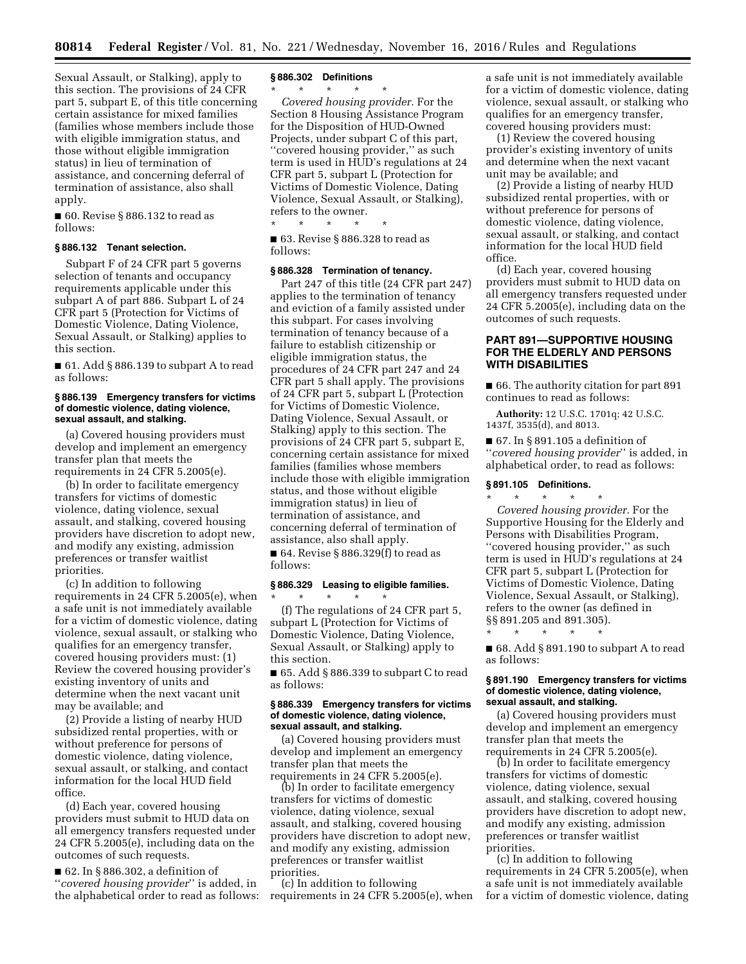Sexual Assault, or Stalking), apply to this section. The provisions of 24 CFR part 5, subpart E, of this title concerning certain assistance for mixed families (families whose members include those with eligible immigration status, and those without eligible immigration status) in lieu of termination of assistance, and concerning deferral of termination of assistance, also shall apply.

■ 60. Revise § 886.132 to read as follows:

### **§ 886.132 Tenant selection.**

Subpart F of 24 CFR part 5 governs selection of tenants and occupancy requirements applicable under this subpart A of part 886. Subpart L of 24 CFR part 5 (Protection for Victims of Domestic Violence, Dating Violence, Sexual Assault, or Stalking) applies to this section.

 $\blacksquare$  61. Add § 886.139 to subpart A to read as follows:

#### **§ 886.139 Emergency transfers for victims of domestic violence, dating violence, sexual assault, and stalking.**

(a) Covered housing providers must develop and implement an emergency transfer plan that meets the requirements in 24 CFR 5.2005(e).

(b) In order to facilitate emergency transfers for victims of domestic violence, dating violence, sexual assault, and stalking, covered housing providers have discretion to adopt new, and modify any existing, admission preferences or transfer waitlist priorities.

(c) In addition to following requirements in 24 CFR 5.2005(e), when a safe unit is not immediately available for a victim of domestic violence, dating violence, sexual assault, or stalking who qualifies for an emergency transfer, covered housing providers must: (1) Review the covered housing provider's existing inventory of units and determine when the next vacant unit may be available; and

(2) Provide a listing of nearby HUD subsidized rental properties, with or without preference for persons of domestic violence, dating violence, sexual assault, or stalking, and contact information for the local HUD field office.

(d) Each year, covered housing providers must submit to HUD data on all emergency transfers requested under 24 CFR 5.2005(e), including data on the outcomes of such requests.

■ 62. In § 886.302, a definition of ''*covered housing provider*'' is added, in the alphabetical order to read as follows:

#### **§ 886.302 Definitions**

\* \* \* \* \*

*Covered housing provider.* For the Section 8 Housing Assistance Program for the Disposition of HUD-Owned Projects, under subpart C of this part, ''covered housing provider,'' as such term is used in HUD's regulations at 24 CFR part 5, subpart L (Protection for Victims of Domestic Violence, Dating Violence, Sexual Assault, or Stalking), refers to the owner.

\* \* \* \* \* ■ 63. Revise § 886.328 to read as follows:

# **§ 886.328 Termination of tenancy.**

Part 247 of this title (24 CFR part 247) applies to the termination of tenancy and eviction of a family assisted under this subpart. For cases involving termination of tenancy because of a failure to establish citizenship or eligible immigration status, the procedures of 24 CFR part 247 and 24 CFR part 5 shall apply. The provisions of 24 CFR part 5, subpart L (Protection for Victims of Domestic Violence, Dating Violence, Sexual Assault, or Stalking) apply to this section. The provisions of 24 CFR part 5, subpart E, concerning certain assistance for mixed families (families whose members include those with eligible immigration status, and those without eligible immigration status) in lieu of termination of assistance, and concerning deferral of termination of assistance, also shall apply.

 $\blacksquare$  64. Revise § 886.329(f) to read as follows:

# **§ 886.329 Leasing to eligible families.**  \* \* \* \* \*

(f) The regulations of 24 CFR part 5, subpart L (Protection for Victims of Domestic Violence, Dating Violence, Sexual Assault, or Stalking) apply to this section.

■ 65. Add § 886.339 to subpart C to read as follows:

#### **§ 886.339 Emergency transfers for victims of domestic violence, dating violence, sexual assault, and stalking.**

(a) Covered housing providers must develop and implement an emergency transfer plan that meets the requirements in 24 CFR 5.2005(e).

(b) In order to facilitate emergency transfers for victims of domestic violence, dating violence, sexual assault, and stalking, covered housing providers have discretion to adopt new, and modify any existing, admission preferences or transfer waitlist priorities.

(c) In addition to following requirements in 24 CFR 5.2005(e), when a safe unit is not immediately available for a victim of domestic violence, dating violence, sexual assault, or stalking who qualifies for an emergency transfer, covered housing providers must:

(1) Review the covered housing provider's existing inventory of units and determine when the next vacant unit may be available; and

(2) Provide a listing of nearby HUD subsidized rental properties, with or without preference for persons of domestic violence, dating violence, sexual assault, or stalking, and contact information for the local HUD field office.

(d) Each year, covered housing providers must submit to HUD data on all emergency transfers requested under 24 CFR 5.2005(e), including data on the outcomes of such requests.

# **PART 891—SUPPORTIVE HOUSING FOR THE ELDERLY AND PERSONS WITH DISABILITIES**

■ 66. The authority citation for part 891 continues to read as follows:

**Authority:** 12 U.S.C. 1701q; 42 U.S.C. 1437f, 3535(d), and 8013.

■ 67. In § 891.105 a definition of ''*covered housing provider*'' is added, in alphabetical order, to read as follows:

#### **§ 891.105 Definitions.**

\* \* \* \* \*

\* \* \* \* \* *Covered housing provider.* For the Supportive Housing for the Elderly and Persons with Disabilities Program, ''covered housing provider,'' as such term is used in HUD's regulations at 24 CFR part 5, subpart L (Protection for Victims of Domestic Violence, Dating Violence, Sexual Assault, or Stalking), refers to the owner (as defined in §§ 891.205 and 891.305).

■ 68. Add § 891.190 to subpart A to read as follows:

### **§ 891.190 Emergency transfers for victims of domestic violence, dating violence, sexual assault, and stalking.**

(a) Covered housing providers must develop and implement an emergency transfer plan that meets the requirements in 24 CFR 5.2005(e).

(b) In order to facilitate emergency transfers for victims of domestic violence, dating violence, sexual assault, and stalking, covered housing providers have discretion to adopt new, and modify any existing, admission preferences or transfer waitlist priorities.

(c) In addition to following requirements in 24 CFR 5.2005(e), when a safe unit is not immediately available for a victim of domestic violence, dating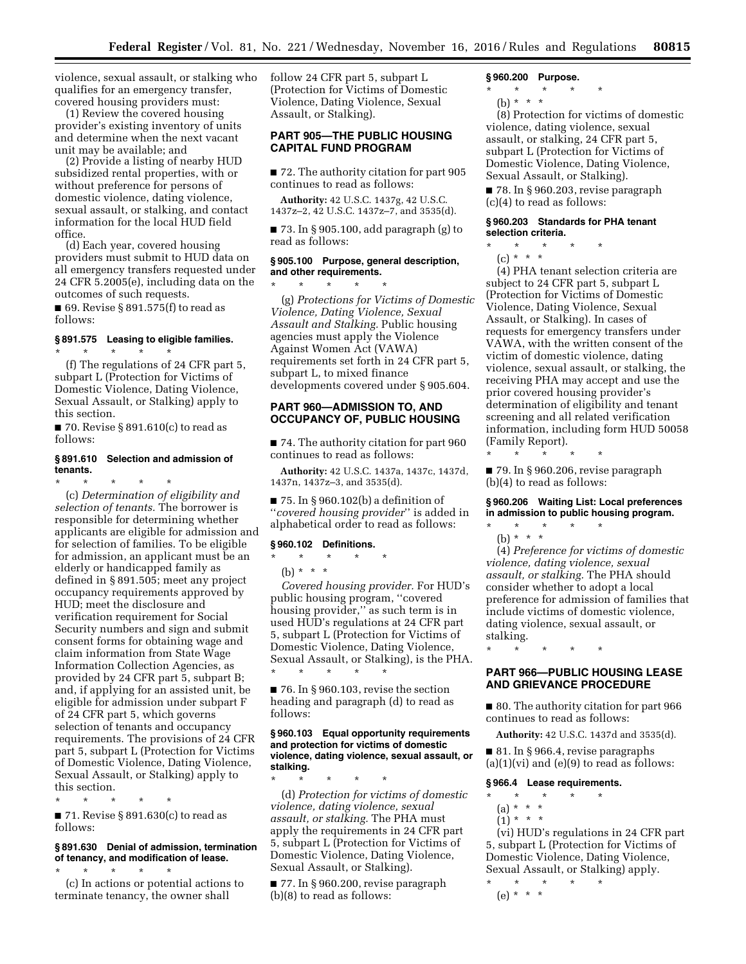violence, sexual assault, or stalking who qualifies for an emergency transfer, covered housing providers must:

(1) Review the covered housing provider's existing inventory of units and determine when the next vacant unit may be available; and

(2) Provide a listing of nearby HUD subsidized rental properties, with or without preference for persons of domestic violence, dating violence, sexual assault, or stalking, and contact information for the local HUD field office.

(d) Each year, covered housing providers must submit to HUD data on all emergency transfers requested under 24 CFR 5.2005(e), including data on the outcomes of such requests.

■ 69. Revise § 891.575(f) to read as follows:

# **§ 891.575 Leasing to eligible families.**

\* \* \* \* \* (f) The regulations of 24 CFR part 5, subpart L (Protection for Victims of Domestic Violence, Dating Violence, Sexual Assault, or Stalking) apply to this section.

 $\blacksquare$  70. Revise § 891.610(c) to read as follows:

#### **§ 891.610 Selection and admission of tenants.**

\* \* \* \* \* (c) *Determination of eligibility and selection of tenants.* The borrower is responsible for determining whether applicants are eligible for admission and for selection of families. To be eligible for admission, an applicant must be an elderly or handicapped family as defined in § 891.505; meet any project occupancy requirements approved by HUD; meet the disclosure and verification requirement for Social Security numbers and sign and submit consent forms for obtaining wage and claim information from State Wage Information Collection Agencies, as provided by 24 CFR part 5, subpart B; and, if applying for an assisted unit, be eligible for admission under subpart F of 24 CFR part 5, which governs selection of tenants and occupancy requirements. The provisions of 24 CFR part 5, subpart L (Protection for Victims of Domestic Violence, Dating Violence, Sexual Assault, or Stalking) apply to this section.

\* \* \* \* \*

 $\blacksquare$  71. Revise § 891.630(c) to read as follows:

## **§ 891.630 Denial of admission, termination of tenancy, and modification of lease.**

\* \* \* \* \* (c) In actions or potential actions to terminate tenancy, the owner shall

follow 24 CFR part 5, subpart L (Protection for Victims of Domestic Violence, Dating Violence, Sexual Assault, or Stalking).

# **PART 905—THE PUBLIC HOUSING CAPITAL FUND PROGRAM**

■ 72. The authority citation for part 905 continues to read as follows:

**Authority:** 42 U.S.C. 1437g, 42 U.S.C. 1437z–2, 42 U.S.C. 1437z–7, and 3535(d).

■ 73. In § 905.100, add paragraph (g) to read as follows:

# **§ 905.100 Purpose, general description, and other requirements.**

\* \* \* \* \* (g) *Protections for Victims of Domestic Violence, Dating Violence, Sexual Assault and Stalking.* Public housing agencies must apply the Violence Against Women Act (VAWA) requirements set forth in 24 CFR part 5, subpart L, to mixed finance developments covered under § 905.604.

# **PART 960—ADMISSION TO, AND OCCUPANCY OF, PUBLIC HOUSING**

■ 74. The authority citation for part 960 continues to read as follows:

**Authority:** 42 U.S.C. 1437a, 1437c, 1437d, 1437n, 1437z–3, and 3535(d).

■ 75. In § 960.102(b) a definition of ''*covered housing provider*'' is added in alphabetical order to read as follows:

### **§ 960.102 Definitions.**

 $\star$   $\star$   $\star$ 

(b)  $* * * *$ *Covered housing provider.* For HUD's public housing program, ''covered housing provider,'' as such term is in used HUD's regulations at 24 CFR part 5, subpart L (Protection for Victims of Domestic Violence, Dating Violence, Sexual Assault, or Stalking), is the PHA. \* \* \* \* \*

 $\blacksquare$  76. In § 960.103, revise the section heading and paragraph (d) to read as follows:

### **§ 960.103 Equal opportunity requirements and protection for victims of domestic violence, dating violence, sexual assault, or stalking.**

\* \* \* \* \* (d) *Protection for victims of domestic violence, dating violence, sexual assault, or stalking.* The PHA must apply the requirements in 24 CFR part 5, subpart L (Protection for Victims of Domestic Violence, Dating Violence, Sexual Assault, or Stalking).

■ 77. In § 960.200, revise paragraph (b)(8) to read as follows:

## **§ 960.200 Purpose.**

 $\star$   $\star$ 

(b) \* \* \*

(8) Protection for victims of domestic violence, dating violence, sexual assault, or stalking, 24 CFR part 5, subpart L (Protection for Victims of Domestic Violence, Dating Violence, Sexual Assault, or Stalking).

■ 78. In § 960.203, revise paragraph (c)(4) to read as follows:

# **§ 960.203 Standards for PHA tenant selection criteria.**

- $*$  \*
- $(c) * * * *$

(4) PHA tenant selection criteria are subject to 24 CFR part 5, subpart L (Protection for Victims of Domestic Violence, Dating Violence, Sexual Assault, or Stalking). In cases of requests for emergency transfers under VAWA, with the written consent of the victim of domestic violence, dating violence, sexual assault, or stalking, the receiving PHA may accept and use the prior covered housing provider's determination of eligibility and tenant screening and all related verification information, including form HUD 50058 (Family Report).

\* \* \* \* \* ■ 79. In § 960.206, revise paragraph (b)(4) to read as follows:

**§ 960.206 Waiting List: Local preferences in admission to public housing program.** 

\* \* \* \* \* (b) \* \* \*

(4) *Preference for victims of domestic violence, dating violence, sexual assault, or stalking.* The PHA should consider whether to adopt a local preference for admission of families that include victims of domestic violence, dating violence, sexual assault, or stalking.

\* \* \* \* \*

# **PART 966—PUBLIC HOUSING LEASE AND GRIEVANCE PROCEDURE**

■ 80. The authority citation for part 966 continues to read as follows:

**Authority:** 42 U.S.C. 1437d and 3535(d).

■ 81. In § 966.4, revise paragraphs  $(a)(1)(vi)$  and  $(e)(9)$  to read as follows:

**§ 966.4 Lease requirements.** 

- \* \* \* \* \*  $(a) * * * *$ 
	- $(1) * * * *$
- (vi) HUD's regulations in 24 CFR part 5, subpart L (Protection for Victims of Domestic Violence, Dating Violence, Sexual Assault, or Stalking) apply.

\* \* \* \* \* (e) \* \* \*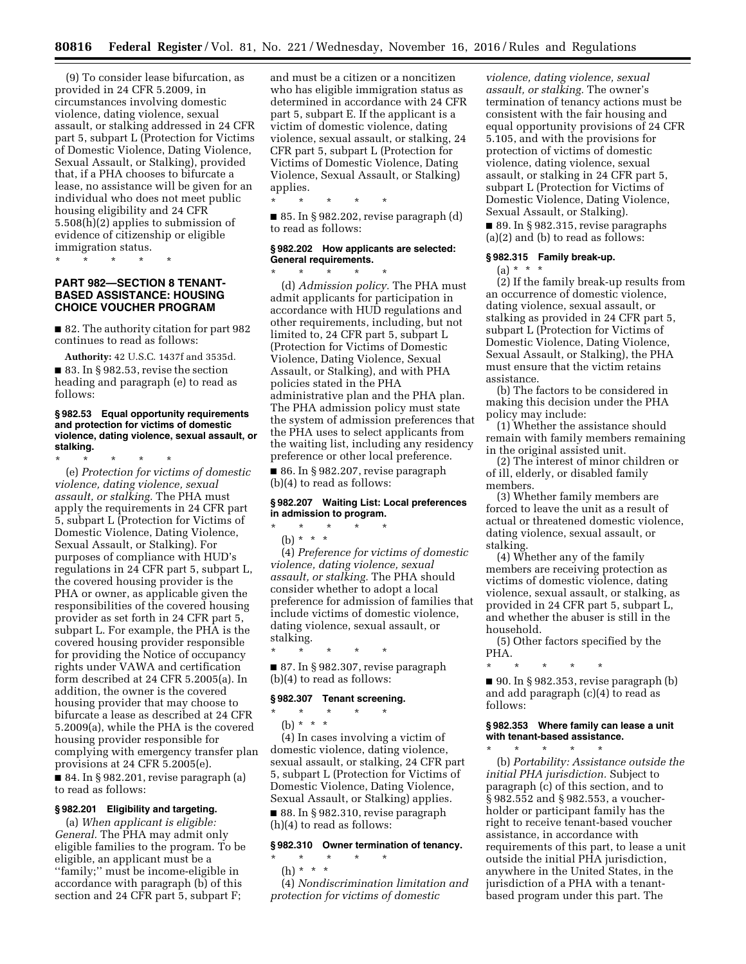(9) To consider lease bifurcation, as provided in 24 CFR 5.2009, in circumstances involving domestic violence, dating violence, sexual assault, or stalking addressed in 24 CFR part 5, subpart L (Protection for Victims of Domestic Violence, Dating Violence, Sexual Assault, or Stalking), provided that, if a PHA chooses to bifurcate a lease, no assistance will be given for an individual who does not meet public housing eligibility and 24 CFR 5.508(h)(2) applies to submission of evidence of citizenship or eligible immigration status.

# \* \* \* \* \*

# **PART 982—SECTION 8 TENANT-BASED ASSISTANCE: HOUSING CHOICE VOUCHER PROGRAM**

■ 82. The authority citation for part 982 continues to read as follows:

**Authority:** 42 U.S.C. 1437f and 3535d. ■ 83. In § 982.53, revise the section heading and paragraph (e) to read as follows:

### **§ 982.53 Equal opportunity requirements and protection for victims of domestic violence, dating violence, sexual assault, or stalking.**

\* \* \* \* \* (e) *Protection for victims of domestic violence, dating violence, sexual assault, or stalking.* The PHA must apply the requirements in 24 CFR part 5, subpart L (Protection for Victims of Domestic Violence, Dating Violence, Sexual Assault, or Stalking). For purposes of compliance with HUD's regulations in 24 CFR part 5, subpart L, the covered housing provider is the PHA or owner, as applicable given the responsibilities of the covered housing provider as set forth in 24 CFR part 5, subpart L. For example, the PHA is the covered housing provider responsible for providing the Notice of occupancy rights under VAWA and certification form described at 24 CFR 5.2005(a). In addition, the owner is the covered housing provider that may choose to bifurcate a lease as described at 24 CFR 5.2009(a), while the PHA is the covered housing provider responsible for complying with emergency transfer plan provisions at 24 CFR 5.2005(e).

■ 84. In § 982.201, revise paragraph (a) to read as follows:

# **§ 982.201 Eligibility and targeting.**

(a) *When applicant is eligible: General.* The PHA may admit only eligible families to the program. To be eligible, an applicant must be a ''family;'' must be income-eligible in accordance with paragraph (b) of this section and 24 CFR part 5, subpart F;

and must be a citizen or a noncitizen who has eligible immigration status as determined in accordance with 24 CFR part 5, subpart E. If the applicant is a victim of domestic violence, dating violence, sexual assault, or stalking, 24 CFR part 5, subpart L (Protection for Victims of Domestic Violence, Dating Violence, Sexual Assault, or Stalking) applies.

\* \* \* \* \*

 $\blacksquare$  85. In § 982.202, revise paragraph (d) to read as follows:

# **§ 982.202 How applicants are selected: General requirements.**

\* \* \* \* \* (d) *Admission policy.* The PHA must admit applicants for participation in accordance with HUD regulations and other requirements, including, but not limited to, 24 CFR part 5, subpart L (Protection for Victims of Domestic Violence, Dating Violence, Sexual Assault, or Stalking), and with PHA policies stated in the PHA administrative plan and the PHA plan. The PHA admission policy must state the system of admission preferences that the PHA uses to select applicants from the waiting list, including any residency preference or other local preference.

■ 86. In § 982.207, revise paragraph (b)(4) to read as follows:

# **§ 982.207 Waiting List: Local preferences in admission to program.**

(b) \* \* \*

 $\star$   $\star$ 

(4) *Preference for victims of domestic violence, dating violence, sexual assault, or stalking.* The PHA should consider whether to adopt a local preference for admission of families that include victims of domestic violence, dating violence, sexual assault, or stalking.

\* \* \* \* \*

■ 87. In § 982.307, revise paragraph (b)(4) to read as follows:

### **§ 982.307 Tenant screening.**

\* \* \* \* \* (b) \* \* \*

(4) In cases involving a victim of domestic violence, dating violence, sexual assault, or stalking, 24 CFR part 5, subpart L (Protection for Victims of Domestic Violence, Dating Violence, Sexual Assault, or Stalking) applies.

■ 88. In § 982.310, revise paragraph (h)(4) to read as follows:

## **§ 982.310 Owner termination of tenancy.**

# $\star$   $\star$   $\star$

(h) \* \* \*

(4) *Nondiscrimination limitation and protection for victims of domestic* 

*violence, dating violence, sexual assault, or stalking.* The owner's termination of tenancy actions must be consistent with the fair housing and equal opportunity provisions of 24 CFR 5.105, and with the provisions for protection of victims of domestic violence, dating violence, sexual assault, or stalking in 24 CFR part 5, subpart L (Protection for Victims of Domestic Violence, Dating Violence, Sexual Assault, or Stalking).

 $\blacksquare$  89. In § 982.315, revise paragraphs (a)(2) and (b) to read as follows:

#### **§ 982.315 Family break-up.**

 $(a) * * * *$ 

(2) If the family break-up results from an occurrence of domestic violence, dating violence, sexual assault, or stalking as provided in 24 CFR part 5, subpart L (Protection for Victims of Domestic Violence, Dating Violence, Sexual Assault, or Stalking), the PHA must ensure that the victim retains assistance.

(b) The factors to be considered in making this decision under the PHA policy may include:

(1) Whether the assistance should remain with family members remaining in the original assisted unit.

(2) The interest of minor children or of ill, elderly, or disabled family members.

(3) Whether family members are forced to leave the unit as a result of actual or threatened domestic violence, dating violence, sexual assault, or stalking.

(4) Whether any of the family members are receiving protection as victims of domestic violence, dating violence, sexual assault, or stalking, as provided in 24 CFR part 5, subpart L, and whether the abuser is still in the household.

(5) Other factors specified by the PHA.

\* \* \* \* \*

 $\blacksquare$  90. In § 982.353, revise paragraph (b) and add paragraph (c)(4) to read as follows:

### **§ 982.353 Where family can lease a unit with tenant-based assistance.**  \* \* \* \* \*

(b) *Portability: Assistance outside the initial PHA jurisdiction.* Subject to paragraph (c) of this section, and to § 982.552 and § 982.553, a voucherholder or participant family has the right to receive tenant-based voucher assistance, in accordance with requirements of this part, to lease a unit outside the initial PHA jurisdiction, anywhere in the United States, in the jurisdiction of a PHA with a tenantbased program under this part. The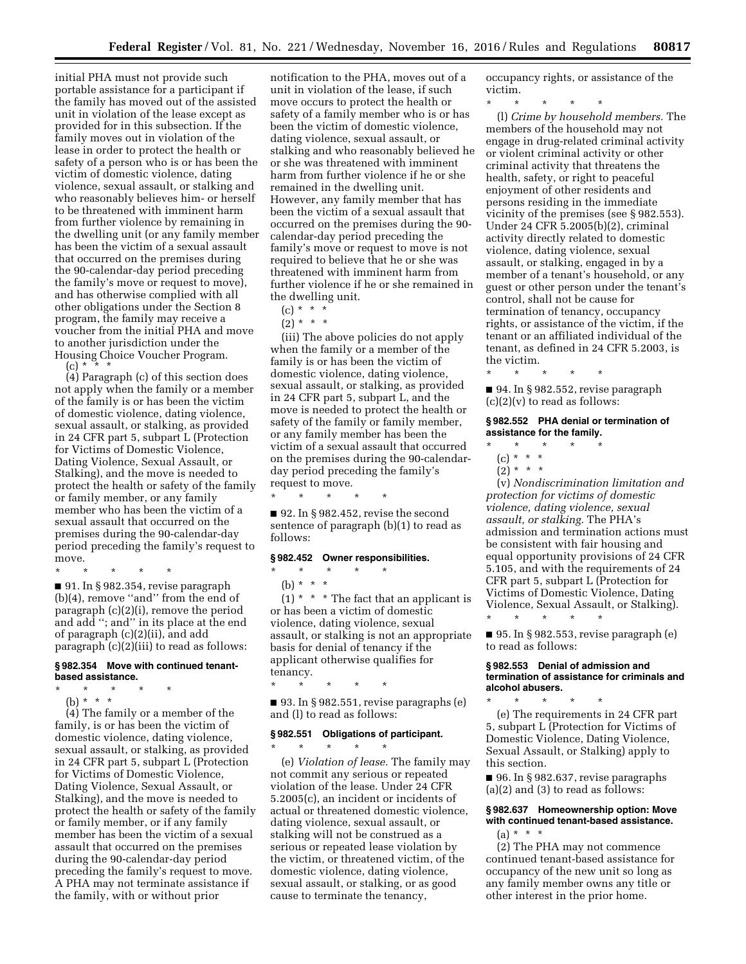initial PHA must not provide such portable assistance for a participant if the family has moved out of the assisted unit in violation of the lease except as provided for in this subsection. If the family moves out in violation of the lease in order to protect the health or safety of a person who is or has been the victim of domestic violence, dating violence, sexual assault, or stalking and who reasonably believes him- or herself to be threatened with imminent harm from further violence by remaining in the dwelling unit (or any family member has been the victim of a sexual assault that occurred on the premises during the 90-calendar-day period preceding the family's move or request to move), and has otherwise complied with all other obligations under the Section 8 program, the family may receive a voucher from the initial PHA and move to another jurisdiction under the Housing Choice Voucher Program.

(c) \* \* \*

(4) Paragraph (c) of this section does not apply when the family or a member of the family is or has been the victim of domestic violence, dating violence, sexual assault, or stalking, as provided in 24 CFR part 5, subpart L (Protection for Victims of Domestic Violence, Dating Violence, Sexual Assault, or Stalking), and the move is needed to protect the health or safety of the family or family member, or any family member who has been the victim of a sexual assault that occurred on the premises during the 90-calendar-day period preceding the family's request to move.

\* \* \* \* \*

■ 91. In § 982.354, revise paragraph (b)(4), remove ''and'' from the end of paragraph (c)(2)(i), remove the period and add ''; and'' in its place at the end of paragraph (c)(2)(ii), and add paragraph (c)(2)(iii) to read as follows:

## **§ 982.354 Move with continued tenantbased assistance.**

- \* \* \* \* \*
	- (b) \* \* \*

(4) The family or a member of the family, is or has been the victim of domestic violence, dating violence, sexual assault, or stalking, as provided in 24 CFR part 5, subpart L (Protection for Victims of Domestic Violence, Dating Violence, Sexual Assault, or Stalking), and the move is needed to protect the health or safety of the family or family member, or if any family member has been the victim of a sexual assault that occurred on the premises during the 90-calendar-day period preceding the family's request to move. A PHA may not terminate assistance if the family, with or without prior

notification to the PHA, moves out of a unit in violation of the lease, if such move occurs to protect the health or safety of a family member who is or has been the victim of domestic violence, dating violence, sexual assault, or stalking and who reasonably believed he or she was threatened with imminent harm from further violence if he or she remained in the dwelling unit. However, any family member that has been the victim of a sexual assault that occurred on the premises during the 90 calendar-day period preceding the family's move or request to move is not required to believe that he or she was threatened with imminent harm from further violence if he or she remained in the dwelling unit.

- $(c) * * * *$
- $(2) * * * *$

(iii) The above policies do not apply when the family or a member of the family is or has been the victim of domestic violence, dating violence, sexual assault, or stalking, as provided in 24 CFR part 5, subpart L, and the move is needed to protect the health or safety of the family or family member, or any family member has been the victim of a sexual assault that occurred on the premises during the 90-calendarday period preceding the family's request to move.<br>  $\rlap{-}$   $\rlap{-}$ 

 $\blacksquare$  92. In § 982.452, revise the second sentence of paragraph (b)(1) to read as follows:

#### **§ 982.452 Owner responsibilities.**

\* \* \* \* \*

- \* \* \* \* \* (b) \* \* \*
	-

(1) \* \* \* The fact that an applicant is or has been a victim of domestic violence, dating violence, sexual assault, or stalking is not an appropriate basis for denial of tenancy if the applicant otherwise qualifies for tenancy. \* \* \* \* \*

 $\blacksquare$  93. In § 982.551, revise paragraphs (e) and (l) to read as follows:

# **§ 982.551 Obligations of participant.**

\* \* \* \* \*

(e) *Violation of lease.* The family may not commit any serious or repeated violation of the lease. Under 24 CFR 5.2005(c), an incident or incidents of actual or threatened domestic violence, dating violence, sexual assault, or stalking will not be construed as a serious or repeated lease violation by the victim, or threatened victim, of the domestic violence, dating violence, sexual assault, or stalking, or as good cause to terminate the tenancy,

occupancy rights, or assistance of the victim.

\* \* \* \* \*

(l) *Crime by household members.* The members of the household may not engage in drug-related criminal activity or violent criminal activity or other criminal activity that threatens the health, safety, or right to peaceful enjoyment of other residents and persons residing in the immediate vicinity of the premises (see § 982.553). Under 24 CFR 5.2005(b)(2), criminal activity directly related to domestic violence, dating violence, sexual assault, or stalking, engaged in by a member of a tenant's household, or any guest or other person under the tenant's control, shall not be cause for termination of tenancy, occupancy rights, or assistance of the victim, if the tenant or an affiliated individual of the tenant, as defined in 24 CFR 5.2003, is the victim.

\* \* \* \* \* ■ 94. In § 982.552, revise paragraph  $(c)(2)(v)$  to read as follows:

**§ 982.552 PHA denial or termination of assistance for the family.** 

\* \* \* \* \*

 $*$  \*

- (c) \* \* \* \*
- $(2) * * * *$

(v) *Nondiscrimination limitation and protection for victims of domestic violence, dating violence, sexual assault, or stalking.* The PHA's admission and termination actions must be consistent with fair housing and equal opportunity provisions of 24 CFR 5.105, and with the requirements of 24 CFR part 5, subpart L (Protection for Victims of Domestic Violence, Dating Violence, Sexual Assault, or Stalking). \* \* \* \* \*

■ 95. In § 982.553, revise paragraph (e) to read as follows:

#### **§ 982.553 Denial of admission and termination of assistance for criminals and alcohol abusers.**

(e) The requirements in 24 CFR part 5, subpart L (Protection for Victims of Domestic Violence, Dating Violence, Sexual Assault, or Stalking) apply to this section.

■ 96. In § 982.637, revise paragraphs (a)(2) and (3) to read as follows:

# **§ 982.637 Homeownership option: Move with continued tenant-based assistance.**  (a) \* \* \*

(2) The PHA may not commence continued tenant-based assistance for occupancy of the new unit so long as any family member owns any title or other interest in the prior home.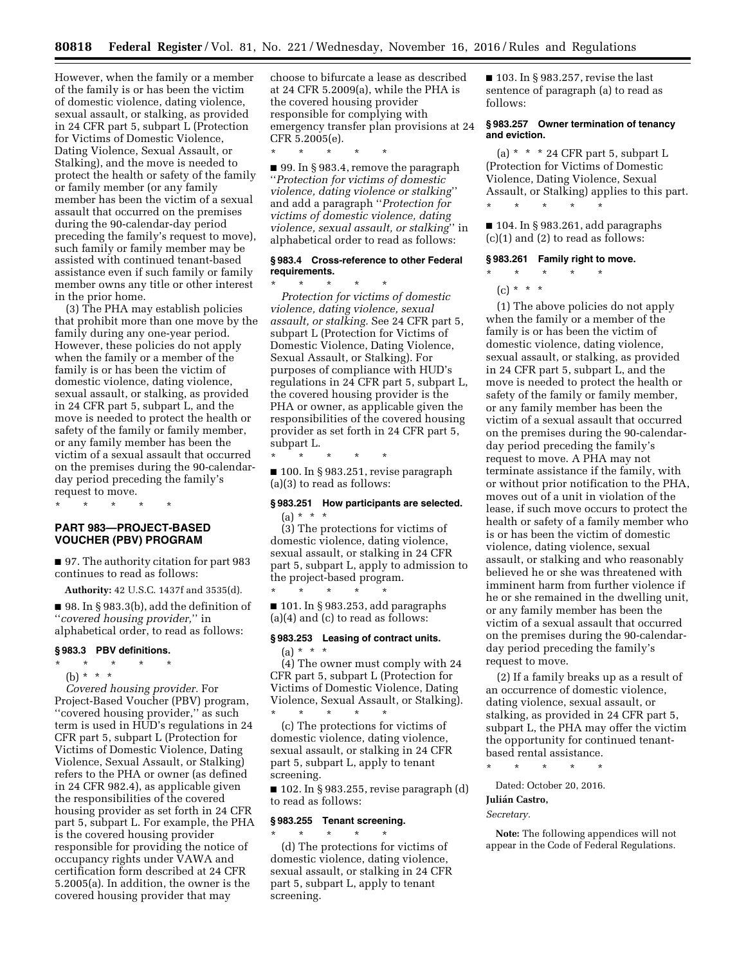\* \* \* \* \*

However, when the family or a member of the family is or has been the victim of domestic violence, dating violence, sexual assault, or stalking, as provided in 24 CFR part 5, subpart L (Protection for Victims of Domestic Violence, Dating Violence, Sexual Assault, or Stalking), and the move is needed to protect the health or safety of the family or family member (or any family member has been the victim of a sexual assault that occurred on the premises during the 90-calendar-day period preceding the family's request to move), such family or family member may be assisted with continued tenant-based assistance even if such family or family member owns any title or other interest in the prior home.

(3) The PHA may establish policies that prohibit more than one move by the family during any one-year period. However, these policies do not apply when the family or a member of the family is or has been the victim of domestic violence, dating violence, sexual assault, or stalking, as provided in 24 CFR part 5, subpart L, and the move is needed to protect the health or safety of the family or family member, or any family member has been the victim of a sexual assault that occurred on the premises during the 90-calendarday period preceding the family's request to move.

\* \* \* \* \*

# **PART 983—PROJECT-BASED VOUCHER (PBV) PROGRAM**

■ 97. The authority citation for part 983 continues to read as follows:

**Authority:** 42 U.S.C. 1437f and 3535(d).

■ 98. In § 983.3(b), add the definition of ''*covered housing provider,*'' in alphabetical order, to read as follows:

### **§ 983.3 PBV definitions.**

- \* \* \* \* \*
- (b) \* \* \*

*Covered housing provider.* For Project-Based Voucher (PBV) program, ''covered housing provider,'' as such term is used in HUD's regulations in 24 CFR part 5, subpart L (Protection for Victims of Domestic Violence, Dating Violence, Sexual Assault, or Stalking) refers to the PHA or owner (as defined in 24 CFR 982.4), as applicable given the responsibilities of the covered housing provider as set forth in 24 CFR part 5, subpart L. For example, the PHA is the covered housing provider responsible for providing the notice of occupancy rights under VAWA and certification form described at 24 CFR 5.2005(a). In addition, the owner is the covered housing provider that may

choose to bifurcate a lease as described at 24 CFR 5.2009(a), while the PHA is the covered housing provider responsible for complying with emergency transfer plan provisions at 24 CFR 5.2005(e).

■ 99. In § 983.4, remove the paragraph ''*Protection for victims of domestic violence, dating violence or stalking*'' and add a paragraph ''*Protection for victims of domestic violence, dating violence, sexual assault, or stalking*'' in alphabetical order to read as follows:

# **§ 983.4 Cross-reference to other Federal requirements.**

\* \* \* \* \* *Protection for victims of domestic violence, dating violence, sexual assault, or stalking.* See 24 CFR part 5, subpart L (Protection for Victims of Domestic Violence, Dating Violence, Sexual Assault, or Stalking). For purposes of compliance with HUD's regulations in 24 CFR part 5, subpart L, the covered housing provider is the PHA or owner, as applicable given the responsibilities of the covered housing provider as set forth in 24 CFR part 5, subpart L.

\* \* \* \* \* ■ 100. In § 983.251, revise paragraph (a)(3) to read as follows:

# **§ 983.251 How participants are selected.**  (a) \* \* \*

(3) The protections for victims of domestic violence, dating violence, sexual assault, or stalking in 24 CFR part 5, subpart L, apply to admission to the project-based program.

■ 101. In § 983.253, add paragraphs (a)(4) and (c) to read as follows:

# **§ 983.253 Leasing of contract units.**

(a) \* \* \* (4) The owner must comply with 24

\* \* \* \* \*

CFR part 5, subpart L (Protection for Victims of Domestic Violence, Dating Violence, Sexual Assault, or Stalking). \* \* \* \* \*

(c) The protections for victims of domestic violence, dating violence, sexual assault, or stalking in 24 CFR part 5, subpart L, apply to tenant screening.

■ 102. In § 983.255, revise paragraph (d) to read as follows:

### **§ 983.255 Tenant screening.**

\* \* \* \* \*

(d) The protections for victims of domestic violence, dating violence, sexual assault, or stalking in 24 CFR part 5, subpart L, apply to tenant screening.

■ 103. In § 983.257, revise the last sentence of paragraph (a) to read as follows:

### **§ 983.257 Owner termination of tenancy and eviction.**

(a)  $* * * 24$  CFR part 5, subpart L (Protection for Victims of Domestic Violence, Dating Violence, Sexual Assault, or Stalking) applies to this part.

■ 104. In § 983.261, add paragraphs (c)(1) and (2) to read as follows:

# **§ 983.261 Family right to move.**

\* \* \* \* \*

\* \* \* \* \*

 $(c) * * * *$ 

(1) The above policies do not apply when the family or a member of the family is or has been the victim of domestic violence, dating violence, sexual assault, or stalking, as provided in 24 CFR part 5, subpart L, and the move is needed to protect the health or safety of the family or family member, or any family member has been the victim of a sexual assault that occurred on the premises during the 90-calendarday period preceding the family's request to move. A PHA may not terminate assistance if the family, with or without prior notification to the PHA, moves out of a unit in violation of the lease, if such move occurs to protect the health or safety of a family member who is or has been the victim of domestic violence, dating violence, sexual assault, or stalking and who reasonably believed he or she was threatened with imminent harm from further violence if he or she remained in the dwelling unit, or any family member has been the victim of a sexual assault that occurred on the premises during the 90-calendarday period preceding the family's request to move.

(2) If a family breaks up as a result of an occurrence of domestic violence, dating violence, sexual assault, or stalking, as provided in 24 CFR part 5, subpart L, the PHA may offer the victim the opportunity for continued tenantbased rental assistance.

\* \* \* \* \*

Dated: October 20, 2016.

# Julián Castro,

*Secretary.* 

**Note:** The following appendices will not appear in the Code of Federal Regulations.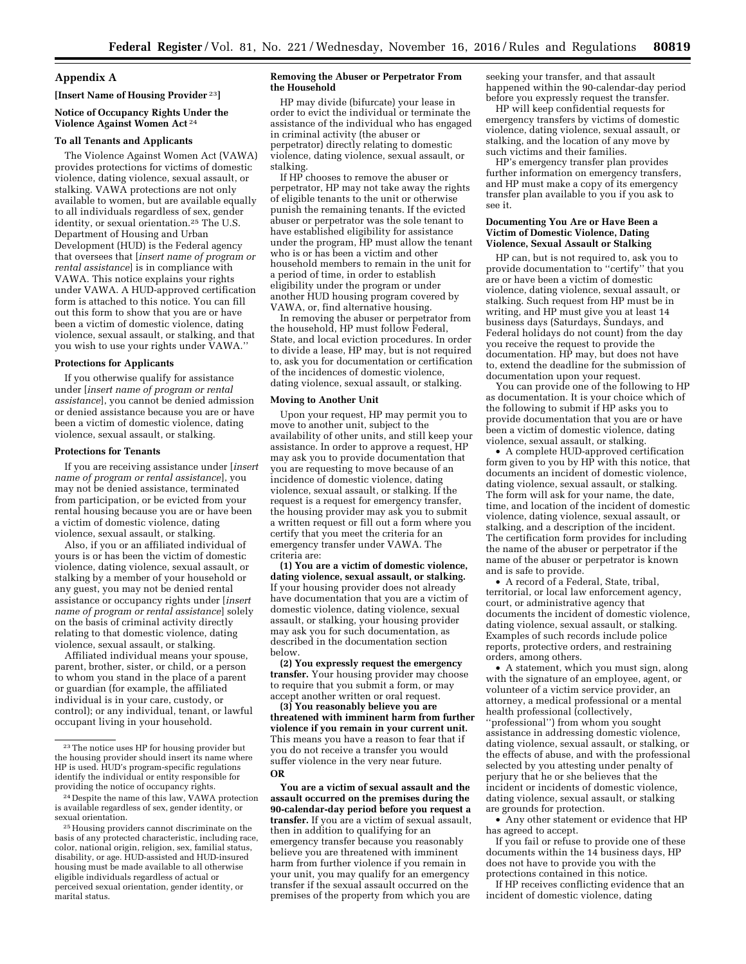# **Appendix A**

# **[Insert Name of Housing Provider** 23**]**

# **Notice of Occupancy Rights Under the Violence Against Women Act** 24

#### **To all Tenants and Applicants**

The Violence Against Women Act (VAWA) provides protections for victims of domestic violence, dating violence, sexual assault, or stalking. VAWA protections are not only available to women, but are available equally to all individuals regardless of sex, gender identity, or sexual orientation.25 The U.S. Department of Housing and Urban Development (HUD) is the Federal agency that oversees that [*insert name of program or rental assistance*] is in compliance with VAWA. This notice explains your rights under VAWA. A HUD-approved certification form is attached to this notice. You can fill out this form to show that you are or have been a victim of domestic violence, dating violence, sexual assault, or stalking, and that you wish to use your rights under VAWA.''

#### **Protections for Applicants**

If you otherwise qualify for assistance under [*insert name of program or rental assistance*], you cannot be denied admission or denied assistance because you are or have been a victim of domestic violence, dating violence, sexual assault, or stalking.

#### **Protections for Tenants**

If you are receiving assistance under [*insert name of program or rental assistance*], you may not be denied assistance, terminated from participation, or be evicted from your rental housing because you are or have been a victim of domestic violence, dating violence, sexual assault, or stalking.

Also, if you or an affiliated individual of yours is or has been the victim of domestic violence, dating violence, sexual assault, or stalking by a member of your household or any guest, you may not be denied rental assistance or occupancy rights under [*insert name of program or rental assistance*] solely on the basis of criminal activity directly relating to that domestic violence, dating violence, sexual assault, or stalking.

Affiliated individual means your spouse, parent, brother, sister, or child, or a person to whom you stand in the place of a parent or guardian (for example, the affiliated individual is in your care, custody, or control); or any individual, tenant, or lawful occupant living in your household.

#### **Removing the Abuser or Perpetrator From the Household**

HP may divide (bifurcate) your lease in order to evict the individual or terminate the assistance of the individual who has engaged in criminal activity (the abuser or perpetrator) directly relating to domestic violence, dating violence, sexual assault, or stalking.

If HP chooses to remove the abuser or perpetrator, HP may not take away the rights of eligible tenants to the unit or otherwise punish the remaining tenants. If the evicted abuser or perpetrator was the sole tenant to have established eligibility for assistance under the program, HP must allow the tenant who is or has been a victim and other household members to remain in the unit for a period of time, in order to establish eligibility under the program or under another HUD housing program covered by VAWA, or, find alternative housing.

In removing the abuser or perpetrator from the household, HP must follow Federal, State, and local eviction procedures. In order to divide a lease, HP may, but is not required to, ask you for documentation or certification of the incidences of domestic violence, dating violence, sexual assault, or stalking.

#### **Moving to Another Unit**

Upon your request, HP may permit you to move to another unit, subject to the availability of other units, and still keep your assistance. In order to approve a request, HP may ask you to provide documentation that you are requesting to move because of an incidence of domestic violence, dating violence, sexual assault, or stalking. If the request is a request for emergency transfer, the housing provider may ask you to submit a written request or fill out a form where you certify that you meet the criteria for an emergency transfer under VAWA. The criteria are:

**(1) You are a victim of domestic violence, dating violence, sexual assault, or stalking.**  If your housing provider does not already have documentation that you are a victim of domestic violence, dating violence, sexual assault, or stalking, your housing provider may ask you for such documentation, as described in the documentation section below.

**(2) You expressly request the emergency transfer.** Your housing provider may choose to require that you submit a form, or may accept another written or oral request.

**(3) You reasonably believe you are threatened with imminent harm from further violence if you remain in your current unit.**  This means you have a reason to fear that if you do not receive a transfer you would suffer violence in the very near future. **OR** 

**You are a victim of sexual assault and the assault occurred on the premises during the 90-calendar-day period before you request a transfer.** If you are a victim of sexual assault, then in addition to qualifying for an emergency transfer because you reasonably believe you are threatened with imminent harm from further violence if you remain in your unit, you may qualify for an emergency transfer if the sexual assault occurred on the premises of the property from which you are

seeking your transfer, and that assault happened within the 90-calendar-day period before you expressly request the transfer.

HP will keep confidential requests for emergency transfers by victims of domestic violence, dating violence, sexual assault, or stalking, and the location of any move by such victims and their families.

HP's emergency transfer plan provides further information on emergency transfers, and HP must make a copy of its emergency transfer plan available to you if you ask to see it.

#### **Documenting You Are or Have Been a Victim of Domestic Violence, Dating Violence, Sexual Assault or Stalking**

HP can, but is not required to, ask you to provide documentation to ''certify'' that you are or have been a victim of domestic violence, dating violence, sexual assault, or stalking. Such request from HP must be in writing, and HP must give you at least 14 business days (Saturdays, Sundays, and Federal holidays do not count) from the day you receive the request to provide the documentation. HP may, but does not have to, extend the deadline for the submission of documentation upon your request.

You can provide one of the following to HP as documentation. It is your choice which of the following to submit if HP asks you to provide documentation that you are or have been a victim of domestic violence, dating violence, sexual assault, or stalking.

• A complete HUD-approved certification form given to you by HP with this notice, that documents an incident of domestic violence, dating violence, sexual assault, or stalking. The form will ask for your name, the date, time, and location of the incident of domestic violence, dating violence, sexual assault, or stalking, and a description of the incident. The certification form provides for including the name of the abuser or perpetrator if the name of the abuser or perpetrator is known and is safe to provide.

• A record of a Federal, State, tribal, territorial, or local law enforcement agency, court, or administrative agency that documents the incident of domestic violence, dating violence, sexual assault, or stalking. Examples of such records include police reports, protective orders, and restraining orders, among others.

• A statement, which you must sign, along with the signature of an employee, agent, or volunteer of a victim service provider, an attorney, a medical professional or a mental health professional (collectively, ''professional'') from whom you sought assistance in addressing domestic violence, dating violence, sexual assault, or stalking, or the effects of abuse, and with the professional selected by you attesting under penalty of perjury that he or she believes that the incident or incidents of domestic violence, dating violence, sexual assault, or stalking are grounds for protection.

• Any other statement or evidence that HP has agreed to accept.

If you fail or refuse to provide one of these documents within the 14 business days, HP does not have to provide you with the protections contained in this notice.

If HP receives conflicting evidence that an incident of domestic violence, dating

<sup>23</sup>The notice uses HP for housing provider but the housing provider should insert its name where HP is used. HUD's program-specific regulations identify the individual or entity responsible for providing the notice of occupancy rights.

<sup>24</sup> Despite the name of this law, VAWA protection is available regardless of sex, gender identity, or sexual orientation.

<sup>25</sup>Housing providers cannot discriminate on the basis of any protected characteristic, including race, color, national origin, religion, sex, familial status, disability, or age. HUD-assisted and HUD-insured housing must be made available to all otherwise eligible individuals regardless of actual or perceived sexual orientation, gender identity, or marital status.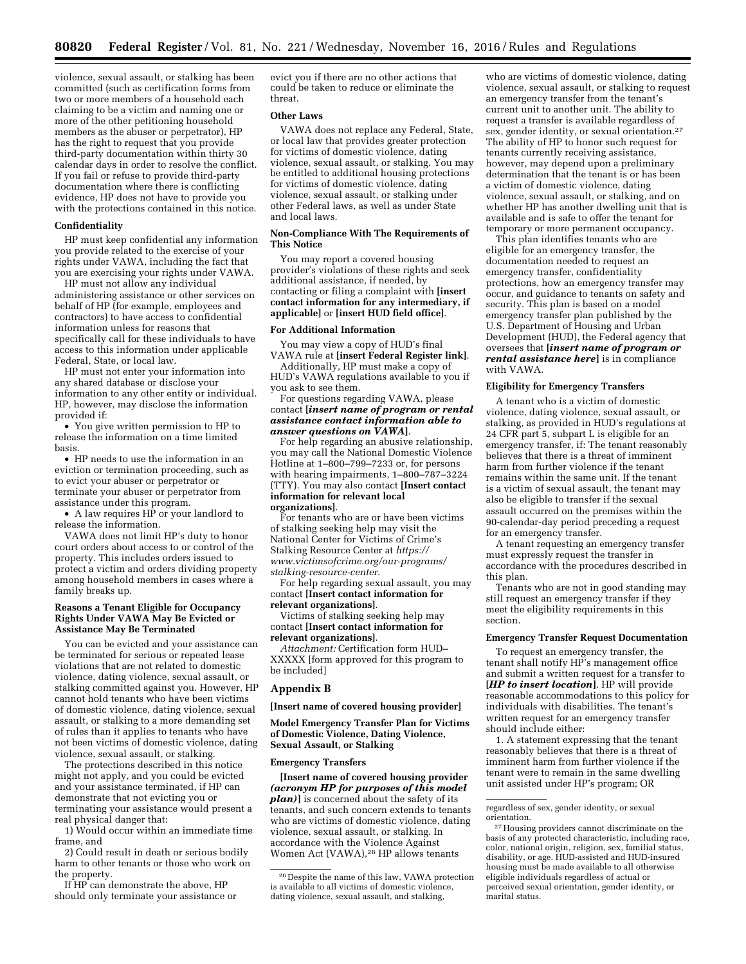violence, sexual assault, or stalking has been committed (such as certification forms from two or more members of a household each claiming to be a victim and naming one or more of the other petitioning household members as the abuser or perpetrator), HP has the right to request that you provide third-party documentation within thirty 30 calendar days in order to resolve the conflict. If you fail or refuse to provide third-party documentation where there is conflicting evidence, HP does not have to provide you with the protections contained in this notice.

# **Confidentiality**

HP must keep confidential any information you provide related to the exercise of your rights under VAWA, including the fact that you are exercising your rights under VAWA.

HP must not allow any individual administering assistance or other services on behalf of HP (for example, employees and contractors) to have access to confidential information unless for reasons that specifically call for these individuals to have access to this information under applicable Federal, State, or local law.

HP must not enter your information into any shared database or disclose your information to any other entity or individual. HP, however, may disclose the information provided if:

• You give written permission to HP to release the information on a time limited basis.

• HP needs to use the information in an eviction or termination proceeding, such as to evict your abuser or perpetrator or terminate your abuser or perpetrator from assistance under this program.

• A law requires HP or your landlord to release the information.

VAWA does not limit HP's duty to honor court orders about access to or control of the property. This includes orders issued to protect a victim and orders dividing property among household members in cases where a family breaks up.

### **Reasons a Tenant Eligible for Occupancy Rights Under VAWA May Be Evicted or Assistance May Be Terminated**

You can be evicted and your assistance can be terminated for serious or repeated lease violations that are not related to domestic violence, dating violence, sexual assault, or stalking committed against you. However, HP cannot hold tenants who have been victims of domestic violence, dating violence, sexual assault, or stalking to a more demanding set of rules than it applies to tenants who have not been victims of domestic violence, dating violence, sexual assault, or stalking.

The protections described in this notice might not apply, and you could be evicted and your assistance terminated, if HP can demonstrate that not evicting you or terminating your assistance would present a real physical danger that:

1) Would occur within an immediate time frame, and

2) Could result in death or serious bodily harm to other tenants or those who work on the property.

If HP can demonstrate the above, HP should only terminate your assistance or evict you if there are no other actions that could be taken to reduce or eliminate the threat.

#### **Other Laws**

VAWA does not replace any Federal, State, or local law that provides greater protection for victims of domestic violence, dating violence, sexual assault, or stalking. You may be entitled to additional housing protections for victims of domestic violence, dating violence, sexual assault, or stalking under other Federal laws, as well as under State and local laws.

### **Non-Compliance With The Requirements of This Notice**

You may report a covered housing provider's violations of these rights and seek additional assistance, if needed, by contacting or filing a complaint with **[insert contact information for any intermediary, if applicable]** or **[insert HUD field office]**.

### **For Additional Information**

You may view a copy of HUD's final VAWA rule at **[insert Federal Register link]**.

Additionally, HP must make a copy of HUD's VAWA regulations available to you if you ask to see them.

For questions regarding VAWA, please contact **[***insert name of program or rental assistance contact information able to answer questions on VAWA***]**.

For help regarding an abusive relationship, you may call the National Domestic Violence Hotline at 1–800–799–7233 or, for persons with hearing impairments, 1–800–787–3224 (TTY). You may also contact **[Insert contact information for relevant local organizations]**.

For tenants who are or have been victims of stalking seeking help may visit the National Center for Victims of Crime's Stalking Resource Center at *[https://](https://www.victimsofcrime.org/our-programs/stalking-resource-center) [www.victimsofcrime.org/our-programs/](https://www.victimsofcrime.org/our-programs/stalking-resource-center) [stalking-resource-center](https://www.victimsofcrime.org/our-programs/stalking-resource-center)*.

For help regarding sexual assault, you may contact **[Insert contact information for relevant organizations]**.

Victims of stalking seeking help may contact **[Insert contact information for relevant organizations]**.

*Attachment:* Certification form HUD– XXXXX [form approved for this program to be included]

# **Appendix B**

**[Insert name of covered housing provider]** 

**Model Emergency Transfer Plan for Victims of Domestic Violence, Dating Violence, Sexual Assault, or Stalking** 

### **Emergency Transfers**

**[Insert name of covered housing provider**  *(acronym HP for purposes of this model plan)***]** is concerned about the safety of its tenants, and such concern extends to tenants who are victims of domestic violence, dating violence, sexual assault, or stalking. In accordance with the Violence Against Women Act (VAWA),26 HP allows tenants

who are victims of domestic violence, dating violence, sexual assault, or stalking to request an emergency transfer from the tenant's current unit to another unit. The ability to request a transfer is available regardless of sex, gender identity, or sexual orientation.27 The ability of HP to honor such request for tenants currently receiving assistance, however, may depend upon a preliminary determination that the tenant is or has been a victim of domestic violence, dating violence, sexual assault, or stalking, and on whether HP has another dwelling unit that is available and is safe to offer the tenant for temporary or more permanent occupancy.

This plan identifies tenants who are eligible for an emergency transfer, the documentation needed to request an emergency transfer, confidentiality protections, how an emergency transfer may occur, and guidance to tenants on safety and security. This plan is based on a model emergency transfer plan published by the U.S. Department of Housing and Urban Development (HUD), the Federal agency that oversees that **[***insert name of program or rental assistance here***]** is in compliance with VAWA.

# **Eligibility for Emergency Transfers**

A tenant who is a victim of domestic violence, dating violence, sexual assault, or stalking, as provided in HUD's regulations at 24 CFR part 5, subpart L is eligible for an emergency transfer, if: The tenant reasonably believes that there is a threat of imminent harm from further violence if the tenant remains within the same unit. If the tenant is a victim of sexual assault, the tenant may also be eligible to transfer if the sexual assault occurred on the premises within the 90-calendar-day period preceding a request for an emergency transfer.

A tenant requesting an emergency transfer must expressly request the transfer in accordance with the procedures described in this plan.

Tenants who are not in good standing may still request an emergency transfer if they meet the eligibility requirements in this section.

#### **Emergency Transfer Request Documentation**

To request an emergency transfer, the tenant shall notify HP's management office and submit a written request for a transfer to **[***HP to insert location***]**. HP will provide reasonable accommodations to this policy for individuals with disabilities. The tenant's written request for an emergency transfer should include either:

1. A statement expressing that the tenant reasonably believes that there is a threat of imminent harm from further violence if the tenant were to remain in the same dwelling unit assisted under HP's program; OR

<sup>26</sup> Despite the name of this law, VAWA protection is available to all victims of domestic violence, dating violence, sexual assault, and stalking,

regardless of sex, gender identity, or sexual orientation.

<sup>27</sup>Housing providers cannot discriminate on the basis of any protected characteristic, including race, color, national origin, religion, sex, familial status, disability, or age. HUD-assisted and HUD-insured housing must be made available to all otherwise eligible individuals regardless of actual or perceived sexual orientation, gender identity, or marital status.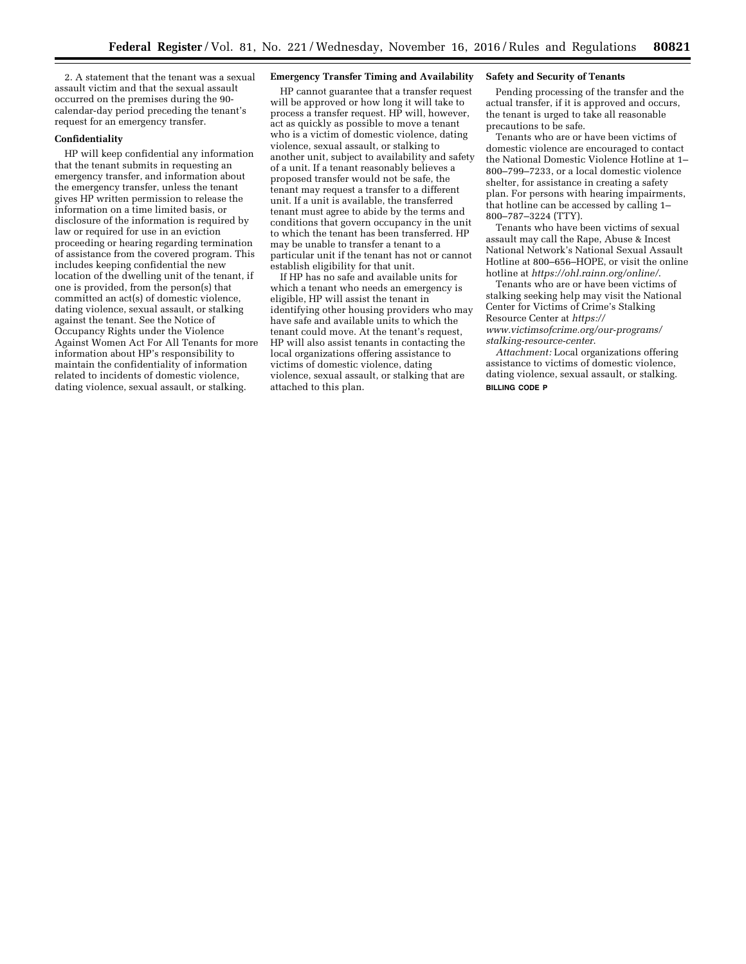2. A statement that the tenant was a sexual assault victim and that the sexual assault occurred on the premises during the 90 calendar-day period preceding the tenant's request for an emergency transfer.

# **Confidentiality**

HP will keep confidential any information that the tenant submits in requesting an emergency transfer, and information about the emergency transfer, unless the tenant gives HP written permission to release the information on a time limited basis, or disclosure of the information is required by law or required for use in an eviction proceeding or hearing regarding termination of assistance from the covered program. This includes keeping confidential the new location of the dwelling unit of the tenant, if one is provided, from the person(s) that committed an act(s) of domestic violence, dating violence, sexual assault, or stalking against the tenant. See the Notice of Occupancy Rights under the Violence Against Women Act For All Tenants for more information about HP's responsibility to maintain the confidentiality of information related to incidents of domestic violence, dating violence, sexual assault, or stalking.

### **Emergency Transfer Timing and Availability**

HP cannot guarantee that a transfer request will be approved or how long it will take to process a transfer request. HP will, however, act as quickly as possible to move a tenant who is a victim of domestic violence, dating violence, sexual assault, or stalking to another unit, subject to availability and safety of a unit. If a tenant reasonably believes a proposed transfer would not be safe, the tenant may request a transfer to a different unit. If a unit is available, the transferred tenant must agree to abide by the terms and conditions that govern occupancy in the unit to which the tenant has been transferred. HP may be unable to transfer a tenant to a particular unit if the tenant has not or cannot establish eligibility for that unit.

If HP has no safe and available units for which a tenant who needs an emergency is eligible, HP will assist the tenant in identifying other housing providers who may have safe and available units to which the tenant could move. At the tenant's request HP will also assist tenants in contacting the local organizations offering assistance to victims of domestic violence, dating violence, sexual assault, or stalking that are attached to this plan.

### **Safety and Security of Tenants**

Pending processing of the transfer and the actual transfer, if it is approved and occurs, the tenant is urged to take all reasonable precautions to be safe.

Tenants who are or have been victims of domestic violence are encouraged to contact the National Domestic Violence Hotline at 1– 800–799–7233, or a local domestic violence shelter, for assistance in creating a safety plan. For persons with hearing impairments, that hotline can be accessed by calling 1– 800–787–3224 (TTY).

Tenants who have been victims of sexual assault may call the Rape, Abuse & Incest National Network's National Sexual Assault Hotline at 800–656–HOPE, or visit the online hotline at *<https://ohl.rainn.org/online/>*.

Tenants who are or have been victims of stalking seeking help may visit the National Center for Victims of Crime's Stalking Resource Center at *[https://](https://www.victimsofcrime.org/our-programs/stalking-resource-center) [www.victimsofcrime.org/our-programs/](https://www.victimsofcrime.org/our-programs/stalking-resource-center)*

*[stalking-resource-center](https://www.victimsofcrime.org/our-programs/stalking-resource-center)*.

*Attachment:* Local organizations offering assistance to victims of domestic violence, dating violence, sexual assault, or stalking. **BILLING CODE P**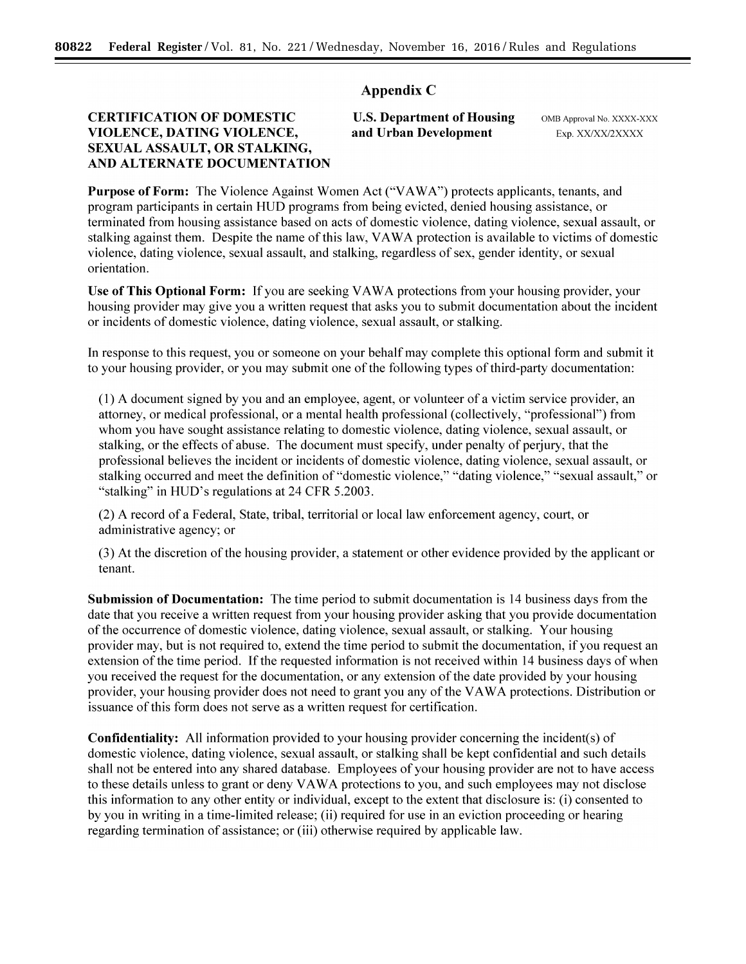# Appendix C

# CERTIFICATION OF DOMESTIC VIOLENCE, DATING VIOLENCE, SEXUAL ASSAULT, OR STALKING, AND ALTERNATE DOCUMENTATION

# U.S. Department of Housing and Urban Development

OMB Approval No. XXXX-XXX Exp. XX/XX/2XXXX

Purpose of Form: The Violence Against Women Act ("VAWA") protects applicants, tenants, and program participants in certain HUD programs from being evicted, denied housing assistance, or terminated from housing assistance based on acts of domestic violence, dating violence, sexual assault, or stalking against them. Despite the name of this law, VAWA protection is available to victims of domestic violence, dating violence, sexual assault, and stalking, regardless of sex, gender identity, or sexual orientation.

Use of This Optional Form: If you are seeking VAWA protections from your housing provider, your housing provider may give you a written request that asks you to submit documentation about the incident or incidents of domestic violence, dating violence, sexual assault, or stalking.

In response to this request, you or someone on your behalf may complete this optional form and submit it to your housing provider, or you may submit one of the following types of third-party documentation:

( 1) A document signed by you and an employee, agent, or volunteer of a victim service provider, an attorney, or medical professional, or a mental health professional (collectively, "professional") from whom you have sought assistance relating to domestic violence, dating violence, sexual assault, or stalking, or the effects of abuse. The document must specify, under penalty of perjury, that the professional believes the incident or incidents of domestic violence, dating violence, sexual assault, or stalking occurred and meet the definition of "domestic violence," "dating violence," "sexual assault," or "stalking" in HUD's regulations at 24 CFR 5.2003.

(2) A record of a Federal, State, tribal, territorial or local law enforcement agency, court, or administrative agency; or

(3) At the discretion of the housing provider, a statement or other evidence provided by the applicant or tenant.

Submission of Documentation: The time period to submit documentation is 14 business days from the date that you receive a written request from your housing provider asking that you provide documentation of the occurrence of domestic violence, dating violence, sexual assault, or stalking. Your housing provider may, but is not required to, extend the time period to submit the documentation, if you request an extension of the time period. If the requested information is not received within 14 business days of when you received the request for the documentation, or any extension of the date provided by your housing provider, your housing provider does not need to grant you any of the VA W A protections. Distribution or issuance of this form does not serve as a written request for certification.

Confidentiality: All information provided to your housing provider concerning the incident(s) of domestic violence, dating violence, sexual assault, or stalking shall be kept confidential and such details shall not be entered into any shared database. Employees of your housing provider are not to have access to these details unless to grant or deny VAWA protections to you, and such employees may not disclose this information to any other entity or individual, except to the extent that disclosure is: (i) consented to by you in writing in a time-limited release; (ii) required for use in an eviction proceeding or hearing regarding termination of assistance; or (iii) otherwise required by applicable law.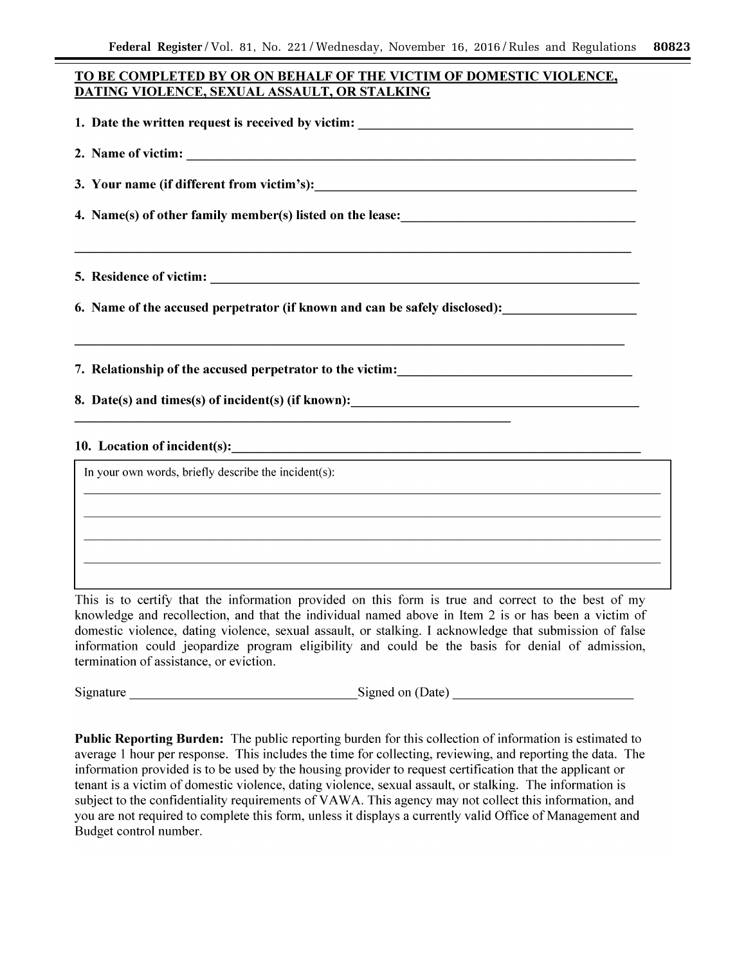# **TO BE COMPLETED BY OR ON BEHALF OF THE VICTIM OF DOMESTIC VIOLENCE, DATING VIOLENCE, SEXUAL ASSAULT, OR STALKING**

**1. Date the written request is received by victim:** \_\_\_\_\_\_\_\_\_\_\_\_\_\_\_\_\_\_ \_ **2.** Name of victim:  $\qquad \qquad \qquad$ **3. Your name (if different from victim's): \_\_\_\_\_\_\_\_\_\_\_\_\_\_\_\_\_\_\_\_\_ \_ 4. Name(s) of other family member(s) listed on the lease: 5. Residence of victim:**  $\blacksquare$ **6. Name of the accused perpetrator (if known and can be safely disclosed):** 

**7. Relationship of the accused perpetrator to the victim:** 

**8.** Date(s) and times(s) of incident(s) (if known):

# **10. Location of incident(s):**

In your own words, briefly describe the incident(s):

This is to certify that the information provided on this form is true and correct to the best of my knowledge and recollection, and that the individual named above in Item 2 is or has been a victim of domestic violence, dating violence, sexual assault, or stalking. I acknowledge that submission of false information could jeopardize program eligibility and could be the basis for denial of admission, termination of assistance, or eviction.

Signature \_\_\_\_\_\_\_\_\_\_\_\_\_\_\_ Signed on (Date) \_\_\_\_\_\_\_\_\_\_\_ \_

**Public Reporting Burden:** The public reporting burden for this collection of information is estimated to average 1 hour per response. This includes the time for collecting, reviewing, and reporting the data. The information provided is to be used by the housing provider to request certification that the applicant or tenant is a victim of domestic violence, dating violence, sexual assault, or stalking. The information is subject to the confidentiality requirements of VAWA. This agency may not collect this information, and you are not required to complete this form, unless it displays a currently valid Office of Management and Budget control number.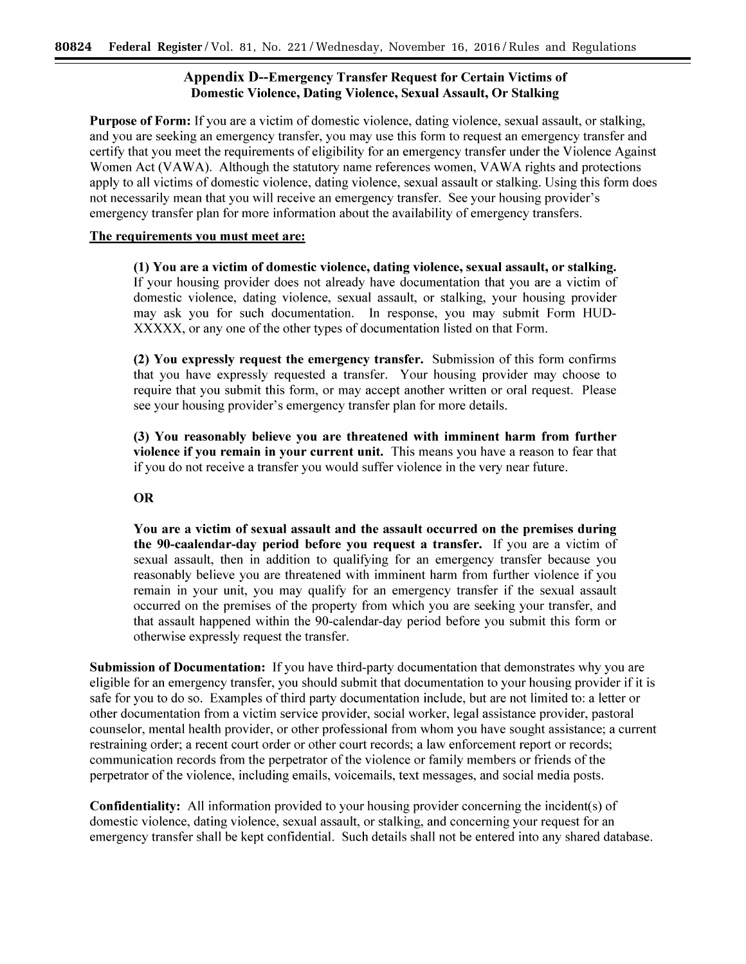# Appendix D--Emergency Transfer Request for Certain Victims of Domestic Violence, Dating Violence, Sexual Assault, Or Stalking

Purpose of Form: If you are a victim of domestic violence, dating violence, sexual assault, or stalking, and you are seeking an emergency transfer, you may use this form to request an emergency transfer and certify that you meet the requirements of eligibility for an emergency transfer under the Violence Against Women Act (VAWA). Although the statutory name references women, VAWA rights and protections apply to all victims of domestic violence, dating violence, sexual assault or stalking. Using this form does not necessarily mean that you will receive an emergency transfer. See your housing provider's emergency transfer plan for more information about the availability of emergency transfers.

# The requirements you must meet are:

(1) You are a victim of domestic violence, dating violence, sexual assault, or stalking. If your housing provider does not already have documentation that you are a victim of domestic violence, dating violence, sexual assault, or stalking, your housing provider may ask you for such documentation. In response, you may submit Form HUD-XXXXX, or any one of the other types of documentation listed on that Form.

(2) You expressly request the emergency transfer. Submission of this form confirms that you have expressly requested a transfer. Your housing provider may choose to require that you submit this form, or may accept another written or oral request. Please see your housing provider's emergency transfer plan for more details.

(3) You reasonably believe you are threatened with imminent harm from further violence if you remain in your current unit. This means you have a reason to fear that if you do not receive a transfer you would suffer violence in the very near future.

# OR

You are a victim of sexual assault and the assault occurred on the premises during the 90-caalendar-day period before you request a transfer. If you are a victim of sexual assault, then in addition to qualifying for an emergency transfer because you reasonably believe you are threatened with imminent harm from further violence if you remain in your unit, you may qualify for an emergency transfer if the sexual assault occurred on the premises of the property from which you are seeking your transfer, and that assault happened within the 90-calendar-day period before you submit this form or otherwise expressly request the transfer.

Submission of Documentation: If you have third-party documentation that demonstrates why you are eligible for an emergency transfer, you should submit that documentation to your housing provider if it is safe for you to do so. Examples of third party documentation include, but are not limited to: a letter or other documentation from a victim service provider, social worker, legal assistance provider, pastoral counselor, mental health provider, or other professional from whom you have sought assistance; a current restraining order; a recent court order or other court records; a law enforcement report or records; communication records from the perpetrator of the violence or family members or friends of the perpetrator of the violence, including emails, voicemails, text messages, and social media posts.

Confidentiality: All information provided to your housing provider concerning the incident( s) of domestic violence, dating violence, sexual assault, or stalking, and concerning your request for an emergency transfer shall be kept confidential. Such details shall not be entered into any shared database.